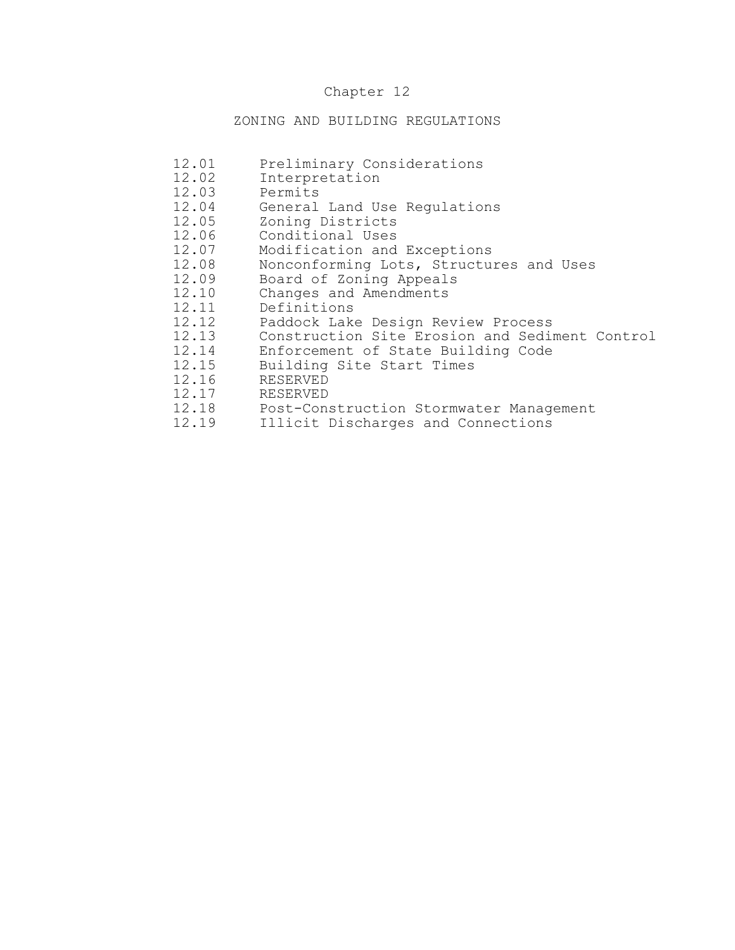# Chapter 12

# ZONING AND BUILDING REGULATIONS

| 12.01 | Preliminary Considerations                     |
|-------|------------------------------------------------|
| 12.02 | Interpretation                                 |
| 12.03 | Permits                                        |
| 12.04 | General Land Use Regulations                   |
| 12.05 | Zoning Districts                               |
| 12.06 | Conditional Uses                               |
| 12.07 | Modification and Exceptions                    |
| 12.08 | Nonconforming Lots, Structures and Uses        |
| 12.09 | Board of Zoning Appeals                        |
| 12.10 | Changes and Amendments                         |
| 12.11 | Definitions                                    |
| 12.12 | Paddock Lake Design Review Process             |
| 12.13 | Construction Site Erosion and Sediment Control |
| 12.14 | Enforcement of State Building Code             |
| 12.15 | Building Site Start Times                      |
| 12.16 | <b>RESERVED</b>                                |
| 12.17 | <b>RESERVED</b>                                |
| 12.18 | Post-Construction Stormwater Management        |
| 12.19 | Illicit Discharges and Connections             |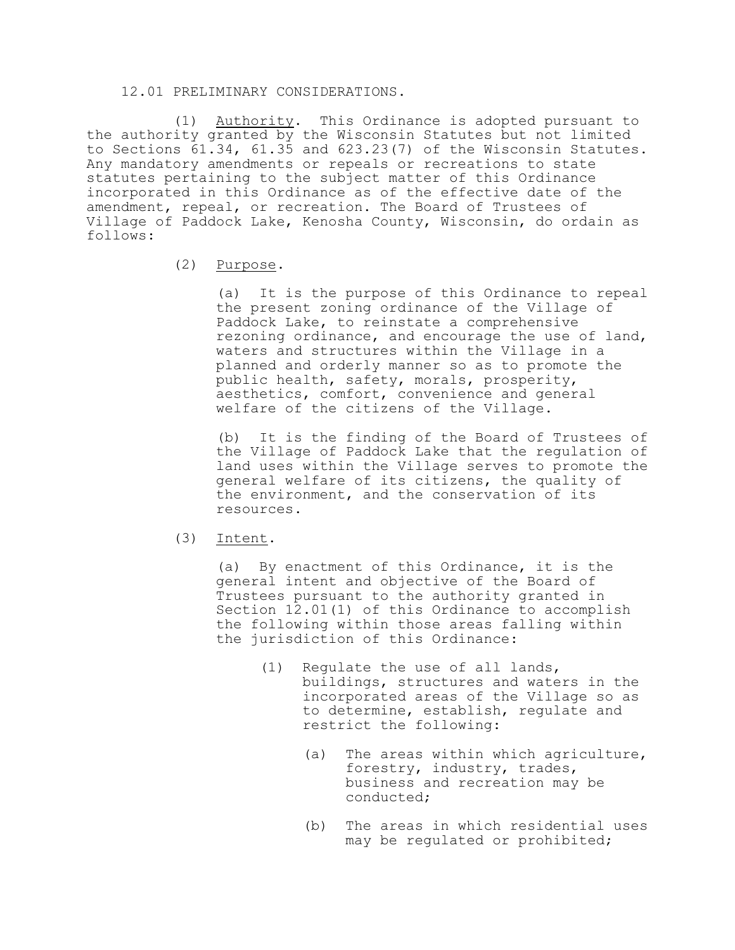#### 12.01 PRELIMINARY CONSIDERATIONS.

(1) Authority. This Ordinance is adopted pursuant to the authority granted by the Wisconsin Statutes but not limited to Sections 61.34, 61.35 and 623.23(7) of the Wisconsin Statutes. Any mandatory amendments or repeals or recreations to state statutes pertaining to the subject matter of this Ordinance incorporated in this Ordinance as of the effective date of the amendment, repeal, or recreation. The Board of Trustees of Village of Paddock Lake, Kenosha County, Wisconsin, do ordain as follows:

# (2) Purpose.

(a) It is the purpose of this Ordinance to repeal the present zoning ordinance of the Village of Paddock Lake, to reinstate a comprehensive rezoning ordinance, and encourage the use of land, waters and structures within the Village in a planned and orderly manner so as to promote the public health, safety, morals, prosperity, aesthetics, comfort, convenience and general welfare of the citizens of the Village.

(b) It is the finding of the Board of Trustees of the Village of Paddock Lake that the regulation of land uses within the Village serves to promote the general welfare of its citizens, the quality of the environment, and the conservation of its resources.

#### (3) Intent.

(a) By enactment of this Ordinance, it is the general intent and objective of the Board of Trustees pursuant to the authority granted in Section 12.01(1) of this Ordinance to accomplish the following within those areas falling within the jurisdiction of this Ordinance:

- (1) Regulate the use of all lands, buildings, structures and waters in the incorporated areas of the Village so as to determine, establish, regulate and restrict the following:
	- (a) The areas within which agriculture, forestry, industry, trades, business and recreation may be conducted;
	- (b) The areas in which residential uses may be regulated or prohibited;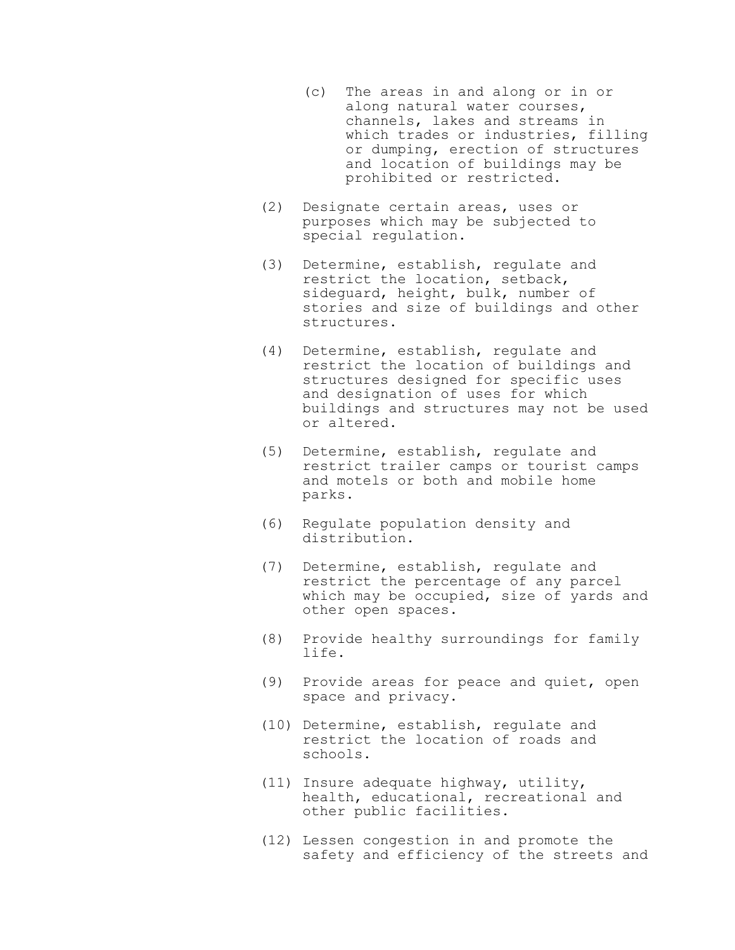- (c) The areas in and along or in or along natural water courses, channels, lakes and streams in which trades or industries, filling or dumping, erection of structures and location of buildings may be prohibited or restricted.
- (2) Designate certain areas, uses or purposes which may be subjected to special regulation.
- (3) Determine, establish, regulate and restrict the location, setback, sideguard, height, bulk, number of stories and size of buildings and other structures.
- (4) Determine, establish, regulate and restrict the location of buildings and structures designed for specific uses and designation of uses for which buildings and structures may not be used or altered.
- (5) Determine, establish, regulate and restrict trailer camps or tourist camps and motels or both and mobile home parks.
- (6) Regulate population density and distribution.
- (7) Determine, establish, regulate and restrict the percentage of any parcel which may be occupied, size of yards and other open spaces.
- (8) Provide healthy surroundings for family life.
- (9) Provide areas for peace and quiet, open space and privacy.
- (10) Determine, establish, regulate and restrict the location of roads and schools.
- (11) Insure adequate highway, utility, health, educational, recreational and other public facilities.
- (12) Lessen congestion in and promote the safety and efficiency of the streets and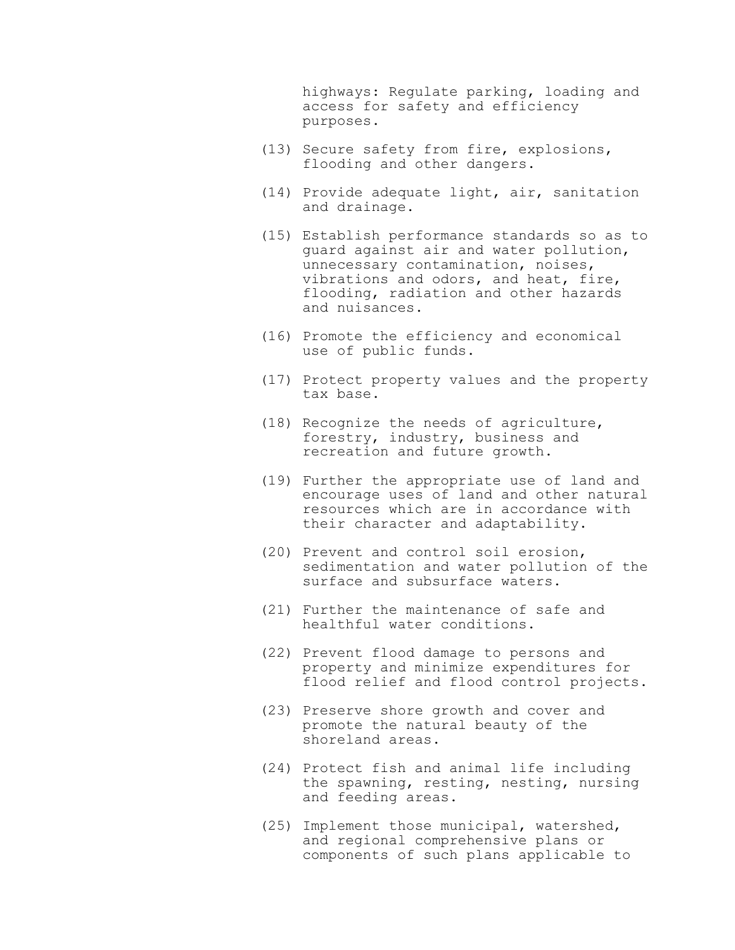highways: Regulate parking, loading and access for safety and efficiency purposes.

- (13) Secure safety from fire, explosions, flooding and other dangers.
- (14) Provide adequate light, air, sanitation and drainage.
- (15) Establish performance standards so as to guard against air and water pollution, unnecessary contamination, noises, vibrations and odors, and heat, fire, flooding, radiation and other hazards and nuisances.
- (16) Promote the efficiency and economical use of public funds.
- (17) Protect property values and the property tax base.
- (18) Recognize the needs of agriculture, forestry, industry, business and recreation and future growth.
- (19) Further the appropriate use of land and encourage uses of land and other natural resources which are in accordance with their character and adaptability.
- (20) Prevent and control soil erosion, sedimentation and water pollution of the surface and subsurface waters.
- (21) Further the maintenance of safe and healthful water conditions.
- (22) Prevent flood damage to persons and property and minimize expenditures for flood relief and flood control projects.
- (23) Preserve shore growth and cover and promote the natural beauty of the shoreland areas.
- (24) Protect fish and animal life including the spawning, resting, nesting, nursing and feeding areas.
- (25) Implement those municipal, watershed, and regional comprehensive plans or components of such plans applicable to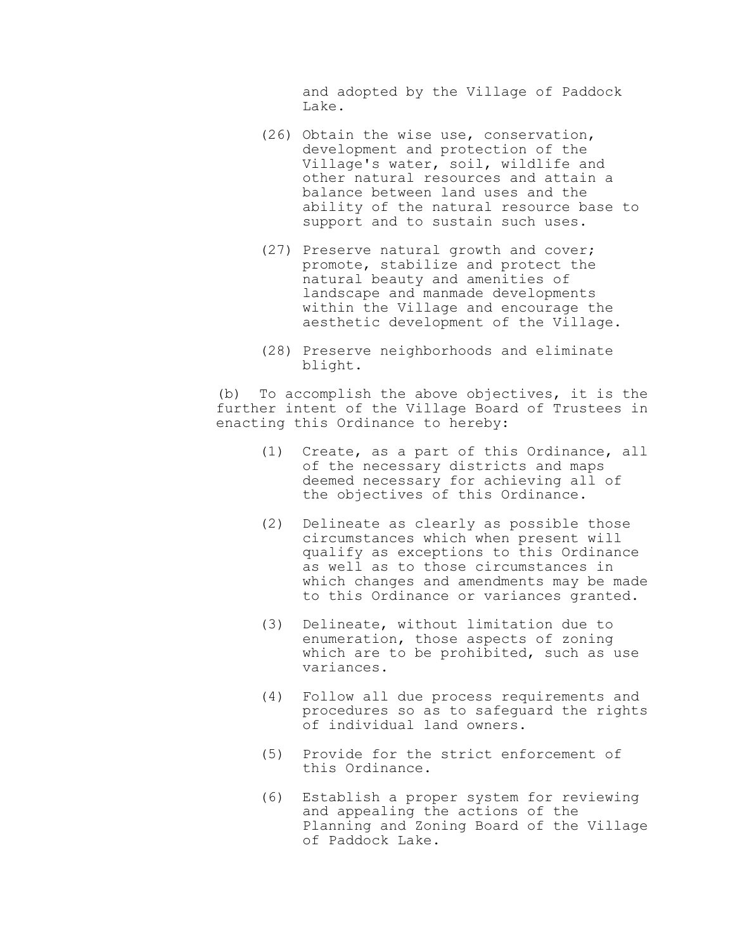and adopted by the Village of Paddock Lake.

- (26) Obtain the wise use, conservation, development and protection of the Village's water, soil, wildlife and other natural resources and attain a balance between land uses and the ability of the natural resource base to support and to sustain such uses.
- (27) Preserve natural growth and cover; promote, stabilize and protect the natural beauty and amenities of landscape and manmade developments within the Village and encourage the aesthetic development of the Village.
- (28) Preserve neighborhoods and eliminate blight.

(b) To accomplish the above objectives, it is the further intent of the Village Board of Trustees in enacting this Ordinance to hereby:

- (1) Create, as a part of this Ordinance, all of the necessary districts and maps deemed necessary for achieving all of the objectives of this Ordinance.
- (2) Delineate as clearly as possible those circumstances which when present will qualify as exceptions to this Ordinance as well as to those circumstances in which changes and amendments may be made to this Ordinance or variances granted.
- (3) Delineate, without limitation due to enumeration, those aspects of zoning which are to be prohibited, such as use variances.
- (4) Follow all due process requirements and procedures so as to safeguard the rights of individual land owners.
- (5) Provide for the strict enforcement of this Ordinance.
- (6) Establish a proper system for reviewing and appealing the actions of the Planning and Zoning Board of the Village of Paddock Lake.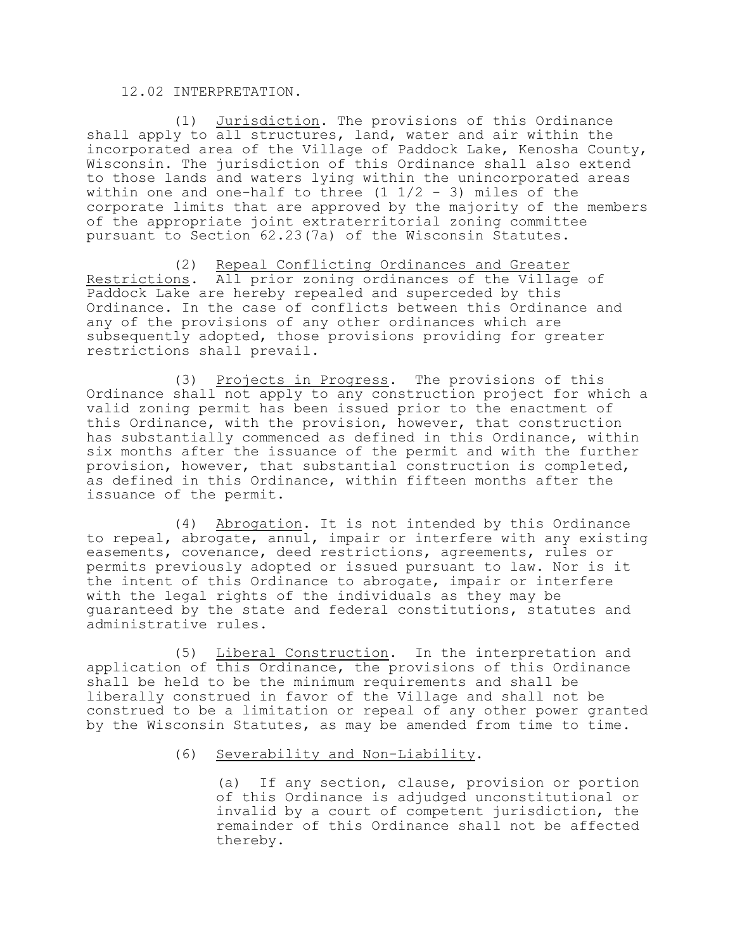### 12.02 INTERPRETATION.

(1) Jurisdiction. The provisions of this Ordinance shall apply to all structures, land, water and air within the incorporated area of the Village of Paddock Lake, Kenosha County, Wisconsin. The jurisdiction of this Ordinance shall also extend to those lands and waters lying within the unincorporated areas within one and one-half to three  $(1 \t1/2 - 3)$  miles of the corporate limits that are approved by the majority of the members of the appropriate joint extraterritorial zoning committee pursuant to Section 62.23(7a) of the Wisconsin Statutes.

(2) Repeal Conflicting Ordinances and Greater Restrictions. All prior zoning ordinances of the Village of Paddock Lake are hereby repealed and superceded by this Ordinance. In the case of conflicts between this Ordinance and any of the provisions of any other ordinances which are subsequently adopted, those provisions providing for greater restrictions shall prevail.

(3) Projects in Progress. The provisions of this Ordinance shall not apply to any construction project for which a valid zoning permit has been issued prior to the enactment of this Ordinance, with the provision, however, that construction has substantially commenced as defined in this Ordinance, within six months after the issuance of the permit and with the further provision, however, that substantial construction is completed, as defined in this Ordinance, within fifteen months after the issuance of the permit.

(4) Abrogation. It is not intended by this Ordinance to repeal, abrogate, annul, impair or interfere with any existing easements, covenance, deed restrictions, agreements, rules or permits previously adopted or issued pursuant to law. Nor is it the intent of this Ordinance to abrogate, impair or interfere with the legal rights of the individuals as they may be guaranteed by the state and federal constitutions, statutes and administrative rules.

(5) Liberal Construction. In the interpretation and application of this Ordinance, the provisions of this Ordinance shall be held to be the minimum requirements and shall be liberally construed in favor of the Village and shall not be construed to be a limitation or repeal of any other power granted by the Wisconsin Statutes, as may be amended from time to time.

(6) Severability and Non-Liability.

(a) If any section, clause, provision or portion of this Ordinance is adjudged unconstitutional or invalid by a court of competent jurisdiction, the remainder of this Ordinance shall not be affected thereby.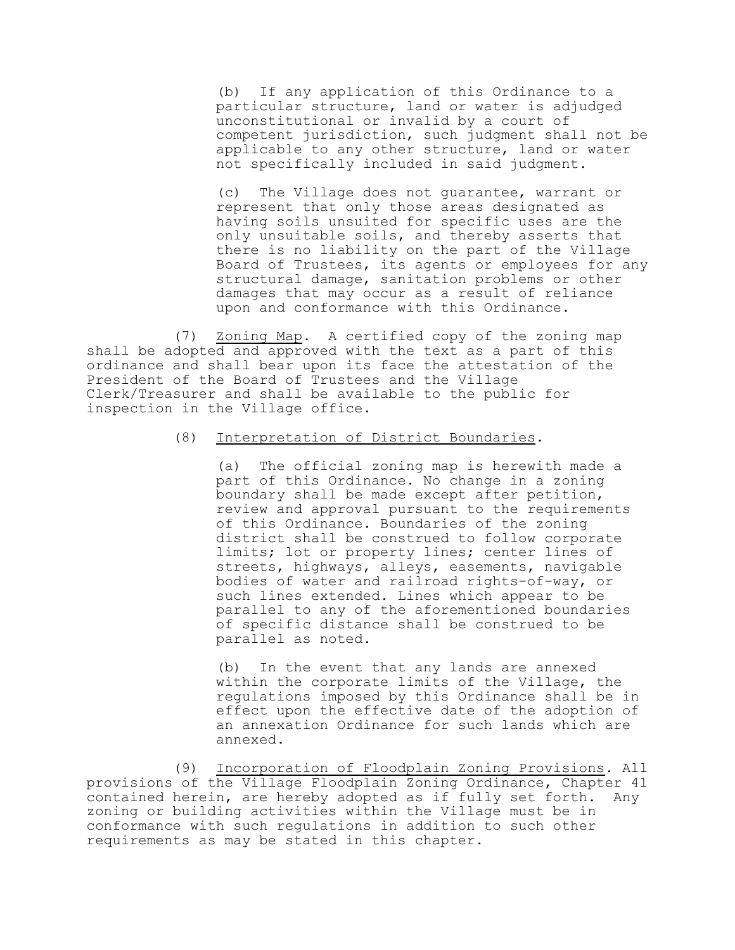(b) If any application of this Ordinance to a particular structure, land or water is adjudged unconstitutional or invalid by a court of competent jurisdiction, such judgment shall not be applicable to any other structure, land or water not specifically included in said judgment.

(c) The Village does not guarantee, warrant or represent that only those areas designated as having soils unsuited for specific uses are the only unsuitable soils, and thereby asserts that there is no liability on the part of the Village Board of Trustees, its agents or employees for any structural damage, sanitation problems or other damages that may occur as a result of reliance upon and conformance with this Ordinance.

(7) Zoning Map. A certified copy of the zoning map shall be adopted and approved with the text as a part of this ordinance and shall bear upon its face the attestation of the President of the Board of Trustees and the Village Clerk/Treasurer and shall be available to the public for inspection in the Village office.

#### (8) Interpretation of District Boundaries.

(a) The official zoning map is herewith made a part of this Ordinance. No change in a zoning boundary shall be made except after petition, review and approval pursuant to the requirements of this Ordinance. Boundaries of the zoning district shall be construed to follow corporate limits; lot or property lines; center lines of streets, highways, alleys, easements, navigable bodies of water and railroad rights-of-way, or such lines extended. Lines which appear to be parallel to any of the aforementioned boundaries of specific distance shall be construed to be parallel as noted.

(b) In the event that any lands are annexed within the corporate limits of the Village, the regulations imposed by this Ordinance shall be in effect upon the effective date of the adoption of an annexation Ordinance for such lands which are annexed.

(9) Incorporation of Floodplain Zoning Provisions. All provisions of the Village Floodplain Zoning Ordinance, Chapter 41 contained herein, are hereby adopted as if fully set forth. Any zoning or building activities within the Village must be in conformance with such regulations in addition to such other requirements as may be stated in this chapter.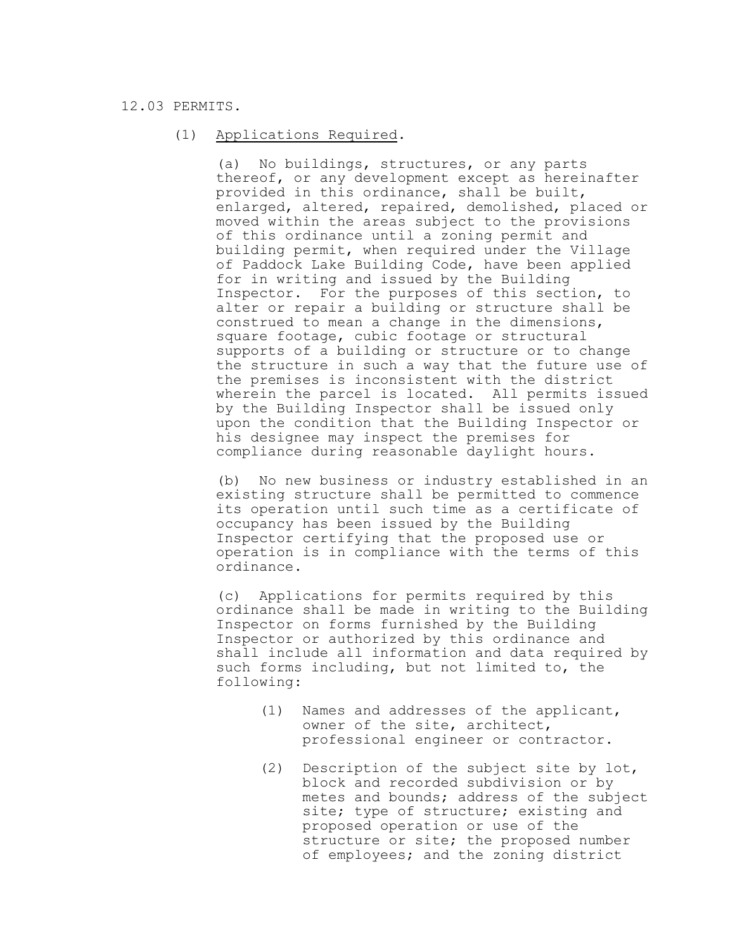# 12.03 PERMITS.

# (1) Applications Required.

(a) No buildings, structures, or any parts thereof, or any development except as hereinafter provided in this ordinance, shall be built, enlarged, altered, repaired, demolished, placed or moved within the areas subject to the provisions of this ordinance until a zoning permit and building permit, when required under the Village of Paddock Lake Building Code, have been applied for in writing and issued by the Building Inspector. For the purposes of this section, to alter or repair a building or structure shall be construed to mean a change in the dimensions, square footage, cubic footage or structural supports of a building or structure or to change the structure in such a way that the future use of the premises is inconsistent with the district wherein the parcel is located. All permits issued by the Building Inspector shall be issued only upon the condition that the Building Inspector or his designee may inspect the premises for compliance during reasonable daylight hours.

(b) No new business or industry established in an existing structure shall be permitted to commence its operation until such time as a certificate of occupancy has been issued by the Building Inspector certifying that the proposed use or operation is in compliance with the terms of this ordinance.

(c) Applications for permits required by this ordinance shall be made in writing to the Building Inspector on forms furnished by the Building Inspector or authorized by this ordinance and shall include all information and data required by such forms including, but not limited to, the following:

- (1) Names and addresses of the applicant, owner of the site, architect, professional engineer or contractor.
- (2) Description of the subject site by lot, block and recorded subdivision or by metes and bounds; address of the subject site; type of structure; existing and proposed operation or use of the structure or site; the proposed number of employees; and the zoning district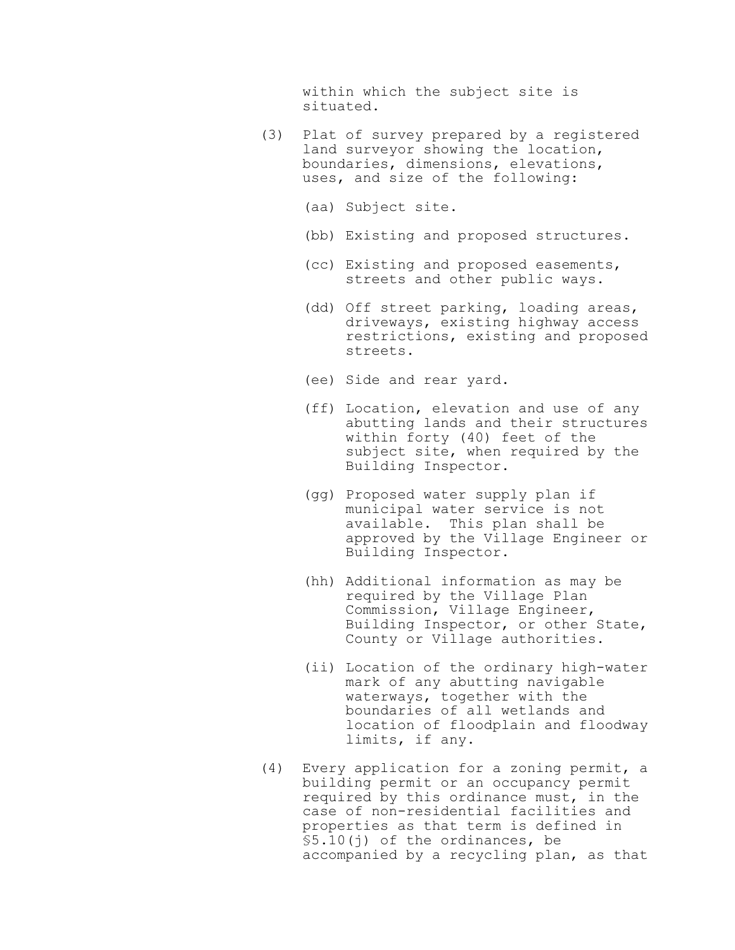within which the subject site is situated.

- (3) Plat of survey prepared by a registered land surveyor showing the location, boundaries, dimensions, elevations, uses, and size of the following:
	- (aa) Subject site.
	- (bb) Existing and proposed structures.
	- (cc) Existing and proposed easements, streets and other public ways.
	- (dd) Off street parking, loading areas, driveways, existing highway access restrictions, existing and proposed streets.
	- (ee) Side and rear yard.
	- (ff) Location, elevation and use of any abutting lands and their structures within forty (40) feet of the subject site, when required by the Building Inspector.
	- (gg) Proposed water supply plan if municipal water service is not available. This plan shall be approved by the Village Engineer or Building Inspector.
	- (hh) Additional information as may be required by the Village Plan Commission, Village Engineer, Building Inspector, or other State, County or Village authorities.
	- (ii) Location of the ordinary high-water mark of any abutting navigable waterways, together with the boundaries of all wetlands and location of floodplain and floodway limits, if any.
- (4) Every application for a zoning permit, a building permit or an occupancy permit required by this ordinance must, in the case of non-residential facilities and properties as that term is defined in §5.10(j) of the ordinances, be accompanied by a recycling plan, as that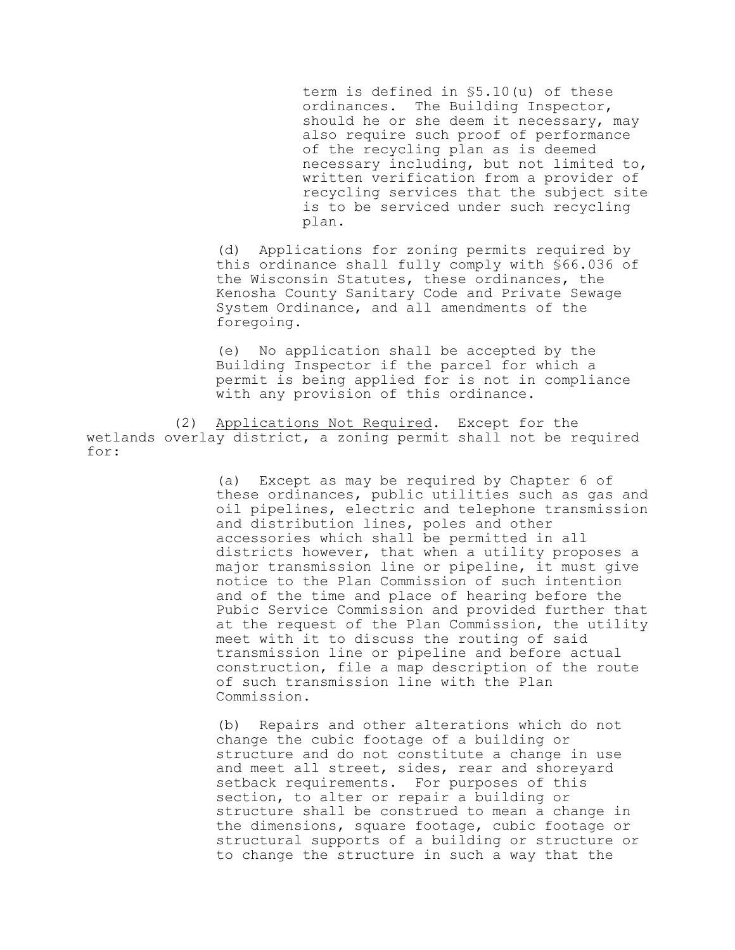term is defined in §5.10(u) of these ordinances. The Building Inspector, should he or she deem it necessary, may also require such proof of performance of the recycling plan as is deemed necessary including, but not limited to, written verification from a provider of recycling services that the subject site is to be serviced under such recycling plan.

(d) Applications for zoning permits required by this ordinance shall fully comply with §66.036 of the Wisconsin Statutes, these ordinances, the Kenosha County Sanitary Code and Private Sewage System Ordinance, and all amendments of the foregoing.

(e) No application shall be accepted by the Building Inspector if the parcel for which a permit is being applied for is not in compliance with any provision of this ordinance.

(2) Applications Not Required. Except for the wetlands overlay district, a zoning permit shall not be required for:

> (a) Except as may be required by Chapter 6 of these ordinances, public utilities such as gas and oil pipelines, electric and telephone transmission and distribution lines, poles and other accessories which shall be permitted in all districts however, that when a utility proposes a major transmission line or pipeline, it must give notice to the Plan Commission of such intention and of the time and place of hearing before the Pubic Service Commission and provided further that at the request of the Plan Commission, the utility meet with it to discuss the routing of said transmission line or pipeline and before actual construction, file a map description of the route of such transmission line with the Plan Commission.

(b) Repairs and other alterations which do not change the cubic footage of a building or structure and do not constitute a change in use and meet all street, sides, rear and shoreyard setback requirements. For purposes of this section, to alter or repair a building or structure shall be construed to mean a change in the dimensions, square footage, cubic footage or structural supports of a building or structure or to change the structure in such a way that the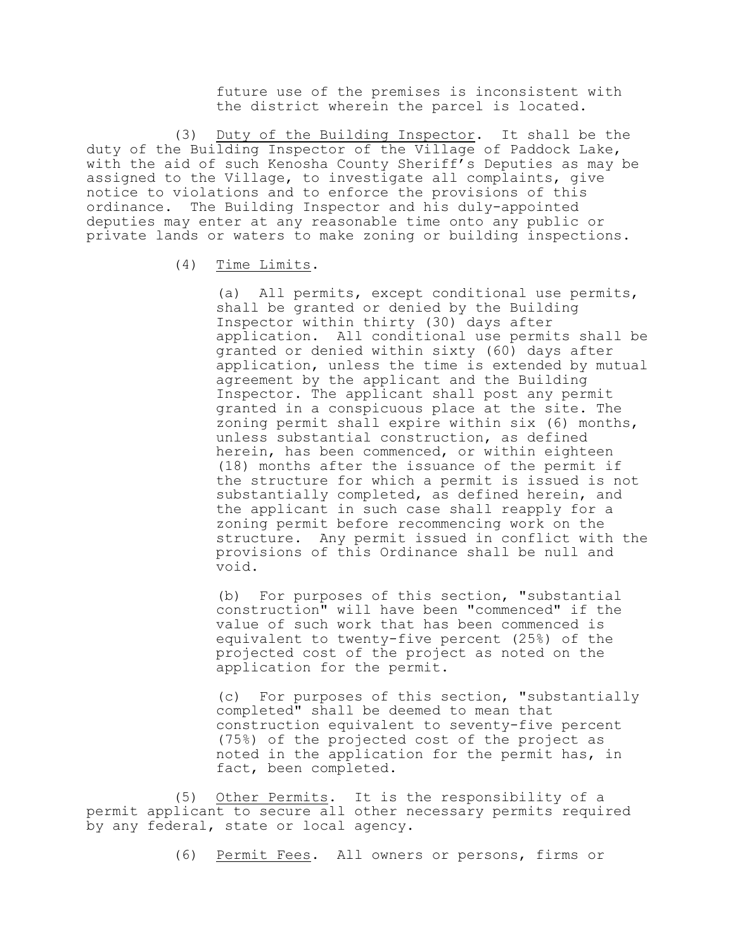future use of the premises is inconsistent with the district wherein the parcel is located.

 (3) Duty of the Building Inspector. It shall be the duty of the Building Inspector of the Village of Paddock Lake, with the aid of such Kenosha County Sheriff's Deputies as may be assigned to the Village, to investigate all complaints, give notice to violations and to enforce the provisions of this ordinance. The Building Inspector and his duly-appointed deputies may enter at any reasonable time onto any public or private lands or waters to make zoning or building inspections.

# (4) Time Limits.

(a) All permits, except conditional use permits, shall be granted or denied by the Building Inspector within thirty (30) days after application. All conditional use permits shall be granted or denied within sixty (60) days after application, unless the time is extended by mutual agreement by the applicant and the Building Inspector. The applicant shall post any permit granted in a conspicuous place at the site. The zoning permit shall expire within six (6) months, unless substantial construction, as defined herein, has been commenced, or within eighteen (18) months after the issuance of the permit if the structure for which a permit is issued is not substantially completed, as defined herein, and the applicant in such case shall reapply for a zoning permit before recommencing work on the structure. Any permit issued in conflict with the provisions of this Ordinance shall be null and void.

(b) For purposes of this section, "substantial construction" will have been "commenced" if the value of such work that has been commenced is equivalent to twenty-five percent (25%) of the projected cost of the project as noted on the application for the permit.

(c) For purposes of this section, "substantially completed" shall be deemed to mean that construction equivalent to seventy-five percent (75%) of the projected cost of the project as noted in the application for the permit has, in fact, been completed.

(5) Other Permits. It is the responsibility of a permit applicant to secure all other necessary permits required by any federal, state or local agency.

(6) Permit Fees. All owners or persons, firms or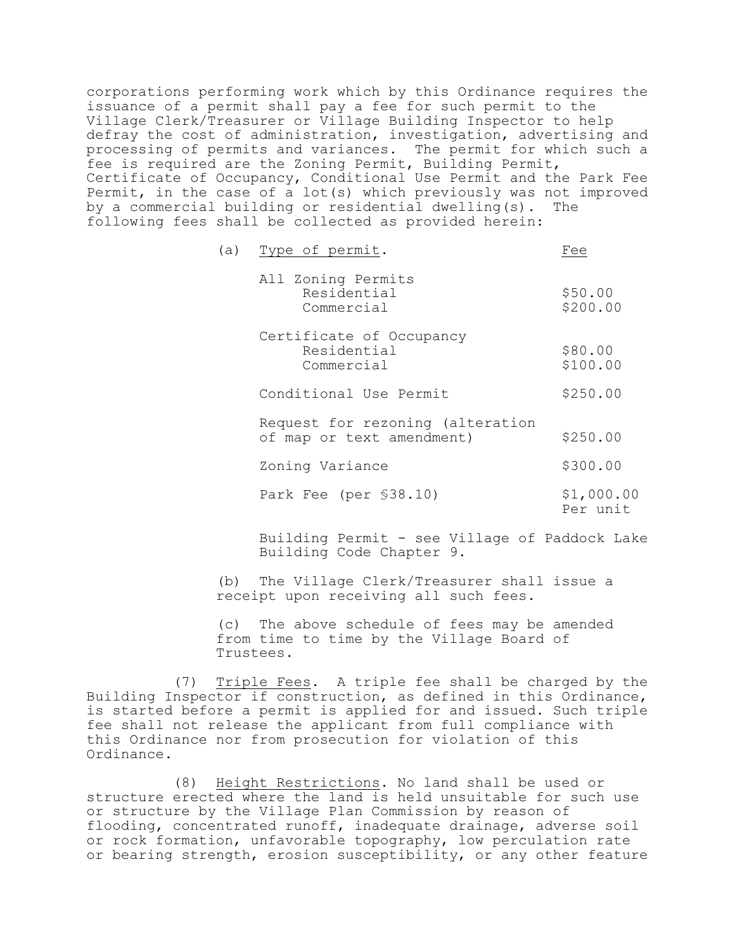corporations performing work which by this Ordinance requires the issuance of a permit shall pay a fee for such permit to the Village Clerk/Treasurer or Village Building Inspector to help defray the cost of administration, investigation, advertising and processing of permits and variances. The permit for which such a fee is required are the Zoning Permit, Building Permit, Certificate of Occupancy, Conditional Use Permit and the Park Fee Permit, in the case of a lot(s) which previously was not improved by a commercial building or residential dwelling(s). The following fees shall be collected as provided herein:

| (a) | Type of permit.                                               | Fee                    |
|-----|---------------------------------------------------------------|------------------------|
|     | All Zoning Permits<br>Residential<br>Commercial               | \$50.00<br>\$200.00    |
|     | Certificate of Occupancy<br>Residential<br>Commercial         | \$80.00<br>\$100.00    |
|     | Conditional Use Permit                                        | \$250.00               |
|     | Request for rezoning (alteration<br>of map or text amendment) | \$250.00               |
|     | Zoning Variance                                               | \$300.00               |
|     | Park Fee (per §38.10)                                         | \$1,000.00<br>Per unit |

Building Permit - see Village of Paddock Lake Building Code Chapter 9.

(b) The Village Clerk/Treasurer shall issue a receipt upon receiving all such fees.

(c) The above schedule of fees may be amended from time to time by the Village Board of Trustees.

(7) Triple Fees. A triple fee shall be charged by the Building Inspector if construction, as defined in this Ordinance, is started before a permit is applied for and issued. Such triple fee shall not release the applicant from full compliance with this Ordinance nor from prosecution for violation of this Ordinance.

(8) Height Restrictions. No land shall be used or structure erected where the land is held unsuitable for such use or structure by the Village Plan Commission by reason of flooding, concentrated runoff, inadequate drainage, adverse soil or rock formation, unfavorable topography, low perculation rate or bearing strength, erosion susceptibility, or any other feature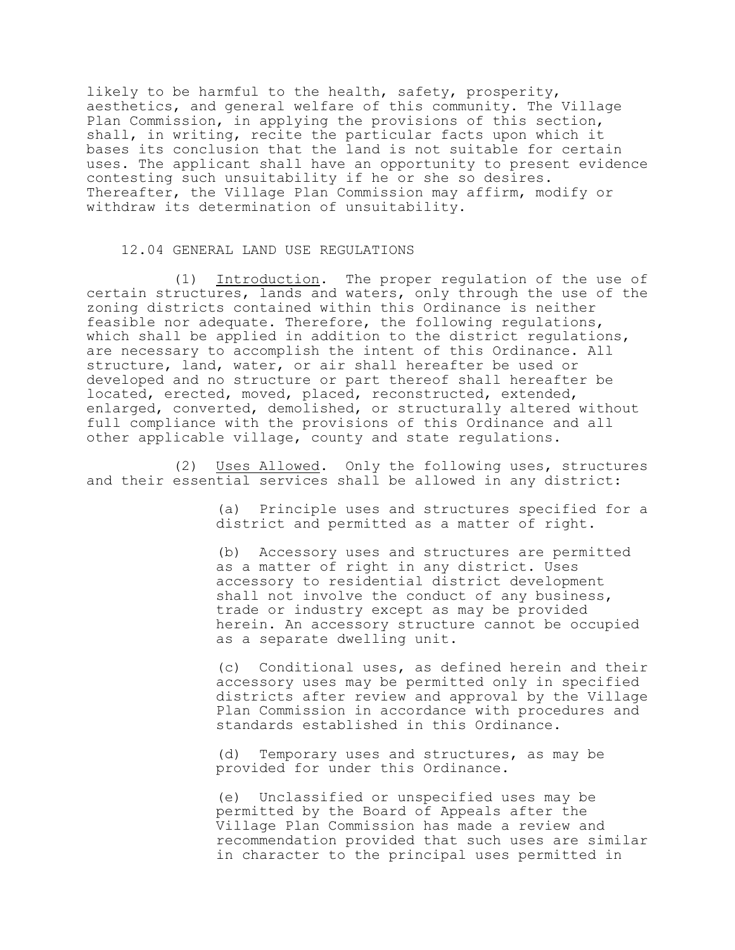likely to be harmful to the health, safety, prosperity, aesthetics, and general welfare of this community. The Village Plan Commission, in applying the provisions of this section, shall, in writing, recite the particular facts upon which it bases its conclusion that the land is not suitable for certain uses. The applicant shall have an opportunity to present evidence contesting such unsuitability if he or she so desires. Thereafter, the Village Plan Commission may affirm, modify or withdraw its determination of unsuitability.

#### 12.04 GENERAL LAND USE REGULATIONS

(1) Introduction. The proper regulation of the use of certain structures, lands and waters, only through the use of the zoning districts contained within this Ordinance is neither feasible nor adequate. Therefore, the following regulations, which shall be applied in addition to the district regulations, are necessary to accomplish the intent of this Ordinance. All structure, land, water, or air shall hereafter be used or developed and no structure or part thereof shall hereafter be located, erected, moved, placed, reconstructed, extended, enlarged, converted, demolished, or structurally altered without full compliance with the provisions of this Ordinance and all other applicable village, county and state regulations.

(2) Uses Allowed. Only the following uses, structures and their essential services shall be allowed in any district:

> (a) Principle uses and structures specified for a district and permitted as a matter of right.

(b) Accessory uses and structures are permitted as a matter of right in any district. Uses accessory to residential district development shall not involve the conduct of any business, trade or industry except as may be provided herein. An accessory structure cannot be occupied as a separate dwelling unit.

(c) Conditional uses, as defined herein and their accessory uses may be permitted only in specified districts after review and approval by the Village Plan Commission in accordance with procedures and standards established in this Ordinance.

(d) Temporary uses and structures, as may be provided for under this Ordinance.

(e) Unclassified or unspecified uses may be permitted by the Board of Appeals after the Village Plan Commission has made a review and recommendation provided that such uses are similar in character to the principal uses permitted in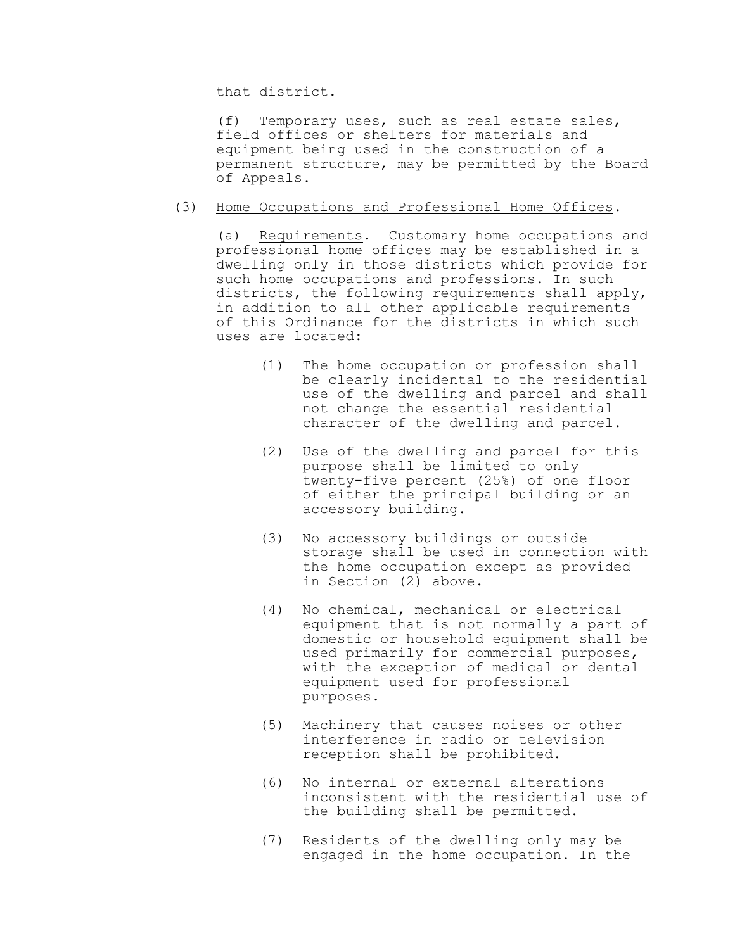that district.

(f) Temporary uses, such as real estate sales, field offices or shelters for materials and equipment being used in the construction of a permanent structure, may be permitted by the Board of Appeals.

### (3) Home Occupations and Professional Home Offices.

(a) Requirements. Customary home occupations and professional home offices may be established in a dwelling only in those districts which provide for such home occupations and professions. In such districts, the following requirements shall apply, in addition to all other applicable requirements of this Ordinance for the districts in which such uses are located:

- (1) The home occupation or profession shall be clearly incidental to the residential use of the dwelling and parcel and shall not change the essential residential character of the dwelling and parcel.
- (2) Use of the dwelling and parcel for this purpose shall be limited to only twenty-five percent (25%) of one floor of either the principal building or an accessory building.
- (3) No accessory buildings or outside storage shall be used in connection with the home occupation except as provided in Section (2) above.
- (4) No chemical, mechanical or electrical equipment that is not normally a part of domestic or household equipment shall be used primarily for commercial purposes, with the exception of medical or dental equipment used for professional purposes.
- (5) Machinery that causes noises or other interference in radio or television reception shall be prohibited.
- (6) No internal or external alterations inconsistent with the residential use of the building shall be permitted.
- (7) Residents of the dwelling only may be engaged in the home occupation. In the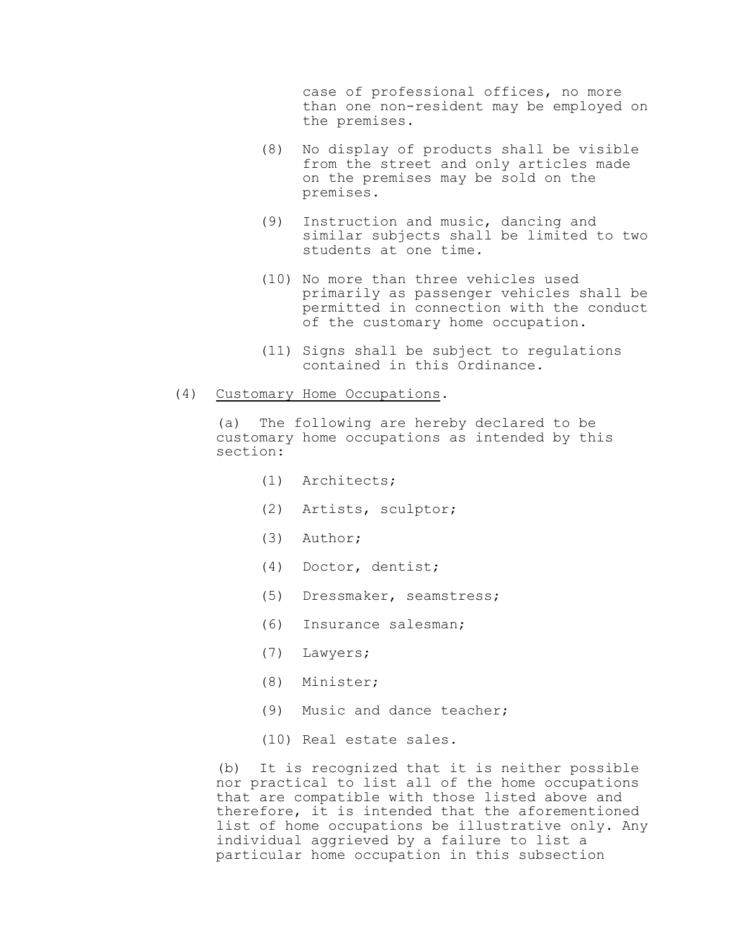case of professional offices, no more than one non-resident may be employed on the premises.

- (8) No display of products shall be visible from the street and only articles made on the premises may be sold on the premises.
- (9) Instruction and music, dancing and similar subjects shall be limited to two students at one time.
- (10) No more than three vehicles used primarily as passenger vehicles shall be permitted in connection with the conduct of the customary home occupation.
- (11) Signs shall be subject to regulations contained in this Ordinance.

# (4) Customary Home Occupations.

(a) The following are hereby declared to be customary home occupations as intended by this section:

- (1) Architects;
- (2) Artists, sculptor;
- (3) Author;
- (4) Doctor, dentist;
- (5) Dressmaker, seamstress;
- (6) Insurance salesman;
- (7) Lawyers;
- (8) Minister;
- (9) Music and dance teacher;
- (10) Real estate sales.

(b) It is recognized that it is neither possible nor practical to list all of the home occupations that are compatible with those listed above and therefore, it is intended that the aforementioned list of home occupations be illustrative only. Any individual aggrieved by a failure to list a particular home occupation in this subsection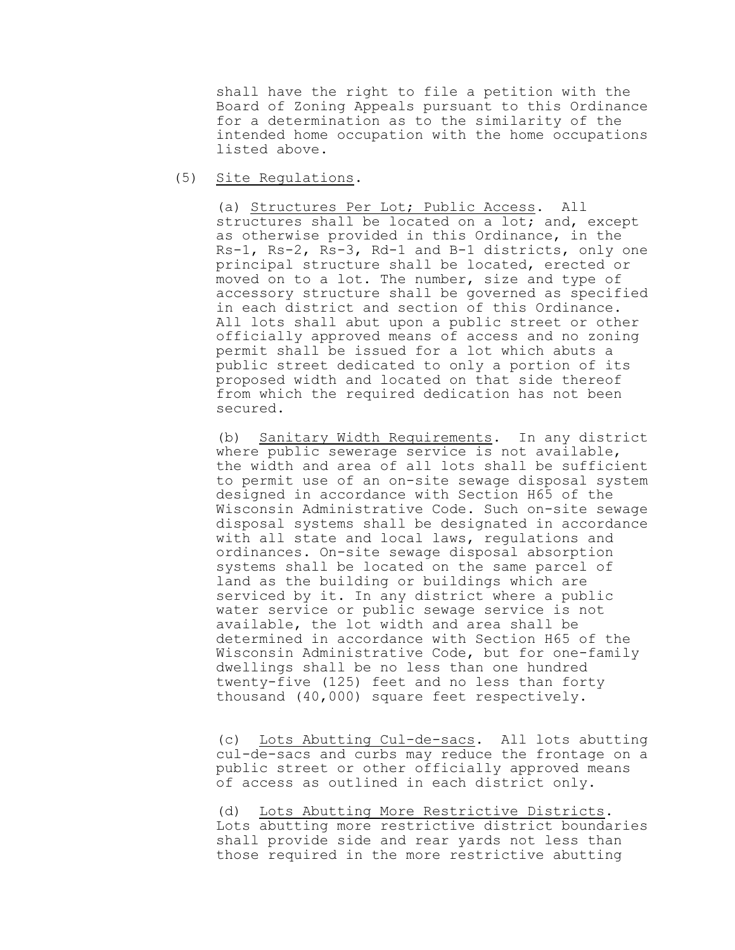shall have the right to file a petition with the Board of Zoning Appeals pursuant to this Ordinance for a determination as to the similarity of the intended home occupation with the home occupations listed above.

(5) Site Regulations.

(a) Structures Per Lot; Public Access. All structures shall be located on a lot; and, except as otherwise provided in this Ordinance, in the Rs-1, Rs-2, Rs-3, Rd-1 and B-1 districts, only one principal structure shall be located, erected or moved on to a lot. The number, size and type of accessory structure shall be governed as specified in each district and section of this Ordinance. All lots shall abut upon a public street or other officially approved means of access and no zoning permit shall be issued for a lot which abuts a public street dedicated to only a portion of its proposed width and located on that side thereof from which the required dedication has not been secured.

(b) Sanitary Width Requirements. In any district where public sewerage service is not available, the width and area of all lots shall be sufficient to permit use of an on-site sewage disposal system designed in accordance with Section H65 of the Wisconsin Administrative Code. Such on-site sewage disposal systems shall be designated in accordance with all state and local laws, regulations and ordinances. On-site sewage disposal absorption systems shall be located on the same parcel of land as the building or buildings which are serviced by it. In any district where a public water service or public sewage service is not available, the lot width and area shall be determined in accordance with Section H65 of the Wisconsin Administrative Code, but for one-family dwellings shall be no less than one hundred twenty-five (125) feet and no less than forty thousand (40,000) square feet respectively.

(c) Lots Abutting Cul-de-sacs. All lots abutting cul-de-sacs and curbs may reduce the frontage on a public street or other officially approved means of access as outlined in each district only.

(d) Lots Abutting More Restrictive Districts. Lots abutting more restrictive district boundaries shall provide side and rear yards not less than those required in the more restrictive abutting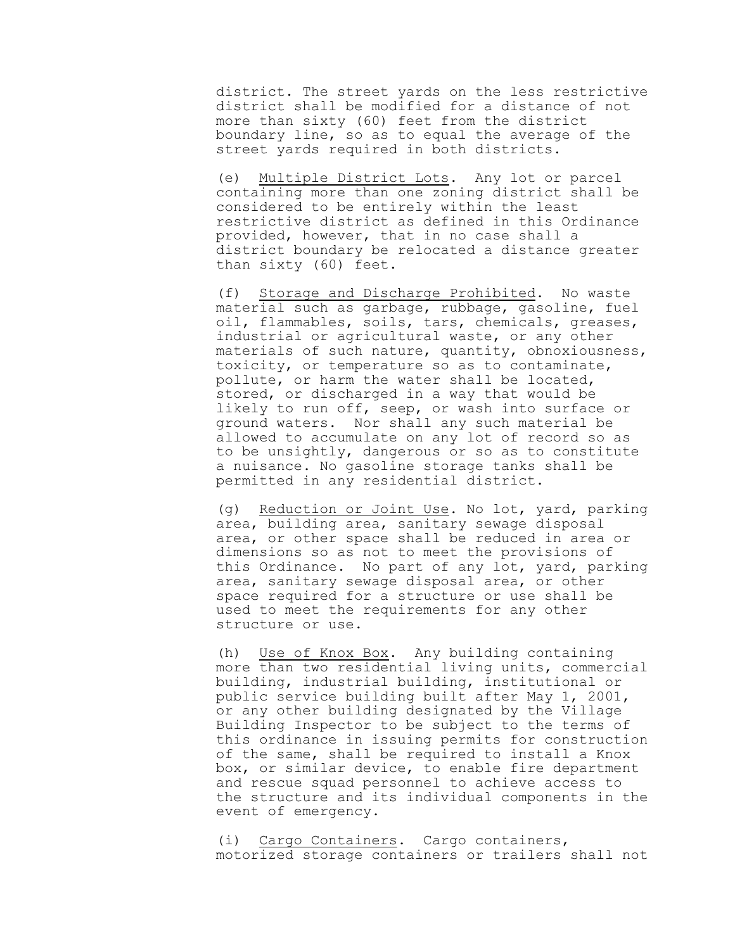district. The street yards on the less restrictive district shall be modified for a distance of not more than sixty (60) feet from the district boundary line, so as to equal the average of the street yards required in both districts.

(e) Multiple District Lots. Any lot or parcel containing more than one zoning district shall be considered to be entirely within the least restrictive district as defined in this Ordinance provided, however, that in no case shall a district boundary be relocated a distance greater than sixty (60) feet.

(f) Storage and Discharge Prohibited. No waste material such as garbage, rubbage, gasoline, fuel oil, flammables, soils, tars, chemicals, greases, industrial or agricultural waste, or any other materials of such nature, quantity, obnoxiousness, toxicity, or temperature so as to contaminate, pollute, or harm the water shall be located, stored, or discharged in a way that would be likely to run off, seep, or wash into surface or ground waters. Nor shall any such material be allowed to accumulate on any lot of record so as to be unsightly, dangerous or so as to constitute a nuisance. No gasoline storage tanks shall be permitted in any residential district.

(g) Reduction or Joint Use. No lot, yard, parking area, building area, sanitary sewage disposal area, or other space shall be reduced in area or dimensions so as not to meet the provisions of this Ordinance. No part of any lot, yard, parking area, sanitary sewage disposal area, or other space required for a structure or use shall be used to meet the requirements for any other structure or use.

(h) Use of Knox Box. Any building containing more than two residential living units, commercial building, industrial building, institutional or public service building built after May 1, 2001, or any other building designated by the Village Building Inspector to be subject to the terms of this ordinance in issuing permits for construction of the same, shall be required to install a Knox box, or similar device, to enable fire department and rescue squad personnel to achieve access to the structure and its individual components in the event of emergency.

(i) Cargo Containers. Cargo containers, motorized storage containers or trailers shall not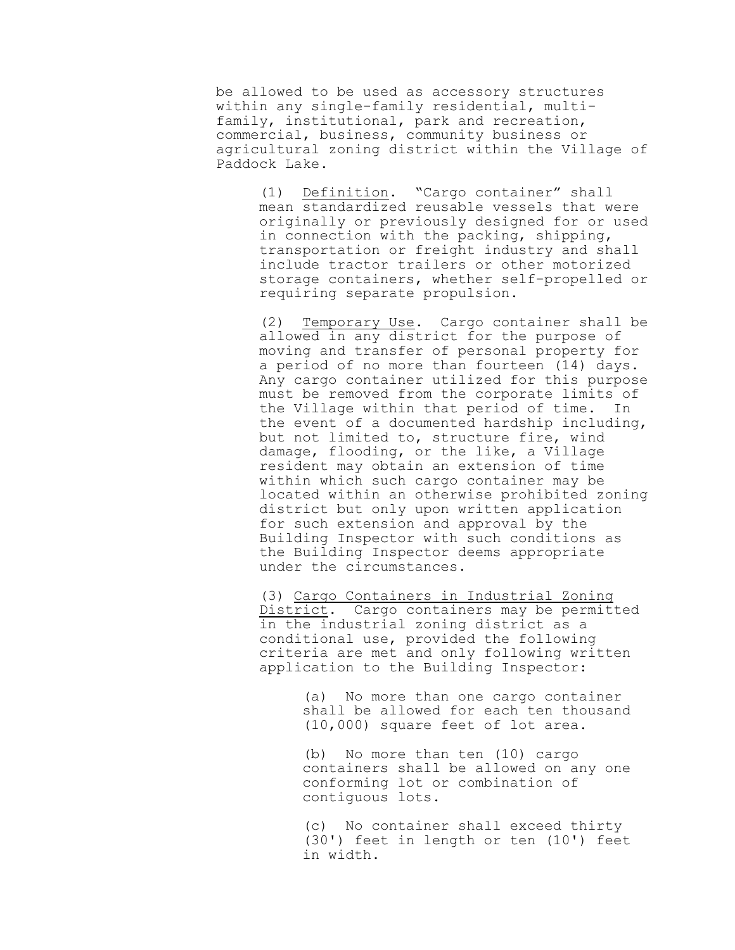be allowed to be used as accessory structures within any single-family residential, multifamily, institutional, park and recreation, commercial, business, community business or agricultural zoning district within the Village of Paddock Lake.

(1) Definition. "Cargo container" shall mean standardized reusable vessels that were originally or previously designed for or used in connection with the packing, shipping, transportation or freight industry and shall include tractor trailers or other motorized storage containers, whether self-propelled or requiring separate propulsion.

(2) Temporary Use. Cargo container shall be allowed in any district for the purpose of moving and transfer of personal property for a period of no more than fourteen (14) days. Any cargo container utilized for this purpose must be removed from the corporate limits of the Village within that period of time. In the event of a documented hardship including, but not limited to, structure fire, wind damage, flooding, or the like, a Village resident may obtain an extension of time within which such cargo container may be located within an otherwise prohibited zoning district but only upon written application for such extension and approval by the Building Inspector with such conditions as the Building Inspector deems appropriate under the circumstances.

(3) Cargo Containers in Industrial Zoning District. Cargo containers may be permitted in the industrial zoning district as a conditional use, provided the following criteria are met and only following written application to the Building Inspector:

> (a) No more than one cargo container shall be allowed for each ten thousand (10,000) square feet of lot area.

> (b) No more than ten (10) cargo containers shall be allowed on any one conforming lot or combination of contiguous lots.

> (c) No container shall exceed thirty (30') feet in length or ten (10') feet in width.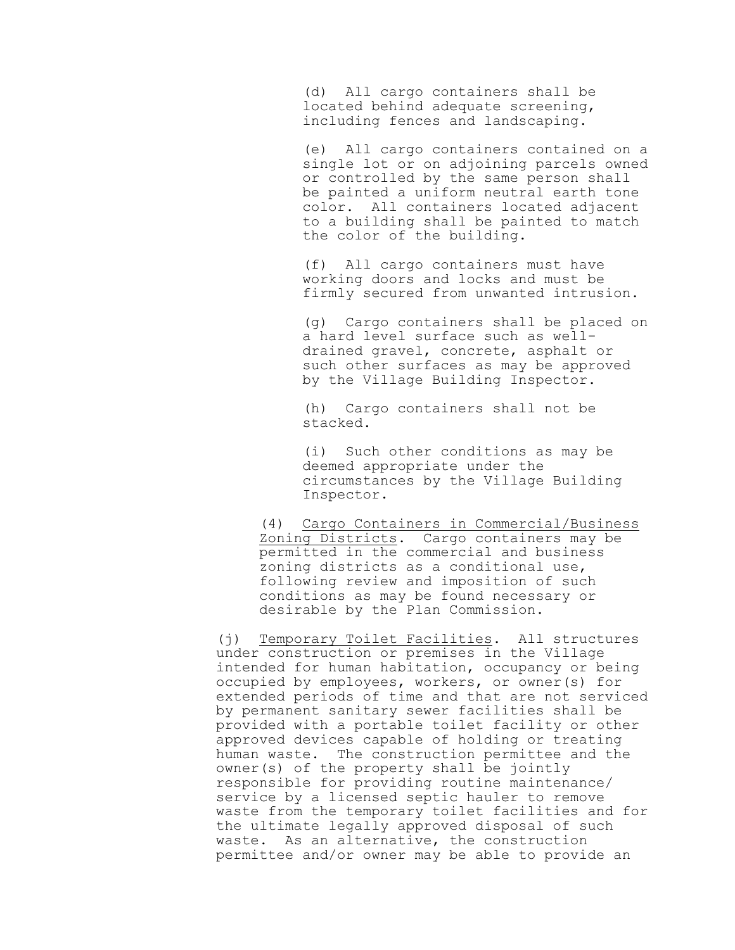(d) All cargo containers shall be located behind adequate screening, including fences and landscaping.

(e) All cargo containers contained on a single lot or on adjoining parcels owned or controlled by the same person shall be painted a uniform neutral earth tone color. All containers located adjacent to a building shall be painted to match the color of the building.

(f) All cargo containers must have working doors and locks and must be firmly secured from unwanted intrusion.

(g) Cargo containers shall be placed on a hard level surface such as welldrained gravel, concrete, asphalt or such other surfaces as may be approved by the Village Building Inspector.

(h) Cargo containers shall not be stacked.

(i) Such other conditions as may be deemed appropriate under the circumstances by the Village Building Inspector.

(4) Cargo Containers in Commercial/Business Zoning Districts. Cargo containers may be permitted in the commercial and business zoning districts as a conditional use, following review and imposition of such conditions as may be found necessary or desirable by the Plan Commission.

(j) Temporary Toilet Facilities. All structures under construction or premises in the Village intended for human habitation, occupancy or being occupied by employees, workers, or owner(s) for extended periods of time and that are not serviced by permanent sanitary sewer facilities shall be provided with a portable toilet facility or other approved devices capable of holding or treating human waste. The construction permittee and the owner(s) of the property shall be jointly responsible for providing routine maintenance/ service by a licensed septic hauler to remove waste from the temporary toilet facilities and for the ultimate legally approved disposal of such waste. As an alternative, the construction permittee and/or owner may be able to provide an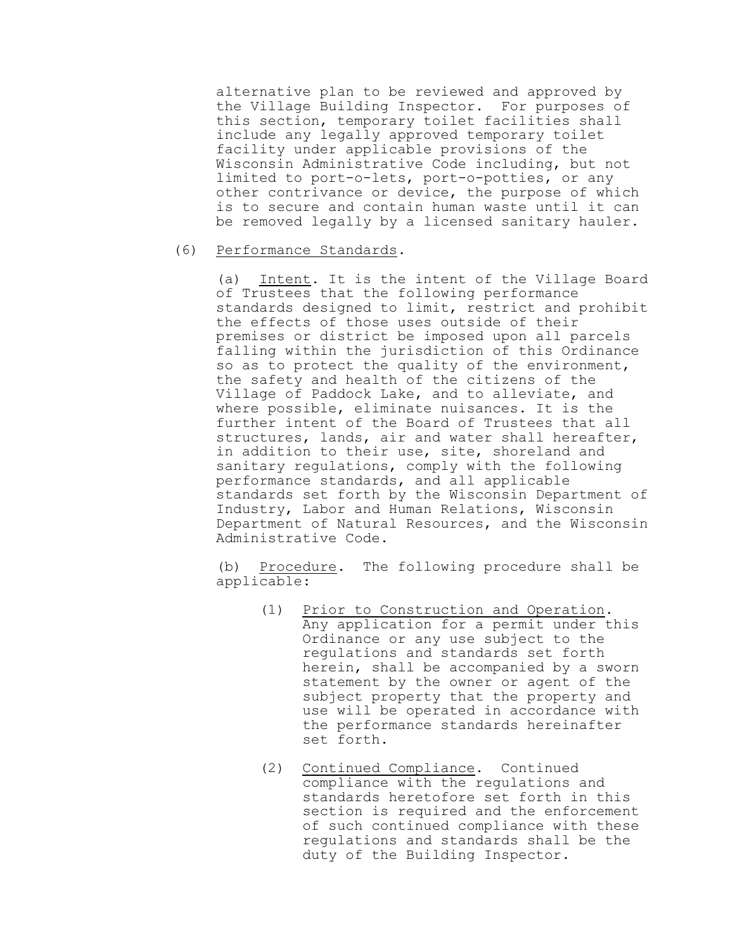alternative plan to be reviewed and approved by the Village Building Inspector. For purposes of this section, temporary toilet facilities shall include any legally approved temporary toilet facility under applicable provisions of the Wisconsin Administrative Code including, but not limited to port-o-lets, port-o-potties, or any other contrivance or device, the purpose of which is to secure and contain human waste until it can be removed legally by a licensed sanitary hauler.

#### (6) Performance Standards.

(a) Intent. It is the intent of the Village Board of Trustees that the following performance standards designed to limit, restrict and prohibit the effects of those uses outside of their premises or district be imposed upon all parcels falling within the jurisdiction of this Ordinance so as to protect the quality of the environment, the safety and health of the citizens of the Village of Paddock Lake, and to alleviate, and where possible, eliminate nuisances. It is the further intent of the Board of Trustees that all structures, lands, air and water shall hereafter, in addition to their use, site, shoreland and sanitary regulations, comply with the following performance standards, and all applicable standards set forth by the Wisconsin Department of Industry, Labor and Human Relations, Wisconsin Department of Natural Resources, and the Wisconsin Administrative Code.

(b) Procedure. The following procedure shall be applicable:

- (1) Prior to Construction and Operation. Any application for a permit under this Ordinance or any use subject to the regulations and standards set forth herein, shall be accompanied by a sworn statement by the owner or agent of the subject property that the property and use will be operated in accordance with the performance standards hereinafter set forth.
- (2) Continued Compliance. Continued compliance with the regulations and standards heretofore set forth in this section is required and the enforcement of such continued compliance with these regulations and standards shall be the duty of the Building Inspector.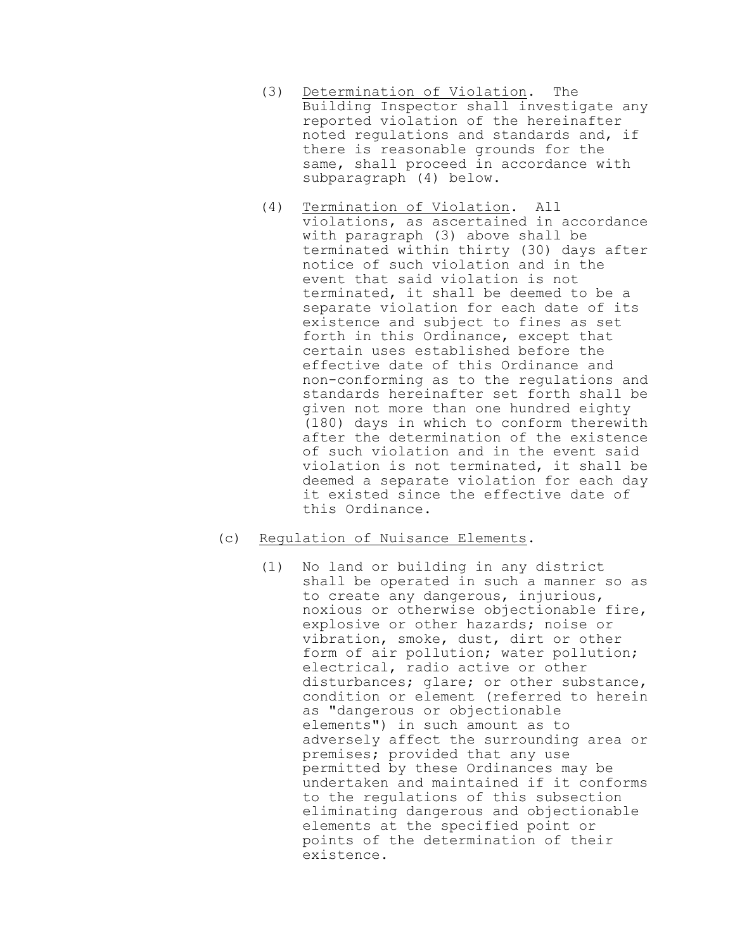- (3) Determination of Violation. The Building Inspector shall investigate any reported violation of the hereinafter noted regulations and standards and, if there is reasonable grounds for the same, shall proceed in accordance with subparagraph (4) below.
- (4) Termination of Violation. All violations, as ascertained in accordance with paragraph (3) above shall be terminated within thirty (30) days after notice of such violation and in the event that said violation is not terminated, it shall be deemed to be a separate violation for each date of its existence and subject to fines as set forth in this Ordinance, except that certain uses established before the effective date of this Ordinance and non-conforming as to the regulations and standards hereinafter set forth shall be given not more than one hundred eighty (180) days in which to conform therewith after the determination of the existence of such violation and in the event said violation is not terminated, it shall be deemed a separate violation for each day it existed since the effective date of this Ordinance.

# (c) Regulation of Nuisance Elements.

(1) No land or building in any district shall be operated in such a manner so as to create any dangerous, injurious, noxious or otherwise objectionable fire, explosive or other hazards; noise or vibration, smoke, dust, dirt or other form of air pollution; water pollution; electrical, radio active or other disturbances; glare; or other substance, condition or element (referred to herein as "dangerous or objectionable elements") in such amount as to adversely affect the surrounding area or premises; provided that any use permitted by these Ordinances may be undertaken and maintained if it conforms to the regulations of this subsection eliminating dangerous and objectionable elements at the specified point or points of the determination of their existence.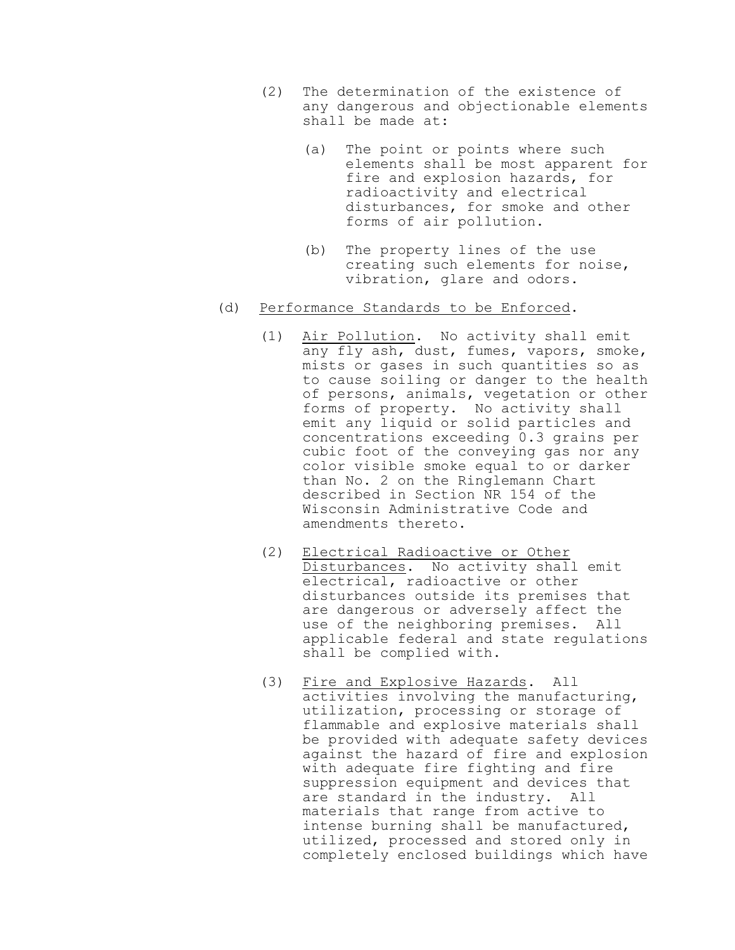- (2) The determination of the existence of any dangerous and objectionable elements shall be made at:
	- (a) The point or points where such elements shall be most apparent for fire and explosion hazards, for radioactivity and electrical disturbances, for smoke and other forms of air pollution.
	- (b) The property lines of the use creating such elements for noise, vibration, glare and odors.

### (d) Performance Standards to be Enforced.

- (1) Air Pollution. No activity shall emit any fly ash, dust, fumes, vapors, smoke, mists or gases in such quantities so as to cause soiling or danger to the health of persons, animals, vegetation or other forms of property. No activity shall emit any liquid or solid particles and concentrations exceeding 0.3 grains per cubic foot of the conveying gas nor any color visible smoke equal to or darker than No. 2 on the Ringlemann Chart described in Section NR 154 of the Wisconsin Administrative Code and amendments thereto.
- (2) Electrical Radioactive or Other Disturbances. No activity shall emit electrical, radioactive or other disturbances outside its premises that are dangerous or adversely affect the use of the neighboring premises. All applicable federal and state regulations shall be complied with.
- (3) Fire and Explosive Hazards. All activities involving the manufacturing, utilization, processing or storage of flammable and explosive materials shall be provided with adequate safety devices against the hazard of fire and explosion with adequate fire fighting and fire suppression equipment and devices that are standard in the industry. All materials that range from active to intense burning shall be manufactured, utilized, processed and stored only in completely enclosed buildings which have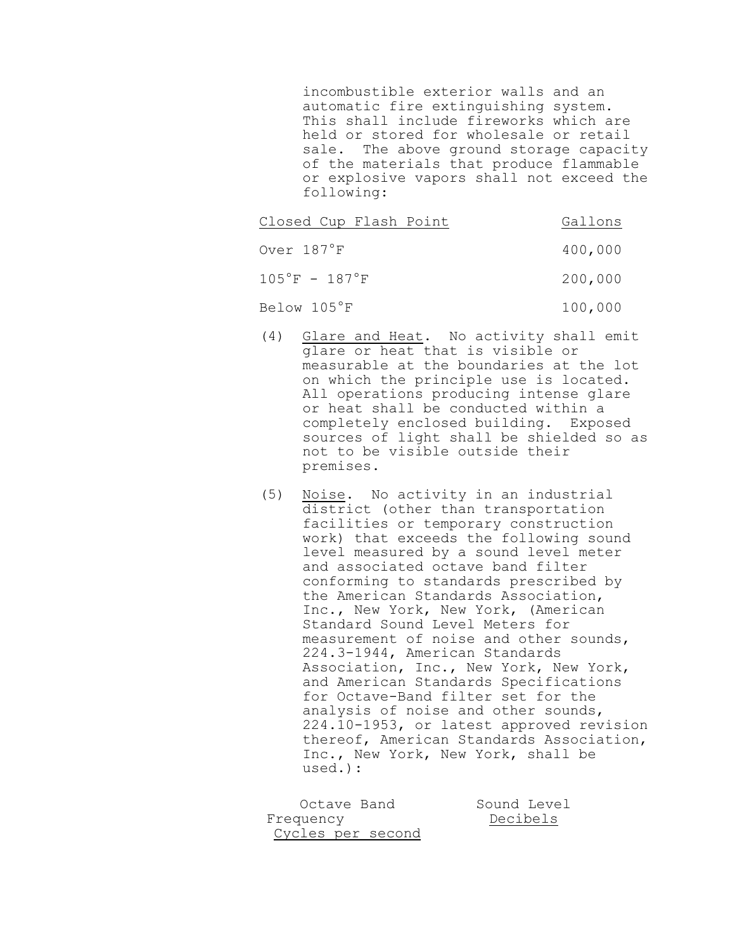incombustible exterior walls and an automatic fire extinguishing system. This shall include fireworks which are held or stored for wholesale or retail sale. The above ground storage capacity of the materials that produce flammable or explosive vapors shall not exceed the following:

| Closed Cup Flash Point            | Gallons |
|-----------------------------------|---------|
| Over 187°F                        | 400,000 |
| $105^{\circ}$ F - $187^{\circ}$ F | 200,000 |
| Below 105°F                       | 100,000 |

- (4) Glare and Heat. No activity shall emit glare or heat that is visible or measurable at the boundaries at the lot on which the principle use is located. All operations producing intense glare or heat shall be conducted within a completely enclosed building. Exposed sources of light shall be shielded so as not to be visible outside their premises.
- (5) Noise. No activity in an industrial district (other than transportation facilities or temporary construction work) that exceeds the following sound level measured by a sound level meter and associated octave band filter conforming to standards prescribed by the American Standards Association, Inc., New York, New York, (American Standard Sound Level Meters for measurement of noise and other sounds, 224.3-1944, American Standards Association, Inc., New York, New York, and American Standards Specifications for Octave-Band filter set for the analysis of noise and other sounds, 224.10-1953, or latest approved revision thereof, American Standards Association, Inc., New York, New York, shall be used.):

| Octave Band       | Sound Level |
|-------------------|-------------|
| Frequency         | Decibels    |
| Cycles per second |             |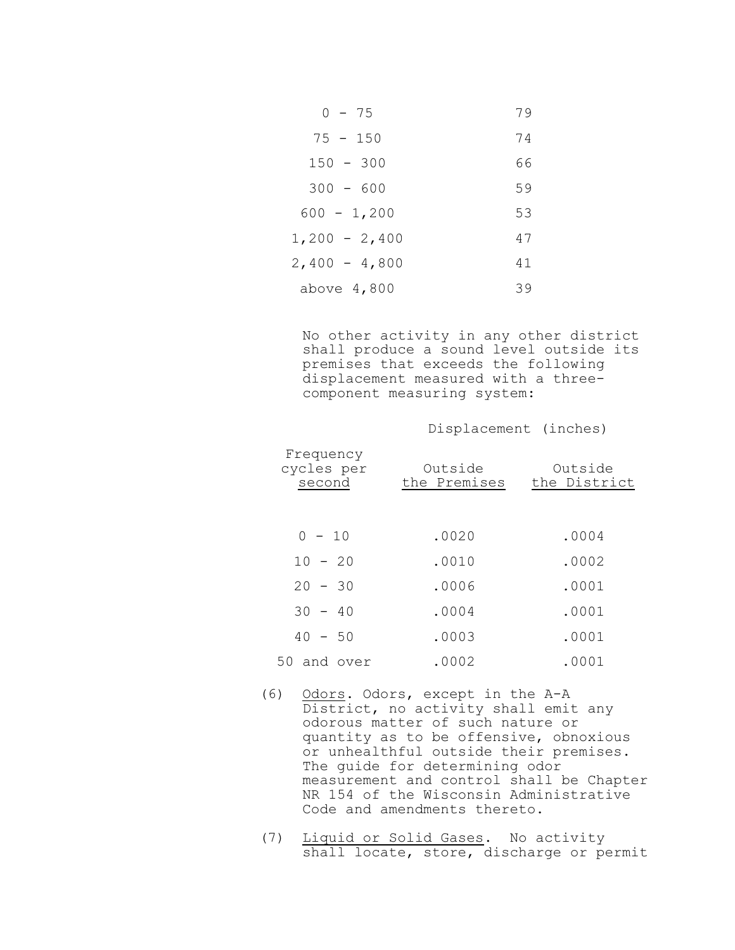| $0 - 75$        | 79 |
|-----------------|----|
| $75 - 150$      | 74 |
| $150 - 300$     | 66 |
| $300 - 600$     | 59 |
| $600 - 1,200$   | 53 |
| $1,200 - 2,400$ | 47 |
| $2,400 - 4,800$ | 41 |
| above $4,800$   | 39 |

No other activity in any other district shall produce a sound level outside its premises that exceeds the following displacement measured with a threecomponent measuring system:

Displacement (inches)

| Frequency<br>cycles per<br>second | Outside<br>the Premises | Outside<br>the District |
|-----------------------------------|-------------------------|-------------------------|
| $0 - 10$                          | .0020                   | .0004                   |
| $10 - 20$                         | .0010                   | .0002                   |
| $20 - 30$                         | .0006                   | .0001                   |
| $30 - 40$                         | .0004                   | .0001                   |
| $40 - 50$                         | .0003                   | .0001                   |
| 50 and over                       | .0002                   | .0001                   |

- (6) Odors. Odors, except in the A-A District, no activity shall emit any odorous matter of such nature or quantity as to be offensive, obnoxious or unhealthful outside their premises. The guide for determining odor measurement and control shall be Chapter NR 154 of the Wisconsin Administrative Code and amendments thereto.
- (7) Liquid or Solid Gases. No activity shall locate, store, discharge or permit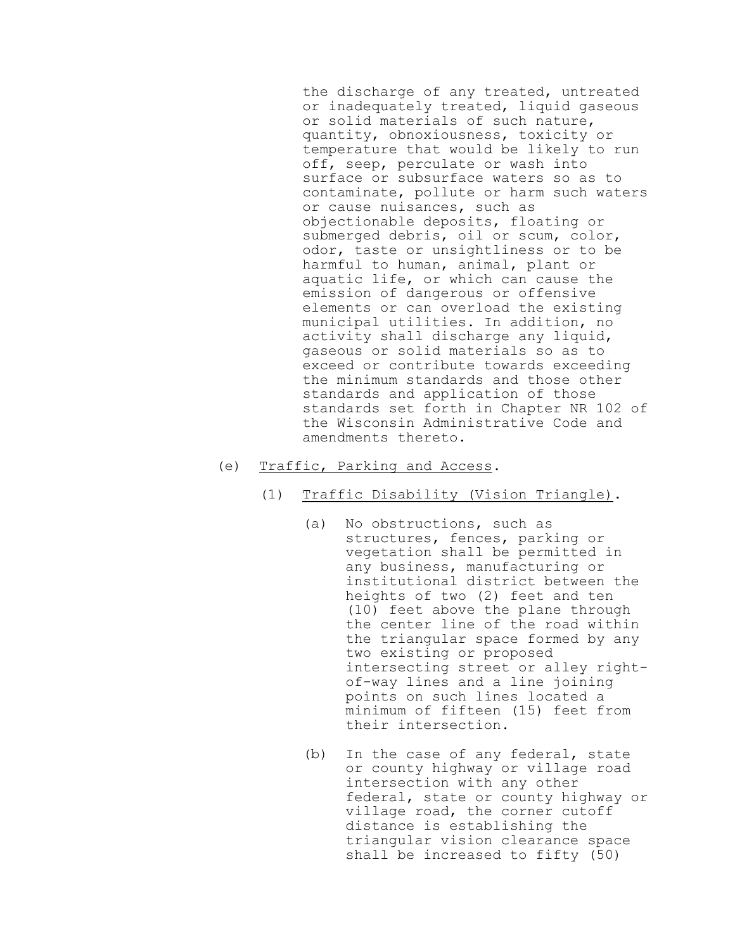the discharge of any treated, untreated or inadequately treated, liquid gaseous or solid materials of such nature, quantity, obnoxiousness, toxicity or temperature that would be likely to run off, seep, perculate or wash into surface or subsurface waters so as to contaminate, pollute or harm such waters or cause nuisances, such as objectionable deposits, floating or submerged debris, oil or scum, color, odor, taste or unsightliness or to be harmful to human, animal, plant or aquatic life, or which can cause the emission of dangerous or offensive elements or can overload the existing municipal utilities. In addition, no activity shall discharge any liquid, gaseous or solid materials so as to exceed or contribute towards exceeding the minimum standards and those other standards and application of those standards set forth in Chapter NR 102 of the Wisconsin Administrative Code and amendments thereto.

- (e) Traffic, Parking and Access.
	- (1) Traffic Disability (Vision Triangle).
		- (a) No obstructions, such as structures, fences, parking or vegetation shall be permitted in any business, manufacturing or institutional district between the heights of two (2) feet and ten (10) feet above the plane through the center line of the road within the triangular space formed by any two existing or proposed intersecting street or alley rightof-way lines and a line joining points on such lines located a minimum of fifteen (15) feet from their intersection.
		- (b) In the case of any federal, state or county highway or village road intersection with any other federal, state or county highway or village road, the corner cutoff distance is establishing the triangular vision clearance space shall be increased to fifty (50)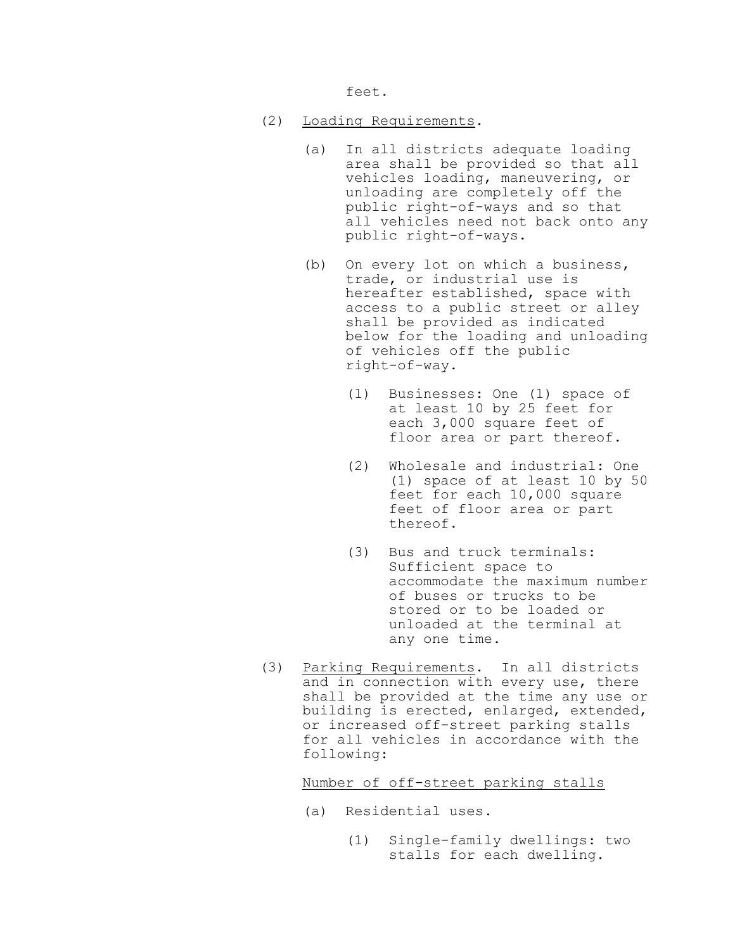feet.

- (2) Loading Requirements.
	- (a) In all districts adequate loading area shall be provided so that all vehicles loading, maneuvering, or unloading are completely off the public right-of-ways and so that all vehicles need not back onto any public right-of-ways.
	- (b) On every lot on which a business, trade, or industrial use is hereafter established, space with access to a public street or alley shall be provided as indicated below for the loading and unloading of vehicles off the public right-of-way.
		- (1) Businesses: One (1) space of at least 10 by 25 feet for each 3,000 square feet of floor area or part thereof.
		- (2) Wholesale and industrial: One (1) space of at least 10 by 50 feet for each 10,000 square feet of floor area or part thereof.
		- (3) Bus and truck terminals: Sufficient space to accommodate the maximum number of buses or trucks to be stored or to be loaded or unloaded at the terminal at any one time.
- (3) Parking Requirements. In all districts and in connection with every use, there shall be provided at the time any use or building is erected, enlarged, extended, or increased off-street parking stalls for all vehicles in accordance with the following:

Number of off-street parking stalls

- (a) Residential uses.
	- (1) Single-family dwellings: two stalls for each dwelling.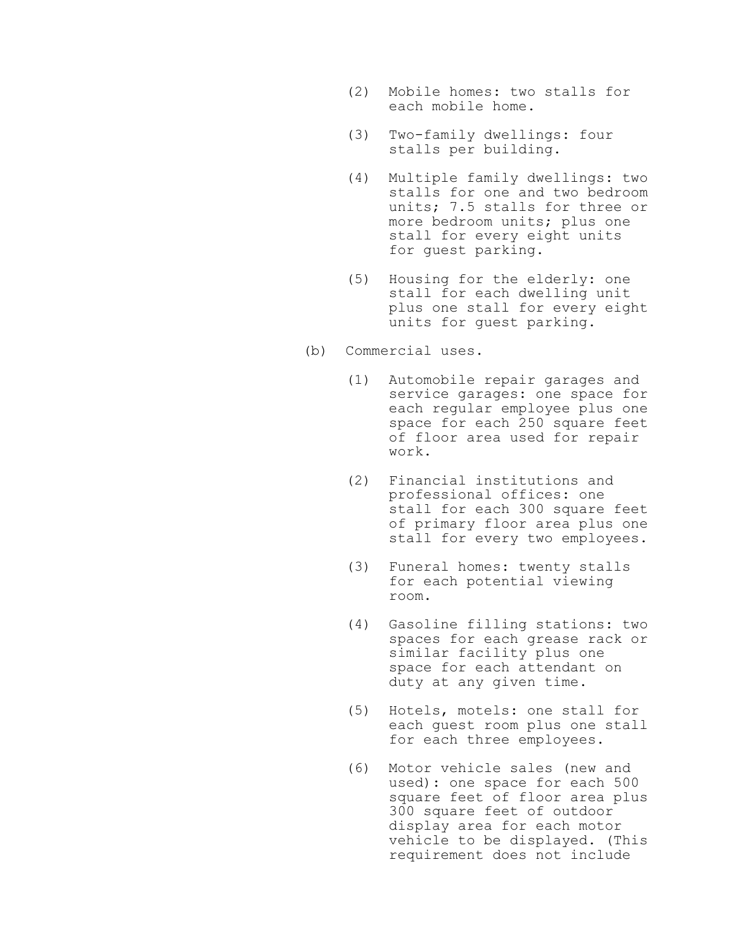- (2) Mobile homes: two stalls for each mobile home.
- (3) Two-family dwellings: four stalls per building.
- (4) Multiple family dwellings: two stalls for one and two bedroom units; 7.5 stalls for three or more bedroom units; plus one stall for every eight units for guest parking.
- (5) Housing for the elderly: one stall for each dwelling unit plus one stall for every eight units for guest parking.
- (b) Commercial uses.
	- (1) Automobile repair garages and service garages: one space for each regular employee plus one space for each 250 square feet of floor area used for repair work.
	- (2) Financial institutions and professional offices: one stall for each 300 square feet of primary floor area plus one stall for every two employees.
	- (3) Funeral homes: twenty stalls for each potential viewing room.
	- (4) Gasoline filling stations: two spaces for each grease rack or similar facility plus one space for each attendant on duty at any given time.
	- (5) Hotels, motels: one stall for each guest room plus one stall for each three employees.
	- (6) Motor vehicle sales (new and used): one space for each 500 square feet of floor area plus 300 square feet of outdoor display area for each motor vehicle to be displayed. (This requirement does not include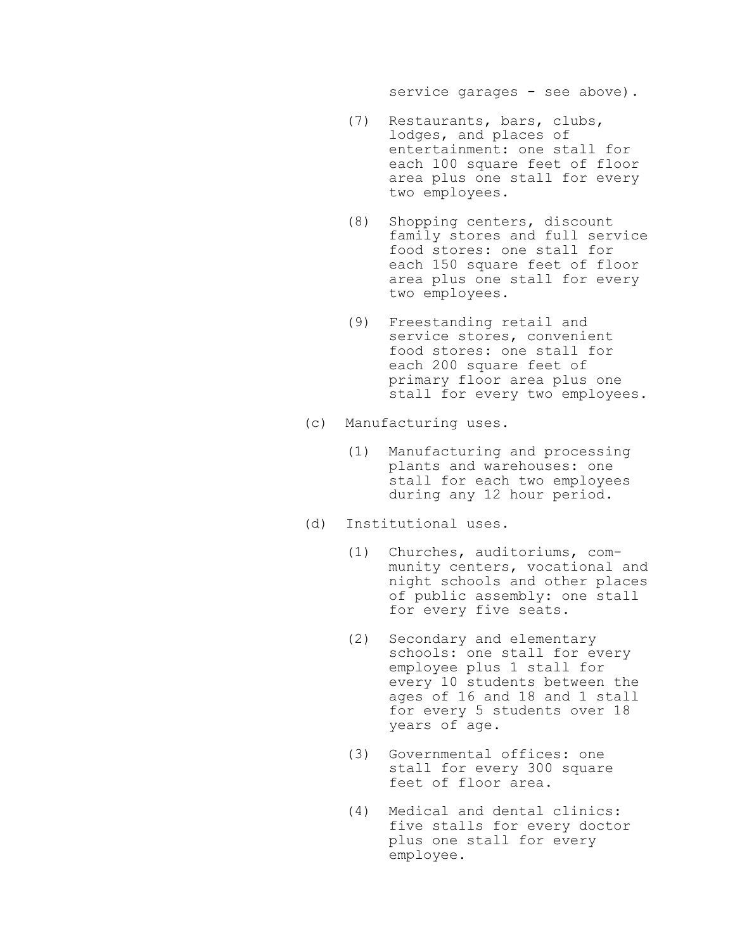service garages - see above).

- (7) Restaurants, bars, clubs, lodges, and places of entertainment: one stall for each 100 square feet of floor area plus one stall for every two employees.
- (8) Shopping centers, discount family stores and full service food stores: one stall for each 150 square feet of floor area plus one stall for every two employees.
- (9) Freestanding retail and service stores, convenient food stores: one stall for each 200 square feet of primary floor area plus one stall for every two employees.
- (c) Manufacturing uses.
	- (1) Manufacturing and processing plants and warehouses: one stall for each two employees during any 12 hour period.
- (d) Institutional uses.
	- (1) Churches, auditoriums, community centers, vocational and night schools and other places of public assembly: one stall for every five seats.
	- (2) Secondary and elementary schools: one stall for every employee plus 1 stall for every 10 students between the ages of 16 and 18 and 1 stall for every 5 students over 18 years of age.
	- (3) Governmental offices: one stall for every 300 square feet of floor area.
	- (4) Medical and dental clinics: five stalls for every doctor plus one stall for every employee.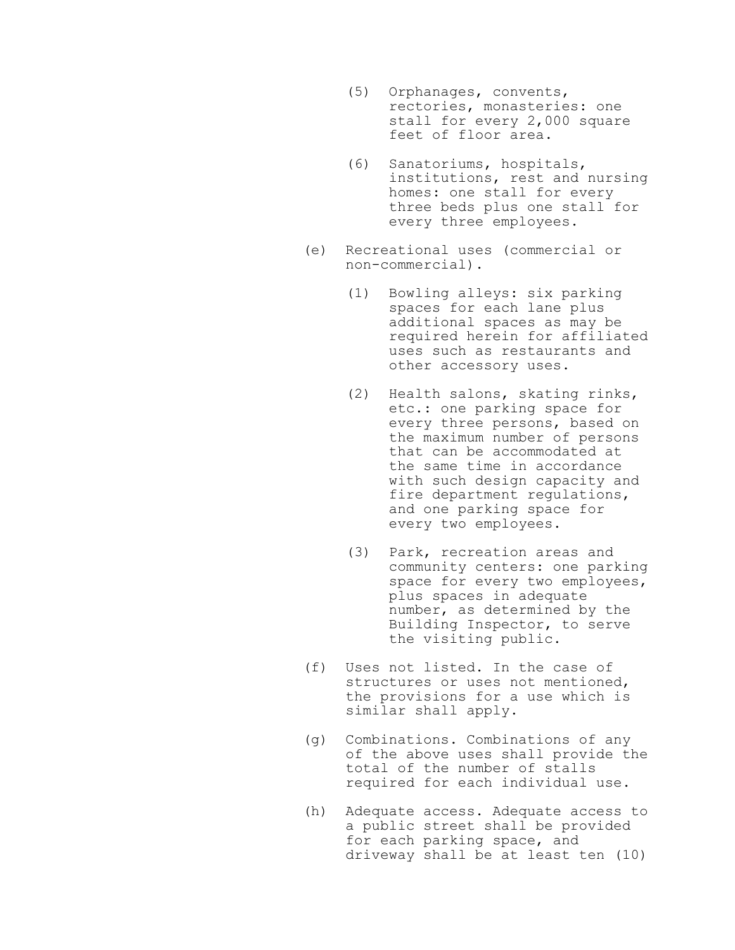- (5) Orphanages, convents, rectories, monasteries: one stall for every 2,000 square feet of floor area.
- (6) Sanatoriums, hospitals, institutions, rest and nursing homes: one stall for every three beds plus one stall for every three employees.
- (e) Recreational uses (commercial or non-commercial).
	- (1) Bowling alleys: six parking spaces for each lane plus additional spaces as may be required herein for affiliated uses such as restaurants and other accessory uses.
	- (2) Health salons, skating rinks, etc.: one parking space for every three persons, based on the maximum number of persons that can be accommodated at the same time in accordance with such design capacity and fire department regulations, and one parking space for every two employees.
	- (3) Park, recreation areas and community centers: one parking space for every two employees, plus spaces in adequate number, as determined by the Building Inspector, to serve the visiting public.
- (f) Uses not listed. In the case of structures or uses not mentioned, the provisions for a use which is similar shall apply.
- (g) Combinations. Combinations of any of the above uses shall provide the total of the number of stalls required for each individual use.
- (h) Adequate access. Adequate access to a public street shall be provided for each parking space, and driveway shall be at least ten (10)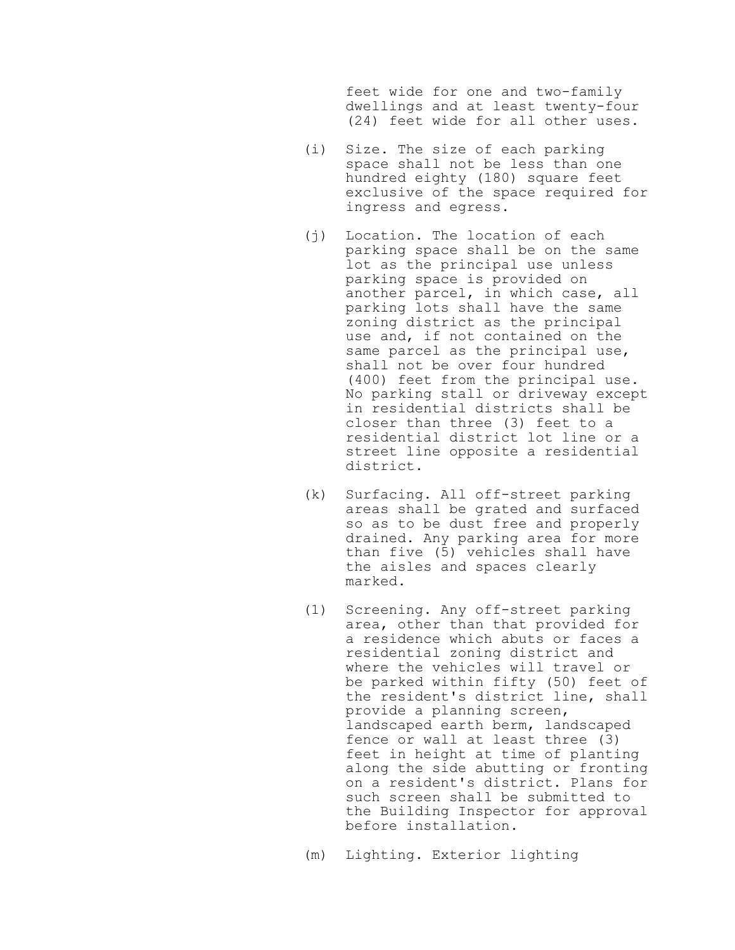feet wide for one and two-family dwellings and at least twenty-four (24) feet wide for all other uses.

- (i) Size. The size of each parking space shall not be less than one hundred eighty (180) square feet exclusive of the space required for ingress and egress.
- (j) Location. The location of each parking space shall be on the same lot as the principal use unless parking space is provided on another parcel, in which case, all parking lots shall have the same zoning district as the principal use and, if not contained on the same parcel as the principal use, shall not be over four hundred (400) feet from the principal use. No parking stall or driveway except in residential districts shall be closer than three (3) feet to a residential district lot line or a street line opposite a residential district.
- (k) Surfacing. All off-street parking areas shall be grated and surfaced so as to be dust free and properly drained. Any parking area for more than five (5) vehicles shall have the aisles and spaces clearly marked.
- (1) Screening. Any off-street parking area, other than that provided for a residence which abuts or faces a residential zoning district and where the vehicles will travel or be parked within fifty (50) feet of the resident's district line, shall provide a planning screen, landscaped earth berm, landscaped fence or wall at least three (3) feet in height at time of planting along the side abutting or fronting on a resident's district. Plans for such screen shall be submitted to the Building Inspector for approval before installation.

(m) Lighting. Exterior lighting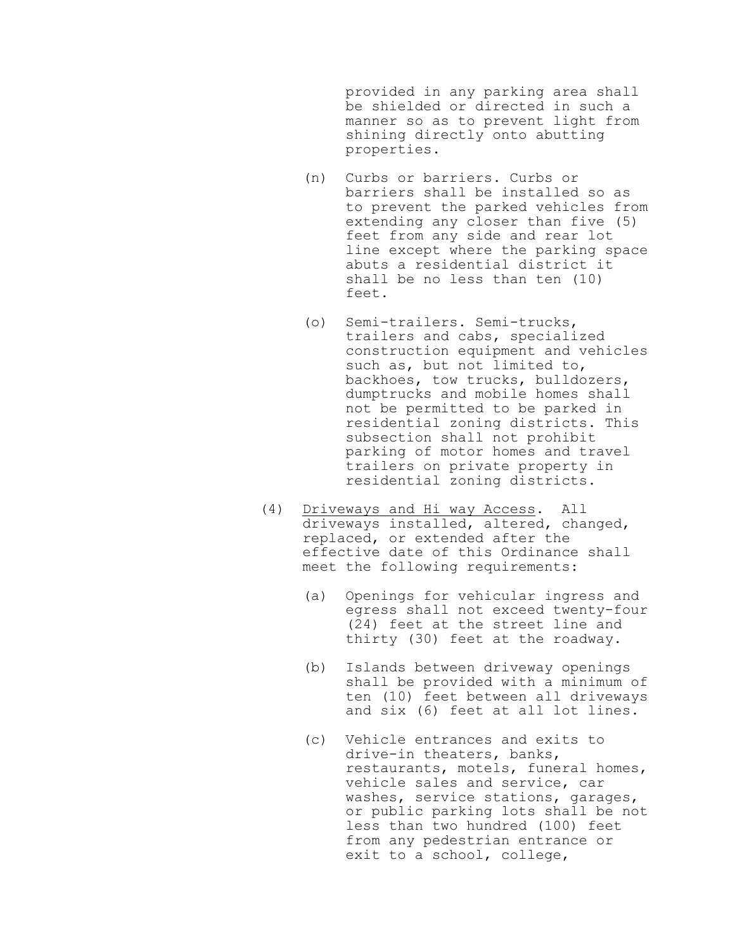provided in any parking area shall be shielded or directed in such a manner so as to prevent light from shining directly onto abutting properties.

- (n) Curbs or barriers. Curbs or barriers shall be installed so as to prevent the parked vehicles from extending any closer than five (5) feet from any side and rear lot line except where the parking space abuts a residential district it shall be no less than ten (10) feet.
- (o) Semi-trailers. Semi-trucks, trailers and cabs, specialized construction equipment and vehicles such as, but not limited to, backhoes, tow trucks, bulldozers, dumptrucks and mobile homes shall not be permitted to be parked in residential zoning districts. This subsection shall not prohibit parking of motor homes and travel trailers on private property in residential zoning districts.
- (4) Driveways and Hi way Access. All driveways installed, altered, changed, replaced, or extended after the effective date of this Ordinance shall meet the following requirements:
	- (a) Openings for vehicular ingress and egress shall not exceed twenty-four (24) feet at the street line and thirty (30) feet at the roadway.
	- (b) Islands between driveway openings shall be provided with a minimum of ten (10) feet between all driveways and six (6) feet at all lot lines.
	- (c) Vehicle entrances and exits to drive-in theaters, banks, restaurants, motels, funeral homes, vehicle sales and service, car washes, service stations, garages, or public parking lots shall be not less than two hundred (100) feet from any pedestrian entrance or exit to a school, college,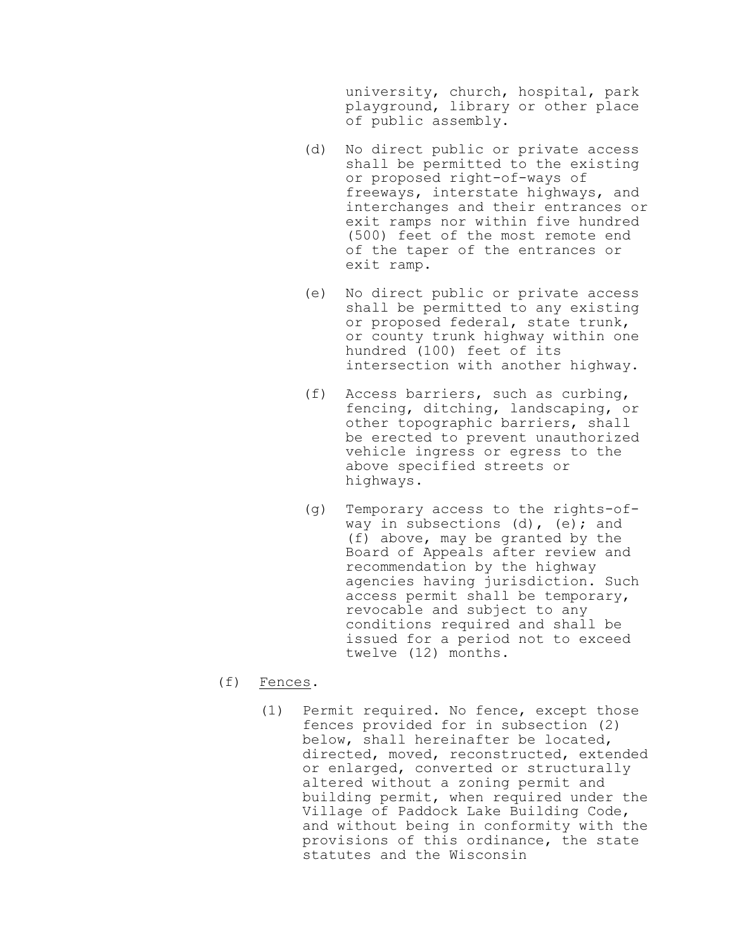university, church, hospital, park playground, library or other place of public assembly.

- (d) No direct public or private access shall be permitted to the existing or proposed right-of-ways of freeways, interstate highways, and interchanges and their entrances or exit ramps nor within five hundred (500) feet of the most remote end of the taper of the entrances or exit ramp.
- (e) No direct public or private access shall be permitted to any existing or proposed federal, state trunk, or county trunk highway within one hundred (100) feet of its intersection with another highway.
- (f) Access barriers, such as curbing, fencing, ditching, landscaping, or other topographic barriers, shall be erected to prevent unauthorized vehicle ingress or egress to the above specified streets or highways.
- (g) Temporary access to the rights-ofway in subsections (d), (e); and (f) above, may be granted by the Board of Appeals after review and recommendation by the highway agencies having jurisdiction. Such access permit shall be temporary, revocable and subject to any conditions required and shall be issued for a period not to exceed twelve (12) months.

# (f) Fences.

(1) Permit required. No fence, except those fences provided for in subsection (2) below, shall hereinafter be located, directed, moved, reconstructed, extended or enlarged, converted or structurally altered without a zoning permit and building permit, when required under the Village of Paddock Lake Building Code, and without being in conformity with the provisions of this ordinance, the state statutes and the Wisconsin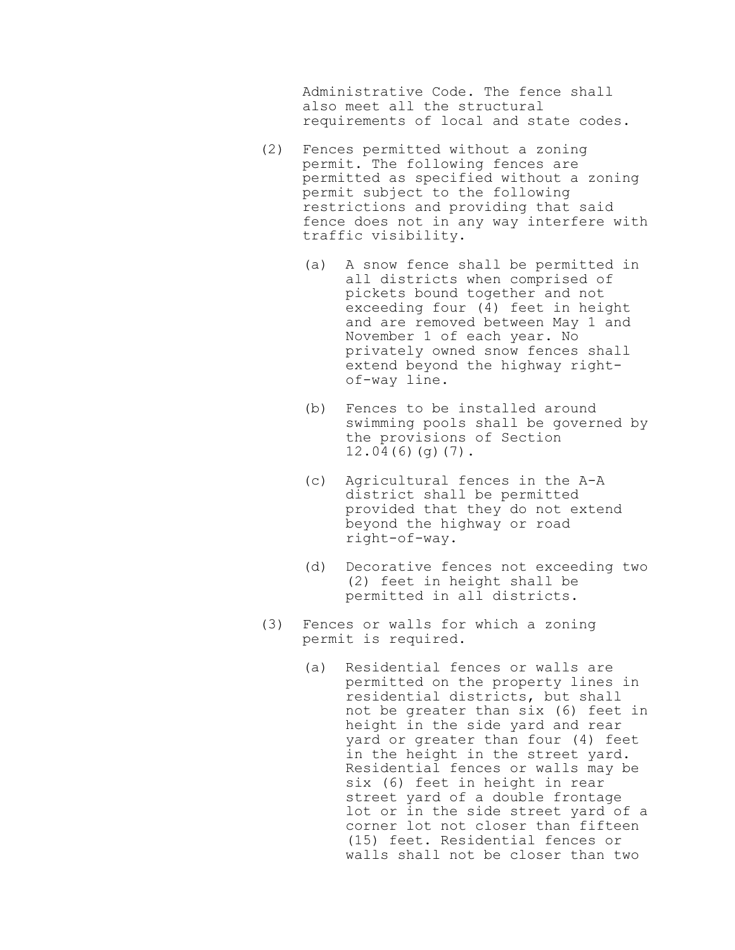Administrative Code. The fence shall also meet all the structural requirements of local and state codes.

- (2) Fences permitted without a zoning permit. The following fences are permitted as specified without a zoning permit subject to the following restrictions and providing that said fence does not in any way interfere with traffic visibility.
	- (a) A snow fence shall be permitted in all districts when comprised of pickets bound together and not exceeding four (4) feet in height and are removed between May 1 and November 1 of each year. No privately owned snow fences shall extend beyond the highway rightof-way line.
	- (b) Fences to be installed around swimming pools shall be governed by the provisions of Section  $12.04(6)(g)(7)$ .
	- (c) Agricultural fences in the A-A district shall be permitted provided that they do not extend beyond the highway or road right-of-way.
	- (d) Decorative fences not exceeding two (2) feet in height shall be permitted in all districts.
- (3) Fences or walls for which a zoning permit is required.
	- (a) Residential fences or walls are permitted on the property lines in residential districts, but shall not be greater than six (6) feet in height in the side yard and rear yard or greater than four (4) feet in the height in the street yard. Residential fences or walls may be six (6) feet in height in rear street yard of a double frontage lot or in the side street yard of a corner lot not closer than fifteen (15) feet. Residential fences or walls shall not be closer than two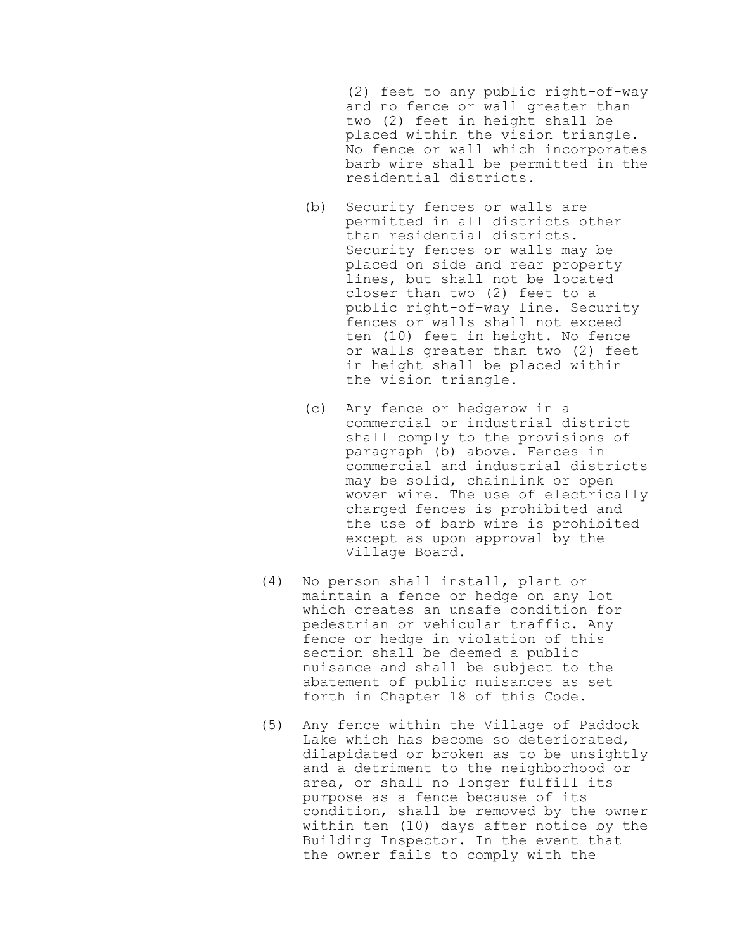(2) feet to any public right-of-way and no fence or wall greater than two (2) feet in height shall be placed within the vision triangle. No fence or wall which incorporates barb wire shall be permitted in the residential districts.

- (b) Security fences or walls are permitted in all districts other than residential districts. Security fences or walls may be placed on side and rear property lines, but shall not be located closer than two (2) feet to a public right-of-way line. Security fences or walls shall not exceed ten (10) feet in height. No fence or walls greater than two (2) feet in height shall be placed within the vision triangle.
- (c) Any fence or hedgerow in a commercial or industrial district shall comply to the provisions of paragraph (b) above. Fences in commercial and industrial districts may be solid, chainlink or open woven wire. The use of electrically charged fences is prohibited and the use of barb wire is prohibited except as upon approval by the Village Board.
- (4) No person shall install, plant or maintain a fence or hedge on any lot which creates an unsafe condition for pedestrian or vehicular traffic. Any fence or hedge in violation of this section shall be deemed a public nuisance and shall be subject to the abatement of public nuisances as set forth in Chapter 18 of this Code.
- (5) Any fence within the Village of Paddock Lake which has become so deteriorated, dilapidated or broken as to be unsightly and a detriment to the neighborhood or area, or shall no longer fulfill its purpose as a fence because of its condition, shall be removed by the owner within ten (10) days after notice by the Building Inspector. In the event that the owner fails to comply with the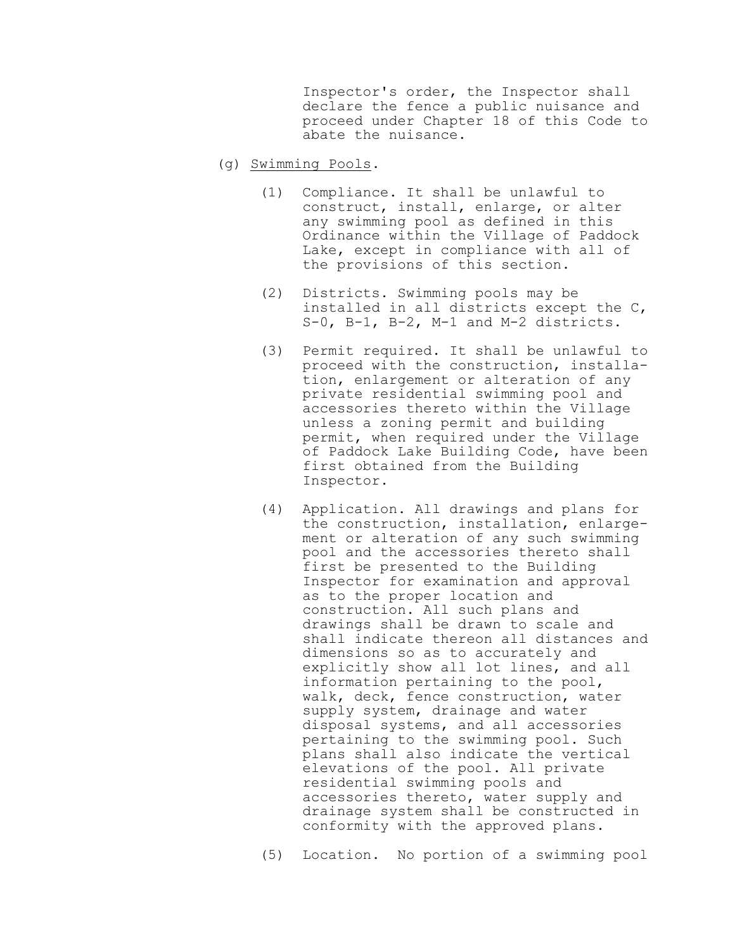Inspector's order, the Inspector shall declare the fence a public nuisance and proceed under Chapter 18 of this Code to abate the nuisance.

- (g) Swimming Pools.
	- (1) Compliance. It shall be unlawful to construct, install, enlarge, or alter any swimming pool as defined in this Ordinance within the Village of Paddock Lake, except in compliance with all of the provisions of this section.
	- (2) Districts. Swimming pools may be installed in all districts except the C, S-0, B-1, B-2, M-1 and M-2 districts.
	- (3) Permit required. It shall be unlawful to proceed with the construction, installation, enlargement or alteration of any private residential swimming pool and accessories thereto within the Village unless a zoning permit and building permit, when required under the Village of Paddock Lake Building Code, have been first obtained from the Building Inspector.
	- (4) Application. All drawings and plans for the construction, installation, enlargement or alteration of any such swimming pool and the accessories thereto shall first be presented to the Building Inspector for examination and approval as to the proper location and construction. All such plans and drawings shall be drawn to scale and shall indicate thereon all distances and dimensions so as to accurately and explicitly show all lot lines, and all information pertaining to the pool, walk, deck, fence construction, water supply system, drainage and water disposal systems, and all accessories pertaining to the swimming pool. Such plans shall also indicate the vertical elevations of the pool. All private residential swimming pools and accessories thereto, water supply and drainage system shall be constructed in conformity with the approved plans.
	- (5) Location. No portion of a swimming pool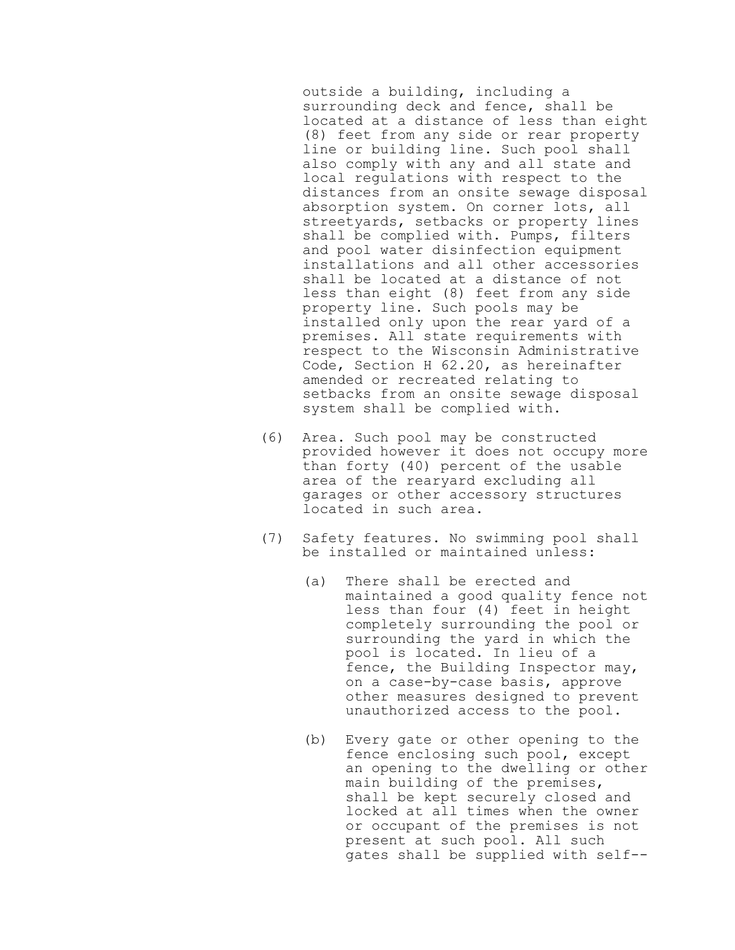outside a building, including a surrounding deck and fence, shall be located at a distance of less than eight (8) feet from any side or rear property line or building line. Such pool shall also comply with any and all state and local regulations with respect to the distances from an onsite sewage disposal absorption system. On corner lots, all streetyards, setbacks or property lines shall be complied with. Pumps, filters and pool water disinfection equipment installations and all other accessories shall be located at a distance of not less than eight (8) feet from any side property line. Such pools may be installed only upon the rear yard of a premises. All state requirements with respect to the Wisconsin Administrative Code, Section H 62.20, as hereinafter amended or recreated relating to setbacks from an onsite sewage disposal system shall be complied with.

- (6) Area. Such pool may be constructed provided however it does not occupy more than forty (40) percent of the usable area of the rearyard excluding all garages or other accessory structures located in such area.
- (7) Safety features. No swimming pool shall be installed or maintained unless:
	- (a) There shall be erected and maintained a good quality fence not less than four (4) feet in height completely surrounding the pool or surrounding the yard in which the pool is located. In lieu of a fence, the Building Inspector may, on a case-by-case basis, approve other measures designed to prevent unauthorized access to the pool.
	- (b) Every gate or other opening to the fence enclosing such pool, except an opening to the dwelling or other main building of the premises, shall be kept securely closed and locked at all times when the owner or occupant of the premises is not present at such pool. All such gates shall be supplied with self--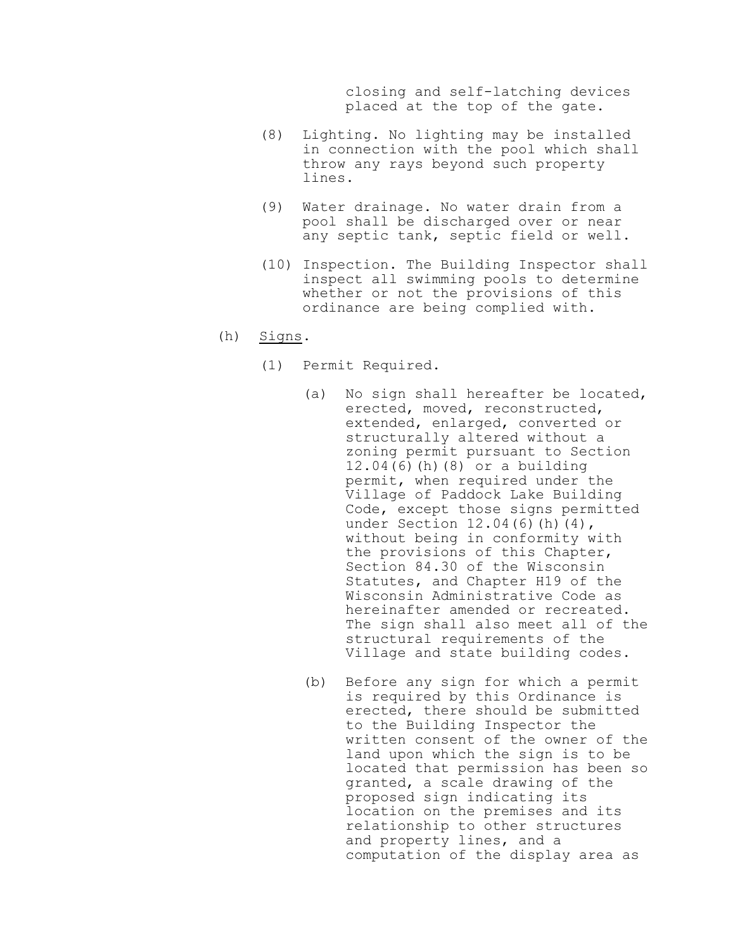closing and self-latching devices placed at the top of the gate.

- (8) Lighting. No lighting may be installed in connection with the pool which shall throw any rays beyond such property lines.
- (9) Water drainage. No water drain from a pool shall be discharged over or near any septic tank, septic field or well.
- (10) Inspection. The Building Inspector shall inspect all swimming pools to determine whether or not the provisions of this ordinance are being complied with.
- (h) Signs.
	- (1) Permit Required.
		- (a) No sign shall hereafter be located, erected, moved, reconstructed, extended, enlarged, converted or structurally altered without a zoning permit pursuant to Section 12.04(6)(h)(8) or a building permit, when required under the Village of Paddock Lake Building Code, except those signs permitted under Section 12.04(6)(h)(4), without being in conformity with the provisions of this Chapter, Section 84.30 of the Wisconsin Statutes, and Chapter H19 of the Wisconsin Administrative Code as hereinafter amended or recreated. The sign shall also meet all of the structural requirements of the Village and state building codes.
		- (b) Before any sign for which a permit is required by this Ordinance is erected, there should be submitted to the Building Inspector the written consent of the owner of the land upon which the sign is to be located that permission has been so granted, a scale drawing of the proposed sign indicating its location on the premises and its relationship to other structures and property lines, and a computation of the display area as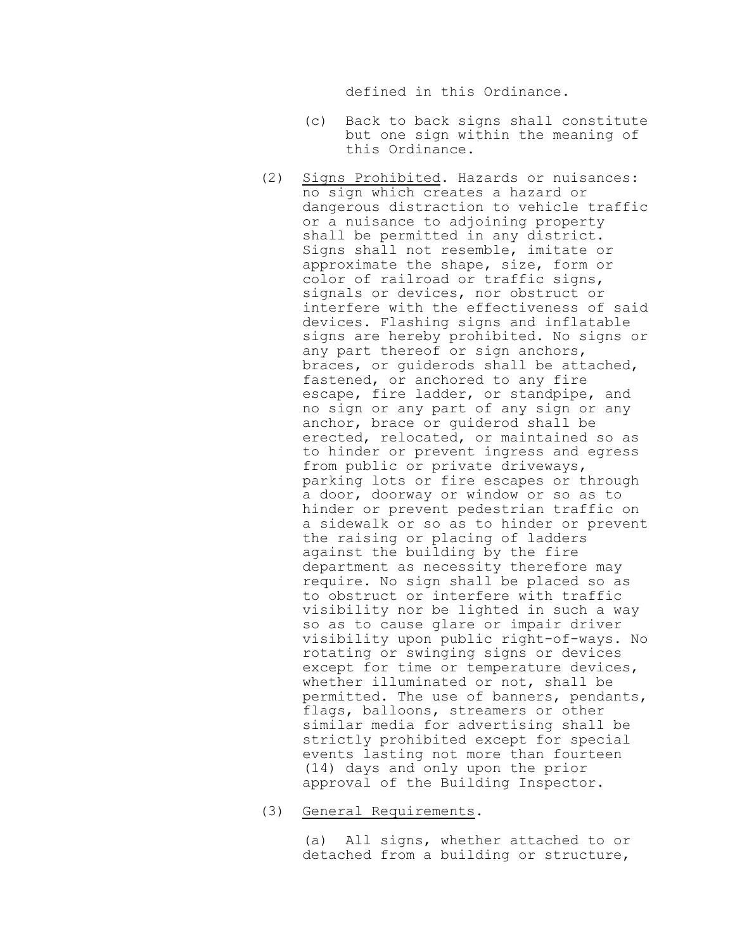defined in this Ordinance.

- (c) Back to back signs shall constitute but one sign within the meaning of this Ordinance.
- (2) Signs Prohibited. Hazards or nuisances: no sign which creates a hazard or dangerous distraction to vehicle traffic or a nuisance to adjoining property shall be permitted in any district. Signs shall not resemble, imitate or approximate the shape, size, form or color of railroad or traffic signs, signals or devices, nor obstruct or interfere with the effectiveness of said devices. Flashing signs and inflatable signs are hereby prohibited. No signs or any part thereof or sign anchors, braces, or guiderods shall be attached, fastened, or anchored to any fire escape, fire ladder, or standpipe, and no sign or any part of any sign or any anchor, brace or guiderod shall be erected, relocated, or maintained so as to hinder or prevent ingress and egress from public or private driveways, parking lots or fire escapes or through a door, doorway or window or so as to hinder or prevent pedestrian traffic on a sidewalk or so as to hinder or prevent the raising or placing of ladders against the building by the fire department as necessity therefore may require. No sign shall be placed so as to obstruct or interfere with traffic visibility nor be lighted in such a way so as to cause glare or impair driver visibility upon public right-of-ways. No rotating or swinging signs or devices except for time or temperature devices, whether illuminated or not, shall be permitted. The use of banners, pendants, flags, balloons, streamers or other similar media for advertising shall be strictly prohibited except for special events lasting not more than fourteen (14) days and only upon the prior approval of the Building Inspector.
- (3) General Requirements.

(a) All signs, whether attached to or detached from a building or structure,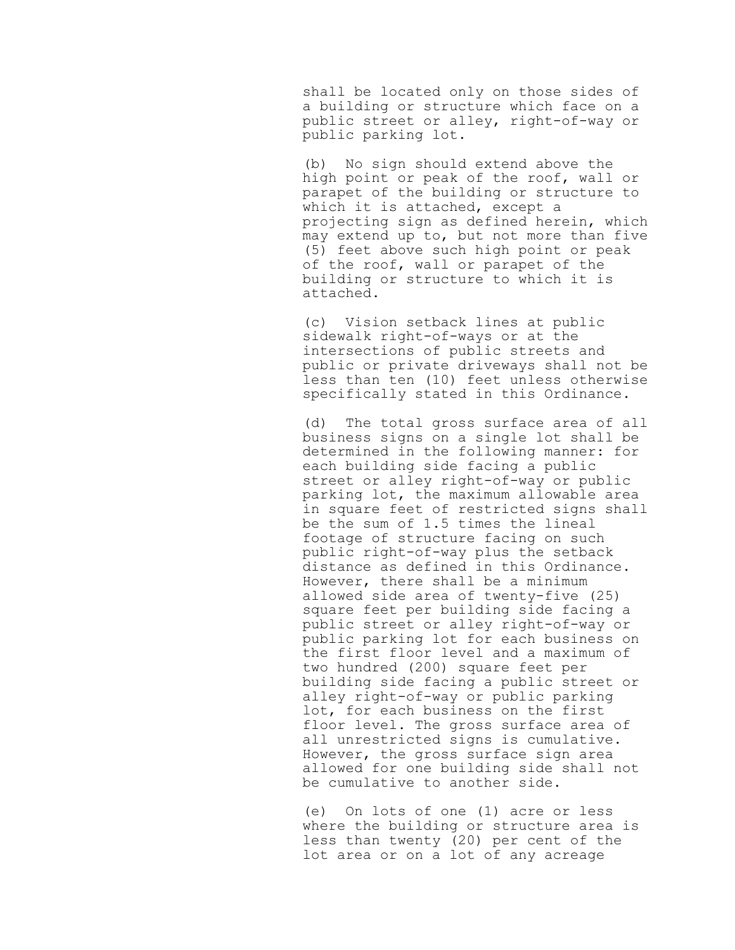shall be located only on those sides of a building or structure which face on a public street or alley, right-of-way or public parking lot.

(b) No sign should extend above the high point or peak of the roof, wall or parapet of the building or structure to which it is attached, except a projecting sign as defined herein, which may extend up to, but not more than five (5) feet above such high point or peak of the roof, wall or parapet of the building or structure to which it is attached.

(c) Vision setback lines at public sidewalk right-of-ways or at the intersections of public streets and public or private driveways shall not be less than ten (10) feet unless otherwise specifically stated in this Ordinance.

(d) The total gross surface area of all business signs on a single lot shall be determined in the following manner: for each building side facing a public street or alley right-of-way or public parking lot, the maximum allowable area in square feet of restricted signs shall be the sum of 1.5 times the lineal footage of structure facing on such public right-of-way plus the setback distance as defined in this Ordinance. However, there shall be a minimum allowed side area of twenty-five (25) square feet per building side facing a public street or alley right-of-way or public parking lot for each business on the first floor level and a maximum of two hundred (200) square feet per building side facing a public street or alley right-of-way or public parking lot, for each business on the first floor level. The gross surface area of all unrestricted signs is cumulative. However, the gross surface sign area allowed for one building side shall not be cumulative to another side.

(e) On lots of one (1) acre or less where the building or structure area is less than twenty (20) per cent of the lot area or on a lot of any acreage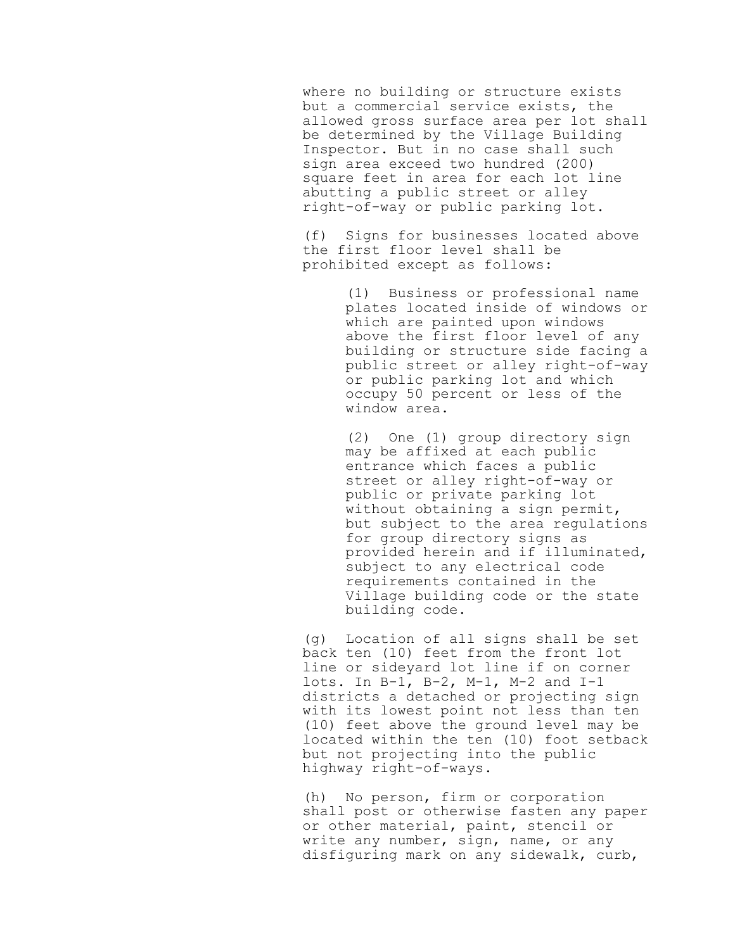where no building or structure exists but a commercial service exists, the allowed gross surface area per lot shall be determined by the Village Building Inspector. But in no case shall such sign area exceed two hundred (200) square feet in area for each lot line abutting a public street or alley right-of-way or public parking lot.

(f) Signs for businesses located above the first floor level shall be prohibited except as follows:

> (1) Business or professional name plates located inside of windows or which are painted upon windows above the first floor level of any building or structure side facing a public street or alley right-of-way or public parking lot and which occupy 50 percent or less of the window area.

> (2) One (1) group directory sign may be affixed at each public entrance which faces a public street or alley right-of-way or public or private parking lot without obtaining a sign permit, but subject to the area regulations for group directory signs as provided herein and if illuminated, subject to any electrical code requirements contained in the Village building code or the state building code.

(g) Location of all signs shall be set back ten (10) feet from the front lot line or sideyard lot line if on corner lots. In B-1, B-2, M-1, M-2 and I-1 districts a detached or projecting sign with its lowest point not less than ten (10) feet above the ground level may be located within the ten (10) foot setback but not projecting into the public highway right-of-ways.

(h) No person, firm or corporation shall post or otherwise fasten any paper or other material, paint, stencil or write any number, sign, name, or any disfiguring mark on any sidewalk, curb,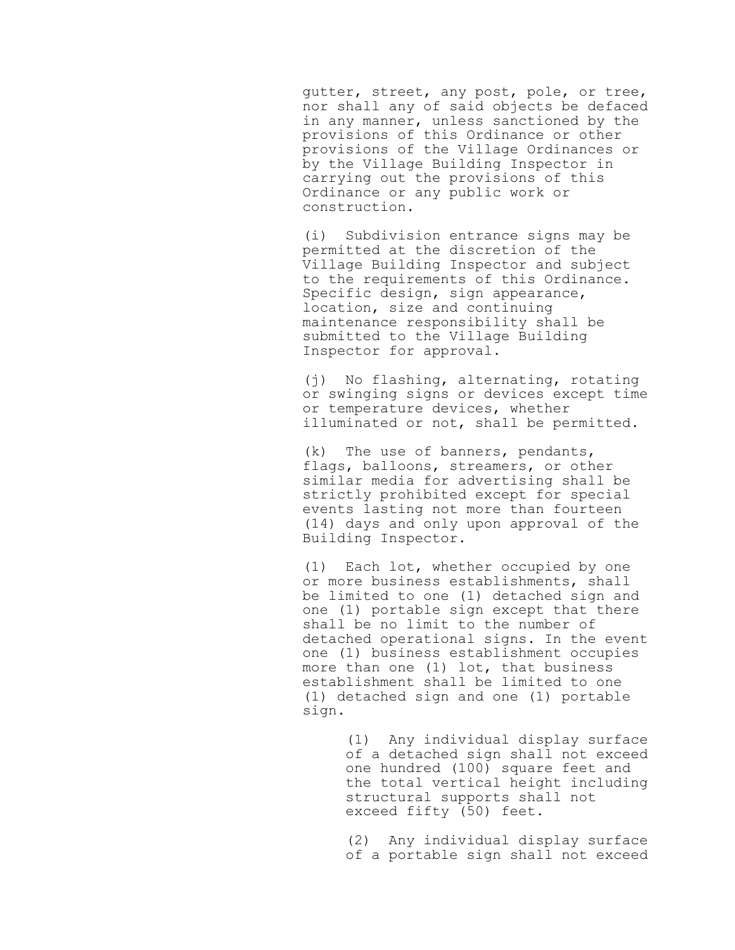gutter, street, any post, pole, or tree, nor shall any of said objects be defaced in any manner, unless sanctioned by the provisions of this Ordinance or other provisions of the Village Ordinances or by the Village Building Inspector in carrying out the provisions of this Ordinance or any public work or construction.

(i) Subdivision entrance signs may be permitted at the discretion of the Village Building Inspector and subject to the requirements of this Ordinance. Specific design, sign appearance, location, size and continuing maintenance responsibility shall be submitted to the Village Building Inspector for approval.

(j) No flashing, alternating, rotating or swinging signs or devices except time or temperature devices, whether illuminated or not, shall be permitted.

(k) The use of banners, pendants, flags, balloons, streamers, or other similar media for advertising shall be strictly prohibited except for special events lasting not more than fourteen (14) days and only upon approval of the Building Inspector.

(1) Each lot, whether occupied by one or more business establishments, shall be limited to one (1) detached sign and one (1) portable sign except that there shall be no limit to the number of detached operational signs. In the event one (1) business establishment occupies more than one (1) lot, that business establishment shall be limited to one (1) detached sign and one (1) portable sign.

> (1) Any individual display surface of a detached sign shall not exceed one hundred (100) square feet and the total vertical height including structural supports shall not exceed fifty (50) feet.

> (2) Any individual display surface of a portable sign shall not exceed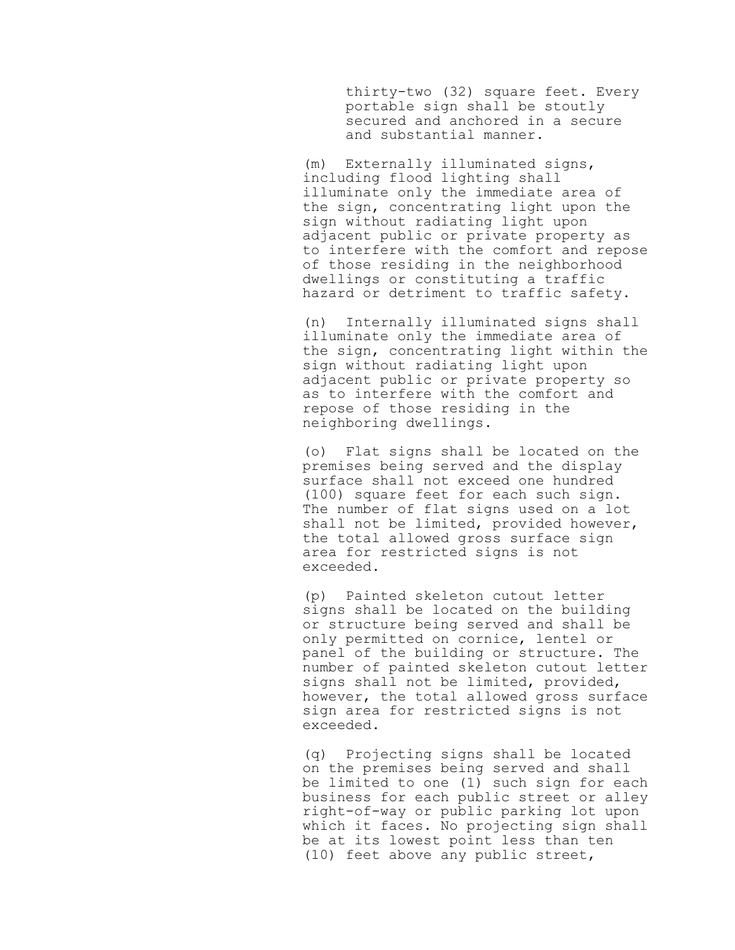thirty-two (32) square feet. Every portable sign shall be stoutly secured and anchored in a secure and substantial manner.

(m) Externally illuminated signs, including flood lighting shall illuminate only the immediate area of the sign, concentrating light upon the sign without radiating light upon adjacent public or private property as to interfere with the comfort and repose of those residing in the neighborhood dwellings or constituting a traffic hazard or detriment to traffic safety.

(n) Internally illuminated signs shall illuminate only the immediate area of the sign, concentrating light within the sign without radiating light upon adjacent public or private property so as to interfere with the comfort and repose of those residing in the neighboring dwellings.

(o) Flat signs shall be located on the premises being served and the display surface shall not exceed one hundred (100) square feet for each such sign. The number of flat signs used on a lot shall not be limited, provided however, the total allowed gross surface sign area for restricted signs is not exceeded.

(p) Painted skeleton cutout letter signs shall be located on the building or structure being served and shall be only permitted on cornice, lentel or panel of the building or structure. The number of painted skeleton cutout letter signs shall not be limited, provided, however, the total allowed gross surface sign area for restricted signs is not exceeded.

(q) Projecting signs shall be located on the premises being served and shall be limited to one (1) such sign for each business for each public street or alley right-of-way or public parking lot upon which it faces. No projecting sign shall be at its lowest point less than ten (10) feet above any public street,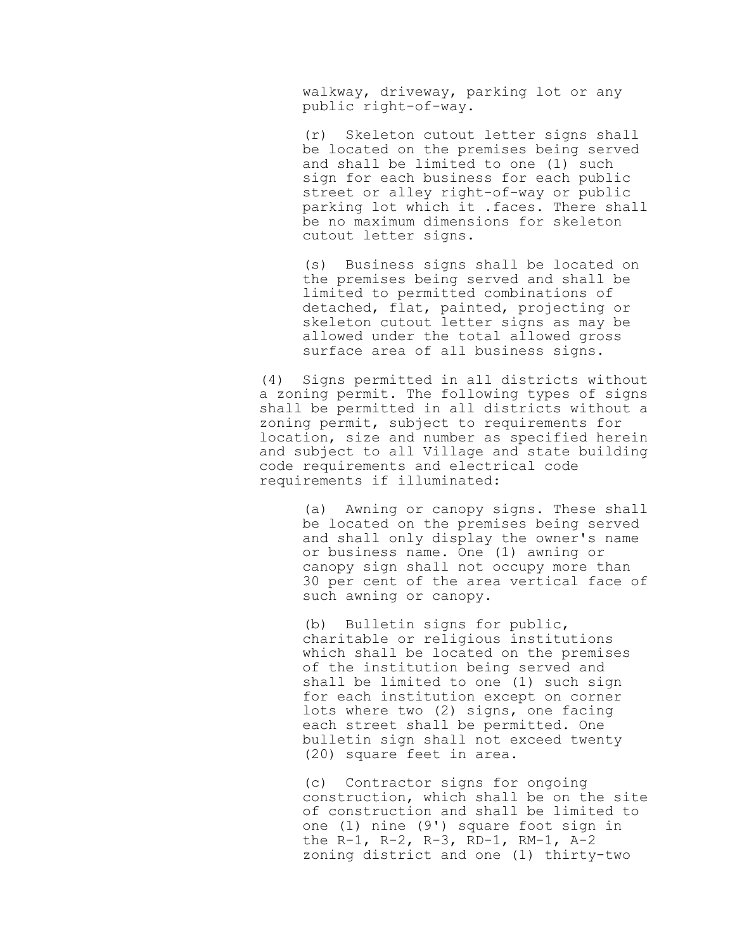walkway, driveway, parking lot or any public right-of-way.

(r) Skeleton cutout letter signs shall be located on the premises being served and shall be limited to one (1) such sign for each business for each public street or alley right-of-way or public parking lot which it .faces. There shall be no maximum dimensions for skeleton cutout letter signs.

(s) Business signs shall be located on the premises being served and shall be limited to permitted combinations of detached, flat, painted, projecting or skeleton cutout letter signs as may be allowed under the total allowed gross surface area of all business signs.

(4) Signs permitted in all districts without a zoning permit. The following types of signs shall be permitted in all districts without a zoning permit, subject to requirements for location, size and number as specified herein and subject to all Village and state building code requirements and electrical code requirements if illuminated:

> (a) Awning or canopy signs. These shall be located on the premises being served and shall only display the owner's name or business name. One (1) awning or canopy sign shall not occupy more than 30 per cent of the area vertical face of such awning or canopy.

(b) Bulletin signs for public, charitable or religious institutions which shall be located on the premises of the institution being served and shall be limited to one (1) such sign for each institution except on corner lots where two (2) signs, one facing each street shall be permitted. One bulletin sign shall not exceed twenty (20) square feet in area.

(c) Contractor signs for ongoing construction, which shall be on the site of construction and shall be limited to one (1) nine (9') square foot sign in the R-1, R-2, R-3, RD-1, RM-1, A-2 zoning district and one (1) thirty-two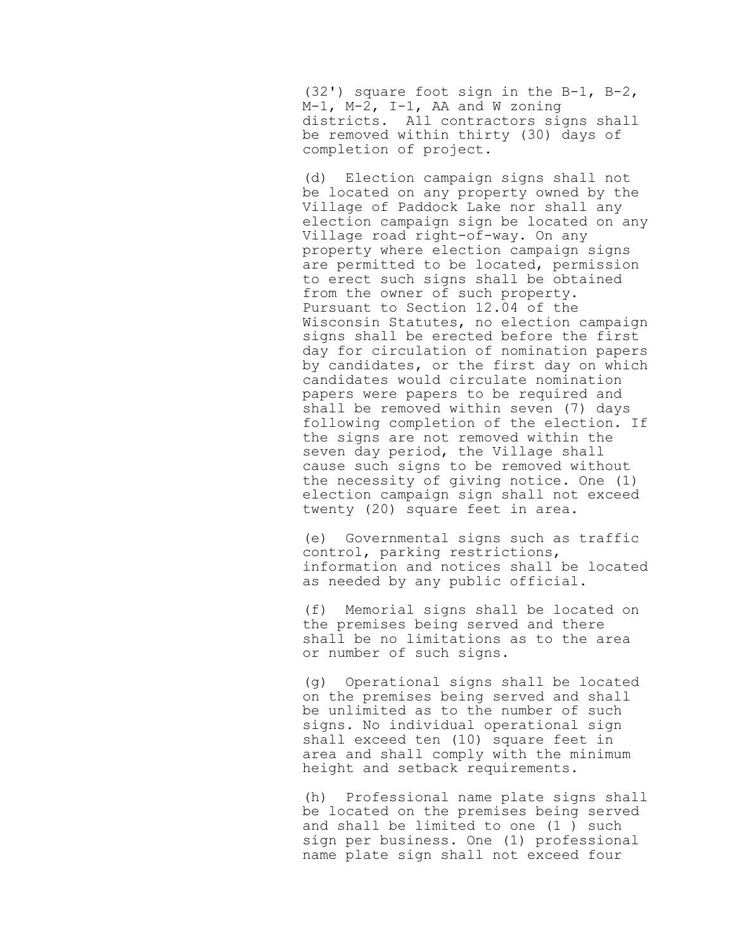(32') square foot sign in the B-1, B-2, M-1, M-2, I-1, AA and W zoning districts. All contractors signs shall be removed within thirty (30) days of completion of project.

(d) Election campaign signs shall not be located on any property owned by the Village of Paddock Lake nor shall any election campaign sign be located on any Village road right-of-way. On any property where election campaign signs are permitted to be located, permission to erect such signs shall be obtained from the owner of such property. Pursuant to Section 12.04 of the Wisconsin Statutes, no election campaign signs shall be erected before the first day for circulation of nomination papers by candidates, or the first day on which candidates would circulate nomination papers were papers to be required and shall be removed within seven (7) days following completion of the election. If the signs are not removed within the seven day period, the Village shall cause such signs to be removed without the necessity of giving notice. One (1) election campaign sign shall not exceed twenty (20) square feet in area.

(e) Governmental signs such as traffic control, parking restrictions, information and notices shall be located as needed by any public official.

(f) Memorial signs shall be located on the premises being served and there shall be no limitations as to the area or number of such signs.

(g) Operational signs shall be located on the premises being served and shall be unlimited as to the number of such signs. No individual operational sign shall exceed ten (10) square feet in area and shall comply with the minimum height and setback requirements.

(h) Professional name plate signs shall be located on the premises being served and shall be limited to one (1 ) such sign per business. One (1) professional name plate sign shall not exceed four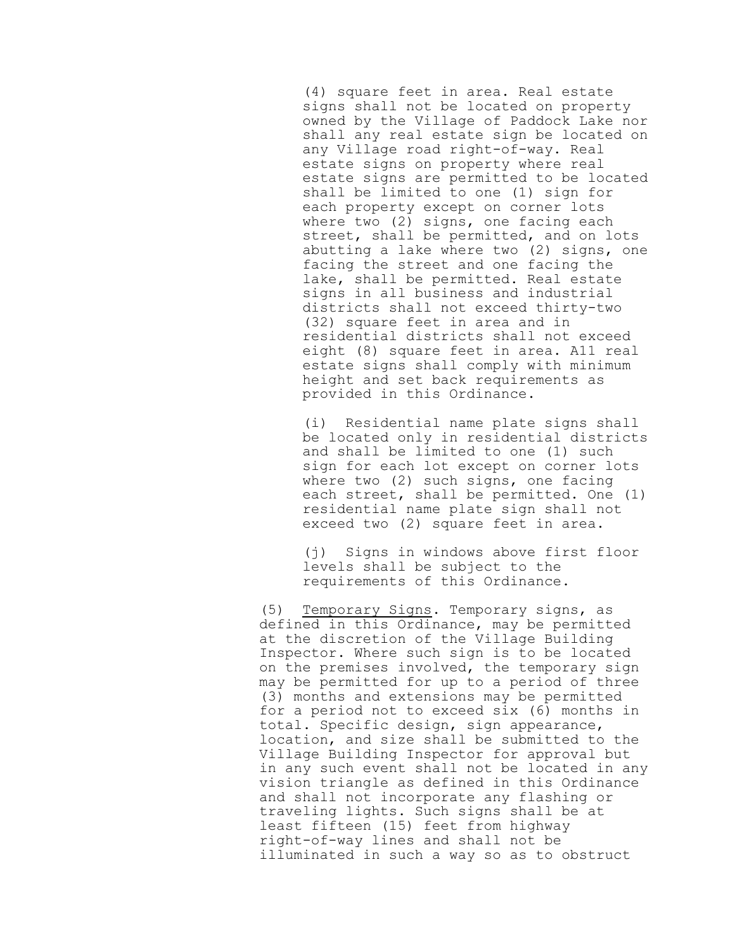(4) square feet in area. Real estate signs shall not be located on property owned by the Village of Paddock Lake nor shall any real estate sign be located on any Village road right-of-way. Real estate signs on property where real estate signs are permitted to be located shall be limited to one (1) sign for each property except on corner lots where two (2) signs, one facing each street, shall be permitted, and on lots abutting a lake where two (2) signs, one facing the street and one facing the lake, shall be permitted. Real estate signs in all business and industrial districts shall not exceed thirty-two (32) square feet in area and in residential districts shall not exceed eight (8) square feet in area. A11 real estate signs shall comply with minimum height and set back requirements as provided in this Ordinance.

(i) Residential name plate signs shall be located only in residential districts and shall be limited to one (1) such sign for each lot except on corner lots where two (2) such signs, one facing each street, shall be permitted. One (1) residential name plate sign shall not exceed two (2) square feet in area.

(j) Signs in windows above first floor levels shall be subject to the requirements of this Ordinance.

(5) Temporary Signs. Temporary signs, as defined in this Ordinance, may be permitted at the discretion of the Village Building Inspector. Where such sign is to be located on the premises involved, the temporary sign may be permitted for up to a period of three (3) months and extensions may be permitted for a period not to exceed six (6) months in total. Specific design, sign appearance, location, and size shall be submitted to the Village Building Inspector for approval but in any such event shall not be located in any vision triangle as defined in this Ordinance and shall not incorporate any flashing or traveling lights. Such signs shall be at least fifteen (15) feet from highway right-of-way lines and shall not be illuminated in such a way so as to obstruct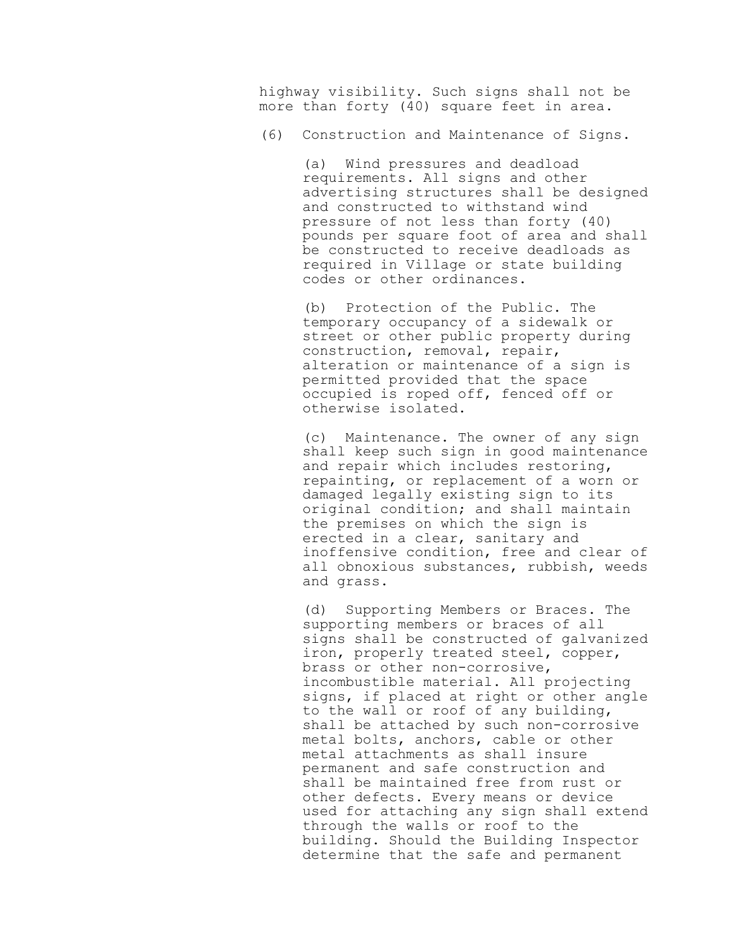highway visibility. Such signs shall not be more than forty (40) square feet in area.

(6) Construction and Maintenance of Signs.

(a) Wind pressures and deadload requirements. All signs and other advertising structures shall be designed and constructed to withstand wind pressure of not less than forty (40) pounds per square foot of area and shall be constructed to receive deadloads as required in Village or state building codes or other ordinances.

(b) Protection of the Public. The temporary occupancy of a sidewalk or street or other public property during construction, removal, repair, alteration or maintenance of a sign is permitted provided that the space occupied is roped off, fenced off or otherwise isolated.

(c) Maintenance. The owner of any sign shall keep such sign in good maintenance and repair which includes restoring, repainting, or replacement of a worn or damaged legally existing sign to its original condition; and shall maintain the premises on which the sign is erected in a clear, sanitary and inoffensive condition, free and clear of all obnoxious substances, rubbish, weeds and grass.

(d) Supporting Members or Braces. The supporting members or braces of all signs shall be constructed of galvanized iron, properly treated steel, copper, brass or other non-corrosive, incombustible material. All projecting signs, if placed at right or other angle to the wall or roof of any building, shall be attached by such non-corrosive metal bolts, anchors, cable or other metal attachments as shall insure permanent and safe construction and shall be maintained free from rust or other defects. Every means or device used for attaching any sign shall extend through the walls or roof to the building. Should the Building Inspector determine that the safe and permanent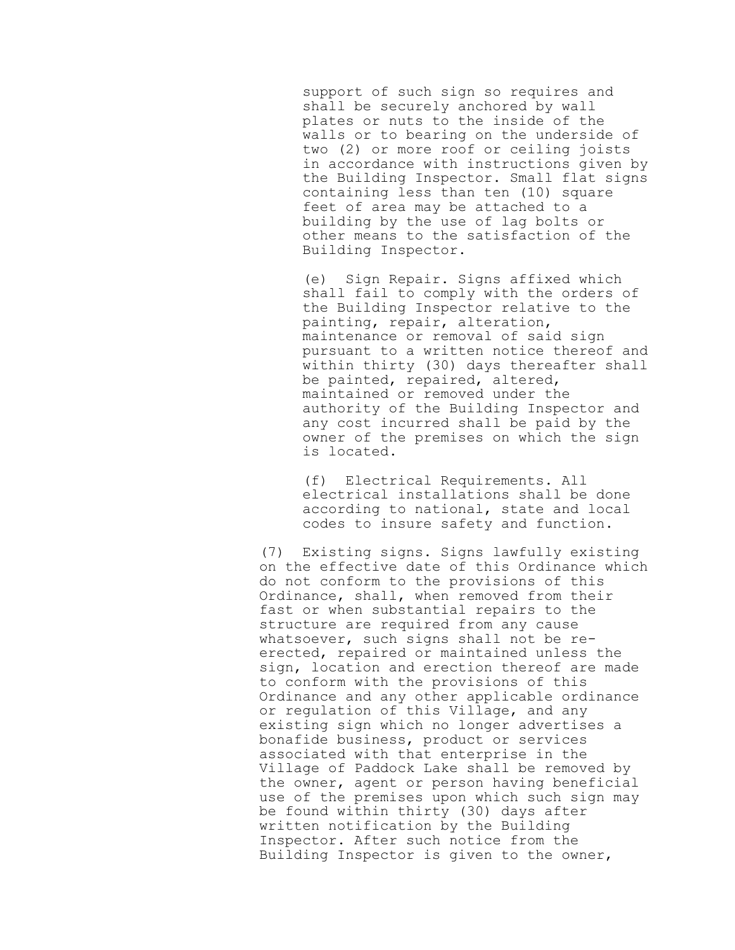support of such sign so requires and shall be securely anchored by wall plates or nuts to the inside of the walls or to bearing on the underside of two (2) or more roof or ceiling joists in accordance with instructions given by the Building Inspector. Small flat signs containing less than ten (10) square feet of area may be attached to a building by the use of lag bolts or other means to the satisfaction of the Building Inspector.

(e) Sign Repair. Signs affixed which shall fail to comply with the orders of the Building Inspector relative to the painting, repair, alteration, maintenance or removal of said sign pursuant to a written notice thereof and within thirty (30) days thereafter shall be painted, repaired, altered, maintained or removed under the authority of the Building Inspector and any cost incurred shall be paid by the owner of the premises on which the sign is located.

(f) Electrical Requirements. All electrical installations shall be done according to national, state and local codes to insure safety and function.

(7) Existing signs. Signs lawfully existing on the effective date of this Ordinance which do not conform to the provisions of this Ordinance, shall, when removed from their fast or when substantial repairs to the structure are required from any cause whatsoever, such signs shall not be reerected, repaired or maintained unless the sign, location and erection thereof are made to conform with the provisions of this Ordinance and any other applicable ordinance or regulation of this Village, and any existing sign which no longer advertises a bonafide business, product or services associated with that enterprise in the Village of Paddock Lake shall be removed by the owner, agent or person having beneficial use of the premises upon which such sign may be found within thirty (30) days after written notification by the Building Inspector. After such notice from the Building Inspector is given to the owner,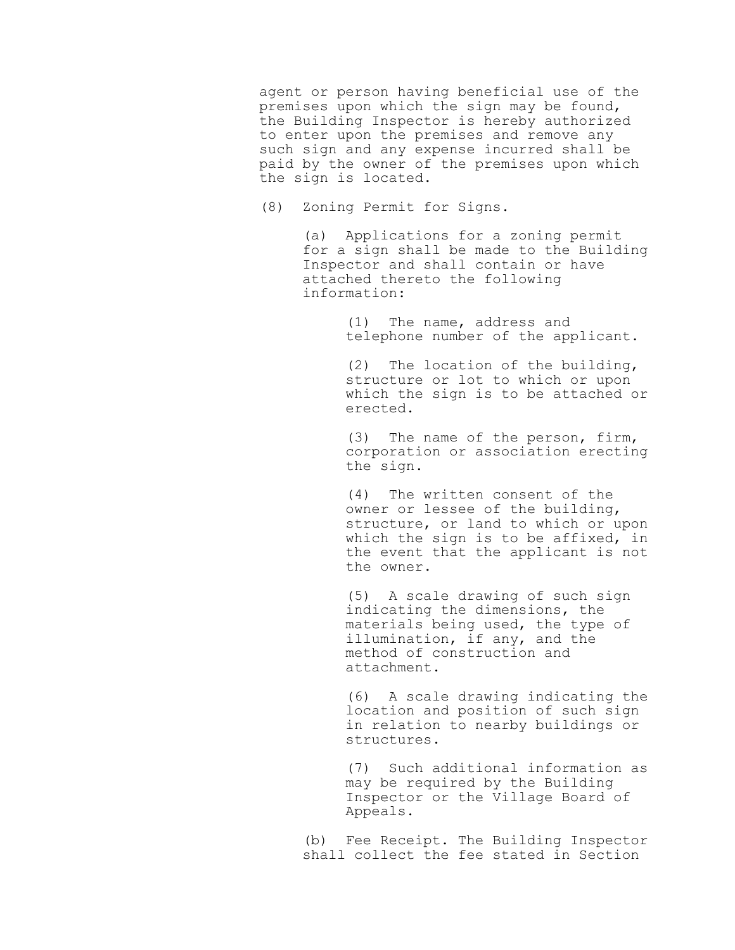agent or person having beneficial use of the premises upon which the sign may be found, the Building Inspector is hereby authorized to enter upon the premises and remove any such sign and any expense incurred shall be paid by the owner of the premises upon which the sign is located.

(8) Zoning Permit for Signs.

(a) Applications for a zoning permit for a sign shall be made to the Building Inspector and shall contain or have attached thereto the following information:

> (1) The name, address and telephone number of the applicant.

(2) The location of the building, structure or lot to which or upon which the sign is to be attached or erected.

(3) The name of the person, firm, corporation or association erecting the sign.

(4) The written consent of the owner or lessee of the building, structure, or land to which or upon which the sign is to be affixed, in the event that the applicant is not the owner.

(5) A scale drawing of such sign indicating the dimensions, the materials being used, the type of illumination, if any, and the method of construction and attachment.

(6) A scale drawing indicating the location and position of such sign in relation to nearby buildings or structures.

(7) Such additional information as may be required by the Building Inspector or the Village Board of Appeals.

(b) Fee Receipt. The Building Inspector shall collect the fee stated in Section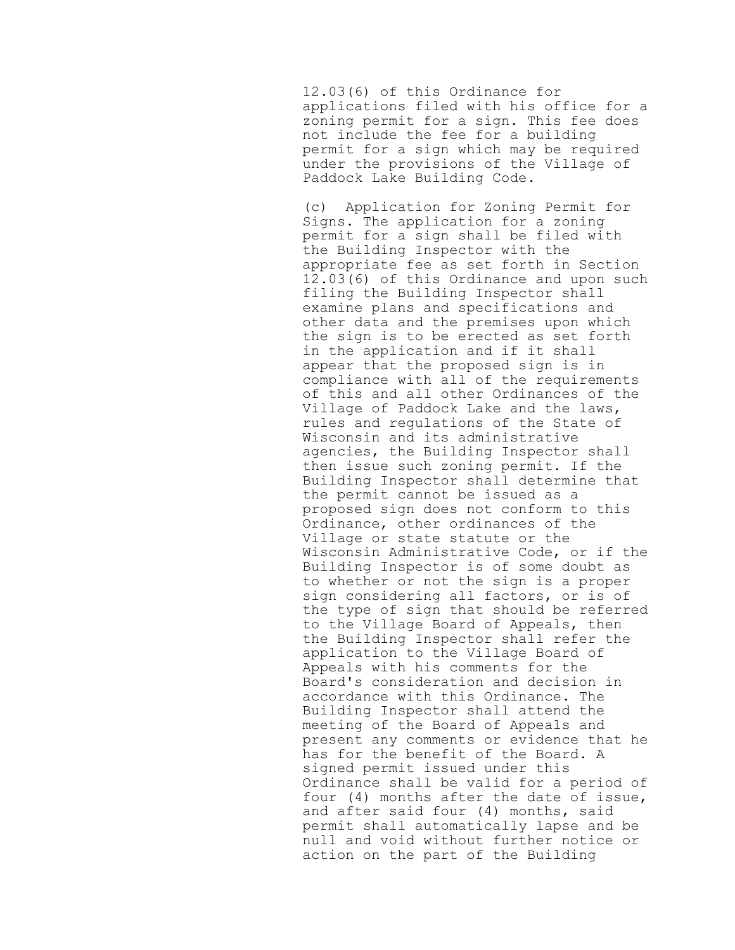12.03(6) of this Ordinance for applications filed with his office for a zoning permit for a sign. This fee does not include the fee for a building permit for a sign which may be required under the provisions of the Village of Paddock Lake Building Code.

(c) Application for Zoning Permit for Signs. The application for a zoning permit for a sign shall be filed with the Building Inspector with the appropriate fee as set forth in Section 12.03(6) of this Ordinance and upon such filing the Building Inspector shall examine plans and specifications and other data and the premises upon which the sign is to be erected as set forth in the application and if it shall appear that the proposed sign is in compliance with all of the requirements of this and all other Ordinances of the Village of Paddock Lake and the laws, rules and regulations of the State of Wisconsin and its administrative agencies, the Building Inspector shall then issue such zoning permit. If the Building Inspector shall determine that the permit cannot be issued as a proposed sign does not conform to this Ordinance, other ordinances of the Village or state statute or the Wisconsin Administrative Code, or if the Building Inspector is of some doubt as to whether or not the sign is a proper sign considering all factors, or is of the type of sign that should be referred to the Village Board of Appeals, then the Building Inspector shall refer the application to the Village Board of Appeals with his comments for the Board's consideration and decision in accordance with this Ordinance. The Building Inspector shall attend the meeting of the Board of Appeals and present any comments or evidence that he has for the benefit of the Board. A signed permit issued under this Ordinance shall be valid for a period of four (4) months after the date of issue, and after said four (4) months, said permit shall automatically lapse and be null and void without further notice or action on the part of the Building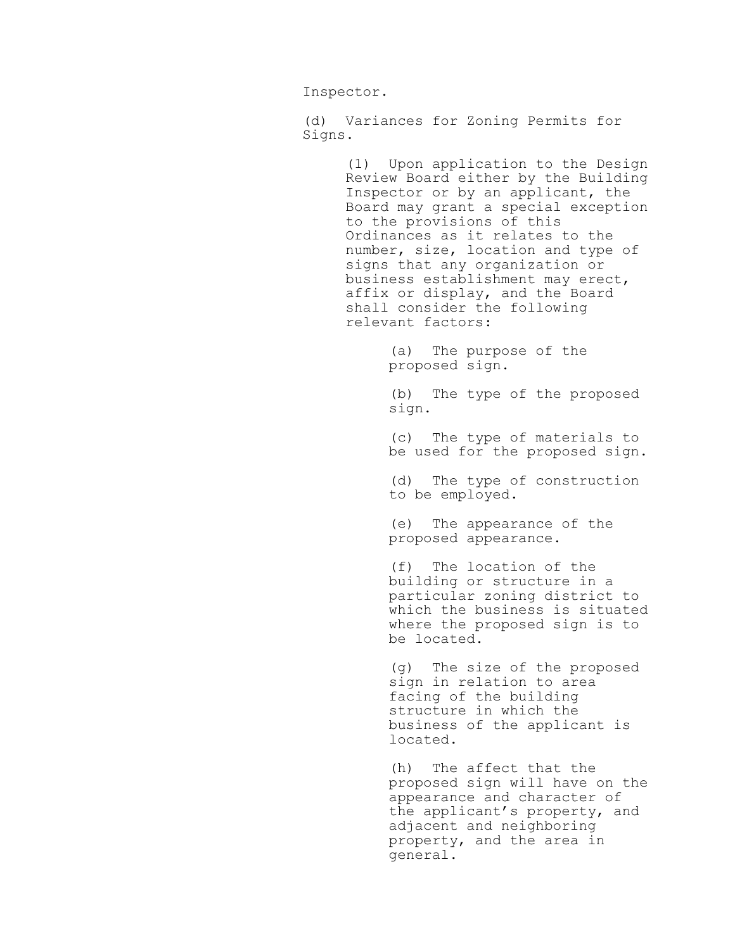Inspector.

(d) Variances for Zoning Permits for Signs.

> (1) Upon application to the Design Review Board either by the Building Inspector or by an applicant, the Board may grant a special exception to the provisions of this Ordinances as it relates to the number, size, location and type of signs that any organization or business establishment may erect, affix or display, and the Board shall consider the following relevant factors:

> > (a) The purpose of the proposed sign.

(b) The type of the proposed sign.

(c) The type of materials to be used for the proposed sign.

(d) The type of construction to be employed.

(e) The appearance of the proposed appearance.

(f) The location of the building or structure in a particular zoning district to which the business is situated where the proposed sign is to be located.

(g) The size of the proposed sign in relation to area facing of the building structure in which the business of the applicant is located.

(h) The affect that the proposed sign will have on the appearance and character of the applicant's property, and adjacent and neighboring property, and the area in general.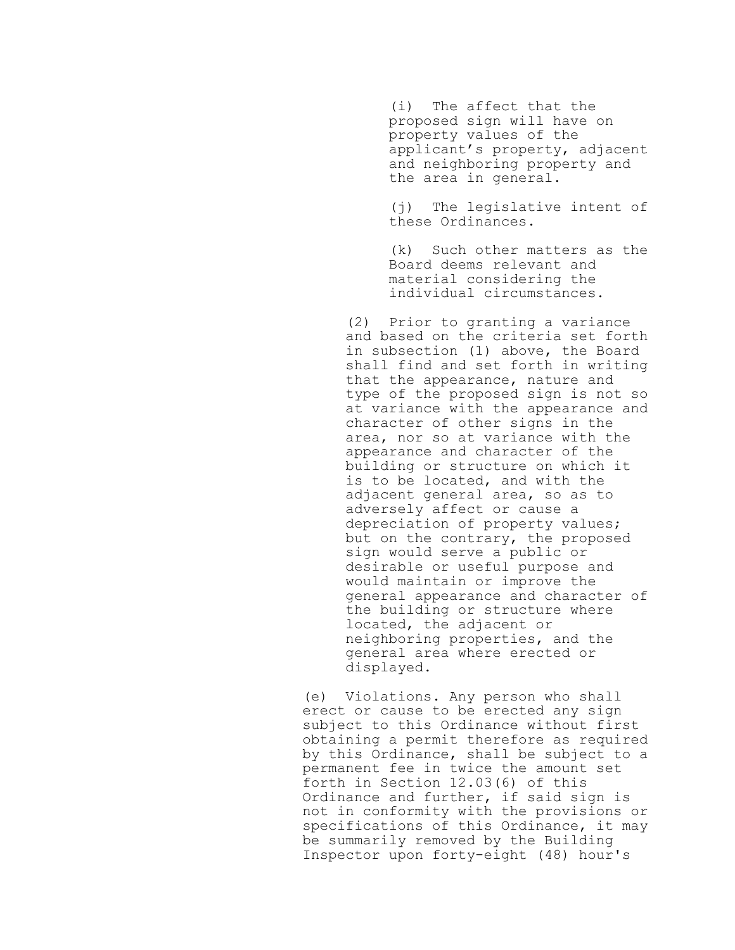(i) The affect that the proposed sign will have on property values of the applicant's property, adjacent and neighboring property and the area in general.

(j) The legislative intent of these Ordinances.

(k) Such other matters as the Board deems relevant and material considering the individual circumstances.

(2) Prior to granting a variance and based on the criteria set forth in subsection (1) above, the Board shall find and set forth in writing that the appearance, nature and type of the proposed sign is not so at variance with the appearance and character of other signs in the area, nor so at variance with the appearance and character of the building or structure on which it is to be located, and with the adjacent general area, so as to adversely affect or cause a depreciation of property values; but on the contrary, the proposed sign would serve a public or desirable or useful purpose and would maintain or improve the general appearance and character of the building or structure where located, the adjacent or neighboring properties, and the general area where erected or displayed.

(e) Violations. Any person who shall erect or cause to be erected any sign subject to this Ordinance without first obtaining a permit therefore as required by this Ordinance, shall be subject to a permanent fee in twice the amount set forth in Section 12.03(6) of this Ordinance and further, if said sign is not in conformity with the provisions or specifications of this Ordinance, it may be summarily removed by the Building Inspector upon forty-eight (48) hour's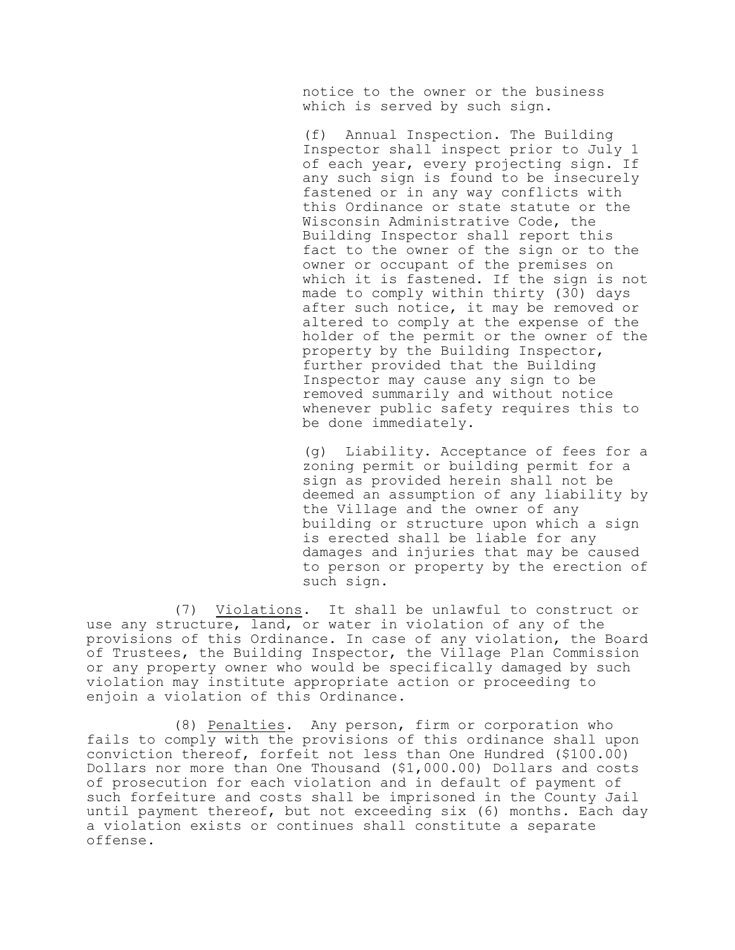notice to the owner or the business which is served by such sign.

(f) Annual Inspection. The Building Inspector shall inspect prior to July 1 of each year, every projecting sign. If any such sign is found to be insecurely fastened or in any way conflicts with this Ordinance or state statute or the Wisconsin Administrative Code, the Building Inspector shall report this fact to the owner of the sign or to the owner or occupant of the premises on which it is fastened. If the sign is not made to comply within thirty (30) days after such notice, it may be removed or altered to comply at the expense of the holder of the permit or the owner of the property by the Building Inspector, further provided that the Building Inspector may cause any sign to be removed summarily and without notice whenever public safety requires this to be done immediately.

(g) Liability. Acceptance of fees for a zoning permit or building permit for a sign as provided herein shall not be deemed an assumption of any liability by the Village and the owner of any building or structure upon which a sign is erected shall be liable for any damages and injuries that may be caused to person or property by the erection of such sign.

(7) Violations. It shall be unlawful to construct or use any structure, land, or water in violation of any of the provisions of this Ordinance. In case of any violation, the Board of Trustees, the Building Inspector, the Village Plan Commission or any property owner who would be specifically damaged by such violation may institute appropriate action or proceeding to enjoin a violation of this Ordinance.

(8) Penalties. Any person, firm or corporation who fails to comply with the provisions of this ordinance shall upon conviction thereof, forfeit not less than One Hundred (\$100.00) Dollars nor more than One Thousand (\$1,000.00) Dollars and costs of prosecution for each violation and in default of payment of such forfeiture and costs shall be imprisoned in the County Jail until payment thereof, but not exceeding six (6) months. Each day a violation exists or continues shall constitute a separate offense.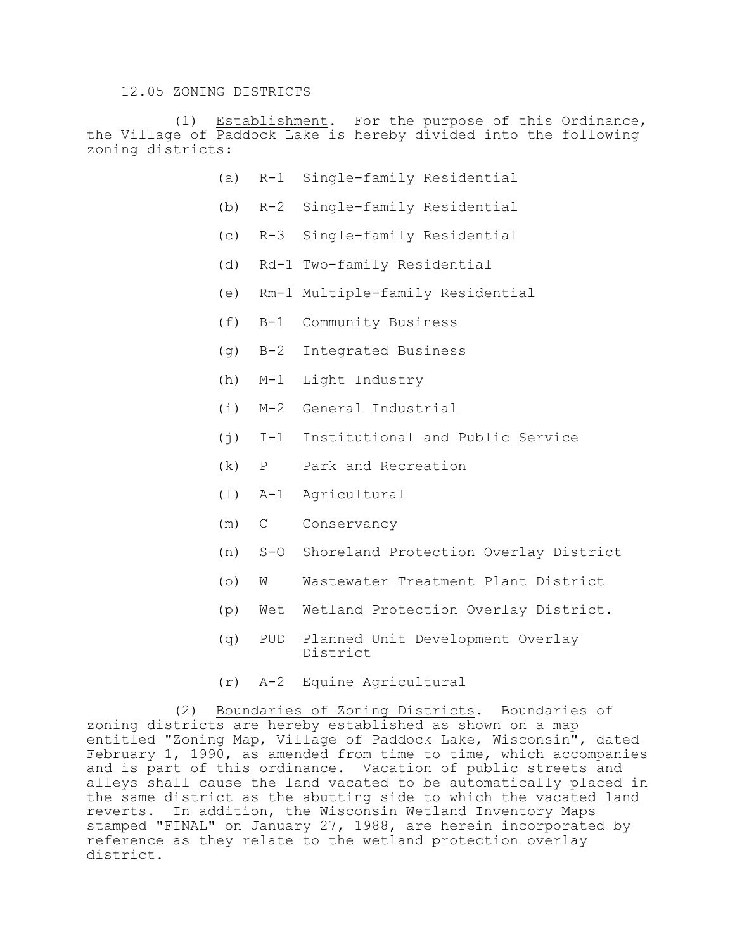### 12.05 ZONING DISTRICTS

(1) Establishment. For the purpose of this Ordinance, the Village of Paddock Lake is hereby divided into the following zoning districts:

- (a) R-1 Single-family Residential
- (b) R-2 Single-family Residential
- (c) R-3 Single-family Residential
- (d) Rd-1 Two-family Residential
- (e) Rm-1 Multiple-family Residential
- (f) B-1 Community Business
- (g) B-2 Integrated Business
- (h) M-1 Light Industry
- (i) M-2 General Industrial
- (j) I-1 Institutional and Public Service
- (k) P Park and Recreation
- (l) A-1 Agricultural
- (m) C Conservancy
- (n) S-O Shoreland Protection Overlay District
- (o) W Wastewater Treatment Plant District
- (p) Wet Wetland Protection Overlay District.
- (q) PUD Planned Unit Development Overlay District
- (r) A-2 Equine Agricultural

(2) Boundaries of Zoning Districts. Boundaries of zoning districts are hereby established as shown on a map entitled "Zoning Map, Village of Paddock Lake, Wisconsin", dated February 1, 1990, as amended from time to time, which accompanies and is part of this ordinance. Vacation of public streets and alleys shall cause the land vacated to be automatically placed in the same district as the abutting side to which the vacated land reverts. In addition, the Wisconsin Wetland Inventory Maps stamped "FINAL" on January 27, 1988, are herein incorporated by reference as they relate to the wetland protection overlay district.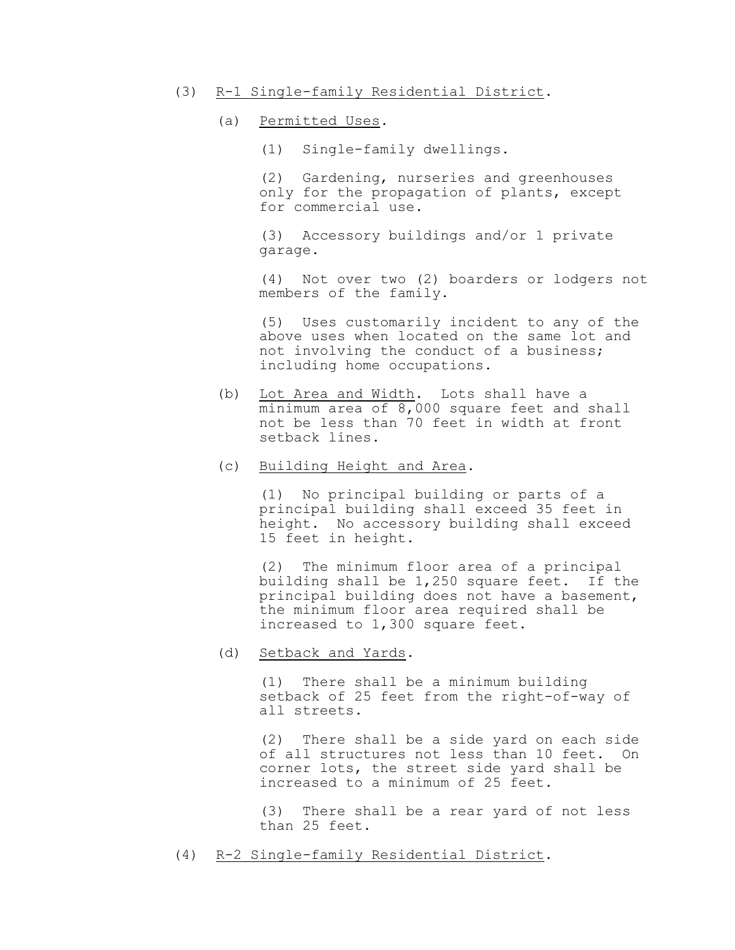- (3) R-1 Single-family Residential District.
	- (a) Permitted Uses.
		- (1) Single-family dwellings.

(2) Gardening, nurseries and greenhouses only for the propagation of plants, except for commercial use.

(3) Accessory buildings and/or 1 private garage.

(4) Not over two (2) boarders or lodgers not members of the family.

(5) Uses customarily incident to any of the above uses when located on the same lot and not involving the conduct of a business; including home occupations.

- (b) Lot Area and Width. Lots shall have a minimum area of 8,000 square feet and shall not be less than 70 feet in width at front setback lines.
- (c) Building Height and Area.

(1) No principal building or parts of a principal building shall exceed 35 feet in height. No accessory building shall exceed 15 feet in height.

(2) The minimum floor area of a principal building shall be 1,250 square feet. If the principal building does not have a basement, the minimum floor area required shall be increased to 1,300 square feet.

(d) Setback and Yards.

(1) There shall be a minimum building setback of 25 feet from the right-of-way of all streets.

(2) There shall be a side yard on each side of all structures not less than 10 feet. On corner lots, the street side yard shall be increased to a minimum of 25 feet.

(3) There shall be a rear yard of not less than 25 feet.

(4) R-2 Single-family Residential District.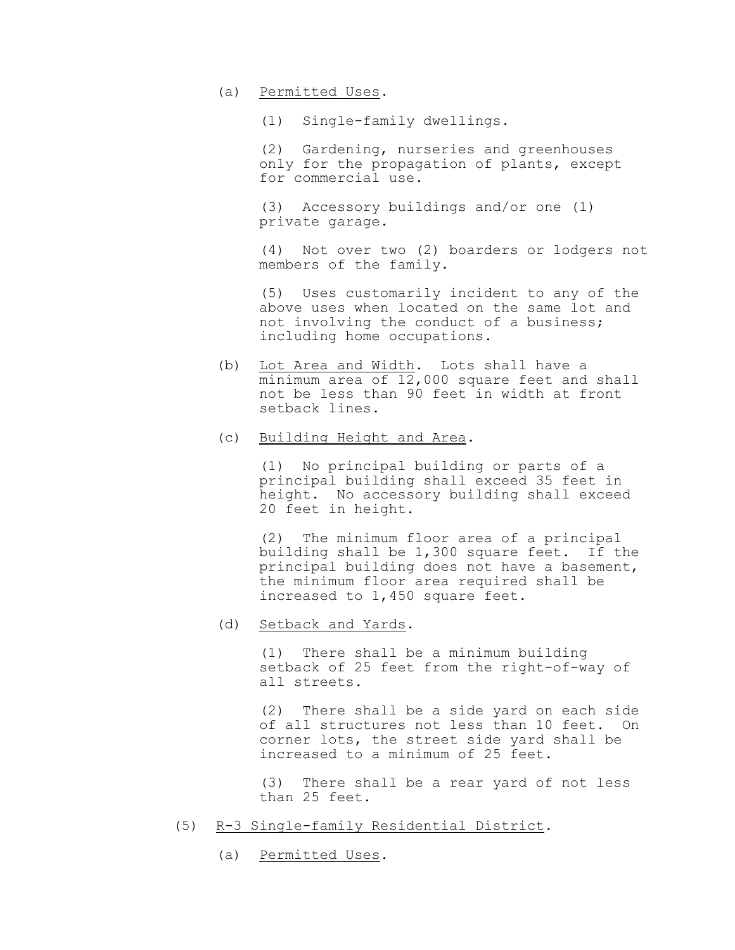(a) Permitted Uses.

(1) Single-family dwellings.

(2) Gardening, nurseries and greenhouses only for the propagation of plants, except for commercial use.

(3) Accessory buildings and/or one (1) private garage.

(4) Not over two (2) boarders or lodgers not members of the family.

(5) Uses customarily incident to any of the above uses when located on the same lot and not involving the conduct of a business; including home occupations.

- (b) Lot Area and Width. Lots shall have a minimum area of 12,000 square feet and shall not be less than 90 feet in width at front setback lines.
- (c) Building Height and Area.

(1) No principal building or parts of a principal building shall exceed 35 feet in height. No accessory building shall exceed 20 feet in height.

(2) The minimum floor area of a principal building shall be 1,300 square feet. If the principal building does not have a basement, the minimum floor area required shall be increased to 1,450 square feet.

(d) Setback and Yards.

(1) There shall be a minimum building setback of 25 feet from the right-of-way of all streets.

(2) There shall be a side yard on each side of all structures not less than 10 feet. On corner lots, the street side yard shall be increased to a minimum of 25 feet.

(3) There shall be a rear yard of not less than 25 feet.

- (5) R-3 Single-family Residential District.
	- (a) Permitted Uses.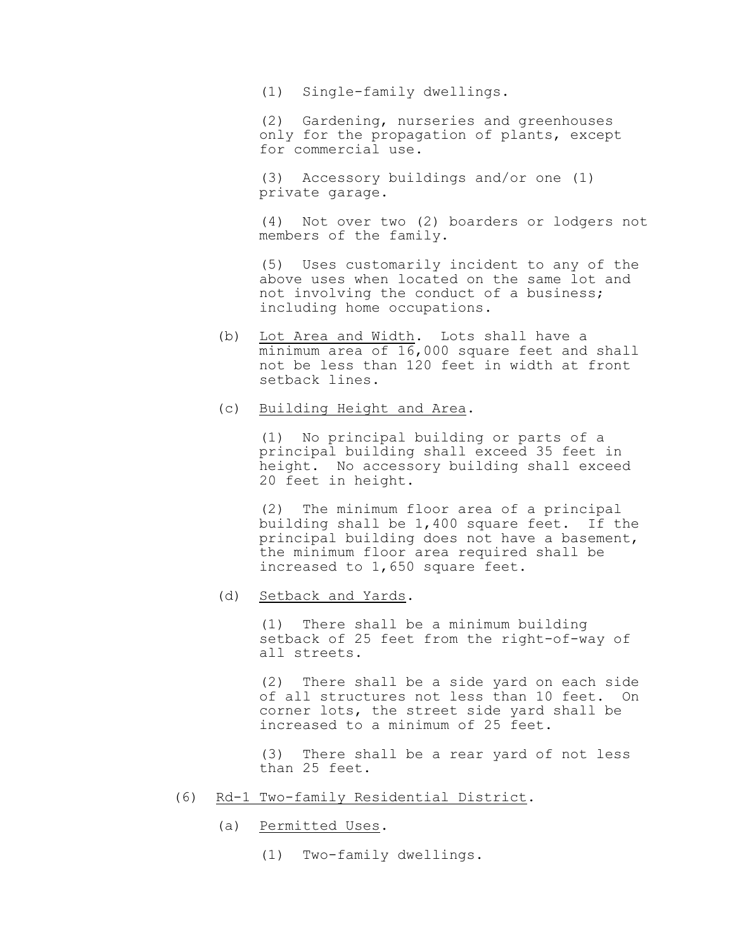(1) Single-family dwellings.

(2) Gardening, nurseries and greenhouses only for the propagation of plants, except for commercial use.

(3) Accessory buildings and/or one (1) private garage.

(4) Not over two (2) boarders or lodgers not members of the family.

(5) Uses customarily incident to any of the above uses when located on the same lot and not involving the conduct of a business; including home occupations.

- (b) Lot Area and Width. Lots shall have a minimum area of 16,000 square feet and shall not be less than 120 feet in width at front setback lines.
- (c) Building Height and Area.

(1) No principal building or parts of a principal building shall exceed 35 feet in height. No accessory building shall exceed 20 feet in height.

(2) The minimum floor area of a principal building shall be 1,400 square feet. If the principal building does not have a basement, the minimum floor area required shall be increased to 1,650 square feet.

(d) Setback and Yards.

(1) There shall be a minimum building setback of 25 feet from the right-of-way of all streets.

(2) There shall be a side yard on each side of all structures not less than 10 feet. On corner lots, the street side yard shall be increased to a minimum of 25 feet.

(3) There shall be a rear yard of not less than 25 feet.

- (6) Rd-1 Two-family Residential District.
	- (a) Permitted Uses.
		- (1) Two-family dwellings.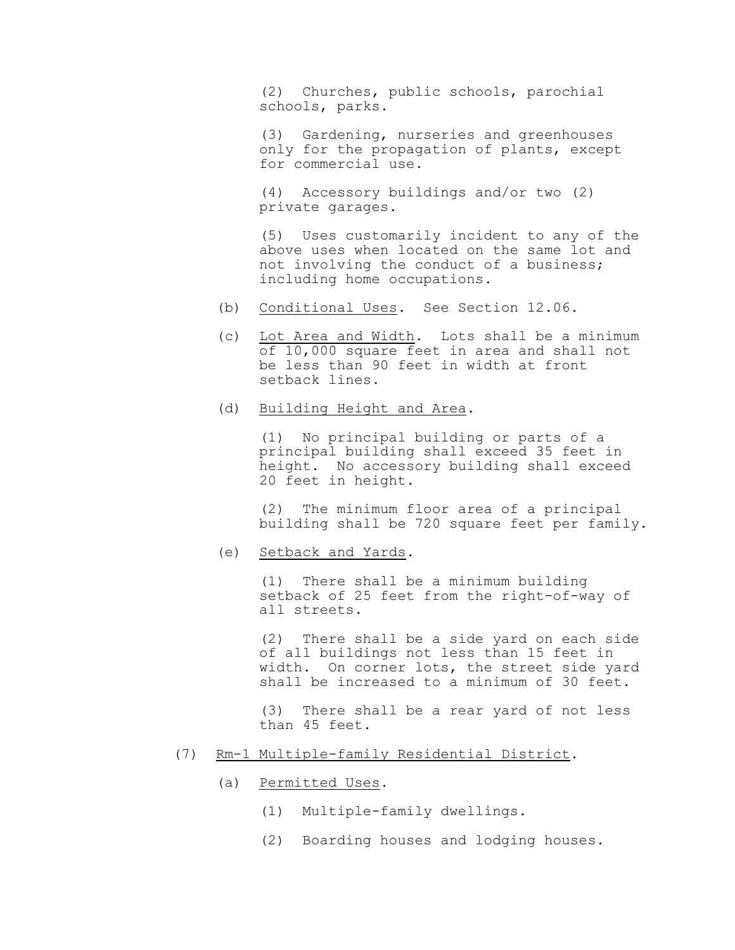(2) Churches, public schools, parochial schools, parks.

(3) Gardening, nurseries and greenhouses only for the propagation of plants, except for commercial use.

(4) Accessory buildings and/or two (2) private garages.

(5) Uses customarily incident to any of the above uses when located on the same lot and not involving the conduct of a business; including home occupations.

- (b) Conditional Uses. See Section 12.06.
- (c) Lot Area and Width. Lots shall be a minimum of 10,000 square feet in area and shall not be less than 90 feet in width at front setback lines.
- (d) Building Height and Area.

(1) No principal building or parts of a principal building shall exceed 35 feet in height. No accessory building shall exceed 20 feet in height.

(2) The minimum floor area of a principal building shall be 720 square feet per family.

(e) Setback and Yards.

(1) There shall be a minimum building setback of 25 feet from the right-of-way of all streets.

(2) There shall be a side yard on each side of all buildings not less than 15 feet in width. On corner lots, the street side yard shall be increased to a minimum of 30 feet.

(3) There shall be a rear yard of not less than 45 feet.

- (7) Rm-1 Multiple-family Residential District.
	- (a) Permitted Uses.
		- (1) Multiple-family dwellings.
		- (2) Boarding houses and lodging houses.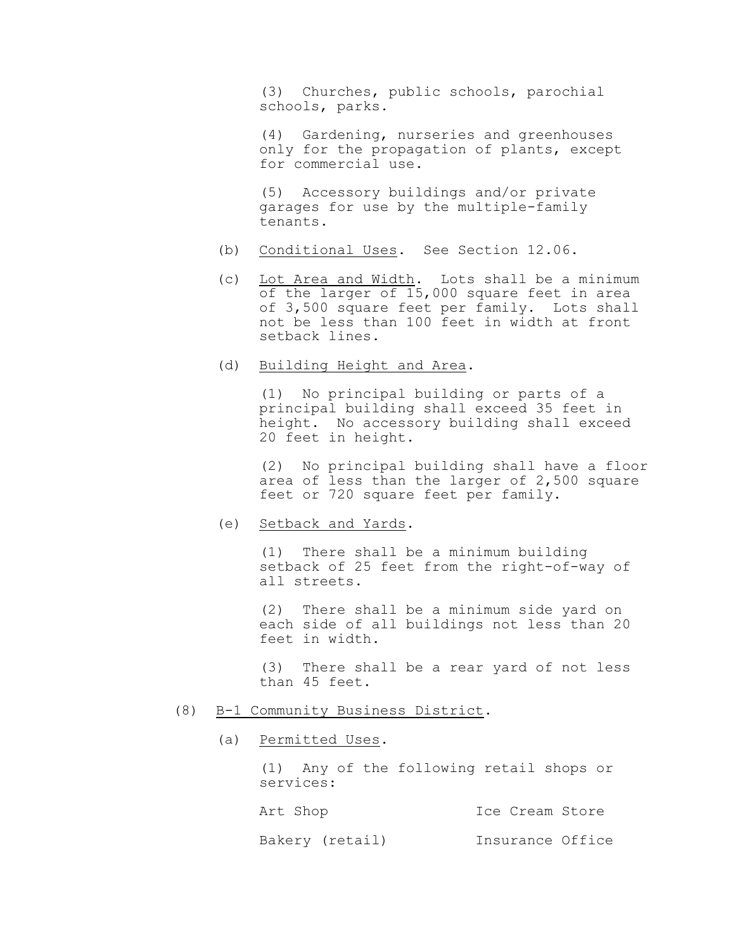(3) Churches, public schools, parochial schools, parks.

(4) Gardening, nurseries and greenhouses only for the propagation of plants, except for commercial use.

(5) Accessory buildings and/or private garages for use by the multiple-family tenants.

- (b) Conditional Uses. See Section 12.06.
- (c) Lot Area and Width. Lots shall be a minimum of the larger of 15,000 square feet in area of 3,500 square feet per family. Lots shall not be less than 100 feet in width at front setback lines.
- (d) Building Height and Area.

(1) No principal building or parts of a principal building shall exceed 35 feet in height. No accessory building shall exceed 20 feet in height.

(2) No principal building shall have a floor area of less than the larger of 2,500 square feet or 720 square feet per family.

(e) Setback and Yards.

(1) There shall be a minimum building setback of 25 feet from the right-of-way of all streets.

(2) There shall be a minimum side yard on each side of all buildings not less than 20 feet in width.

(3) There shall be a rear yard of not less than 45 feet.

- (8) B-1 Community Business District.
	- (a) Permitted Uses.

(1) Any of the following retail shops or services:

Art Shop Ice Cream Store

Bakery (retail) Insurance Office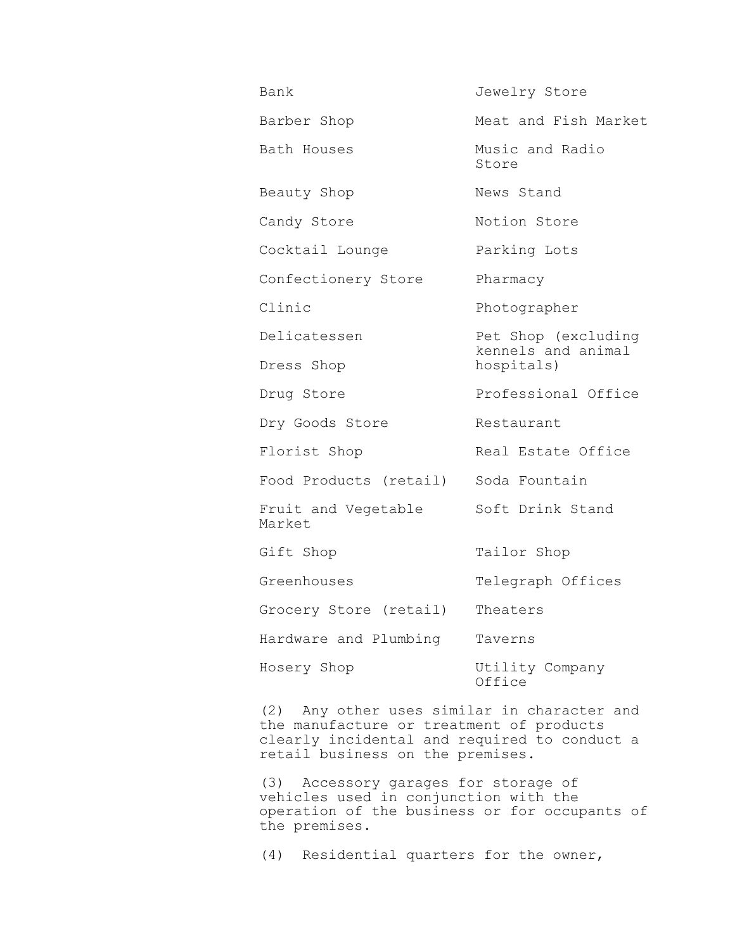| Bank                          | Jewelry Store                                           |
|-------------------------------|---------------------------------------------------------|
| Barber Shop                   | Meat and Fish Market                                    |
| Bath Houses                   | Music and Radio<br>Store                                |
| Beauty Shop                   | News Stand                                              |
| Candy Store                   | Notion Store                                            |
| Cocktail Lounge               | Parking Lots                                            |
| Confectionery Store           | Pharmacy                                                |
| Clinic                        | Photographer                                            |
| Delicatessen                  | Pet Shop (excluding<br>kennels and animal<br>hospitals) |
| Dress Shop                    |                                                         |
| Drug Store                    | Professional Office                                     |
| Dry Goods Store               | Restaurant                                              |
| Florist Shop                  | Real Estate Office                                      |
| Food Products (retail)        | Soda Fountain                                           |
| Fruit and Vegetable<br>Market | Soft Drink Stand                                        |
| Gift Shop                     | Tailor Shop                                             |
| Greenhouses                   | Telegraph Offices                                       |
| Grocery Store (retail)        | Theaters                                                |
| Hardware and Plumbing         | Taverns                                                 |
| Hosery Shop                   | Utility Company<br>Office                               |

(2) Any other uses similar in character and the manufacture or treatment of products clearly incidental and required to conduct a retail business on the premises.

(3) Accessory garages for storage of vehicles used in conjunction with the operation of the business or for occupants of the premises.

(4) Residential quarters for the owner,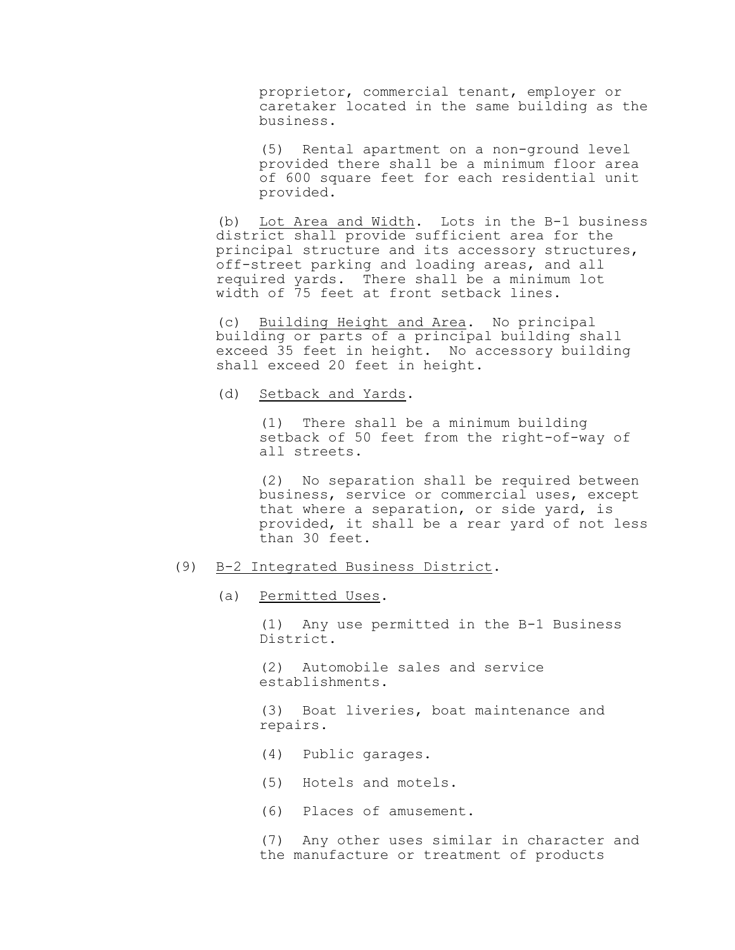proprietor, commercial tenant, employer or caretaker located in the same building as the business.

(5) Rental apartment on a non-ground level provided there shall be a minimum floor area of 600 square feet for each residential unit provided.

(b) Lot Area and Width. Lots in the B-1 business district shall provide sufficient area for the principal structure and its accessory structures, off-street parking and loading areas, and all required yards. There shall be a minimum lot width of 75 feet at front setback lines.

(c) Building Height and Area. No principal building or parts of a principal building shall exceed 35 feet in height. No accessory building shall exceed 20 feet in height.

(d) Setback and Yards.

(1) There shall be a minimum building setback of 50 feet from the right-of-way of all streets.

(2) No separation shall be required between business, service or commercial uses, except that where a separation, or side yard, is provided, it shall be a rear yard of not less than 30 feet.

### (9) B-2 Integrated Business District.

(a) Permitted Uses.

(1) Any use permitted in the B-1 Business District.

(2) Automobile sales and service establishments.

(3) Boat liveries, boat maintenance and repairs.

- (4) Public garages.
- (5) Hotels and motels.
- (6) Places of amusement.

(7) Any other uses similar in character and the manufacture or treatment of products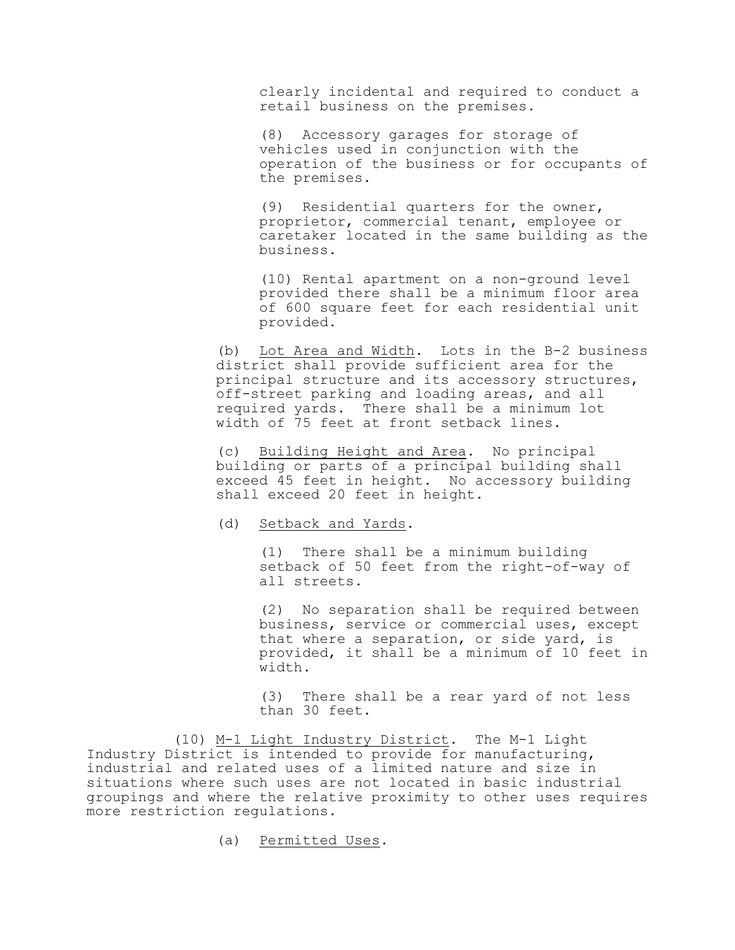clearly incidental and required to conduct a retail business on the premises.

(8) Accessory garages for storage of vehicles used in conjunction with the operation of the business or for occupants of the premises.

(9) Residential quarters for the owner, proprietor, commercial tenant, employee or caretaker located in the same building as the business.

(10) Rental apartment on a non-ground level provided there shall be a minimum floor area of 600 square feet for each residential unit provided.

(b) Lot Area and Width. Lots in the B-2 business district shall provide sufficient area for the principal structure and its accessory structures, off-street parking and loading areas, and all required yards. There shall be a minimum lot width of 75 feet at front setback lines.

(c) Building Height and Area. No principal building or parts of a principal building shall exceed 45 feet in height. No accessory building shall exceed 20 feet in height.

(d) Setback and Yards.

(1) There shall be a minimum building setback of 50 feet from the right-of-way of all streets.

(2) No separation shall be required between business, service or commercial uses, except that where a separation, or side yard, is provided, it shall be a minimum of 10 feet in width.

(3) There shall be a rear yard of not less than 30 feet.

(10) M-1 Light Industry District. The M-1 Light Industry District is intended to provide for manufacturing, industrial and related uses of a limited nature and size in situations where such uses are not located in basic industrial groupings and where the relative proximity to other uses requires more restriction regulations.

(a) Permitted Uses.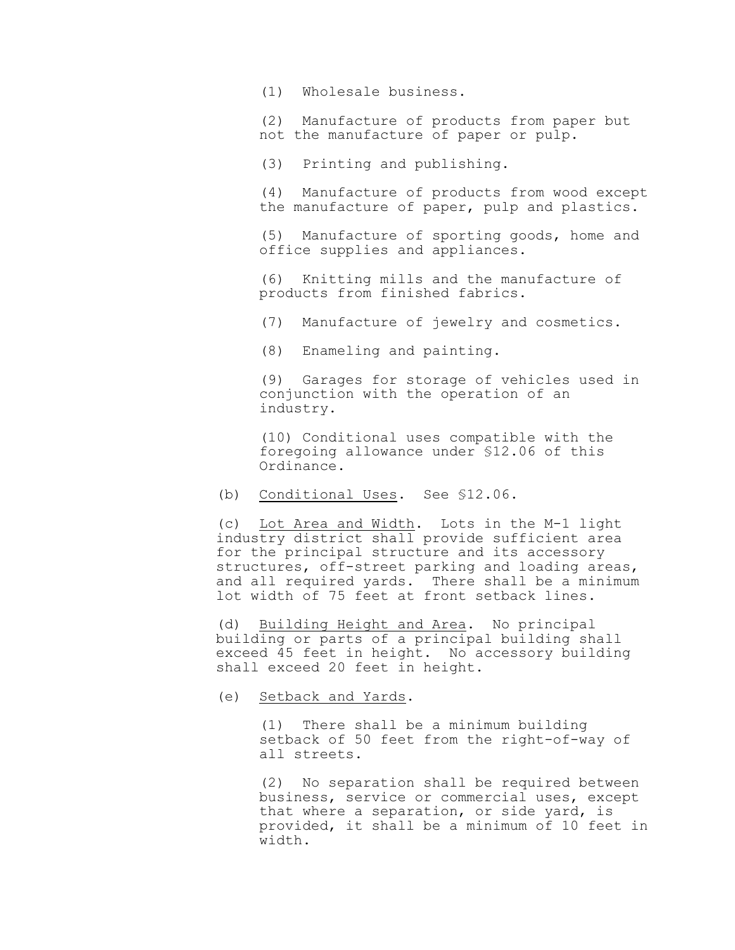(1) Wholesale business.

(2) Manufacture of products from paper but not the manufacture of paper or pulp.

(3) Printing and publishing.

(4) Manufacture of products from wood except the manufacture of paper, pulp and plastics.

(5) Manufacture of sporting goods, home and office supplies and appliances.

(6) Knitting mills and the manufacture of products from finished fabrics.

(7) Manufacture of jewelry and cosmetics.

(8) Enameling and painting.

(9) Garages for storage of vehicles used in conjunction with the operation of an industry.

(10) Conditional uses compatible with the foregoing allowance under §12.06 of this Ordinance.

(b) Conditional Uses. See §12.06.

(c) Lot Area and Width. Lots in the M-1 light industry district shall provide sufficient area for the principal structure and its accessory structures, off-street parking and loading areas, and all required yards. There shall be a minimum lot width of 75 feet at front setback lines.

(d) Building Height and Area. No principal building or parts of a principal building shall exceed 45 feet in height. No accessory building shall exceed 20 feet in height.

(e) Setback and Yards.

(1) There shall be a minimum building setback of 50 feet from the right-of-way of all streets.

(2) No separation shall be required between business, service or commercial uses, except that where a separation, or side yard, is provided, it shall be a minimum of 10 feet in width.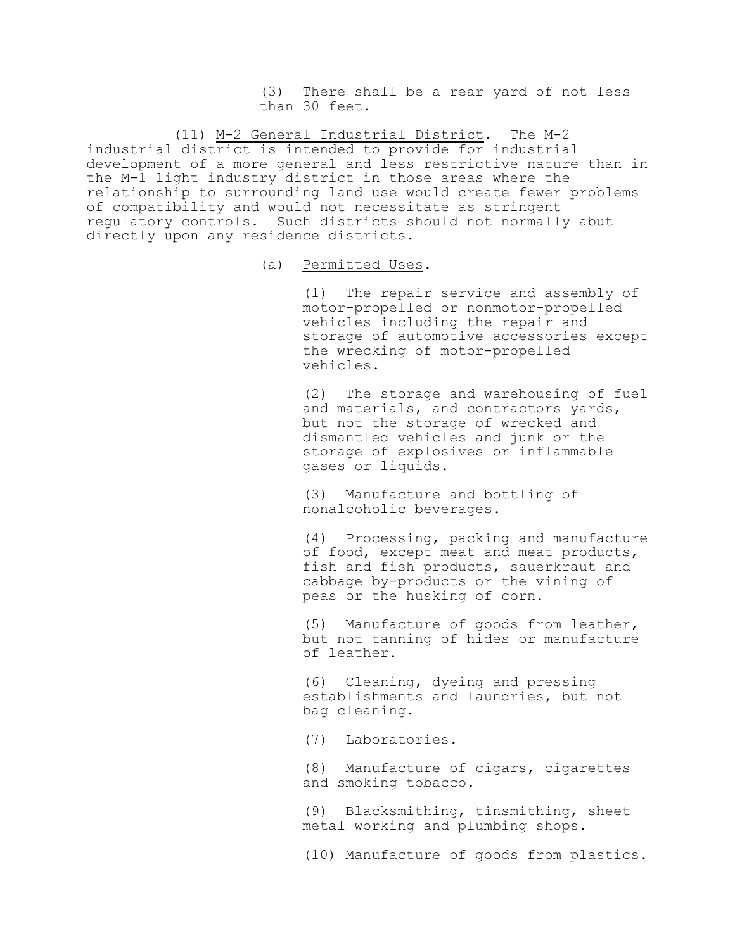(3) There shall be a rear yard of not less than 30 feet.

(11) M-2 General Industrial District. The M-2 industrial district is intended to provide for industrial development of a more general and less restrictive nature than in the M-1 light industry district in those areas where the relationship to surrounding land use would create fewer problems of compatibility and would not necessitate as stringent regulatory controls. Such districts should not normally abut directly upon any residence districts.

(a) Permitted Uses.

(1) The repair service and assembly of motor-propelled or nonmotor-propelled vehicles including the repair and storage of automotive accessories except the wrecking of motor-propelled vehicles.

(2) The storage and warehousing of fuel and materials, and contractors yards, but not the storage of wrecked and dismantled vehicles and junk or the storage of explosives or inflammable gases or liquids.

(3) Manufacture and bottling of nonalcoholic beverages.

(4) Processing, packing and manufacture of food, except meat and meat products, fish and fish products, sauerkraut and cabbage by-products or the vining of peas or the husking of corn.

(5) Manufacture of goods from leather, but not tanning of hides or manufacture of leather.

(6) Cleaning, dyeing and pressing establishments and laundries, but not bag cleaning.

(7) Laboratories.

(8) Manufacture of cigars, cigarettes and smoking tobacco.

(9) Blacksmithing, tinsmithing, sheet metal working and plumbing shops.

(10) Manufacture of goods from plastics.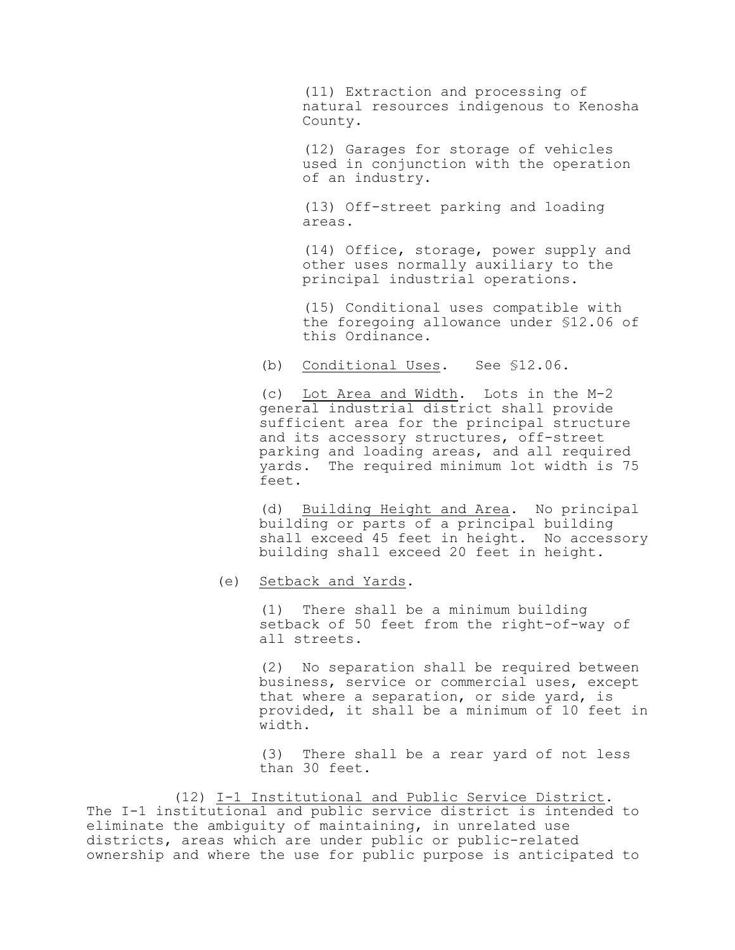(11) Extraction and processing of natural resources indigenous to Kenosha County.

(12) Garages for storage of vehicles used in conjunction with the operation of an industry.

(13) Off-street parking and loading areas.

(14) Office, storage, power supply and other uses normally auxiliary to the principal industrial operations.

(15) Conditional uses compatible with the foregoing allowance under §12.06 of this Ordinance.

(b) Conditional Uses. See §12.06.

(c) Lot Area and Width. Lots in the M-2 general industrial district shall provide sufficient area for the principal structure and its accessory structures, off-street parking and loading areas, and all required yards. The required minimum lot width is 75 feet.

(d) Building Height and Area. No principal building or parts of a principal building shall exceed 45 feet in height. No accessory building shall exceed 20 feet in height.

(e) Setback and Yards.

(1) There shall be a minimum building setback of 50 feet from the right-of-way of all streets.

(2) No separation shall be required between business, service or commercial uses, except that where a separation, or side yard, is provided, it shall be a minimum of 10 feet in width.

(3) There shall be a rear yard of not less than 30 feet.

(12) I-1 Institutional and Public Service District. The I-1 institutional and public service district is intended to eliminate the ambiguity of maintaining, in unrelated use districts, areas which are under public or public-related ownership and where the use for public purpose is anticipated to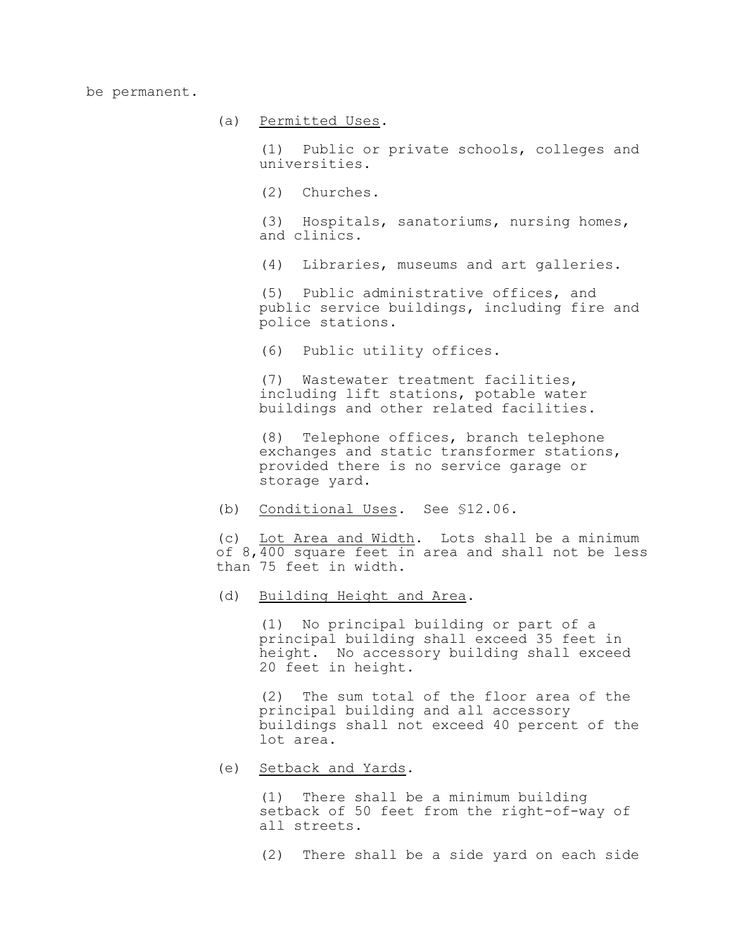be permanent.

(a) Permitted Uses.

(1) Public or private schools, colleges and universities.

(2) Churches.

(3) Hospitals, sanatoriums, nursing homes, and clinics.

(4) Libraries, museums and art galleries.

(5) Public administrative offices, and public service buildings, including fire and police stations.

(6) Public utility offices.

(7) Wastewater treatment facilities, including lift stations, potable water buildings and other related facilities.

(8) Telephone offices, branch telephone exchanges and static transformer stations, provided there is no service garage or storage yard.

(b) Conditional Uses. See §12.06.

(c) Lot Area and Width. Lots shall be a minimum of 8,400 square feet in area and shall not be less than 75 feet in width.

(d) Building Height and Area.

(1) No principal building or part of a principal building shall exceed 35 feet in height. No accessory building shall exceed 20 feet in height.

(2) The sum total of the floor area of the principal building and all accessory buildings shall not exceed 40 percent of the lot area.

(e) Setback and Yards.

(1) There shall be a minimum building setback of 50 feet from the right-of-way of all streets.

(2) There shall be a side yard on each side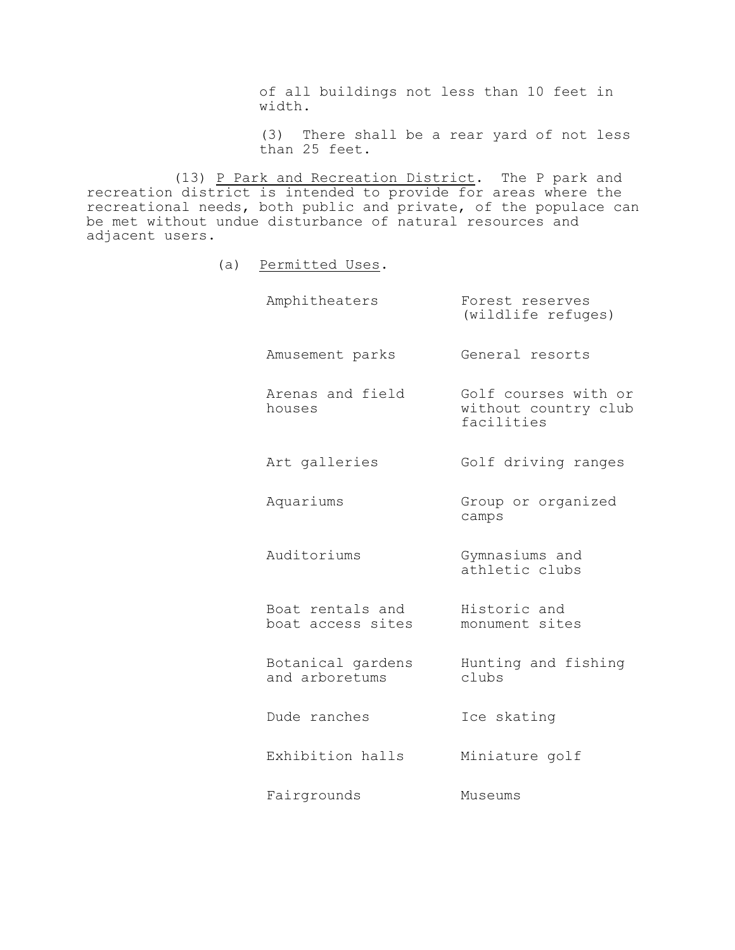of all buildings not less than 10 feet in width.

(3) There shall be a rear yard of not less than 25 feet.

(13) P Park and Recreation District. The P park and recreation district is intended to provide for areas where the recreational needs, both public and private, of the populace can be met without undue disturbance of natural resources and adjacent users.

(a) Permitted Uses.

| Amphitheaters                         | Forest reserves<br>(wildlife refuges)                      |
|---------------------------------------|------------------------------------------------------------|
| Amusement parks                       | General resorts                                            |
| Arenas and field<br>houses            | Golf courses with or<br>without country club<br>facilities |
| Art galleries                         | Golf driving ranges                                        |
| Aquariums                             | Group or organized<br>camps                                |
| Auditoriums                           | Gymnasiums and<br>athletic clubs                           |
| Boat rentals and<br>boat access sites | Historic and<br>monument sites                             |
| Botanical gardens<br>and arboretums   | Hunting and fishing<br>clubs                               |
| Dude ranches                          | Ice skating                                                |
| Exhibition halls                      | Miniature golf                                             |
| Fairgrounds                           | Museums                                                    |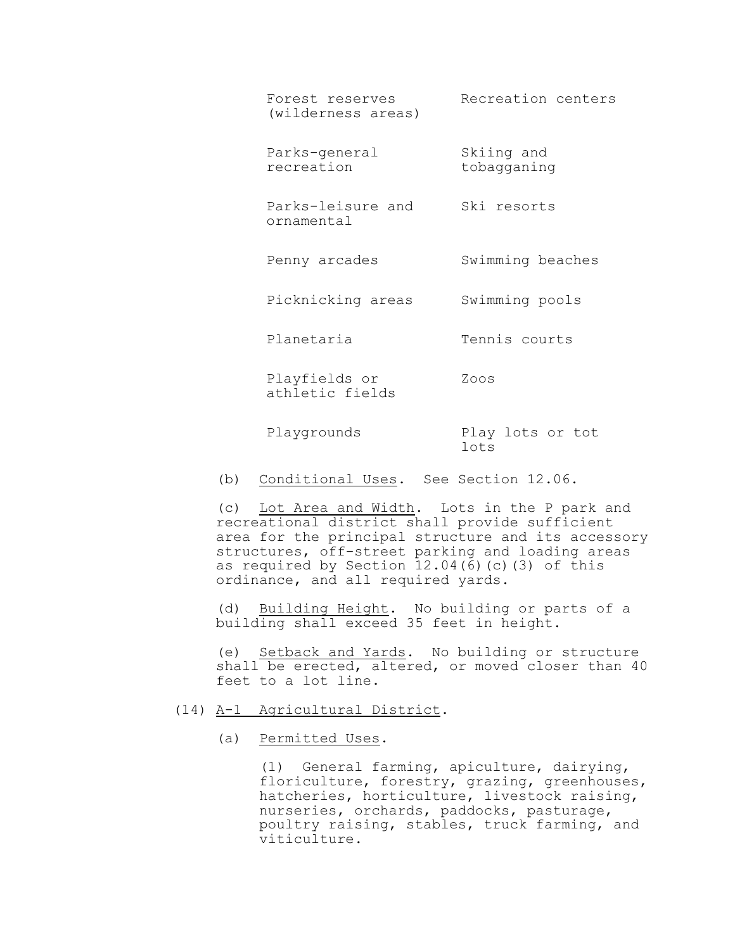| Forest reserves<br>(wilderness areas) | Recreation centers        |
|---------------------------------------|---------------------------|
| Parks-general<br>recreation           | Skiing and<br>tobagganing |
| Parks-leisure and<br>ornamental       | Ski resorts               |
| Penny arcades                         | Swimming beaches          |
| Picknicking areas                     | Swimming pools            |
| Planetaria                            | Tennis courts             |
| Playfields or<br>athletic fields      | Zoos                      |
| Playgrounds                           | Play lots or tot<br>lots  |
|                                       |                           |

(b) Conditional Uses. See Section 12.06.

(c) Lot Area and Width. Lots in the P park and recreational district shall provide sufficient area for the principal structure and its accessory structures, off-street parking and loading areas as required by Section 12.04(6)(c)(3) of this ordinance, and all required yards.

(d) Building Height. No building or parts of a building shall exceed 35 feet in height.

(e) Setback and Yards. No building or structure shall be erected, altered, or moved closer than 40 feet to a lot line.

# (14) A-1 Agricultural District.

(a) Permitted Uses.

(1) General farming, apiculture, dairying, floriculture, forestry, grazing, greenhouses, hatcheries, horticulture, livestock raising, nurseries, orchards, paddocks, pasturage, poultry raising, stables, truck farming, and viticulture.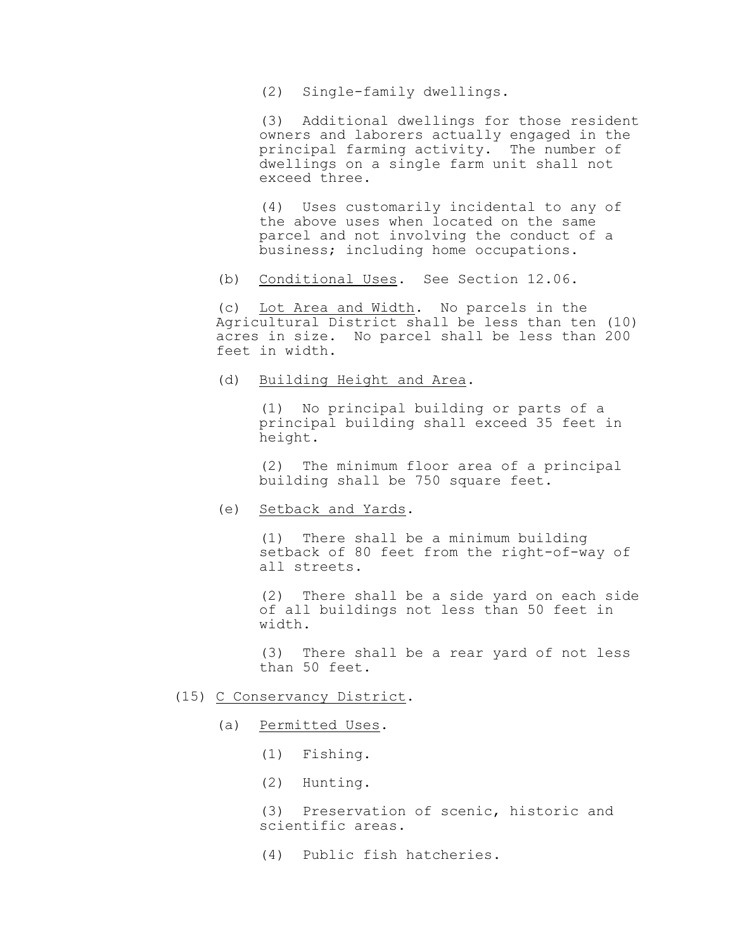(2) Single-family dwellings.

(3) Additional dwellings for those resident owners and laborers actually engaged in the principal farming activity. The number of dwellings on a single farm unit shall not exceed three.

(4) Uses customarily incidental to any of the above uses when located on the same parcel and not involving the conduct of a business; including home occupations.

(b) Conditional Uses. See Section 12.06.

(c) Lot Area and Width. No parcels in the Agricultural District shall be less than ten (10) acres in size. No parcel shall be less than 200 feet in width.

(d) Building Height and Area.

(1) No principal building or parts of a principal building shall exceed 35 feet in height.

(2) The minimum floor area of a principal building shall be 750 square feet.

(e) Setback and Yards.

(1) There shall be a minimum building setback of 80 feet from the right-of-way of all streets.

(2) There shall be a side yard on each side of all buildings not less than 50 feet in width.

(3) There shall be a rear yard of not less than 50 feet.

- (15) C Conservancy District.
	- (a) Permitted Uses.
		- (1) Fishing.
		- (2) Hunting.

(3) Preservation of scenic, historic and scientific areas.

(4) Public fish hatcheries.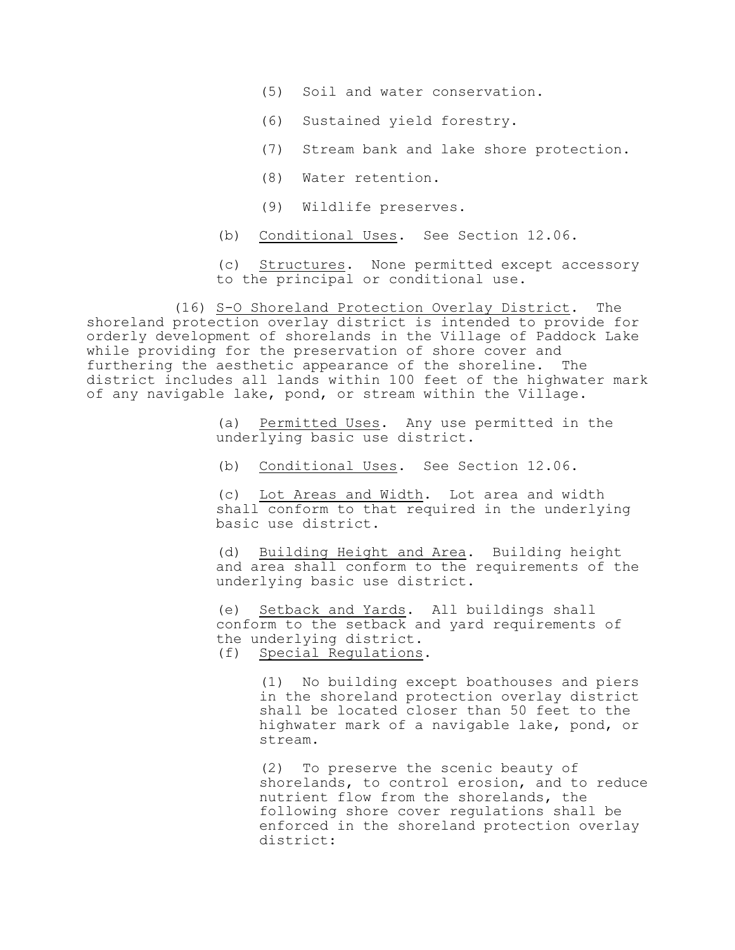- (5) Soil and water conservation.
- (6) Sustained yield forestry.
- (7) Stream bank and lake shore protection.
- (8) Water retention.
- (9) Wildlife preserves.
- (b) Conditional Uses. See Section 12.06.
- (c) Structures. None permitted except accessory to the principal or conditional use.

(16) S-O Shoreland Protection Overlay District. The shoreland protection overlay district is intended to provide for orderly development of shorelands in the Village of Paddock Lake while providing for the preservation of shore cover and furthering the aesthetic appearance of the shoreline. The district includes all lands within 100 feet of the highwater mark of any navigable lake, pond, or stream within the Village.

> (a) Permitted Uses. Any use permitted in the underlying basic use district.

(b) Conditional Uses. See Section 12.06.

(c) Lot Areas and Width. Lot area and width shall conform to that required in the underlying basic use district.

(d) Building Height and Area. Building height and area shall conform to the requirements of the underlying basic use district.

(e) Setback and Yards. All buildings shall conform to the setback and yard requirements of the underlying district. (f) Special Regulations.

> (1) No building except boathouses and piers in the shoreland protection overlay district shall be located closer than 50 feet to the highwater mark of a navigable lake, pond, or stream.

(2) To preserve the scenic beauty of shorelands, to control erosion, and to reduce nutrient flow from the shorelands, the following shore cover regulations shall be enforced in the shoreland protection overlay district: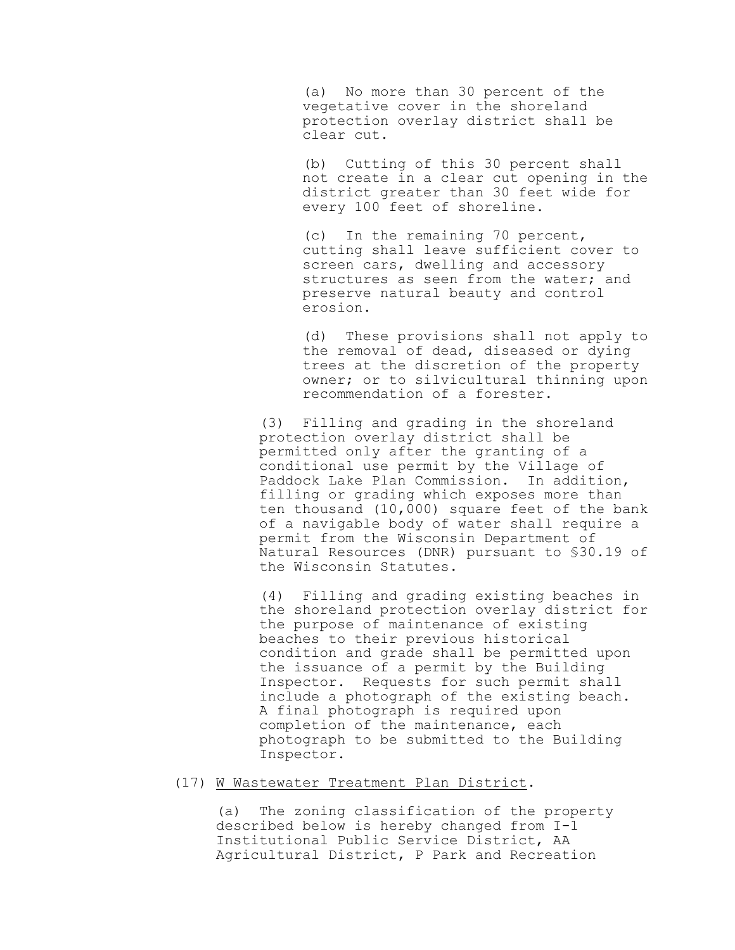(a) No more than 30 percent of the vegetative cover in the shoreland protection overlay district shall be clear cut.

(b) Cutting of this 30 percent shall not create in a clear cut opening in the district greater than 30 feet wide for every 100 feet of shoreline.

(c) In the remaining 70 percent, cutting shall leave sufficient cover to screen cars, dwelling and accessory structures as seen from the water; and preserve natural beauty and control erosion.

(d) These provisions shall not apply to the removal of dead, diseased or dying trees at the discretion of the property owner; or to silvicultural thinning upon recommendation of a forester.

(3) Filling and grading in the shoreland protection overlay district shall be permitted only after the granting of a conditional use permit by the Village of Paddock Lake Plan Commission. In addition, filling or grading which exposes more than ten thousand (10,000) square feet of the bank of a navigable body of water shall require a permit from the Wisconsin Department of Natural Resources (DNR) pursuant to §30.19 of the Wisconsin Statutes.

(4) Filling and grading existing beaches in the shoreland protection overlay district for the purpose of maintenance of existing beaches to their previous historical condition and grade shall be permitted upon the issuance of a permit by the Building Inspector. Requests for such permit shall include a photograph of the existing beach. A final photograph is required upon completion of the maintenance, each photograph to be submitted to the Building Inspector.

# (17) W Wastewater Treatment Plan District.

(a) The zoning classification of the property described below is hereby changed from I-1 Institutional Public Service District, AA Agricultural District, P Park and Recreation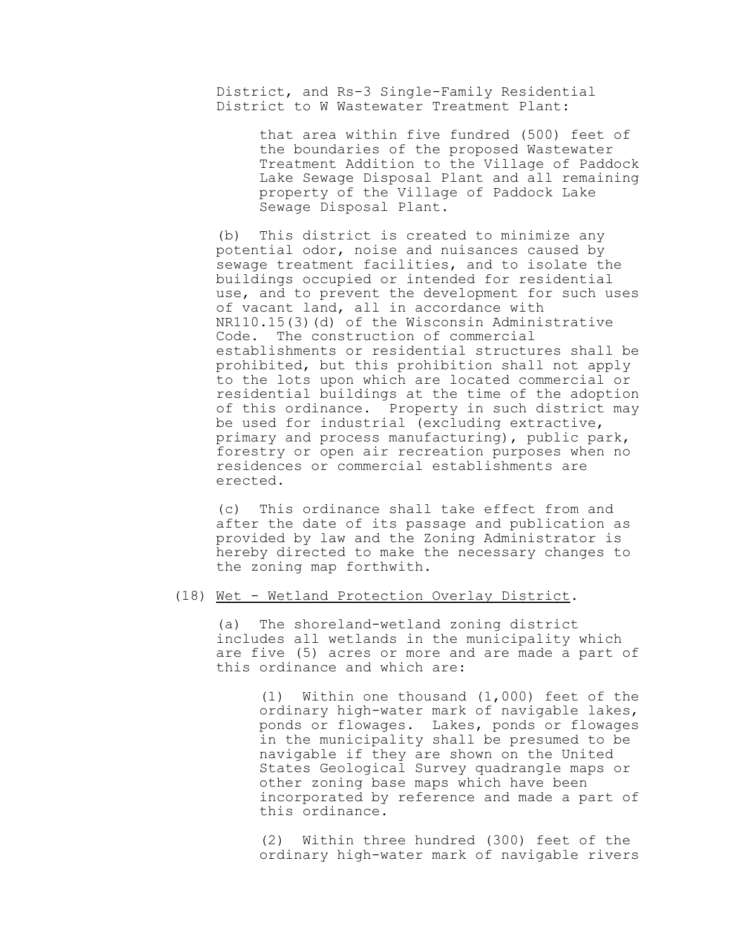District, and Rs-3 Single-Family Residential District to W Wastewater Treatment Plant:

> that area within five fundred (500) feet of the boundaries of the proposed Wastewater Treatment Addition to the Village of Paddock Lake Sewage Disposal Plant and all remaining property of the Village of Paddock Lake Sewage Disposal Plant.

(b) This district is created to minimize any potential odor, noise and nuisances caused by sewage treatment facilities, and to isolate the buildings occupied or intended for residential use, and to prevent the development for such uses of vacant land, all in accordance with NR110.15(3)(d) of the Wisconsin Administrative Code. The construction of commercial establishments or residential structures shall be prohibited, but this prohibition shall not apply to the lots upon which are located commercial or residential buildings at the time of the adoption of this ordinance. Property in such district may be used for industrial (excluding extractive, primary and process manufacturing), public park, forestry or open air recreation purposes when no residences or commercial establishments are erected.

(c) This ordinance shall take effect from and after the date of its passage and publication as provided by law and the Zoning Administrator is hereby directed to make the necessary changes to the zoning map forthwith.

### (18) Wet - Wetland Protection Overlay District.

(a) The shoreland-wetland zoning district includes all wetlands in the municipality which are five (5) acres or more and are made a part of this ordinance and which are:

(1) Within one thousand (1,000) feet of the ordinary high-water mark of navigable lakes, ponds or flowages. Lakes, ponds or flowages in the municipality shall be presumed to be navigable if they are shown on the United States Geological Survey quadrangle maps or other zoning base maps which have been incorporated by reference and made a part of this ordinance.

(2) Within three hundred (300) feet of the ordinary high-water mark of navigable rivers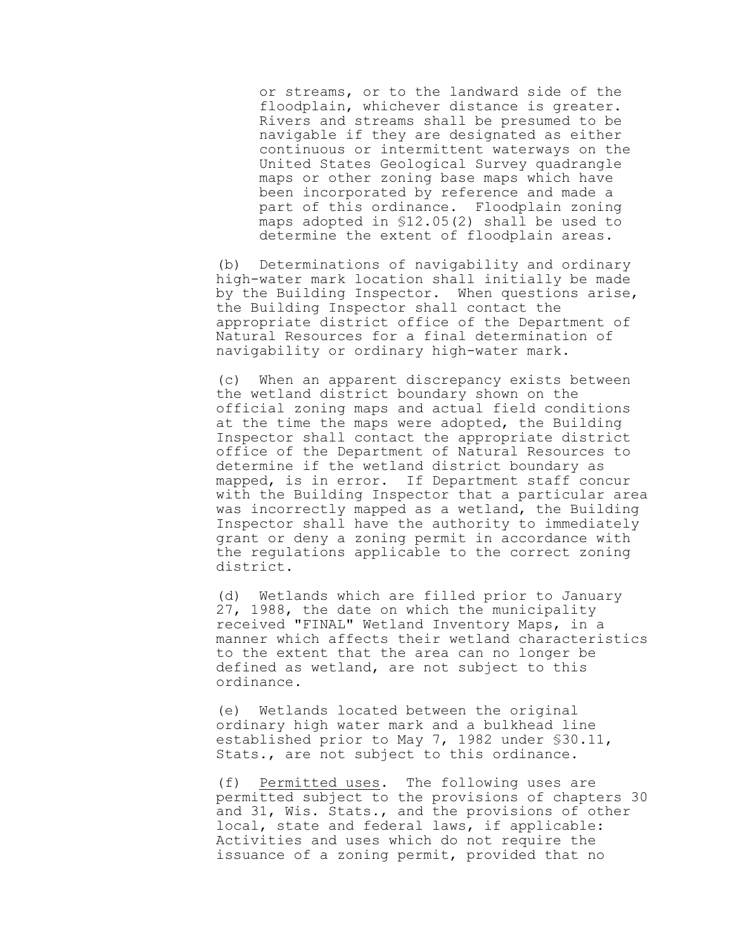or streams, or to the landward side of the floodplain, whichever distance is greater. Rivers and streams shall be presumed to be navigable if they are designated as either continuous or intermittent waterways on the United States Geological Survey quadrangle maps or other zoning base maps which have been incorporated by reference and made a part of this ordinance. Floodplain zoning maps adopted in §12.05(2) shall be used to determine the extent of floodplain areas.

(b) Determinations of navigability and ordinary high-water mark location shall initially be made by the Building Inspector. When questions arise, the Building Inspector shall contact the appropriate district office of the Department of Natural Resources for a final determination of navigability or ordinary high-water mark.

(c) When an apparent discrepancy exists between the wetland district boundary shown on the official zoning maps and actual field conditions at the time the maps were adopted, the Building Inspector shall contact the appropriate district office of the Department of Natural Resources to determine if the wetland district boundary as mapped, is in error. If Department staff concur with the Building Inspector that a particular area was incorrectly mapped as a wetland, the Building Inspector shall have the authority to immediately grant or deny a zoning permit in accordance with the regulations applicable to the correct zoning district.

(d) Wetlands which are filled prior to January 27, 1988, the date on which the municipality received "FINAL" Wetland Inventory Maps, in a manner which affects their wetland characteristics to the extent that the area can no longer be defined as wetland, are not subject to this ordinance.

(e) Wetlands located between the original ordinary high water mark and a bulkhead line established prior to May 7, 1982 under §30.11, Stats., are not subject to this ordinance.

(f) Permitted uses. The following uses are permitted subject to the provisions of chapters 30 and 31, Wis. Stats., and the provisions of other local, state and federal laws, if applicable: Activities and uses which do not require the issuance of a zoning permit, provided that no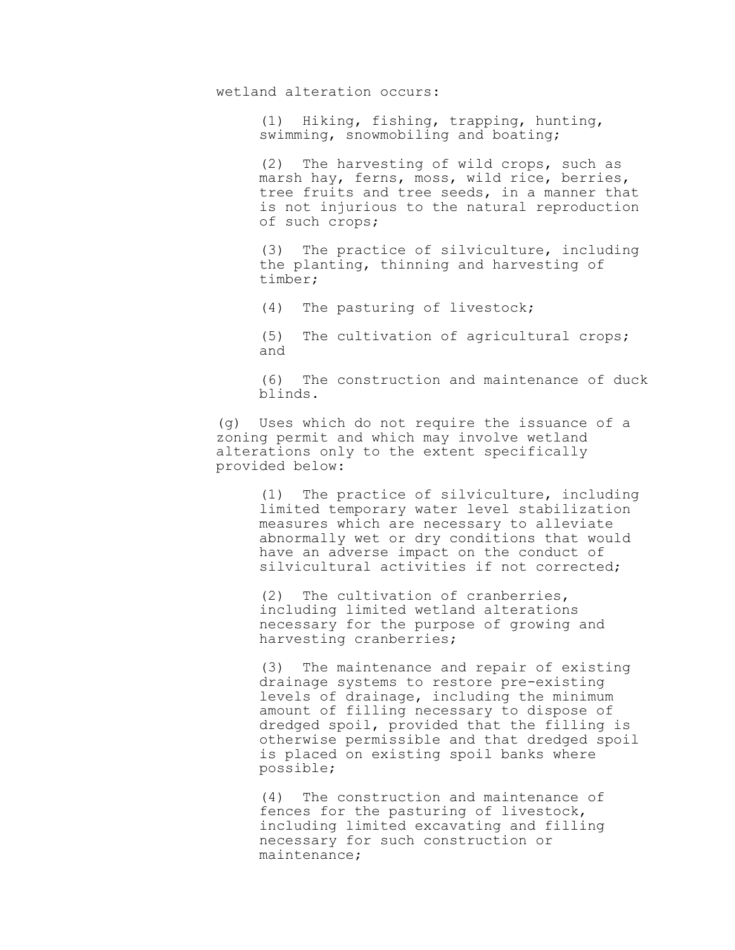wetland alteration occurs:

(1) Hiking, fishing, trapping, hunting, swimming, snowmobiling and boating;

(2) The harvesting of wild crops, such as marsh hay, ferns, moss, wild rice, berries, tree fruits and tree seeds, in a manner that is not injurious to the natural reproduction of such crops;

(3) The practice of silviculture, including the planting, thinning and harvesting of timber;

(4) The pasturing of livestock;

(5) The cultivation of agricultural crops; and

(6) The construction and maintenance of duck blinds.

(g) Uses which do not require the issuance of a zoning permit and which may involve wetland alterations only to the extent specifically provided below:

> (1) The practice of silviculture, including limited temporary water level stabilization measures which are necessary to alleviate abnormally wet or dry conditions that would have an adverse impact on the conduct of silvicultural activities if not corrected;

(2) The cultivation of cranberries, including limited wetland alterations necessary for the purpose of growing and harvesting cranberries;

(3) The maintenance and repair of existing drainage systems to restore pre-existing levels of drainage, including the minimum amount of filling necessary to dispose of dredged spoil, provided that the filling is otherwise permissible and that dredged spoil is placed on existing spoil banks where possible;

(4) The construction and maintenance of fences for the pasturing of livestock, including limited excavating and filling necessary for such construction or maintenance;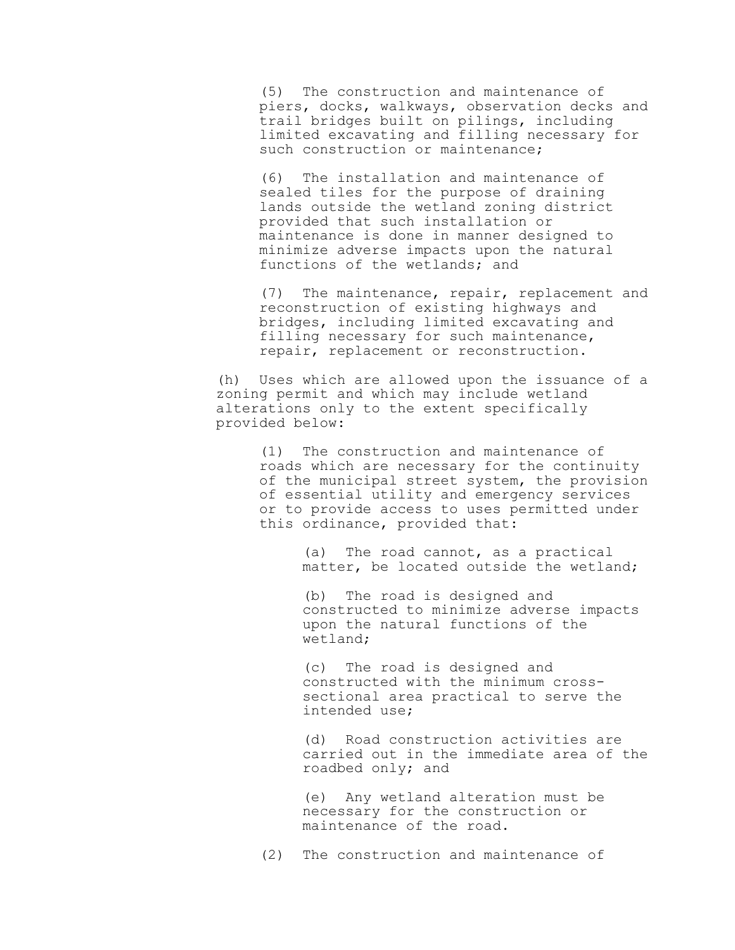(5) The construction and maintenance of piers, docks, walkways, observation decks and trail bridges built on pilings, including limited excavating and filling necessary for such construction or maintenance;

(6) The installation and maintenance of sealed tiles for the purpose of draining lands outside the wetland zoning district provided that such installation or maintenance is done in manner designed to minimize adverse impacts upon the natural functions of the wetlands; and

(7) The maintenance, repair, replacement and reconstruction of existing highways and bridges, including limited excavating and filling necessary for such maintenance, repair, replacement or reconstruction.

(h) Uses which are allowed upon the issuance of a zoning permit and which may include wetland alterations only to the extent specifically provided below:

(1) The construction and maintenance of roads which are necessary for the continuity of the municipal street system, the provision of essential utility and emergency services or to provide access to uses permitted under this ordinance, provided that:

> (a) The road cannot, as a practical matter, be located outside the wetland;

> (b) The road is designed and constructed to minimize adverse impacts upon the natural functions of the wetland;

(c) The road is designed and constructed with the minimum crosssectional area practical to serve the intended use;

(d) Road construction activities are carried out in the immediate area of the roadbed only; and

(e) Any wetland alteration must be necessary for the construction or maintenance of the road.

(2) The construction and maintenance of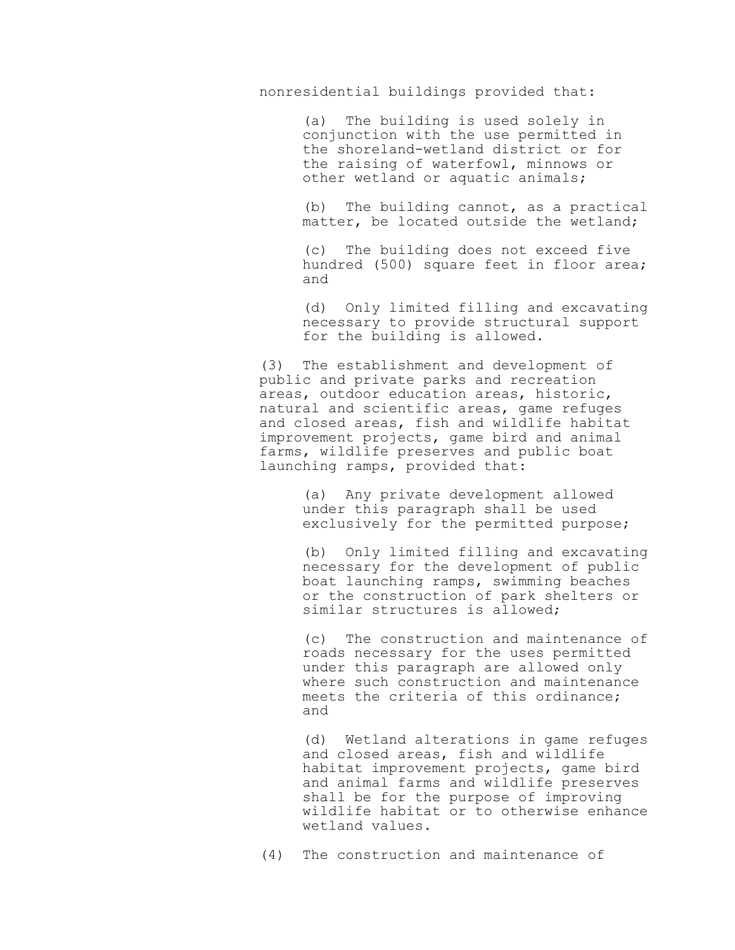nonresidential buildings provided that:

(a) The building is used solely in conjunction with the use permitted in the shoreland-wetland district or for the raising of waterfowl, minnows or other wetland or aquatic animals;

(b) The building cannot, as a practical matter, be located outside the wetland;

(c) The building does not exceed five hundred (500) square feet in floor area; and

(d) Only limited filling and excavating necessary to provide structural support for the building is allowed.

(3) The establishment and development of public and private parks and recreation areas, outdoor education areas, historic, natural and scientific areas, game refuges and closed areas, fish and wildlife habitat improvement projects, game bird and animal farms, wildlife preserves and public boat launching ramps, provided that:

> (a) Any private development allowed under this paragraph shall be used exclusively for the permitted purpose;

(b) Only limited filling and excavating necessary for the development of public boat launching ramps, swimming beaches or the construction of park shelters or similar structures is allowed;

(c) The construction and maintenance of roads necessary for the uses permitted under this paragraph are allowed only where such construction and maintenance meets the criteria of this ordinance; and

(d) Wetland alterations in game refuges and closed areas, fish and wildlife habitat improvement projects, game bird and animal farms and wildlife preserves shall be for the purpose of improving wildlife habitat or to otherwise enhance wetland values.

(4) The construction and maintenance of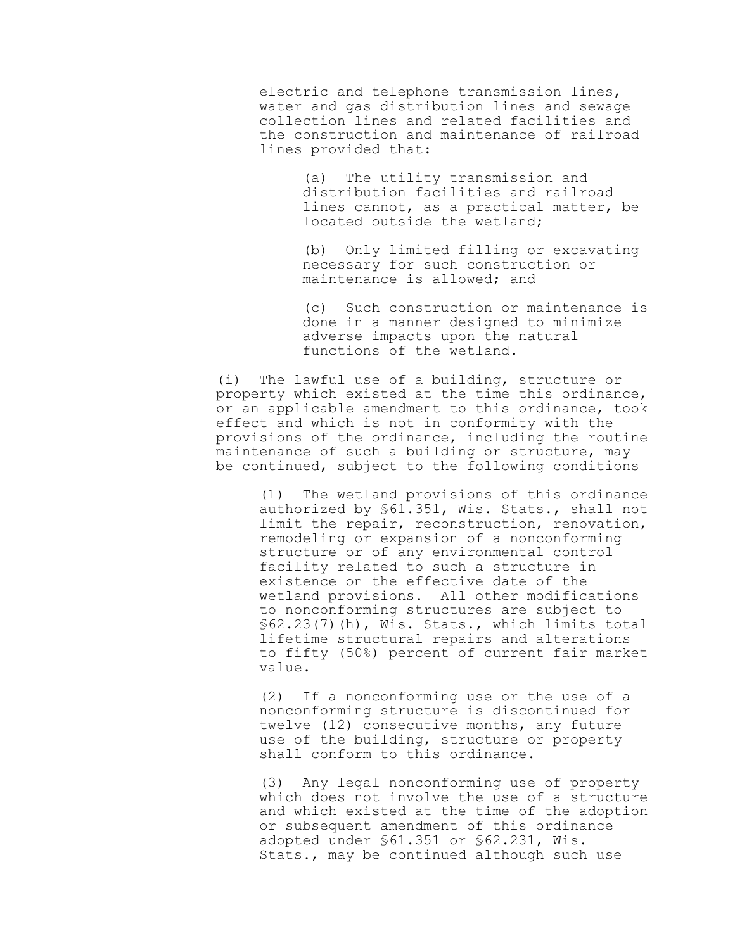electric and telephone transmission lines, water and gas distribution lines and sewage collection lines and related facilities and the construction and maintenance of railroad lines provided that:

> (a) The utility transmission and distribution facilities and railroad lines cannot, as a practical matter, be located outside the wetland;

> (b) Only limited filling or excavating necessary for such construction or maintenance is allowed; and

(c) Such construction or maintenance is done in a manner designed to minimize adverse impacts upon the natural functions of the wetland.

(i) The lawful use of a building, structure or property which existed at the time this ordinance, or an applicable amendment to this ordinance, took effect and which is not in conformity with the provisions of the ordinance, including the routine maintenance of such a building or structure, may be continued, subject to the following conditions

(1) The wetland provisions of this ordinance authorized by §61.351, Wis. Stats., shall not limit the repair, reconstruction, renovation, remodeling or expansion of a nonconforming structure or of any environmental control facility related to such a structure in existence on the effective date of the wetland provisions. All other modifications to nonconforming structures are subject to §62.23(7)(h), Wis. Stats., which limits total lifetime structural repairs and alterations to fifty (50%) percent of current fair market value.

(2) If a nonconforming use or the use of a nonconforming structure is discontinued for twelve (12) consecutive months, any future use of the building, structure or property shall conform to this ordinance.

(3) Any legal nonconforming use of property which does not involve the use of a structure and which existed at the time of the adoption or subsequent amendment of this ordinance adopted under §61.351 or §62.231, Wis. Stats., may be continued although such use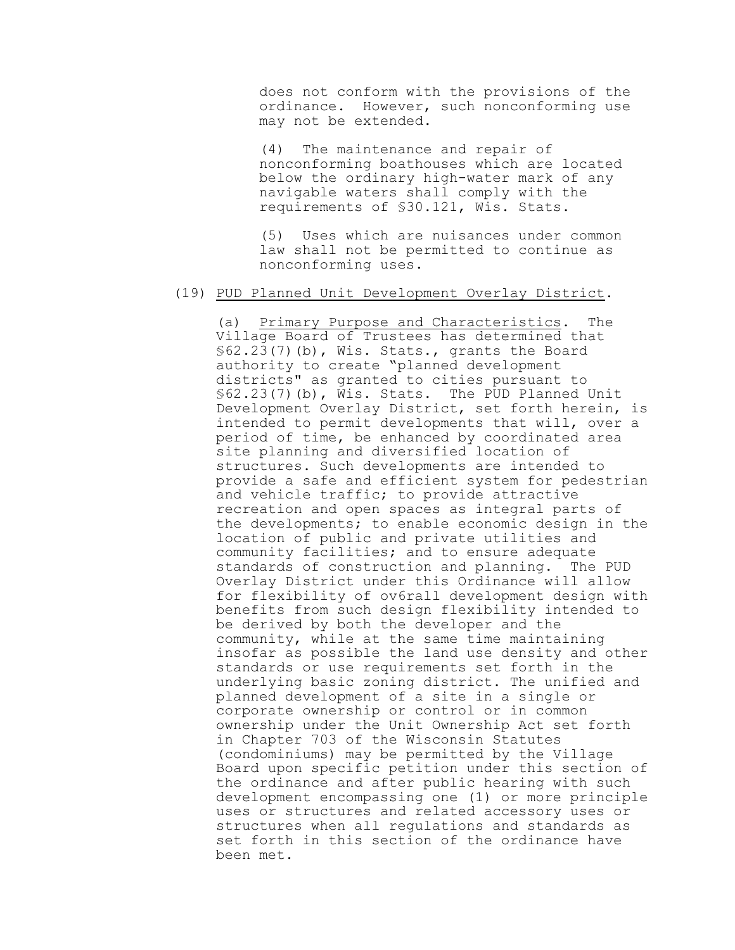does not conform with the provisions of the ordinance. However, such nonconforming use may not be extended.

(4) The maintenance and repair of nonconforming boathouses which are located below the ordinary high-water mark of any navigable waters shall comply with the requirements of §30.121, Wis. Stats.

(5) Uses which are nuisances under common law shall not be permitted to continue as nonconforming uses.

### (19) PUD Planned Unit Development Overlay District.

(a) Primary Purpose and Characteristics. The Village Board of Trustees has determined that  $$62.23(7)(b)$ , Wis. Stats., grants the Board authority to create "planned development districts" as granted to cities pursuant to §62.23(7)(b), Wis. Stats. The PUD Planned Unit Development Overlay District, set forth herein, is intended to permit developments that will, over a period of time, be enhanced by coordinated area site planning and diversified location of structures. Such developments are intended to provide a safe and efficient system for pedestrian and vehicle traffic; to provide attractive recreation and open spaces as integral parts of the developments; to enable economic design in the location of public and private utilities and community facilities; and to ensure adequate standards of construction and planning. The PUD Overlay District under this Ordinance will allow for flexibility of ov6rall development design with benefits from such design flexibility intended to be derived by both the developer and the community, while at the same time maintaining insofar as possible the land use density and other standards or use requirements set forth in the underlying basic zoning district. The unified and planned development of a site in a single or corporate ownership or control or in common ownership under the Unit Ownership Act set forth in Chapter 703 of the Wisconsin Statutes (condominiums) may be permitted by the Village Board upon specific petition under this section of the ordinance and after public hearing with such development encompassing one (1) or more principle uses or structures and related accessory uses or structures when all regulations and standards as set forth in this section of the ordinance have been met.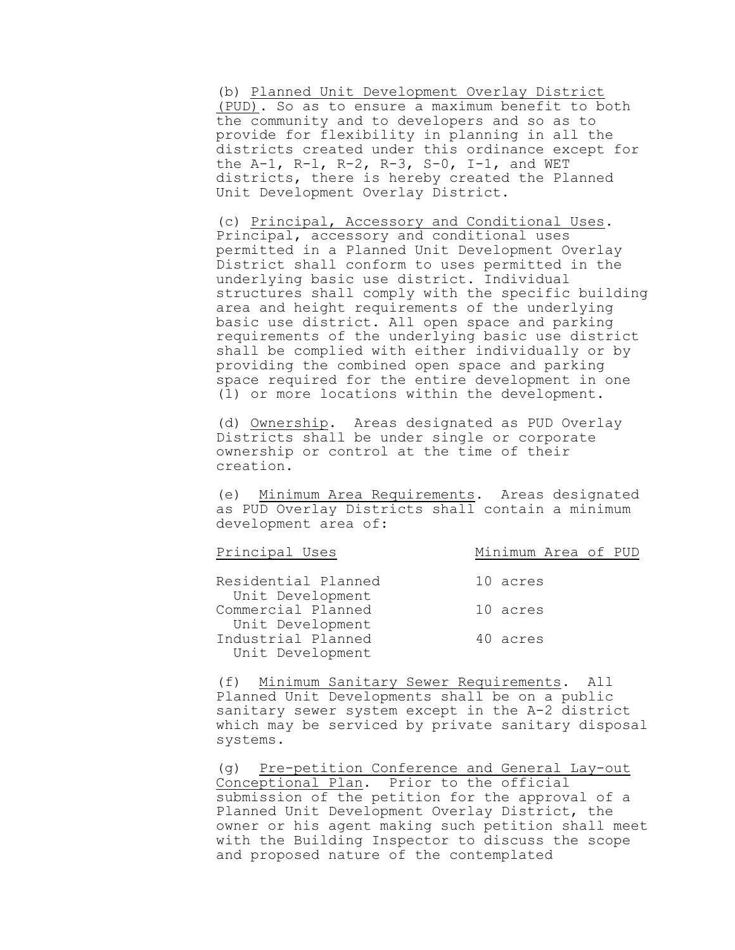(b) Planned Unit Development Overlay District (PUD). So as to ensure a maximum benefit to both the community and to developers and so as to provide for flexibility in planning in all the districts created under this ordinance except for the A-1, R-l, R-2, R-3, S-0, I-1, and WET districts, there is hereby created the Planned Unit Development Overlay District.

(c) Principal, Accessory and Conditional Uses. Principal, accessory and conditional uses permitted in a Planned Unit Development Overlay District shall conform to uses permitted in the underlying basic use district. Individual structures shall comply with the specific building area and height requirements of the underlying basic use district. All open space and parking requirements of the underlying basic use district shall be complied with either individually or by providing the combined open space and parking space required for the entire development in one (1) or more locations within the development.

(d) Ownership. Areas designated as PUD Overlay Districts shall be under single or corporate ownership or control at the time of their creation.

(e) Minimum Area Requirements. Areas designated as PUD Overlay Districts shall contain a minimum development area of:

| Principal Uses      | Minimum Area of PUD |
|---------------------|---------------------|
|                     |                     |
| Residential Planned | 10 acres            |
| Unit Development    |                     |
| Commercial Planned  | 10 acres            |
| Unit Development    |                     |
| Industrial Planned  | 40 acres            |
| Unit Development    |                     |

(f) Minimum Sanitary Sewer Requirements. All Planned Unit Developments shall be on a public sanitary sewer system except in the A-2 district which may be serviced by private sanitary disposal systems.

(g) Pre-petition Conference and General Lay-out Conceptional Plan. Prior to the official submission of the petition for the approval of a Planned Unit Development Overlay District, the owner or his agent making such petition shall meet with the Building Inspector to discuss the scope and proposed nature of the contemplated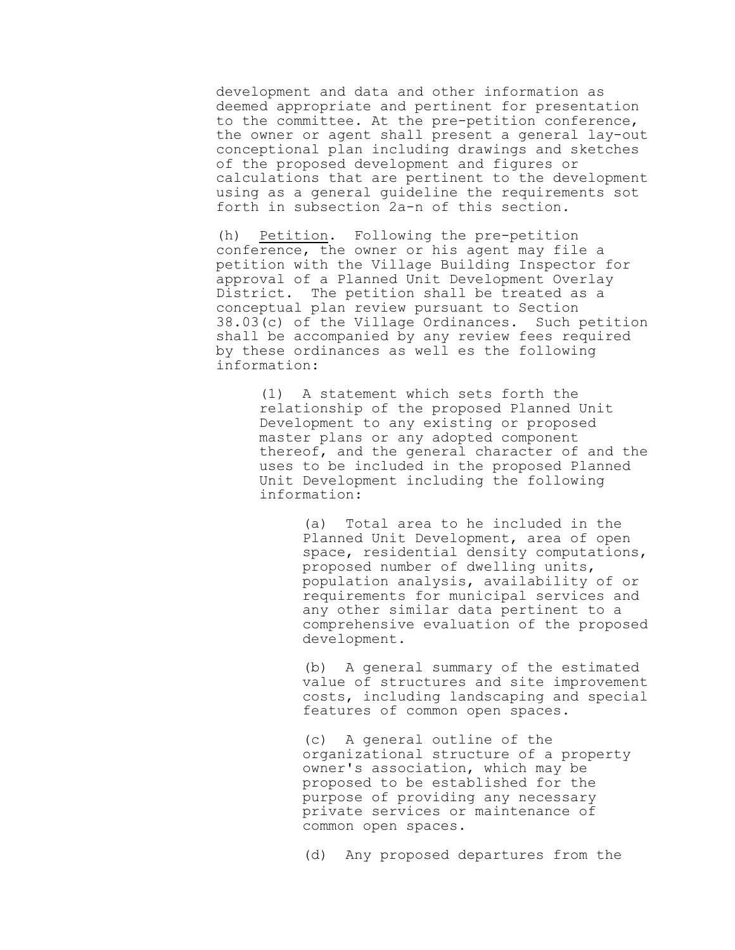development and data and other information as deemed appropriate and pertinent for presentation to the committee. At the pre-petition conference, the owner or agent shall present a general lay-out conceptional plan including drawings and sketches of the proposed development and figures or calculations that are pertinent to the development using as a general guideline the requirements sot forth in subsection 2a-n of this section.

(h) Petition. Following the pre-petition conference, the owner or his agent may file a petition with the Village Building Inspector for approval of a Planned Unit Development Overlay District. The petition shall be treated as a conceptual plan review pursuant to Section 38.03(c) of the Village Ordinances. Such petition shall be accompanied by any review fees required by these ordinances as well es the following information:

(1) A statement which sets forth the relationship of the proposed Planned Unit Development to any existing or proposed master plans or any adopted component thereof, and the general character of and the uses to be included in the proposed Planned Unit Development including the following information:

> (a) Total area to he included in the Planned Unit Development, area of open space, residential density computations, proposed number of dwelling units, population analysis, availability of or requirements for municipal services and any other similar data pertinent to a comprehensive evaluation of the proposed development.

> (b) A general summary of the estimated value of structures and site improvement costs, including landscaping and special features of common open spaces.

(c) A general outline of the organizational structure of a property owner's association, which may be proposed to be established for the purpose of providing any necessary private services or maintenance of common open spaces.

(d) Any proposed departures from the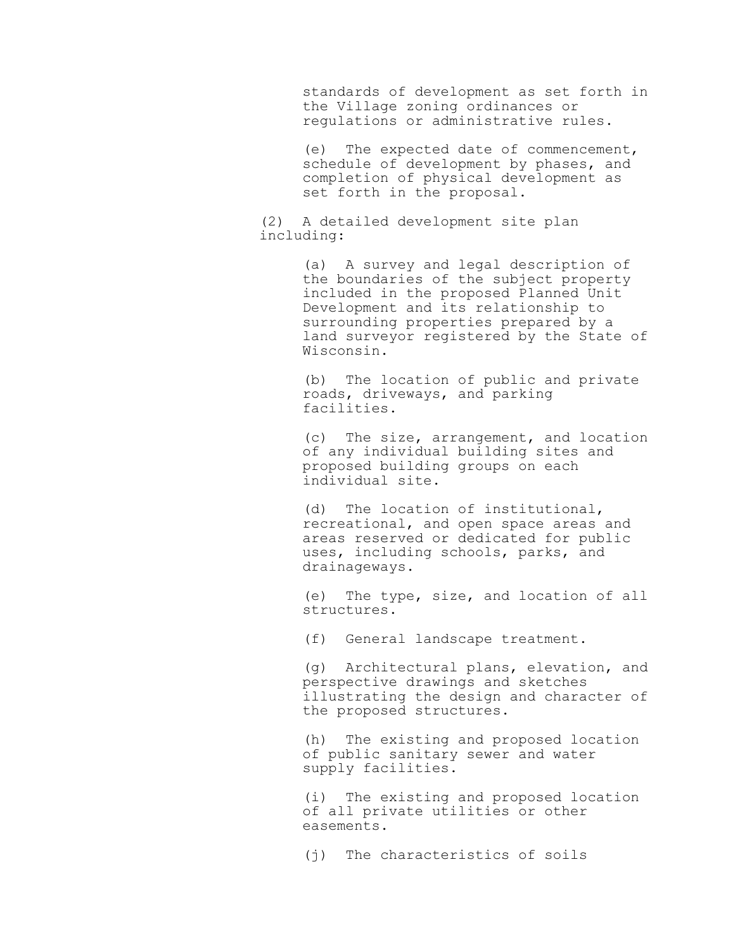standards of development as set forth in the Village zoning ordinances or regulations or administrative rules.

(e) The expected date of commencement, schedule of development by phases, and completion of physical development as set forth in the proposal.

(2) A detailed development site plan including:

> (a) A survey and legal description of the boundaries of the subject property included in the proposed Planned Unit Development and its relationship to surrounding properties prepared by a land surveyor registered by the State of Wisconsin.

(b) The location of public and private roads, driveways, and parking facilities.

(c) The size, arrangement, and location of any individual building sites and proposed building groups on each individual site.

(d) The location of institutional, recreational, and open space areas and areas reserved or dedicated for public uses, including schools, parks, and drainageways.

(e) The type, size, and location of all structures.

(f) General landscape treatment.

(g) Architectural plans, elevation, and perspective drawings and sketches illustrating the design and character of the proposed structures.

(h) The existing and proposed location of public sanitary sewer and water supply facilities.

(i) The existing and proposed location of all private utilities or other easements.

(j) The characteristics of soils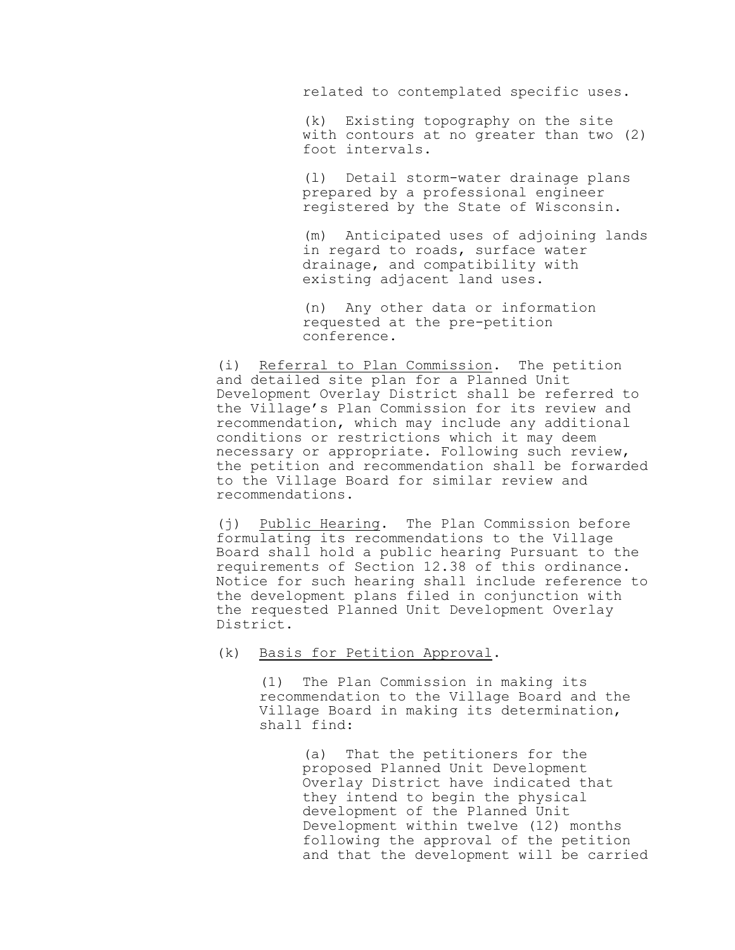related to contemplated specific uses.

(k) Existing topography on the site with contours at no greater than two (2) foot intervals.

(l) Detail storm-water drainage plans prepared by a professional engineer registered by the State of Wisconsin.

(m) Anticipated uses of adjoining lands in regard to roads, surface water drainage, and compatibility with existing adjacent land uses.

(n) Any other data or information requested at the pre-petition conference.

(i) Referral to Plan Commission. The petition and detailed site plan for a Planned Unit Development Overlay District shall be referred to the Village's Plan Commission for its review and recommendation, which may include any additional conditions or restrictions which it may deem necessary or appropriate. Following such review, the petition and recommendation shall be forwarded to the Village Board for similar review and recommendations.

(j) Public Hearing. The Plan Commission before formulating its recommendations to the Village Board shall hold a public hearing Pursuant to the requirements of Section 12.38 of this ordinance. Notice for such hearing shall include reference to the development plans filed in conjunction with the requested Planned Unit Development Overlay District.

(k) Basis for Petition Approval.

(1) The Plan Commission in making its recommendation to the Village Board and the Village Board in making its determination, shall find:

> (a) That the petitioners for the proposed Planned Unit Development Overlay District have indicated that they intend to begin the physical development of the Planned Unit Development within twelve (12) months following the approval of the petition and that the development will be carried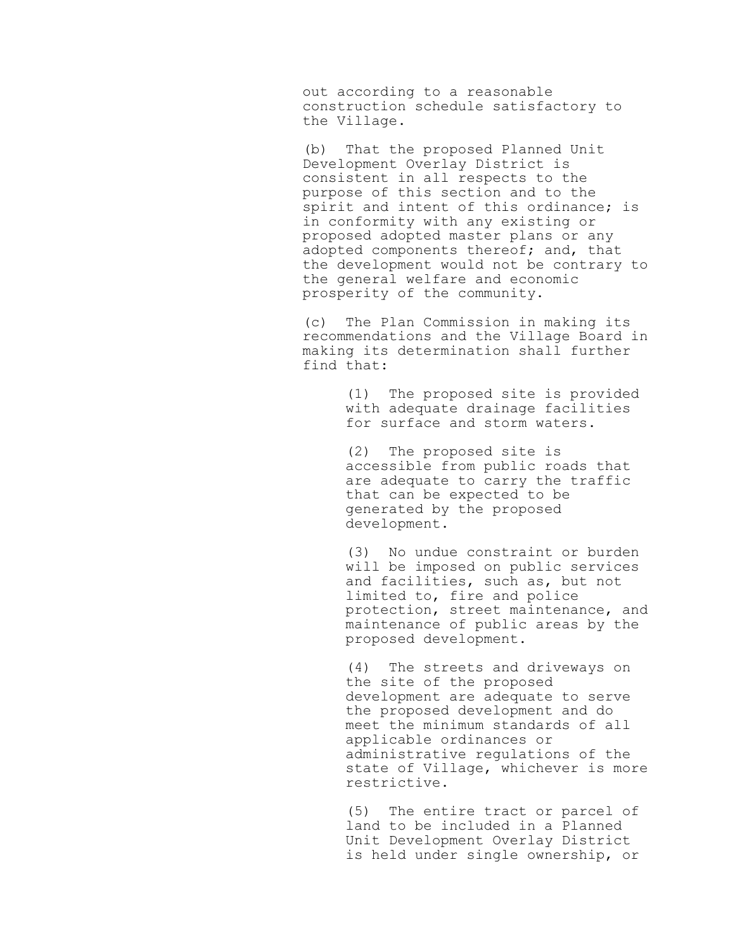out according to a reasonable construction schedule satisfactory to the Village.

(b) That the proposed Planned Unit Development Overlay District is consistent in all respects to the purpose of this section and to the spirit and intent of this ordinance; is in conformity with any existing or proposed adopted master plans or any adopted components thereof; and, that the development would not be contrary to the general welfare and economic prosperity of the community.

(c) The Plan Commission in making its recommendations and the Village Board in making its determination shall further find that:

> (1) The proposed site is provided with adequate drainage facilities for surface and storm waters.

(2) The proposed site is accessible from public roads that are adequate to carry the traffic that can be expected to be generated by the proposed development.

(3) No undue constraint or burden will be imposed on public services and facilities, such as, but not limited to, fire and police protection, street maintenance, and maintenance of public areas by the proposed development.

(4) The streets and driveways on the site of the proposed development are adequate to serve the proposed development and do meet the minimum standards of all applicable ordinances or administrative regulations of the state of Village, whichever is more restrictive.

(5) The entire tract or parcel of land to be included in a Planned Unit Development Overlay District is held under single ownership, or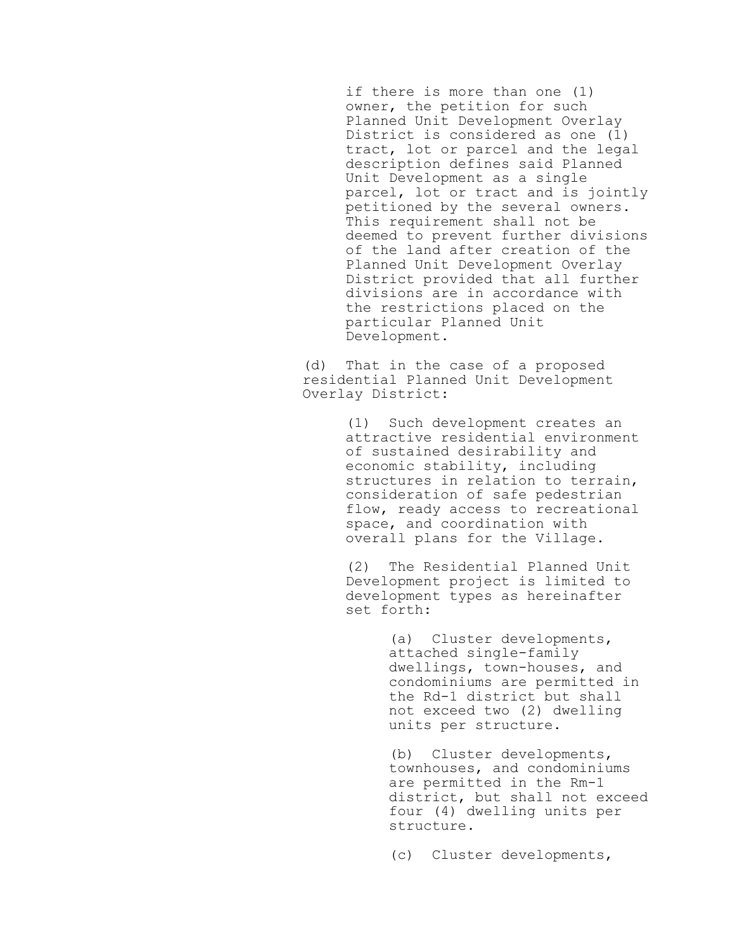if there is more than one (1) owner, the petition for such Planned Unit Development Overlay District is considered as one (1) tract, lot or parcel and the legal description defines said Planned Unit Development as a single parcel, lot or tract and is jointly petitioned by the several owners. This requirement shall not be deemed to prevent further divisions of the land after creation of the Planned Unit Development Overlay District provided that all further divisions are in accordance with the restrictions placed on the particular Planned Unit Development.

(d) That in the case of a proposed residential Planned Unit Development Overlay District:

> (1) Such development creates an attractive residential environment of sustained desirability and economic stability, including structures in relation to terrain, consideration of safe pedestrian flow, ready access to recreational space, and coordination with overall plans for the Village.

(2) The Residential Planned Unit Development project is limited to development types as hereinafter set forth:

> (a) Cluster developments, attached single-family dwellings, town-houses, and condominiums are permitted in the Rd-1 district but shall not exceed two (2) dwelling units per structure.

(b) Cluster developments, townhouses, and condominiums are permitted in the Rm-1 district, but shall not exceed four (4) dwelling units per structure.

(c) Cluster developments,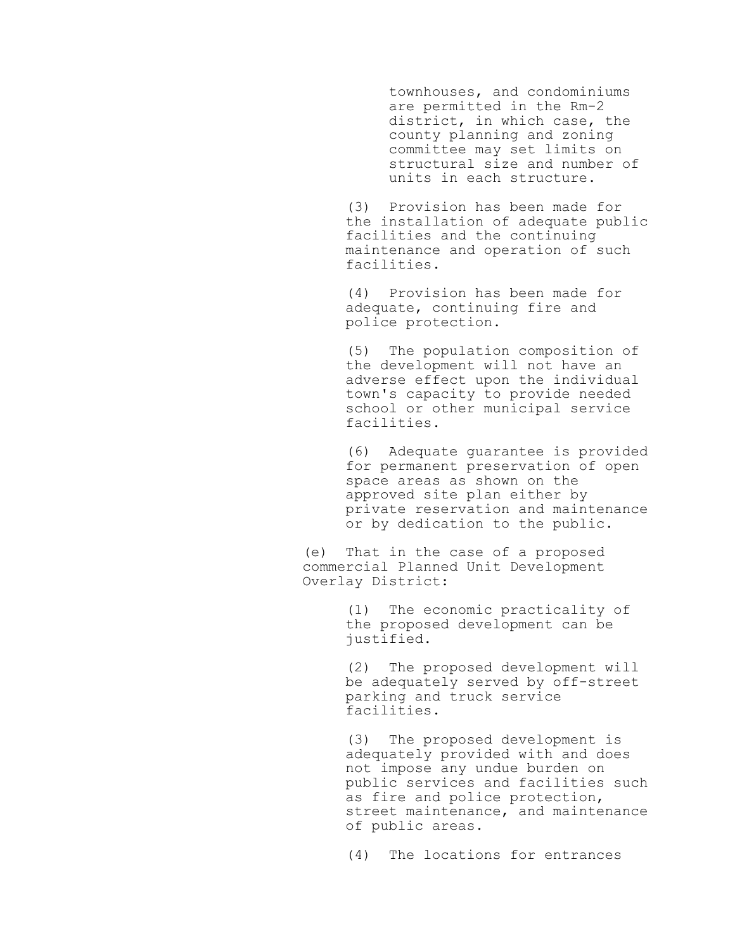townhouses, and condominiums are permitted in the Rm-2 district, in which case, the county planning and zoning committee may set limits on structural size and number of units in each structure.

(3) Provision has been made for the installation of adequate public facilities and the continuing maintenance and operation of such facilities.

(4) Provision has been made for adequate, continuing fire and police protection.

(5) The population composition of the development will not have an adverse effect upon the individual town's capacity to provide needed school or other municipal service facilities.

(6) Adequate guarantee is provided for permanent preservation of open space areas as shown on the approved site plan either by private reservation and maintenance or by dedication to the public.

(e) That in the case of a proposed commercial Planned Unit Development Overlay District:

> (1) The economic practicality of the proposed development can be justified.

(2) The proposed development will be adequately served by off-street parking and truck service facilities.

(3) The proposed development is adequately provided with and does not impose any undue burden on public services and facilities such as fire and police protection, street maintenance, and maintenance of public areas.

(4) The locations for entrances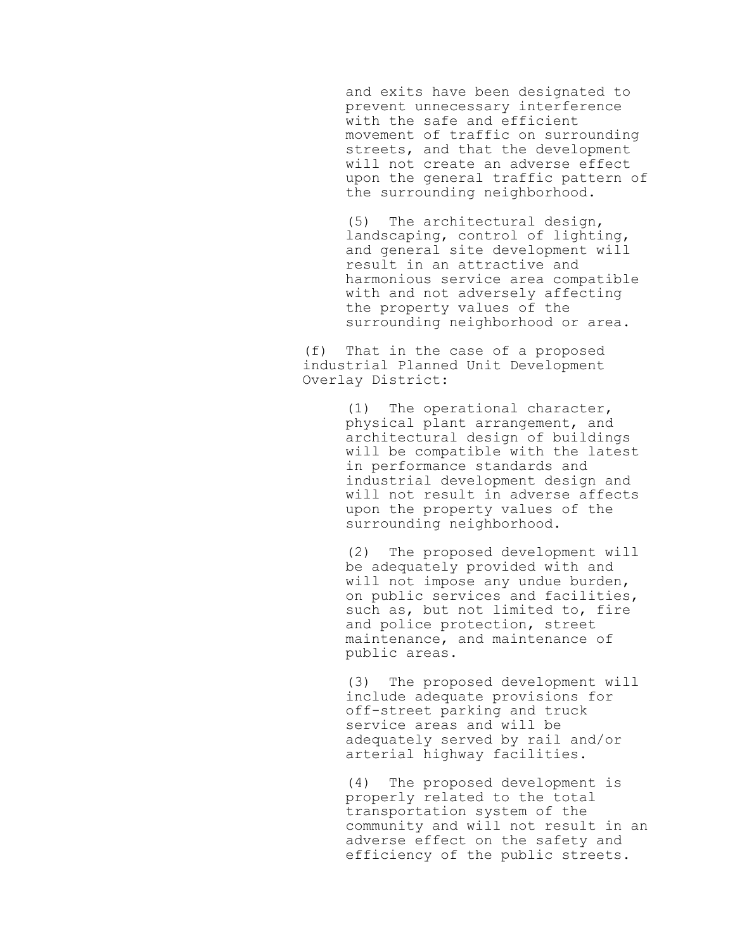and exits have been designated to prevent unnecessary interference with the safe and efficient movement of traffic on surrounding streets, and that the development will not create an adverse effect upon the general traffic pattern of the surrounding neighborhood.

(5) The architectural design, landscaping, control of lighting, and general site development will result in an attractive and harmonious service area compatible with and not adversely affecting the property values of the surrounding neighborhood or area.

(f) That in the case of a proposed industrial Planned Unit Development Overlay District:

> (1) The operational character, physical plant arrangement, and architectural design of buildings will be compatible with the latest in performance standards and industrial development design and will not result in adverse affects upon the property values of the surrounding neighborhood.

> (2) The proposed development will be adequately provided with and will not impose any undue burden, on public services and facilities, such as, but not limited to, fire and police protection, street maintenance, and maintenance of public areas.

> (3) The proposed development will include adequate provisions for off-street parking and truck service areas and will be adequately served by rail and/or arterial highway facilities.

(4) The proposed development is properly related to the total transportation system of the community and will not result in an adverse effect on the safety and efficiency of the public streets.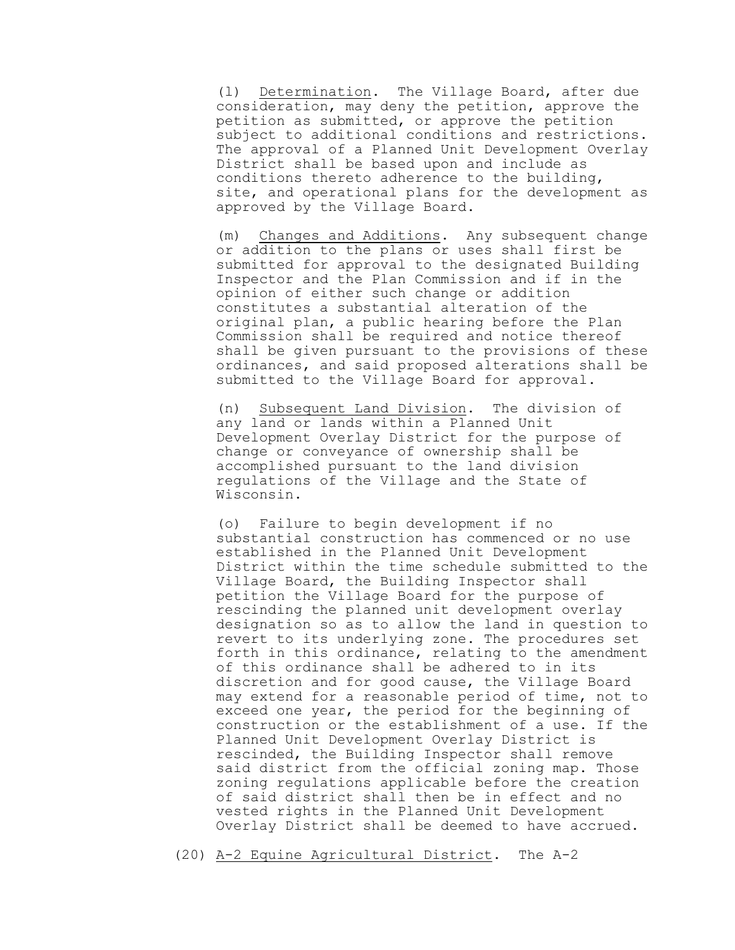(l) Determination. The Village Board, after due consideration, may deny the petition, approve the petition as submitted, or approve the petition subject to additional conditions and restrictions. The approval of a Planned Unit Development Overlay District shall be based upon and include as conditions thereto adherence to the building, site, and operational plans for the development as approved by the Village Board.

(m) Changes and Additions. Any subsequent change or addition to the plans or uses shall first be submitted for approval to the designated Building Inspector and the Plan Commission and if in the opinion of either such change or addition constitutes a substantial alteration of the original plan, a public hearing before the Plan Commission shall be required and notice thereof shall be given pursuant to the provisions of these ordinances, and said proposed alterations shall be submitted to the Village Board for approval.

(n) Subsequent Land Division. The division of any land or lands within a Planned Unit Development Overlay District for the purpose of change or conveyance of ownership shall be accomplished pursuant to the land division regulations of the Village and the State of Wisconsin.

(o) Failure to begin development if no substantial construction has commenced or no use established in the Planned Unit Development District within the time schedule submitted to the Village Board, the Building Inspector shall petition the Village Board for the purpose of rescinding the planned unit development overlay designation so as to allow the land in question to revert to its underlying zone. The procedures set forth in this ordinance, relating to the amendment of this ordinance shall be adhered to in its discretion and for good cause, the Village Board may extend for a reasonable period of time, not to exceed one year, the period for the beginning of construction or the establishment of a use. If the Planned Unit Development Overlay District is rescinded, the Building Inspector shall remove said district from the official zoning map. Those zoning regulations applicable before the creation of said district shall then be in effect and no vested rights in the Planned Unit Development Overlay District shall be deemed to have accrued.

(20) A-2 Equine Agricultural District. The A-2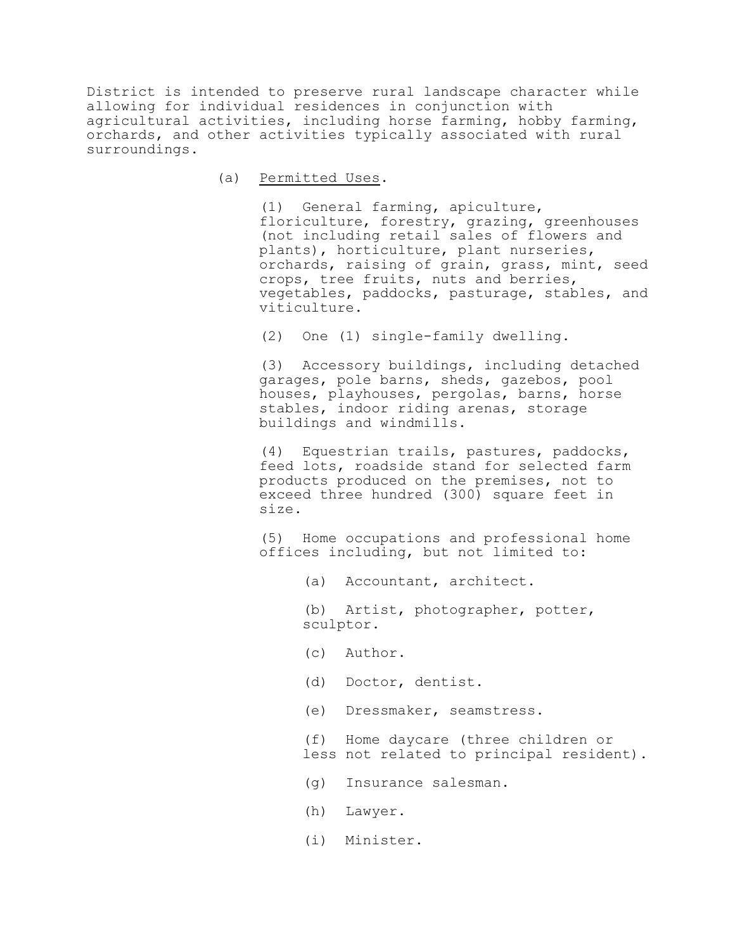District is intended to preserve rural landscape character while allowing for individual residences in conjunction with agricultural activities, including horse farming, hobby farming, orchards, and other activities typically associated with rural surroundings.

(a) Permitted Uses.

(1) General farming, apiculture, floriculture, forestry, grazing, greenhouses (not including retail sales of flowers and plants), horticulture, plant nurseries, orchards, raising of grain, grass, mint, seed crops, tree fruits, nuts and berries, vegetables, paddocks, pasturage, stables, and viticulture.

(2) One (1) single-family dwelling.

(3) Accessory buildings, including detached garages, pole barns, sheds, gazebos, pool houses, playhouses, pergolas, barns, horse stables, indoor riding arenas, storage buildings and windmills.

(4) Equestrian trails, pastures, paddocks, feed lots, roadside stand for selected farm products produced on the premises, not to exceed three hundred (300) square feet in size.

(5) Home occupations and professional home offices including, but not limited to:

(a) Accountant, architect.

(b) Artist, photographer, potter, sculptor.

- (c) Author.
- (d) Doctor, dentist.
- (e) Dressmaker, seamstress.

(f) Home daycare (three children or less not related to principal resident).

- (g) Insurance salesman.
- (h) Lawyer.
- (i) Minister.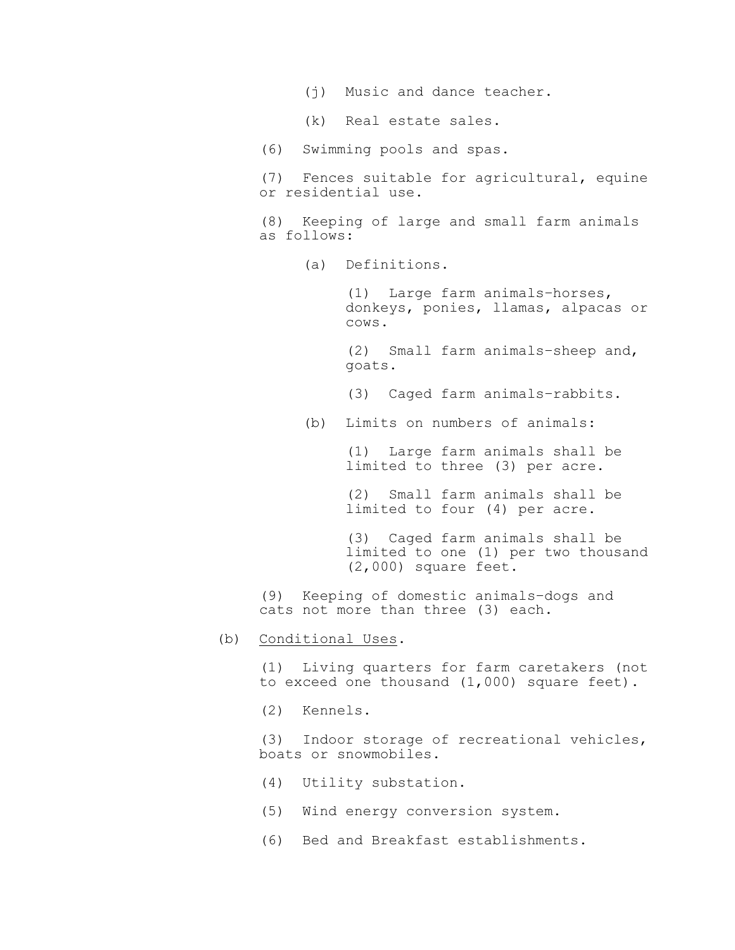- (j) Music and dance teacher.
- (k) Real estate sales.
- (6) Swimming pools and spas.
- (7) Fences suitable for agricultural, equine or residential use.
- (8) Keeping of large and small farm animals as follows:
	- (a) Definitions.

(1) Large farm animals–horses, donkeys, ponies, llamas, alpacas or cows.

(2) Small farm animals–sheep and, goats.

- (3) Caged farm animals–rabbits.
- (b) Limits on numbers of animals:

(1) Large farm animals shall be limited to three (3) per acre.

(2) Small farm animals shall be limited to four (4) per acre.

(3) Caged farm animals shall be limited to one (1) per two thousand (2,000) square feet.

(9) Keeping of domestic animals–dogs and cats not more than three (3) each.

(b) Conditional Uses.

(1) Living quarters for farm caretakers (not to exceed one thousand (1,000) square feet).

(2) Kennels.

(3) Indoor storage of recreational vehicles, boats or snowmobiles.

- (4) Utility substation.
- (5) Wind energy conversion system.
- (6) Bed and Breakfast establishments.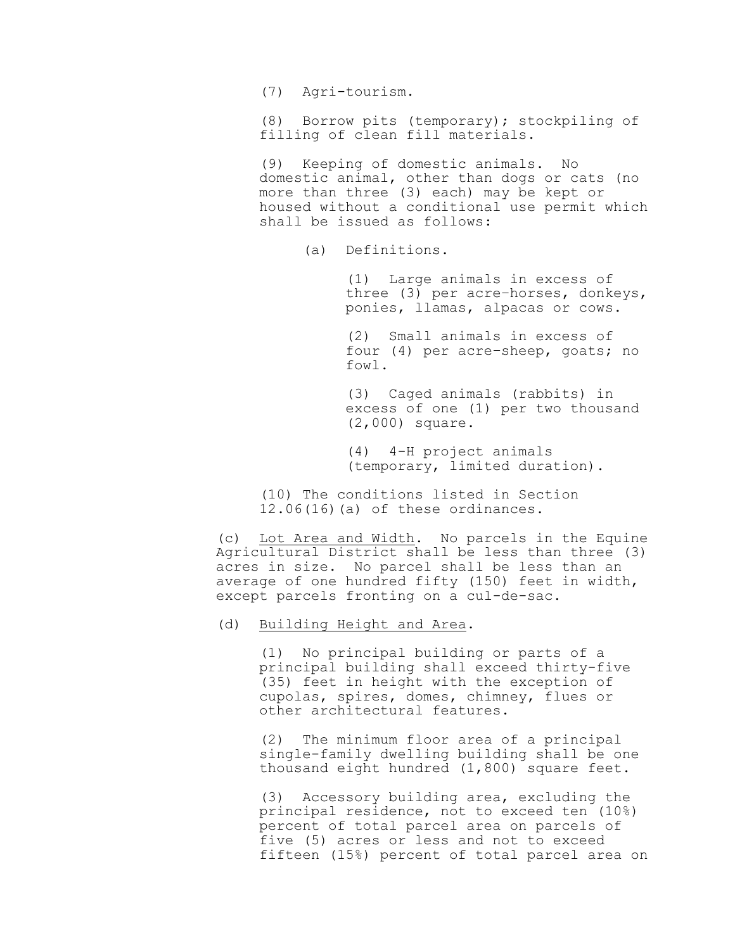(7) Agri-tourism.

(8) Borrow pits (temporary); stockpiling of filling of clean fill materials.

(9) Keeping of domestic animals. No domestic animal, other than dogs or cats (no more than three (3) each) may be kept or housed without a conditional use permit which shall be issued as follows:

(a) Definitions.

(1) Large animals in excess of three (3) per acre–horses, donkeys, ponies, llamas, alpacas or cows.

(2) Small animals in excess of four (4) per acre–sheep, goats; no fowl.

(3) Caged animals (rabbits) in excess of one (1) per two thousand (2,000) square.

(4) 4-H project animals (temporary, limited duration).

(10) The conditions listed in Section  $12.06(16)(a)$  of these ordinances.

(c) Lot Area and Width. No parcels in the Equine Agricultural District shall be less than three (3) acres in size. No parcel shall be less than an average of one hundred fifty (150) feet in width, except parcels fronting on a cul-de-sac.

# (d) Building Height and Area.

(1) No principal building or parts of a principal building shall exceed thirty-five (35) feet in height with the exception of cupolas, spires, domes, chimney, flues or other architectural features.

(2) The minimum floor area of a principal single-family dwelling building shall be one thousand eight hundred (1,800) square feet.

(3) Accessory building area, excluding the principal residence, not to exceed ten (10%) percent of total parcel area on parcels of five (5) acres or less and not to exceed fifteen (15%) percent of total parcel area on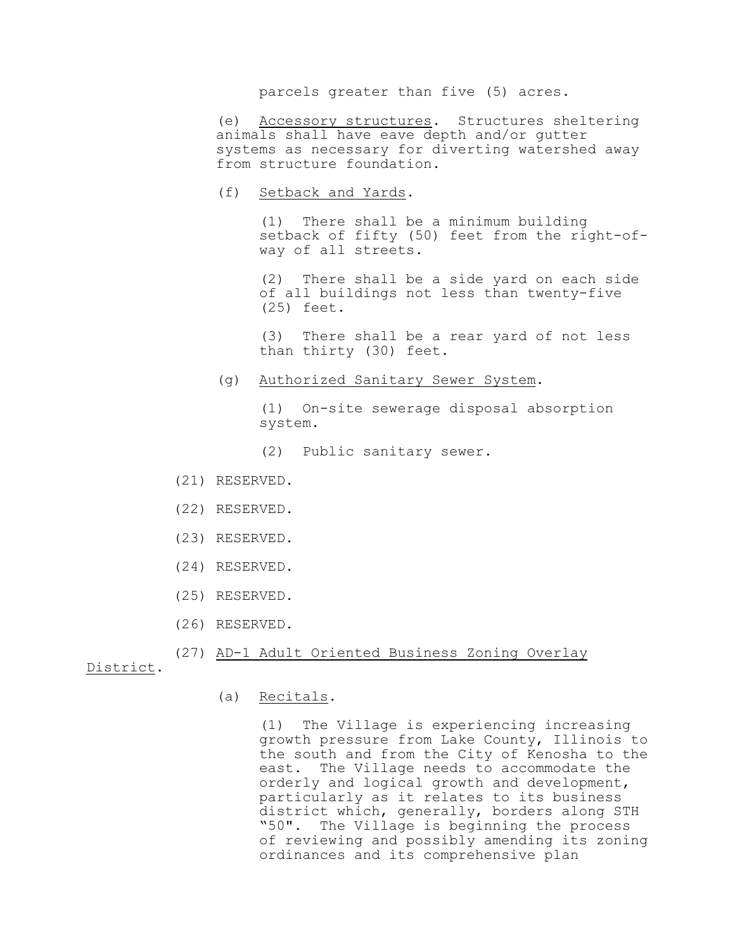parcels greater than five (5) acres.

(e) Accessory structures. Structures sheltering animals shall have eave depth and/or gutter systems as necessary for diverting watershed away from structure foundation.

(f) Setback and Yards.

(1) There shall be a minimum building setback of fifty (50) feet from the right-ofway of all streets.

(2) There shall be a side yard on each side of all buildings not less than twenty-five (25) feet.

(3) There shall be a rear yard of not less than thirty (30) feet.

(g) Authorized Sanitary Sewer System.

(1) On-site sewerage disposal absorption system.

- (2) Public sanitary sewer.
- (21) RESERVED.
- (22) RESERVED.
- (23) RESERVED.
- (24) RESERVED.
- (25) RESERVED.
- (26) RESERVED.

# (27) AD-1 Adult Oriented Business Zoning Overlay

District.

(a) Recitals.

(1) The Village is experiencing increasing growth pressure from Lake County, Illinois to the south and from the City of Kenosha to the east. The Village needs to accommodate the orderly and logical growth and development, particularly as it relates to its business district which, generally, borders along STH "50". The Village is beginning the process of reviewing and possibly amending its zoning ordinances and its comprehensive plan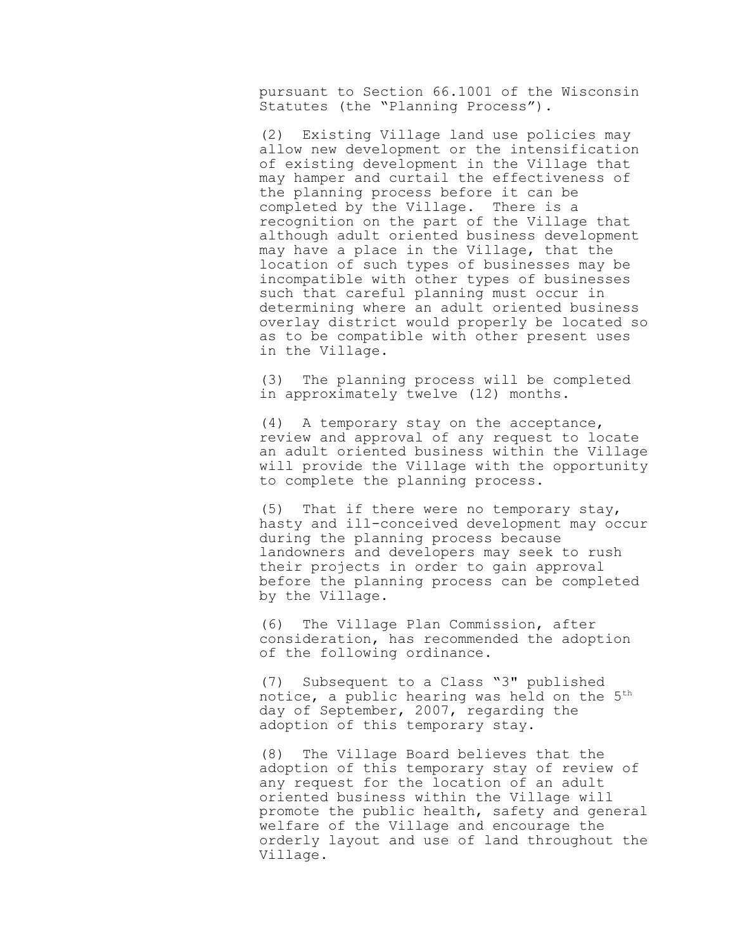pursuant to Section 66.1001 of the Wisconsin Statutes (the "Planning Process").

(2) Existing Village land use policies may allow new development or the intensification of existing development in the Village that may hamper and curtail the effectiveness of the planning process before it can be completed by the Village. There is a recognition on the part of the Village that although adult oriented business development may have a place in the Village, that the location of such types of businesses may be incompatible with other types of businesses such that careful planning must occur in determining where an adult oriented business overlay district would properly be located so as to be compatible with other present uses in the Village.

(3) The planning process will be completed in approximately twelve (12) months.

(4) A temporary stay on the acceptance, review and approval of any request to locate an adult oriented business within the Village will provide the Village with the opportunity to complete the planning process.

(5) That if there were no temporary stay, hasty and ill-conceived development may occur during the planning process because landowners and developers may seek to rush their projects in order to gain approval before the planning process can be completed by the Village.

(6) The Village Plan Commission, after consideration, has recommended the adoption of the following ordinance.

(7) Subsequent to a Class "3" published notice, a public hearing was held on the 5<sup>th</sup> day of September, 2007, regarding the adoption of this temporary stay.

(8) The Village Board believes that the adoption of this temporary stay of review of any request for the location of an adult oriented business within the Village will promote the public health, safety and general welfare of the Village and encourage the orderly layout and use of land throughout the Village.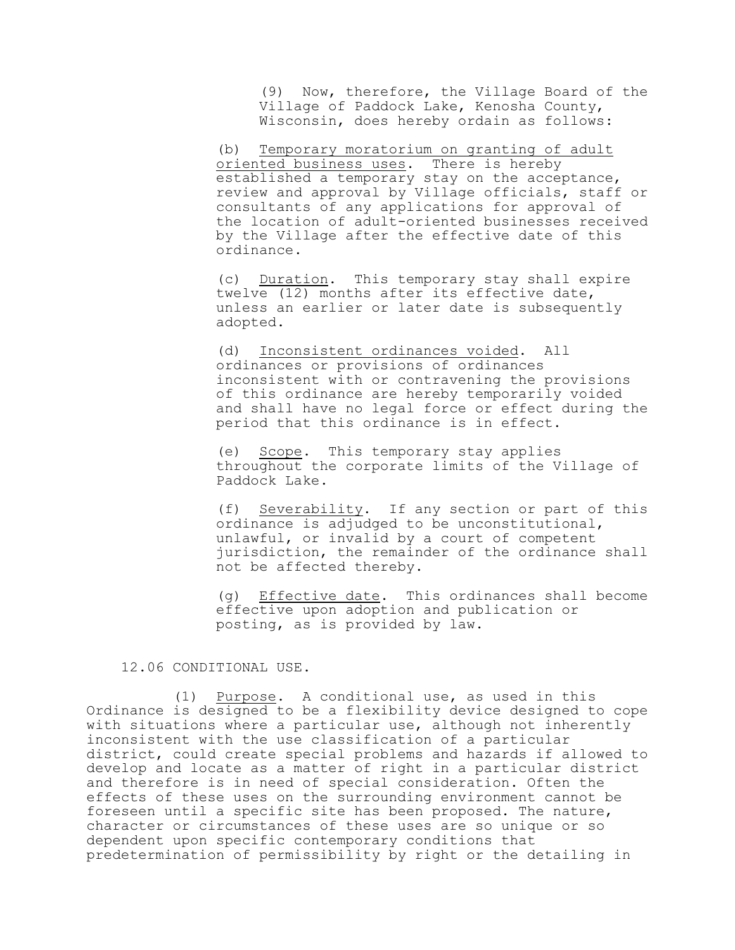(9) Now, therefore, the Village Board of the Village of Paddock Lake, Kenosha County, Wisconsin, does hereby ordain as follows:

(b) Temporary moratorium on granting of adult oriented business uses. There is hereby established a temporary stay on the acceptance, review and approval by Village officials, staff or consultants of any applications for approval of the location of adult-oriented businesses received by the Village after the effective date of this ordinance.

(c) Duration. This temporary stay shall expire twelve (12) months after its effective date, unless an earlier or later date is subsequently adopted.

(d) Inconsistent ordinances voided. All ordinances or provisions of ordinances inconsistent with or contravening the provisions of this ordinance are hereby temporarily voided and shall have no legal force or effect during the period that this ordinance is in effect.

(e) Scope. This temporary stay applies throughout the corporate limits of the Village of Paddock Lake.

(f) Severability. If any section or part of this ordinance is adjudged to be unconstitutional, unlawful, or invalid by a court of competent jurisdiction, the remainder of the ordinance shall not be affected thereby.

(g) Effective date. This ordinances shall become effective upon adoption and publication or posting, as is provided by law.

### 12.06 CONDITIONAL USE.

(1) Purpose. A conditional use, as used in this Ordinance is designed to be a flexibility device designed to cope with situations where a particular use, although not inherently inconsistent with the use classification of a particular district, could create special problems and hazards if allowed to develop and locate as a matter of right in a particular district and therefore is in need of special consideration. Often the effects of these uses on the surrounding environment cannot be foreseen until a specific site has been proposed. The nature, character or circumstances of these uses are so unique or so dependent upon specific contemporary conditions that predetermination of permissibility by right or the detailing in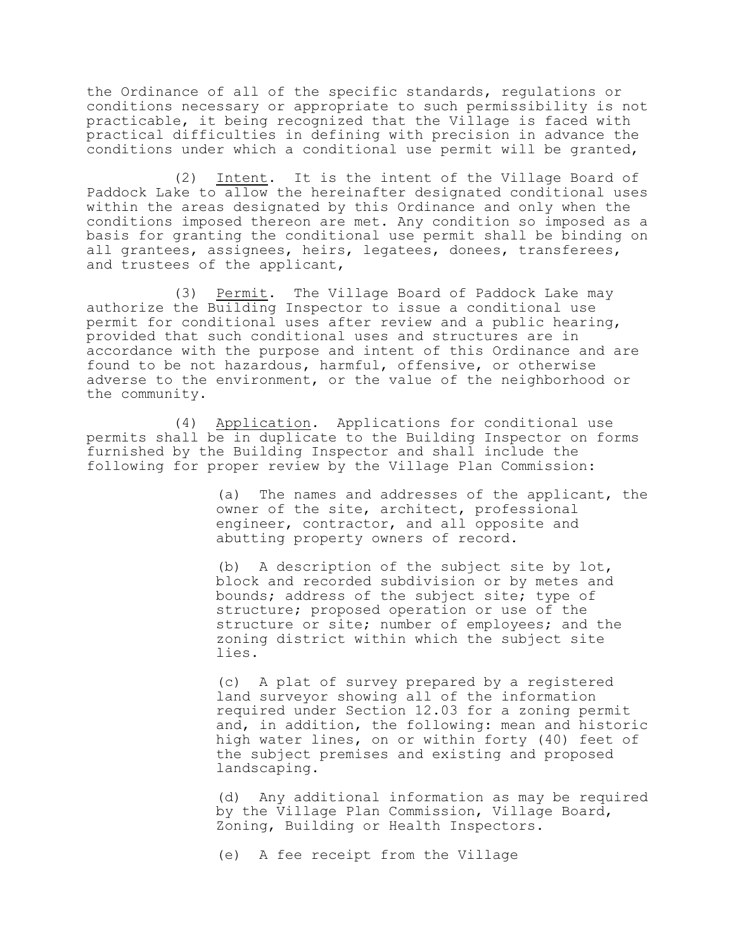the Ordinance of all of the specific standards, regulations or conditions necessary or appropriate to such permissibility is not practicable, it being recognized that the Village is faced with practical difficulties in defining with precision in advance the conditions under which a conditional use permit will be granted,

(2) Intent. It is the intent of the Village Board of Paddock Lake to allow the hereinafter designated conditional uses within the areas designated by this Ordinance and only when the conditions imposed thereon are met. Any condition so imposed as a basis for granting the conditional use permit shall be binding on all grantees, assignees, heirs, legatees, donees, transferees, and trustees of the applicant,

(3) Permit. The Village Board of Paddock Lake may authorize the Building Inspector to issue a conditional use permit for conditional uses after review and a public hearing, provided that such conditional uses and structures are in accordance with the purpose and intent of this Ordinance and are found to be not hazardous, harmful, offensive, or otherwise adverse to the environment, or the value of the neighborhood or the community.

(4) Application. Applications for conditional use permits shall be in duplicate to the Building Inspector on forms furnished by the Building Inspector and shall include the following for proper review by the Village Plan Commission:

> (a) The names and addresses of the applicant, the owner of the site, architect, professional engineer, contractor, and all opposite and abutting property owners of record.

(b) A description of the subject site by lot, block and recorded subdivision or by metes and bounds; address of the subject site; type of structure; proposed operation or use of the structure or site; number of employees; and the zoning district within which the subject site lies.

(c) A plat of survey prepared by a registered land surveyor showing all of the information required under Section 12.03 for a zoning permit and, in addition, the following: mean and historic high water lines, on or within forty (40) feet of the subject premises and existing and proposed landscaping.

(d) Any additional information as may be required by the Village Plan Commission, Village Board, Zoning, Building or Health Inspectors.

(e) A fee receipt from the Village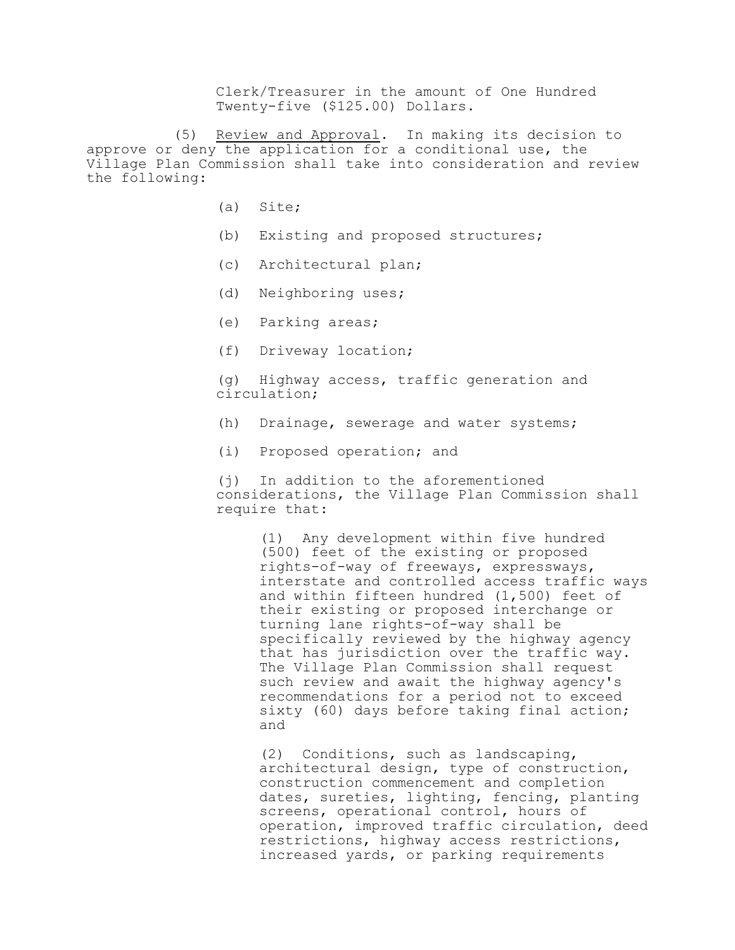Clerk/Treasurer in the amount of One Hundred Twenty-five (\$125.00) Dollars.

(5) Review and Approval. In making its decision to approve or deny the application for a conditional use, the Village Plan Commission shall take into consideration and review the following:

- (a) Site;
- (b) Existing and proposed structures;
- (c) Architectural plan;
- (d) Neighboring uses;
- (e) Parking areas;
- (f) Driveway location;

(g) Highway access, traffic generation and circulation;

- (h) Drainage, sewerage and water systems;
- (i) Proposed operation; and

(j) In addition to the aforementioned considerations, the Village Plan Commission shall require that:

(1) Any development within five hundred (500) feet of the existing or proposed rights-of-way of freeways, expressways, interstate and controlled access traffic ways and within fifteen hundred (1,500) feet of their existing or proposed interchange or turning lane rights-of-way shall be specifically reviewed by the highway agency that has jurisdiction over the traffic way. The Village Plan Commission shall request such review and await the highway agency's recommendations for a period not to exceed sixty (60) days before taking final action; and

(2) Conditions, such as landscaping, architectural design, type of construction, construction commencement and completion dates, sureties, lighting, fencing, planting screens, operational control, hours of operation, improved traffic circulation, deed restrictions, highway access restrictions, increased yards, or parking requirements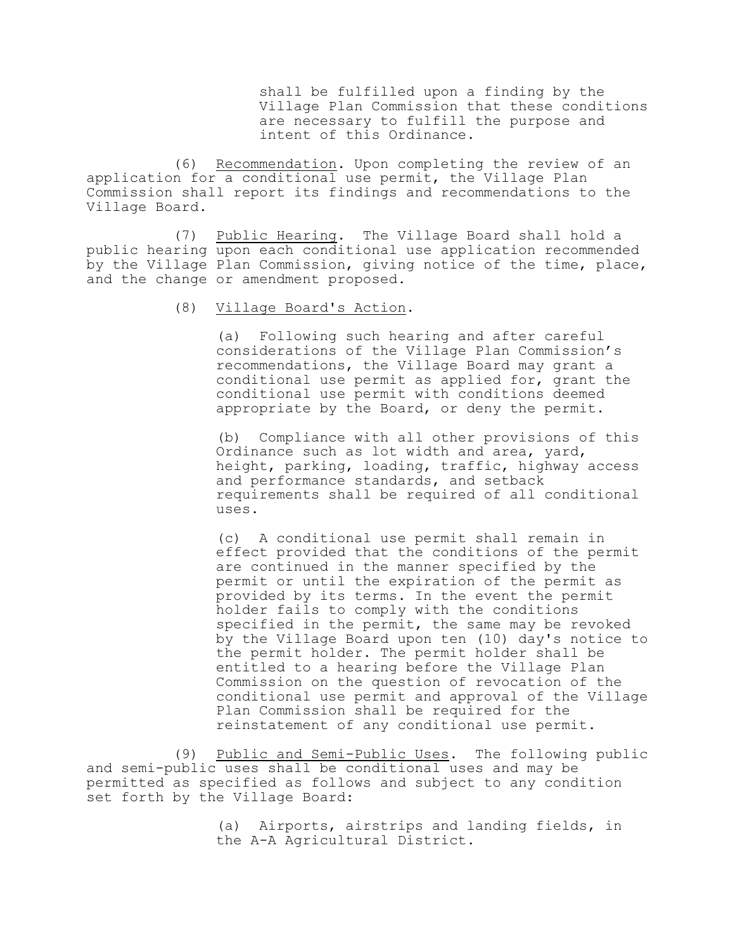shall be fulfilled upon a finding by the Village Plan Commission that these conditions are necessary to fulfill the purpose and intent of this Ordinance.

(6) Recommendation. Upon completing the review of an application for a conditional use permit, the Village Plan Commission shall report its findings and recommendations to the Village Board.

(7) Public Hearing. The Village Board shall hold a public hearing upon each conditional use application recommended by the Village Plan Commission, giving notice of the time, place, and the change or amendment proposed.

(8) Village Board's Action.

(a) Following such hearing and after careful considerations of the Village Plan Commission's recommendations, the Village Board may grant a conditional use permit as applied for, grant the conditional use permit with conditions deemed appropriate by the Board, or deny the permit.

(b) Compliance with all other provisions of this Ordinance such as lot width and area, yard, height, parking, loading, traffic, highway access and performance standards, and setback requirements shall be required of all conditional uses.

(c) A conditional use permit shall remain in effect provided that the conditions of the permit are continued in the manner specified by the permit or until the expiration of the permit as provided by its terms. In the event the permit holder fails to comply with the conditions specified in the permit, the same may be revoked by the Village Board upon ten (10) day's notice to the permit holder. The permit holder shall be entitled to a hearing before the Village Plan Commission on the question of revocation of the conditional use permit and approval of the Village Plan Commission shall be required for the reinstatement of any conditional use permit.

(9) Public and Semi-Public Uses. The following public and semi-public uses shall be conditional uses and may be permitted as specified as follows and subject to any condition set forth by the Village Board:

> (a) Airports, airstrips and landing fields, in the A-A Agricultural District.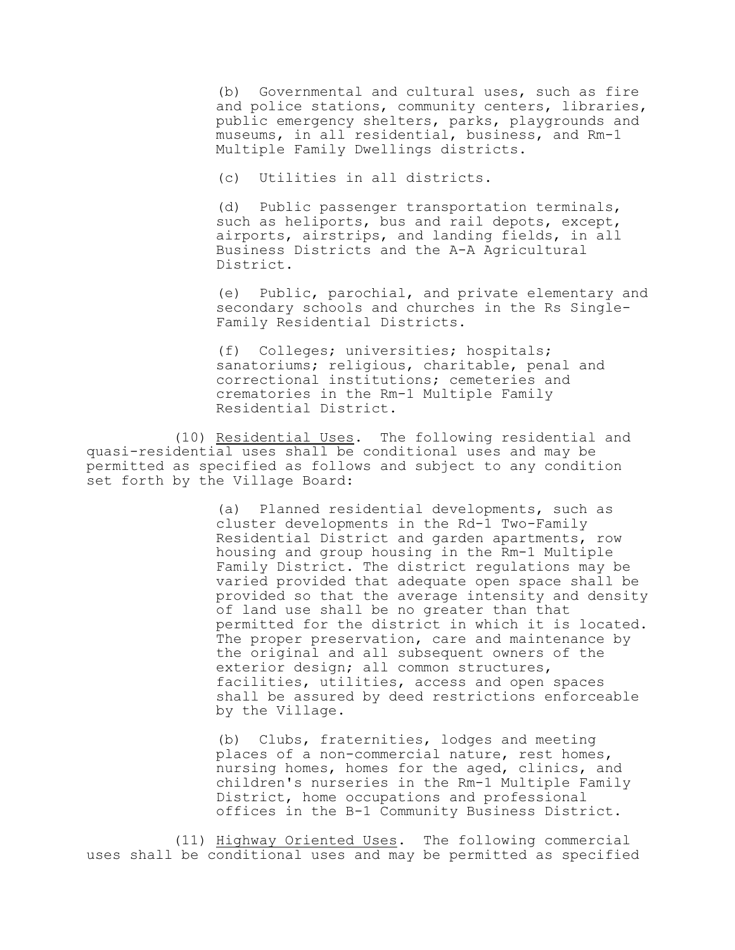(b) Governmental and cultural uses, such as fire and police stations, community centers, libraries, public emergency shelters, parks, playgrounds and museums, in all residential, business, and Rm-1 Multiple Family Dwellings districts.

(c) Utilities in all districts.

(d) Public passenger transportation terminals, such as heliports, bus and rail depots, except, airports, airstrips, and landing fields, in all Business Districts and the A-A Agricultural District.

(e) Public, parochial, and private elementary and secondary schools and churches in the Rs Single-Family Residential Districts.

(f) Colleges; universities; hospitals; sanatoriums; religious, charitable, penal and correctional institutions; cemeteries and crematories in the Rm-1 Multiple Family Residential District.

(10) Residential Uses. The following residential and quasi-residential uses shall be conditional uses and may be permitted as specified as follows and subject to any condition set forth by the Village Board:

> (a) Planned residential developments, such as cluster developments in the Rd-1 Two-Family Residential District and garden apartments, row housing and group housing in the Rm-1 Multiple Family District. The district regulations may be varied provided that adequate open space shall be provided so that the average intensity and density of land use shall be no greater than that permitted for the district in which it is located. The proper preservation, care and maintenance by the original and all subsequent owners of the exterior design; all common structures, facilities, utilities, access and open spaces shall be assured by deed restrictions enforceable by the Village.

(b) Clubs, fraternities, lodges and meeting places of a non-commercial nature, rest homes, nursing homes, homes for the aged, clinics, and children's nurseries in the Rm-1 Multiple Family District, home occupations and professional offices in the B-1 Community Business District.

(11) Highway Oriented Uses. The following commercial uses shall be conditional uses and may be permitted as specified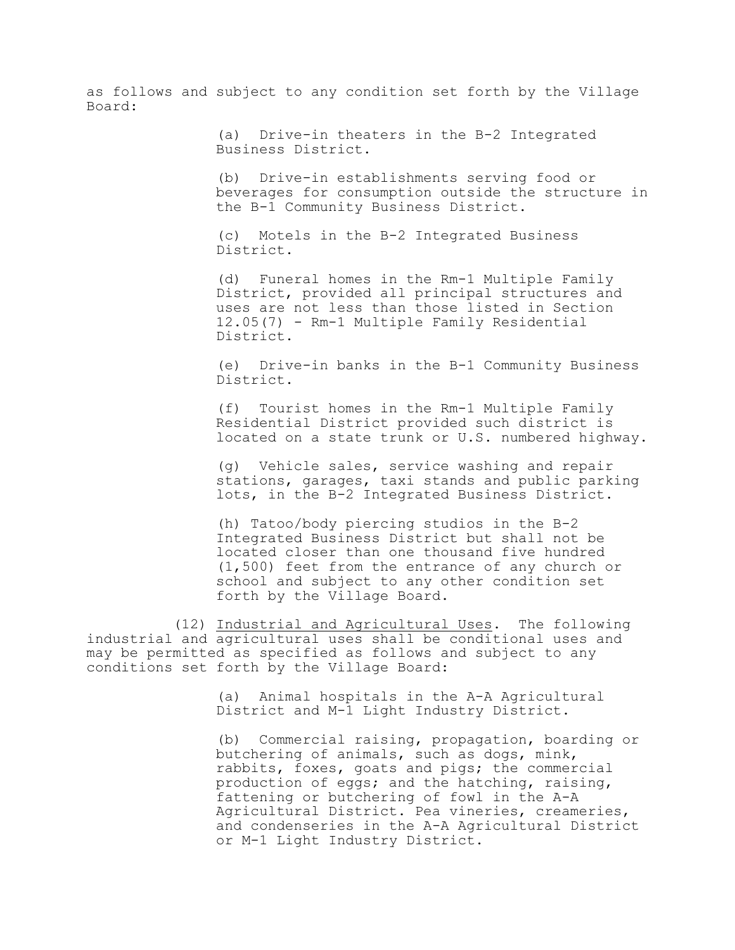as follows and subject to any condition set forth by the Village Board:

> (a) Drive-in theaters in the B-2 Integrated Business District.

(b) Drive-in establishments serving food or beverages for consumption outside the structure in the B-1 Community Business District.

(c) Motels in the B-2 Integrated Business District.

(d) Funeral homes in the Rm-1 Multiple Family District, provided all principal structures and uses are not less than those listed in Section 12.05(7) - Rm-1 Multiple Family Residential District.

(e) Drive-in banks in the B-1 Community Business District.

(f) Tourist homes in the Rm-1 Multiple Family Residential District provided such district is located on a state trunk or U.S. numbered highway.

(g) Vehicle sales, service washing and repair stations, garages, taxi stands and public parking lots, in the B-2 Integrated Business District.

(h) Tatoo/body piercing studios in the B-2 Integrated Business District but shall not be located closer than one thousand five hundred (1,500) feet from the entrance of any church or school and subject to any other condition set forth by the Village Board.

(12) Industrial and Agricultural Uses. The following industrial and agricultural uses shall be conditional uses and may be permitted as specified as follows and subject to any conditions set forth by the Village Board:

> (a) Animal hospitals in the A-A Agricultural District and M-1 Light Industry District.

(b) Commercial raising, propagation, boarding or butchering of animals, such as dogs, mink, rabbits, foxes, goats and pigs; the commercial production of eggs; and the hatching, raising, fattening or butchering of fowl in the A-A Agricultural District. Pea vineries, creameries, and condenseries in the A-A Agricultural District or M-1 Light Industry District.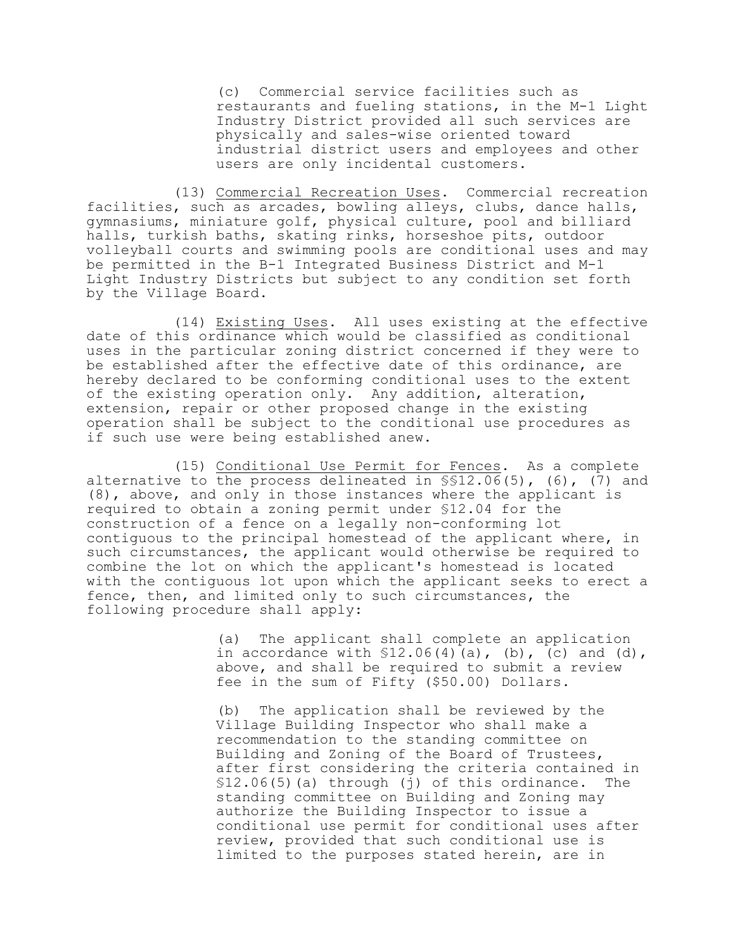(c) Commercial service facilities such as restaurants and fueling stations, in the M-1 Light Industry District provided all such services are physically and sales-wise oriented toward industrial district users and employees and other users are only incidental customers.

(13) Commercial Recreation Uses. Commercial recreation facilities, such as arcades, bowling alleys, clubs, dance halls, gymnasiums, miniature golf, physical culture, pool and billiard halls, turkish baths, skating rinks, horseshoe pits, outdoor volleyball courts and swimming pools are conditional uses and may be permitted in the B-1 Integrated Business District and M-1 Light Industry Districts but subject to any condition set forth by the Village Board.

(14) Existing Uses. All uses existing at the effective date of this ordinance which would be classified as conditional uses in the particular zoning district concerned if they were to be established after the effective date of this ordinance, are hereby declared to be conforming conditional uses to the extent of the existing operation only. Any addition, alteration, extension, repair or other proposed change in the existing operation shall be subject to the conditional use procedures as if such use were being established anew.

(15) Conditional Use Permit for Fences. As a complete alternative to the process delineated in §§12.06(5), (6), (7) and (8), above, and only in those instances where the applicant is required to obtain a zoning permit under §12.04 for the construction of a fence on a legally non-conforming lot contiguous to the principal homestead of the applicant where, in such circumstances, the applicant would otherwise be required to combine the lot on which the applicant's homestead is located with the contiguous lot upon which the applicant seeks to erect a fence, then, and limited only to such circumstances, the following procedure shall apply:

> (a) The applicant shall complete an application in accordance with  $$12.06(4)(a)$ , (b), (c) and (d), above, and shall be required to submit a review fee in the sum of Fifty (\$50.00) Dollars.

(b) The application shall be reviewed by the Village Building Inspector who shall make a recommendation to the standing committee on Building and Zoning of the Board of Trustees, after first considering the criteria contained in §12.06(5)(a) through (j) of this ordinance. The standing committee on Building and Zoning may authorize the Building Inspector to issue a conditional use permit for conditional uses after review, provided that such conditional use is limited to the purposes stated herein, are in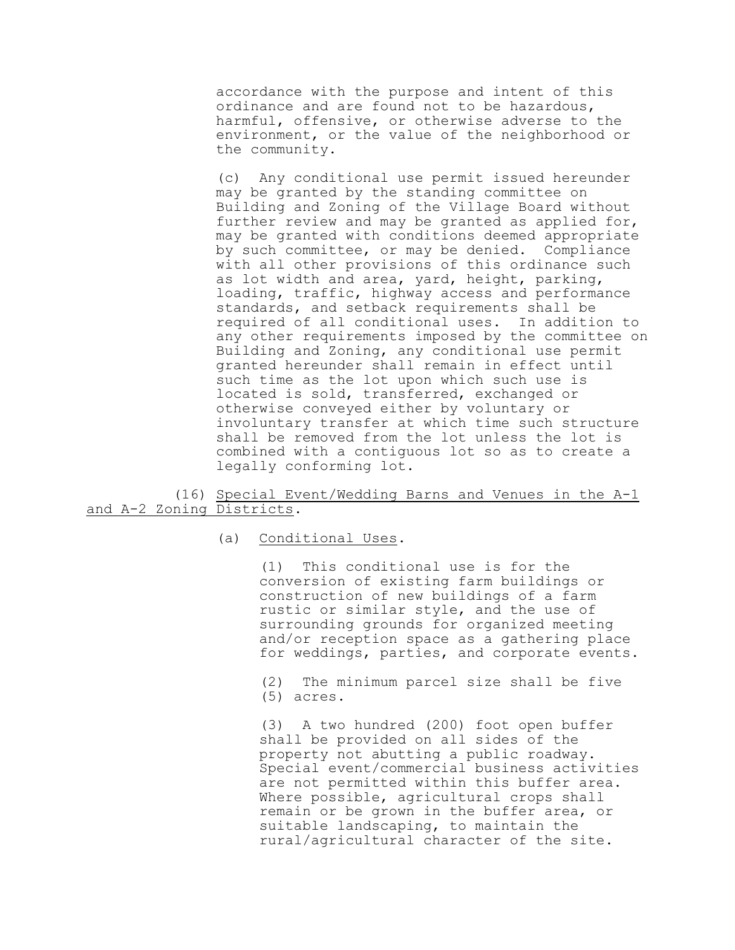accordance with the purpose and intent of this ordinance and are found not to be hazardous, harmful, offensive, or otherwise adverse to the environment, or the value of the neighborhood or the community.

(c) Any conditional use permit issued hereunder may be granted by the standing committee on Building and Zoning of the Village Board without further review and may be granted as applied for, may be granted with conditions deemed appropriate by such committee, or may be denied. Compliance with all other provisions of this ordinance such as lot width and area, yard, height, parking, loading, traffic, highway access and performance standards, and setback requirements shall be required of all conditional uses. In addition to any other requirements imposed by the committee on Building and Zoning, any conditional use permit granted hereunder shall remain in effect until such time as the lot upon which such use is located is sold, transferred, exchanged or otherwise conveyed either by voluntary or involuntary transfer at which time such structure shall be removed from the lot unless the lot is combined with a contiguous lot so as to create a legally conforming lot.

## (16) Special Event/Wedding Barns and Venues in the A-1 and A-2 Zoning Districts.

### (a) Conditional Uses.

(1) This conditional use is for the conversion of existing farm buildings or construction of new buildings of a farm rustic or similar style, and the use of surrounding grounds for organized meeting and/or reception space as a gathering place for weddings, parties, and corporate events.

(2) The minimum parcel size shall be five (5) acres.

(3) A two hundred (200) foot open buffer shall be provided on all sides of the property not abutting a public roadway. Special event/commercial business activities are not permitted within this buffer area. Where possible, agricultural crops shall remain or be grown in the buffer area, or suitable landscaping, to maintain the rural/agricultural character of the site.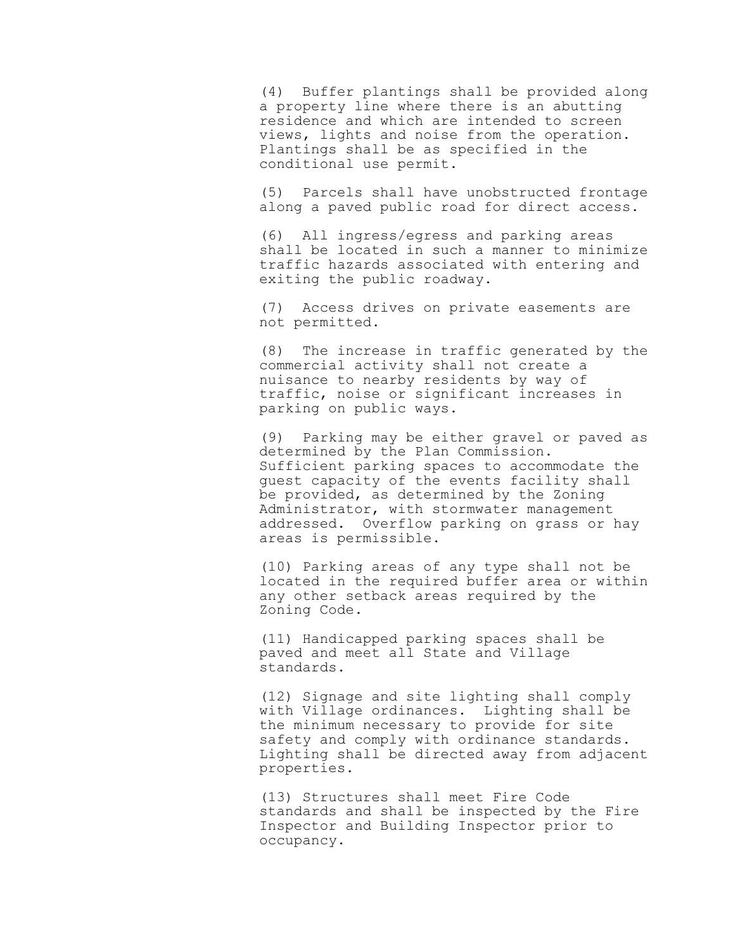(4) Buffer plantings shall be provided along a property line where there is an abutting residence and which are intended to screen views, lights and noise from the operation. Plantings shall be as specified in the conditional use permit.

(5) Parcels shall have unobstructed frontage along a paved public road for direct access.

(6) All ingress/egress and parking areas shall be located in such a manner to minimize traffic hazards associated with entering and exiting the public roadway.

(7) Access drives on private easements are not permitted.

(8) The increase in traffic generated by the commercial activity shall not create a nuisance to nearby residents by way of traffic, noise or significant increases in parking on public ways.

(9) Parking may be either gravel or paved as determined by the Plan Commission. Sufficient parking spaces to accommodate the guest capacity of the events facility shall be provided, as determined by the Zoning Administrator, with stormwater management addressed. Overflow parking on grass or hay areas is permissible.

(10) Parking areas of any type shall not be located in the required buffer area or within any other setback areas required by the Zoning Code.

(11) Handicapped parking spaces shall be paved and meet all State and Village standards.

(12) Signage and site lighting shall comply with Village ordinances. Lighting shall be the minimum necessary to provide for site safety and comply with ordinance standards. Lighting shall be directed away from adjacent properties.

(13) Structures shall meet Fire Code standards and shall be inspected by the Fire Inspector and Building Inspector prior to occupancy.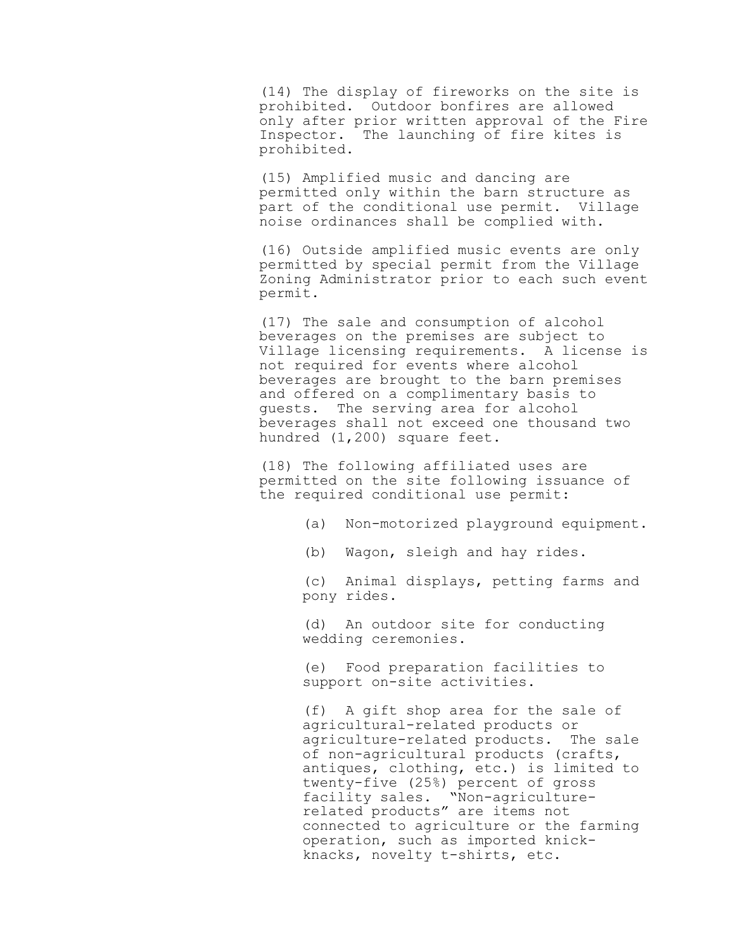(14) The display of fireworks on the site is prohibited. Outdoor bonfires are allowed only after prior written approval of the Fire Inspector. The launching of fire kites is prohibited.

(15) Amplified music and dancing are permitted only within the barn structure as part of the conditional use permit. Village noise ordinances shall be complied with.

(16) Outside amplified music events are only permitted by special permit from the Village Zoning Administrator prior to each such event permit.

(17) The sale and consumption of alcohol beverages on the premises are subject to Village licensing requirements. A license is not required for events where alcohol beverages are brought to the barn premises and offered on a complimentary basis to guests. The serving area for alcohol beverages shall not exceed one thousand two hundred (1,200) square feet.

(18) The following affiliated uses are permitted on the site following issuance of the required conditional use permit:

- (a) Non-motorized playground equipment.
- (b) Wagon, sleigh and hay rides.

(c) Animal displays, petting farms and pony rides.

(d) An outdoor site for conducting wedding ceremonies.

(e) Food preparation facilities to support on-site activities.

(f) A gift shop area for the sale of agricultural-related products or agriculture-related products. The sale of non-agricultural products (crafts, antiques, clothing, etc.) is limited to twenty-five (25%) percent of gross facility sales. "Non-agriculturerelated products" are items not connected to agriculture or the farming operation, such as imported knickknacks, novelty t-shirts, etc.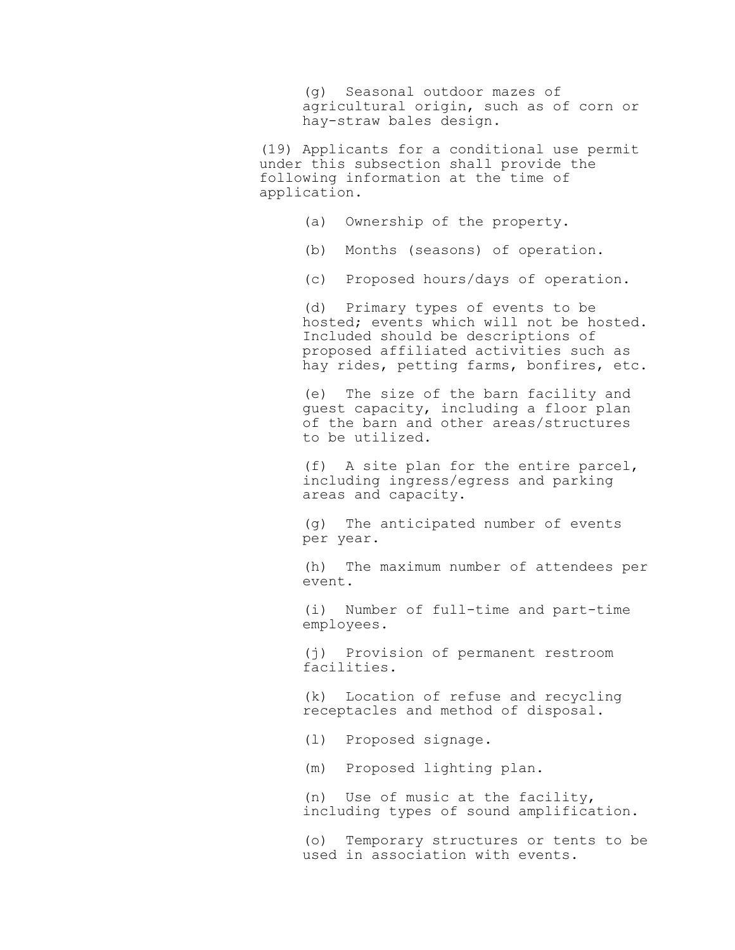(g) Seasonal outdoor mazes of agricultural origin, such as of corn or hay-straw bales design.

(19) Applicants for a conditional use permit under this subsection shall provide the following information at the time of application.

- (a) Ownership of the property.
- (b) Months (seasons) of operation.
- (c) Proposed hours/days of operation.

(d) Primary types of events to be hosted; events which will not be hosted. Included should be descriptions of proposed affiliated activities such as hay rides, petting farms, bonfires, etc.

(e) The size of the barn facility and guest capacity, including a floor plan of the barn and other areas/structures to be utilized.

(f) A site plan for the entire parcel, including ingress/egress and parking areas and capacity.

(g) The anticipated number of events per year.

(h) The maximum number of attendees per event.

(i) Number of full-time and part-time employees.

(j) Provision of permanent restroom facilities.

(k) Location of refuse and recycling receptacles and method of disposal.

(l) Proposed signage.

(m) Proposed lighting plan.

(n) Use of music at the facility, including types of sound amplification.

(o) Temporary structures or tents to be used in association with events.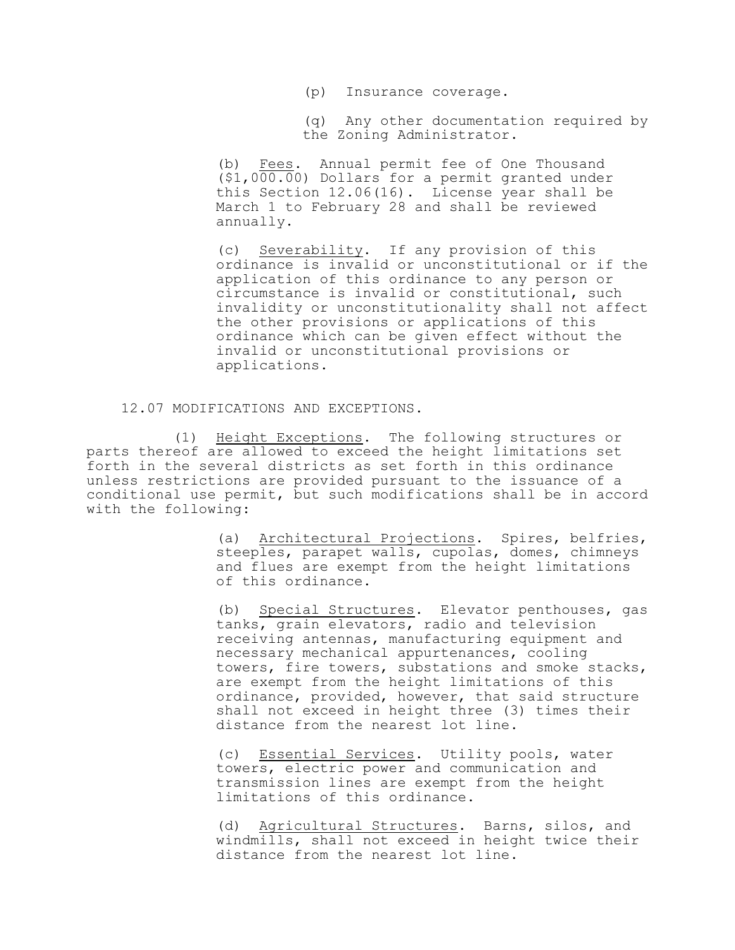(p) Insurance coverage.

(q) Any other documentation required by the Zoning Administrator.

(b) Fees. Annual permit fee of One Thousand (\$1,000.00) Dollars for a permit granted under this Section 12.06(16). License year shall be March 1 to February 28 and shall be reviewed annually.

(c) Severability. If any provision of this ordinance is invalid or unconstitutional or if the application of this ordinance to any person or circumstance is invalid or constitutional, such invalidity or unconstitutionality shall not affect the other provisions or applications of this ordinance which can be given effect without the invalid or unconstitutional provisions or applications.

12.07 MODIFICATIONS AND EXCEPTIONS.

(1) Height Exceptions. The following structures or parts thereof are allowed to exceed the height limitations set forth in the several districts as set forth in this ordinance unless restrictions are provided pursuant to the issuance of a conditional use permit, but such modifications shall be in accord with the following:

> (a) Architectural Projections. Spires, belfries, steeples, parapet walls, cupolas, domes, chimneys and flues are exempt from the height limitations of this ordinance.

> (b) Special Structures. Elevator penthouses, gas tanks, grain elevators, radio and television receiving antennas, manufacturing equipment and necessary mechanical appurtenances, cooling towers, fire towers, substations and smoke stacks, are exempt from the height limitations of this ordinance, provided, however, that said structure shall not exceed in height three (3) times their distance from the nearest lot line.

(c) Essential Services. Utility pools, water towers, electric power and communication and transmission lines are exempt from the height limitations of this ordinance.

(d) Agricultural Structures. Barns, silos, and windmills, shall not exceed in height twice their distance from the nearest lot line.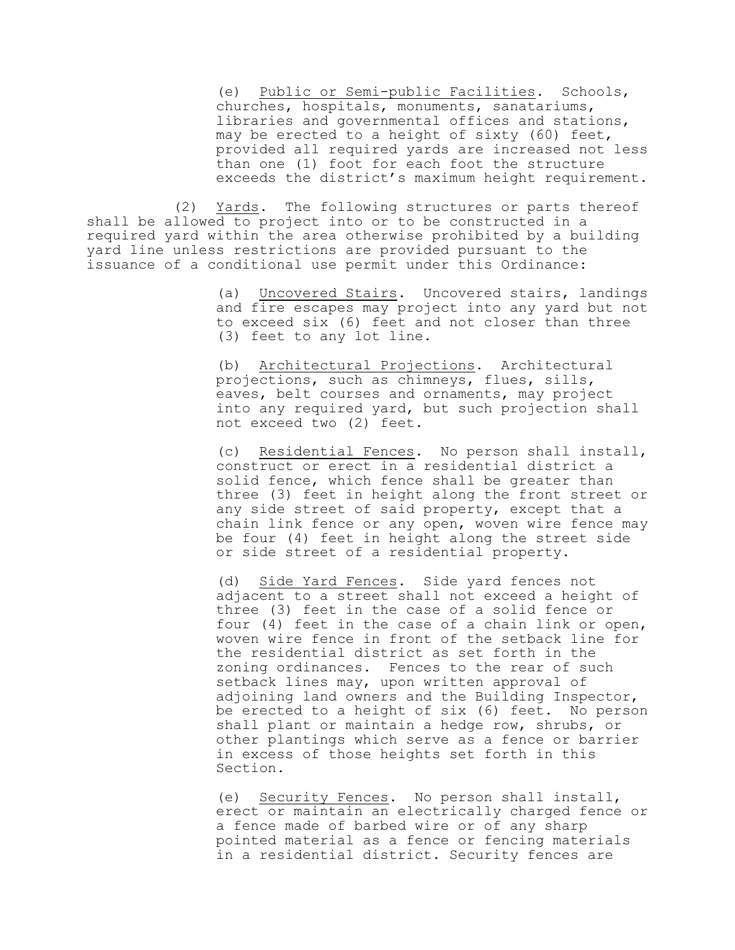(e) Public or Semi-public Facilities. Schools, churches, hospitals, monuments, sanatariums, libraries and governmental offices and stations, may be erected to a height of sixty (60) feet, provided all required yards are increased not less than one (1) foot for each foot the structure exceeds the district's maximum height requirement.

(2) Yards. The following structures or parts thereof shall be allowed to project into or to be constructed in a required yard within the area otherwise prohibited by a building yard line unless restrictions are provided pursuant to the issuance of a conditional use permit under this Ordinance:

> (a) Uncovered Stairs. Uncovered stairs, landings and fire escapes may project into any yard but not to exceed six (6) feet and not closer than three (3) feet to any lot line.

(b) Architectural Projections. Architectural projections, such as chimneys, flues, sills, eaves, belt courses and ornaments, may project into any required yard, but such projection shall not exceed two (2) feet.

(c) Residential Fences. No person shall install, construct or erect in a residential district a solid fence, which fence shall be greater than three (3) feet in height along the front street or any side street of said property, except that a chain link fence or any open, woven wire fence may be four (4) feet in height along the street side or side street of a residential property.

(d) Side Yard Fences. Side yard fences not adjacent to a street shall not exceed a height of three (3) feet in the case of a solid fence or four (4) feet in the case of a chain link or open, woven wire fence in front of the setback line for the residential district as set forth in the zoning ordinances. Fences to the rear of such setback lines may, upon written approval of adjoining land owners and the Building Inspector, be erected to a height of six (6) feet. No person shall plant or maintain a hedge row, shrubs, or other plantings which serve as a fence or barrier in excess of those heights set forth in this Section.

(e) Security Fences. No person shall install, erect or maintain an electrically charged fence or a fence made of barbed wire or of any sharp pointed material as a fence or fencing materials in a residential district. Security fences are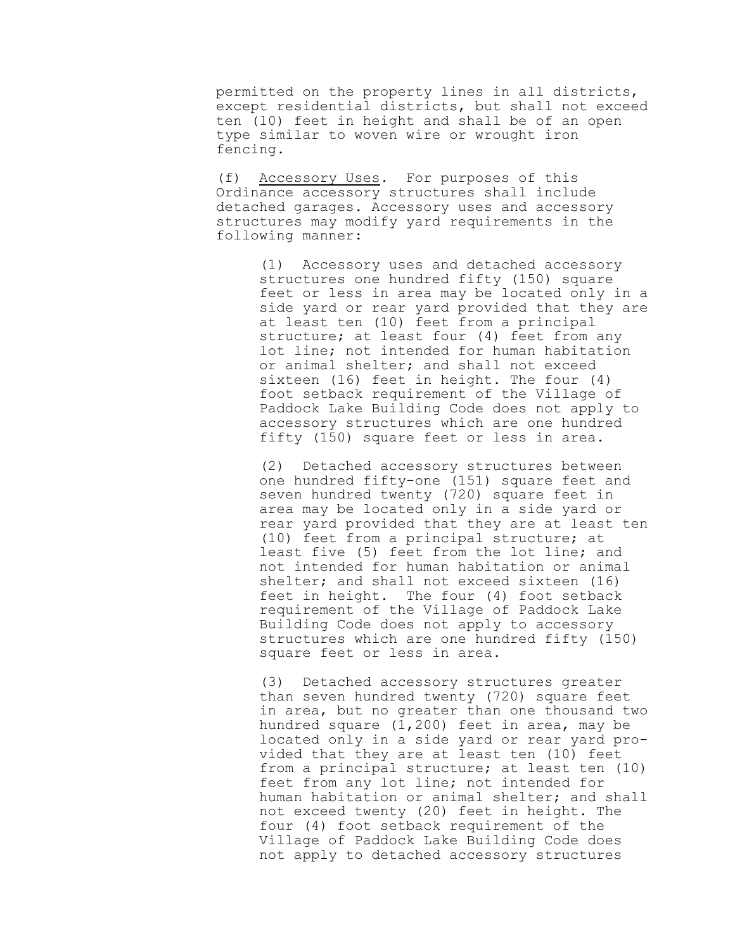permitted on the property lines in all districts, except residential districts, but shall not exceed ten (10) feet in height and shall be of an open type similar to woven wire or wrought iron fencing.

(f) Accessory Uses. For purposes of this Ordinance accessory structures shall include detached garages. Accessory uses and accessory structures may modify yard requirements in the following manner:

> (1) Accessory uses and detached accessory structures one hundred fifty (150) square feet or less in area may be located only in a side yard or rear yard provided that they are at least ten (10) feet from a principal structure; at least four (4) feet from any lot line; not intended for human habitation or animal shelter; and shall not exceed sixteen (16) feet in height. The four (4) foot setback requirement of the Village of Paddock Lake Building Code does not apply to accessory structures which are one hundred fifty (150) square feet or less in area.

> (2) Detached accessory structures between one hundred fifty-one (151) square feet and seven hundred twenty (720) square feet in area may be located only in a side yard or rear yard provided that they are at least ten (10) feet from a principal structure; at least five (5) feet from the lot line; and not intended for human habitation or animal shelter; and shall not exceed sixteen (16) feet in height. The four (4) foot setback requirement of the Village of Paddock Lake Building Code does not apply to accessory structures which are one hundred fifty (150) square feet or less in area.

> (3) Detached accessory structures greater than seven hundred twenty (720) square feet in area, but no greater than one thousand two hundred square (1,200) feet in area, may be located only in a side yard or rear yard provided that they are at least ten (10) feet from a principal structure; at least ten (10) feet from any lot line; not intended for human habitation or animal shelter; and shall not exceed twenty (20) feet in height. The four (4) foot setback requirement of the Village of Paddock Lake Building Code does not apply to detached accessory structures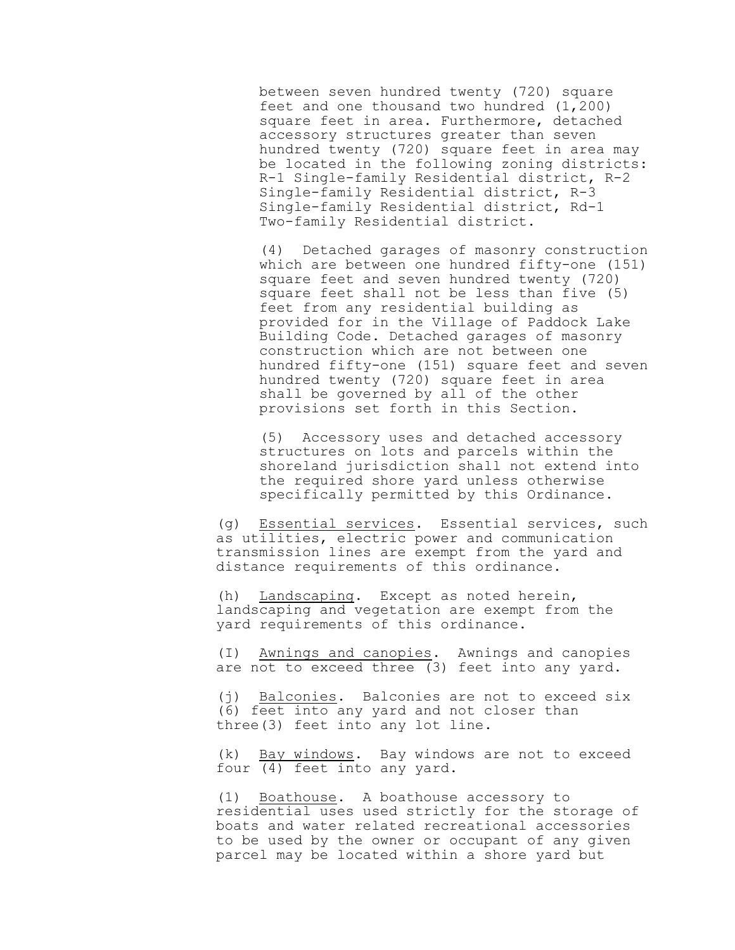between seven hundred twenty (720) square feet and one thousand two hundred (1,200) square feet in area. Furthermore, detached accessory structures greater than seven hundred twenty (720) square feet in area may be located in the following zoning districts: R-1 Single-family Residential district, R-2 Single-family Residential district, R-3 Single-family Residential district, Rd-1 Two-family Residential district.

(4) Detached garages of masonry construction which are between one hundred fifty-one (151) square feet and seven hundred twenty (720) square feet shall not be less than five (5) feet from any residential building as provided for in the Village of Paddock Lake Building Code. Detached garages of masonry construction which are not between one hundred fifty-one (151) square feet and seven hundred twenty (720) square feet in area shall be governed by all of the other provisions set forth in this Section.

(5) Accessory uses and detached accessory structures on lots and parcels within the shoreland jurisdiction shall not extend into the required shore yard unless otherwise specifically permitted by this Ordinance.

(g) Essential services. Essential services, such as utilities, electric power and communication transmission lines are exempt from the yard and distance requirements of this ordinance.

(h) Landscaping. Except as noted herein, landscaping and vegetation are exempt from the yard requirements of this ordinance.

(I) Awnings and canopies. Awnings and canopies are not to exceed three (3) feet into any yard.

(j) Balconies. Balconies are not to exceed six (6) feet into any yard and not closer than three(3) feet into any lot line.

(k) Bay windows. Bay windows are not to exceed four (4) feet into any yard.

(1) Boathouse. A boathouse accessory to residential uses used strictly for the storage of boats and water related recreational accessories to be used by the owner or occupant of any given parcel may be located within a shore yard but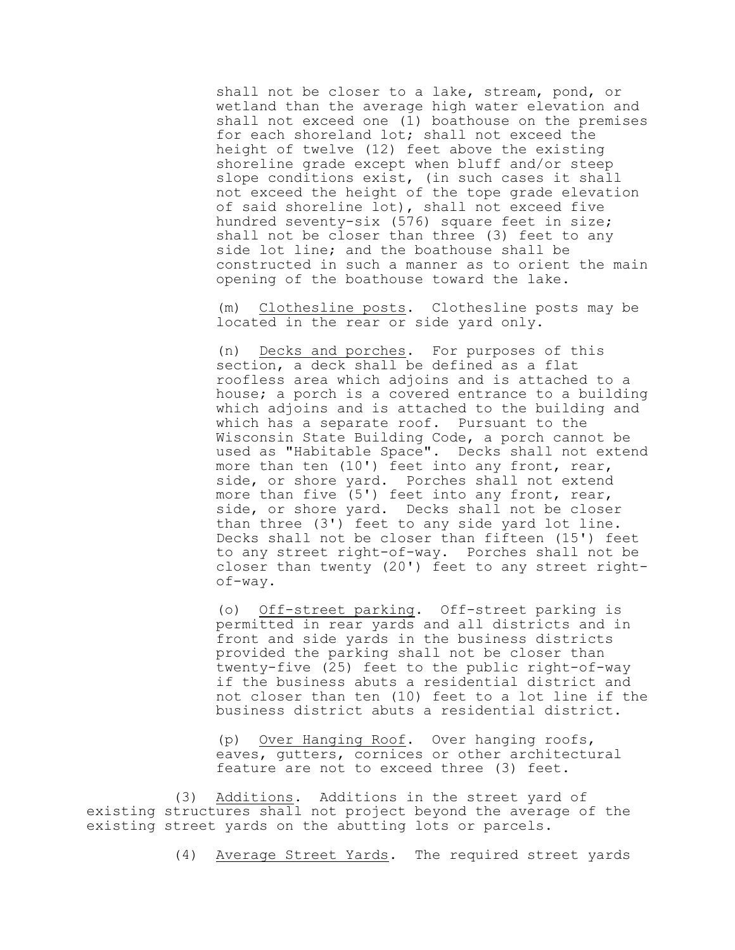shall not be closer to a lake, stream, pond, or wetland than the average high water elevation and shall not exceed one (1) boathouse on the premises for each shoreland lot; shall not exceed the height of twelve (12) feet above the existing shoreline grade except when bluff and/or steep slope conditions exist, (in such cases it shall not exceed the height of the tope grade elevation of said shoreline lot), shall not exceed five hundred seventy-six (576) square feet in size; shall not be closer than three (3) feet to any side lot line; and the boathouse shall be constructed in such a manner as to orient the main opening of the boathouse toward the lake.

(m) Clothesline posts. Clothesline posts may be located in the rear or side yard only.

(n) Decks and porches. For purposes of this section, a deck shall be defined as a flat roofless area which adjoins and is attached to a house; a porch is a covered entrance to a building which adjoins and is attached to the building and which has a separate roof. Pursuant to the Wisconsin State Building Code, a porch cannot be used as "Habitable Space". Decks shall not extend more than ten (10') feet into any front, rear, side, or shore yard. Porches shall not extend more than five (5') feet into any front, rear, side, or shore yard. Decks shall not be closer than three (3') feet to any side yard lot line. Decks shall not be closer than fifteen (15') feet to any street right-of-way. Porches shall not be closer than twenty (20') feet to any street rightof-way.

(o) Off-street parking. Off-street parking is permitted in rear yards and all districts and in front and side yards in the business districts provided the parking shall not be closer than twenty-five (25) feet to the public right-of-way if the business abuts a residential district and not closer than ten (10) feet to a lot line if the business district abuts a residential district.

(p) Over Hanging Roof. Over hanging roofs, eaves, gutters, cornices or other architectural feature are not to exceed three (3) feet.

(3) Additions. Additions in the street yard of existing structures shall not project beyond the average of the existing street yards on the abutting lots or parcels.

(4) Average Street Yards. The required street yards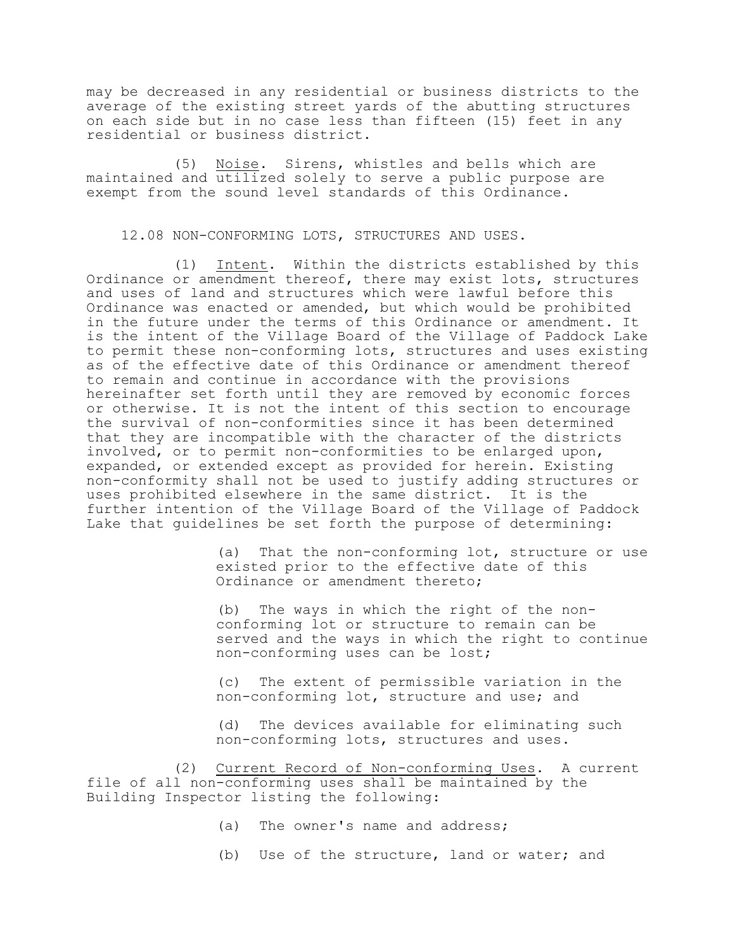may be decreased in any residential or business districts to the average of the existing street yards of the abutting structures on each side but in no case less than fifteen (15) feet in any residential or business district.

(5) Noise. Sirens, whistles and bells which are maintained and utilized solely to serve a public purpose are exempt from the sound level standards of this Ordinance.

### 12.08 NON-CONFORMING LOTS, STRUCTURES AND USES.

(1) Intent. Within the districts established by this Ordinance or amendment thereof, there may exist lots, structures and uses of land and structures which were lawful before this Ordinance was enacted or amended, but which would be prohibited in the future under the terms of this Ordinance or amendment. It is the intent of the Village Board of the Village of Paddock Lake to permit these non-conforming lots, structures and uses existing as of the effective date of this Ordinance or amendment thereof to remain and continue in accordance with the provisions hereinafter set forth until they are removed by economic forces or otherwise. It is not the intent of this section to encourage the survival of non-conformities since it has been determined that they are incompatible with the character of the districts involved, or to permit non-conformities to be enlarged upon, expanded, or extended except as provided for herein. Existing non-conformity shall not be used to justify adding structures or uses prohibited elsewhere in the same district. It is the further intention of the Village Board of the Village of Paddock Lake that guidelines be set forth the purpose of determining:

> (a) That the non-conforming lot, structure or use existed prior to the effective date of this Ordinance or amendment thereto;

> (b) The ways in which the right of the nonconforming lot or structure to remain can be served and the ways in which the right to continue non-conforming uses can be lost;

(c) The extent of permissible variation in the non-conforming lot, structure and use; and

(d) The devices available for eliminating such non-conforming lots, structures and uses.

(2) Current Record of Non-conforming Uses. A current file of all non-conforming uses shall be maintained by the Building Inspector listing the following:

- (a) The owner's name and address;
- (b) Use of the structure, land or water; and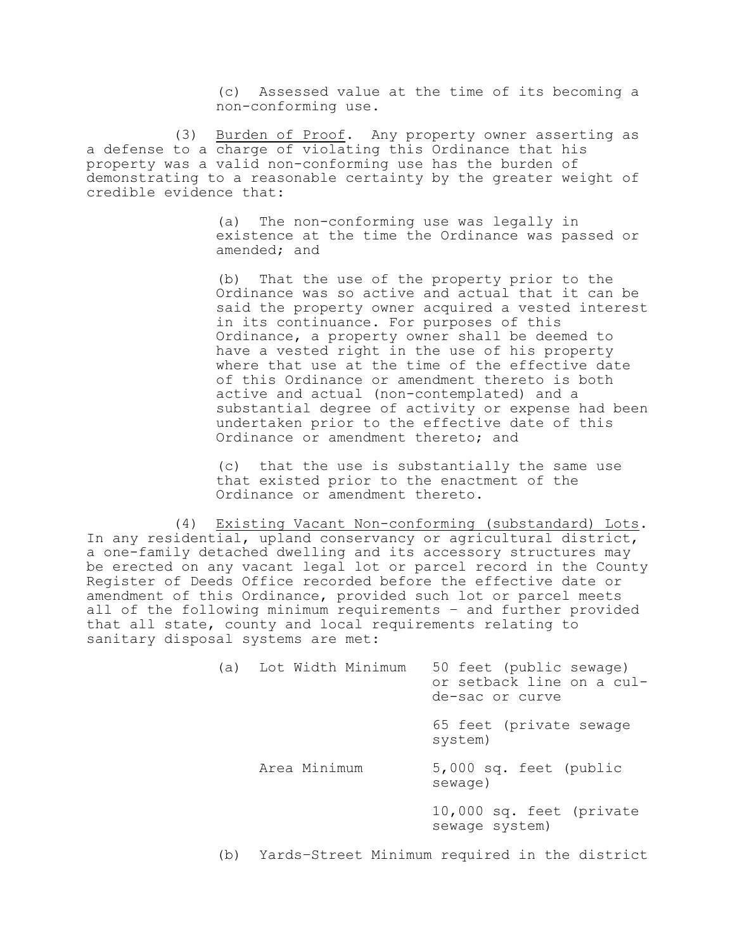(c) Assessed value at the time of its becoming a non-conforming use.

(3) Burden of Proof. Any property owner asserting as a defense to a charge of violating this Ordinance that his property was a valid non-conforming use has the burden of demonstrating to a reasonable certainty by the greater weight of credible evidence that:

> (a) The non-conforming use was legally in existence at the time the Ordinance was passed or amended; and

(b) That the use of the property prior to the Ordinance was so active and actual that it can be said the property owner acquired a vested interest in its continuance. For purposes of this Ordinance, a property owner shall be deemed to have a vested right in the use of his property where that use at the time of the effective date of this Ordinance or amendment thereto is both active and actual (non-contemplated) and a substantial degree of activity or expense had been undertaken prior to the effective date of this Ordinance or amendment thereto; and

(c) that the use is substantially the same use that existed prior to the enactment of the Ordinance or amendment thereto.

(4) Existing Vacant Non-conforming (substandard) Lots. In any residential, upland conservancy or agricultural district, a one-family detached dwelling and its accessory structures may be erected on any vacant legal lot or parcel record in the County Register of Deeds Office recorded before the effective date or amendment of this Ordinance, provided such lot or parcel meets all of the following minimum requirements – and further provided that all state, county and local requirements relating to sanitary disposal systems are met:

|     | (a) Lot Width Minimum | 50 feet (public sewage)<br>or setback line on a cul-<br>de-sac or curve |
|-----|-----------------------|-------------------------------------------------------------------------|
|     |                       | 65 feet (private sewage<br>system)                                      |
|     | Area Minimum          | 5,000 sq. feet (public<br>sewage)                                       |
|     |                       | 10,000 sq. feet (private<br>sewage system)                              |
| (b) |                       | Yards-Street Minimum required in the district                           |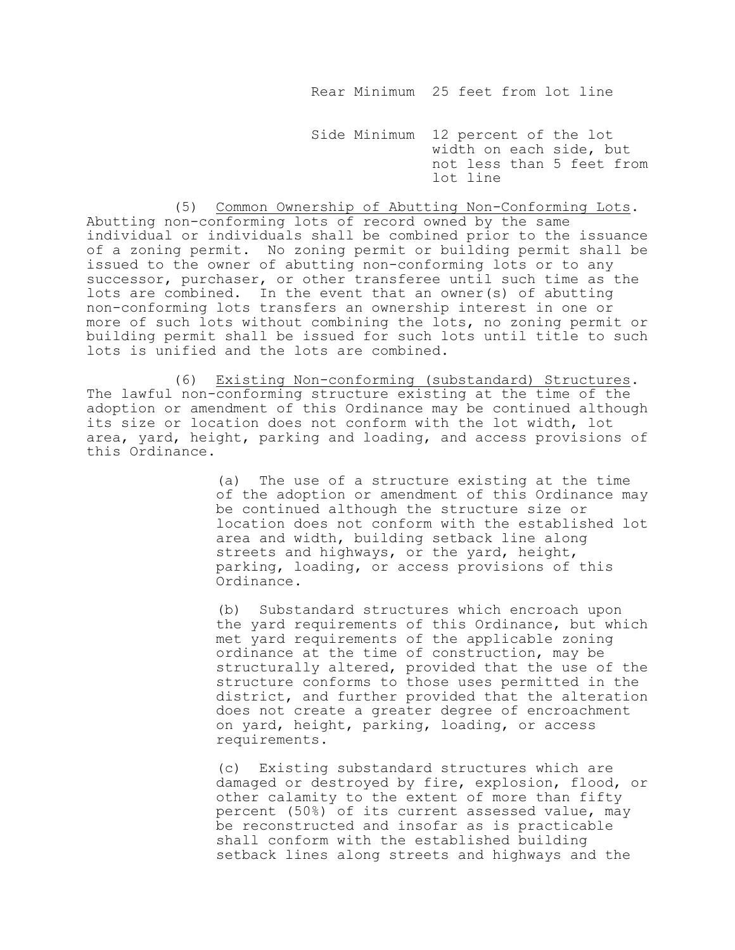Rear Minimum 25 feet from lot line

 Side Minimum 12 percent of the lot width on each side, but not less than 5 feet from lot line

(5) Common Ownership of Abutting Non-Conforming Lots. Abutting non-conforming lots of record owned by the same individual or individuals shall be combined prior to the issuance of a zoning permit. No zoning permit or building permit shall be issued to the owner of abutting non-conforming lots or to any successor, purchaser, or other transferee until such time as the lots are combined. In the event that an owner(s) of abutting non-conforming lots transfers an ownership interest in one or more of such lots without combining the lots, no zoning permit or building permit shall be issued for such lots until title to such lots is unified and the lots are combined.

(6) Existing Non-conforming (substandard) Structures. The lawful non-conforming structure existing at the time of the adoption or amendment of this Ordinance may be continued although its size or location does not conform with the lot width, lot area, yard, height, parking and loading, and access provisions of this Ordinance.

> (a) The use of a structure existing at the time of the adoption or amendment of this Ordinance may be continued although the structure size or location does not conform with the established lot area and width, building setback line along streets and highways, or the yard, height, parking, loading, or access provisions of this Ordinance.

> (b) Substandard structures which encroach upon the yard requirements of this Ordinance, but which met yard requirements of the applicable zoning ordinance at the time of construction, may be structurally altered, provided that the use of the structure conforms to those uses permitted in the district, and further provided that the alteration does not create a greater degree of encroachment on yard, height, parking, loading, or access requirements.

> (c) Existing substandard structures which are damaged or destroyed by fire, explosion, flood, or other calamity to the extent of more than fifty percent (50%) of its current assessed value, may be reconstructed and insofar as is practicable shall conform with the established building setback lines along streets and highways and the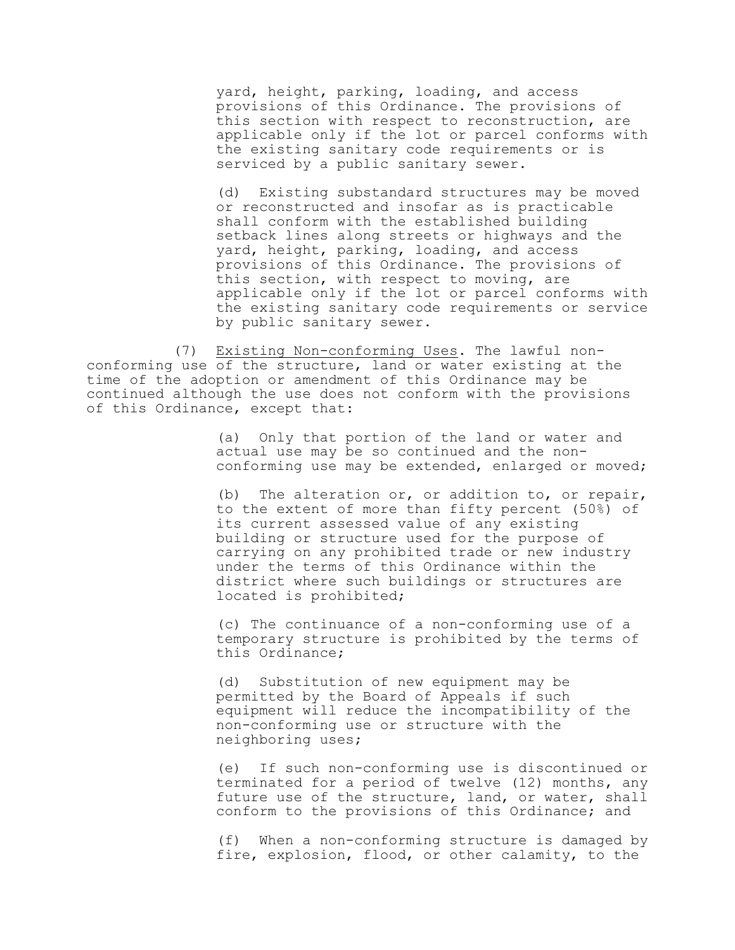yard, height, parking, loading, and access provisions of this Ordinance. The provisions of this section with respect to reconstruction, are applicable only if the lot or parcel conforms with the existing sanitary code requirements or is serviced by a public sanitary sewer.

(d) Existing substandard structures may be moved or reconstructed and insofar as is practicable shall conform with the established building setback lines along streets or highways and the yard, height, parking, loading, and access provisions of this Ordinance. The provisions of this section, with respect to moving, are applicable only if the lot or parcel conforms with the existing sanitary code requirements or service by public sanitary sewer.

(7) Existing Non-conforming Uses. The lawful nonconforming use of the structure, land or water existing at the time of the adoption or amendment of this Ordinance may be continued although the use does not conform with the provisions of this Ordinance, except that:

> (a) Only that portion of the land or water and actual use may be so continued and the nonconforming use may be extended, enlarged or moved;

> (b) The alteration or, or addition to, or repair, to the extent of more than fifty percent (50%) of its current assessed value of any existing building or structure used for the purpose of carrying on any prohibited trade or new industry under the terms of this Ordinance within the district where such buildings or structures are located is prohibited;

(c) The continuance of a non-conforming use of a temporary structure is prohibited by the terms of this Ordinance;

(d) Substitution of new equipment may be permitted by the Board of Appeals if such equipment will reduce the incompatibility of the non-conforming use or structure with the neighboring uses;

(e) If such non-conforming use is discontinued or terminated for a period of twelve (12) months, any future use of the structure, land, or water, shall conform to the provisions of this Ordinance; and

(f) When a non-conforming structure is damaged by fire, explosion, flood, or other calamity, to the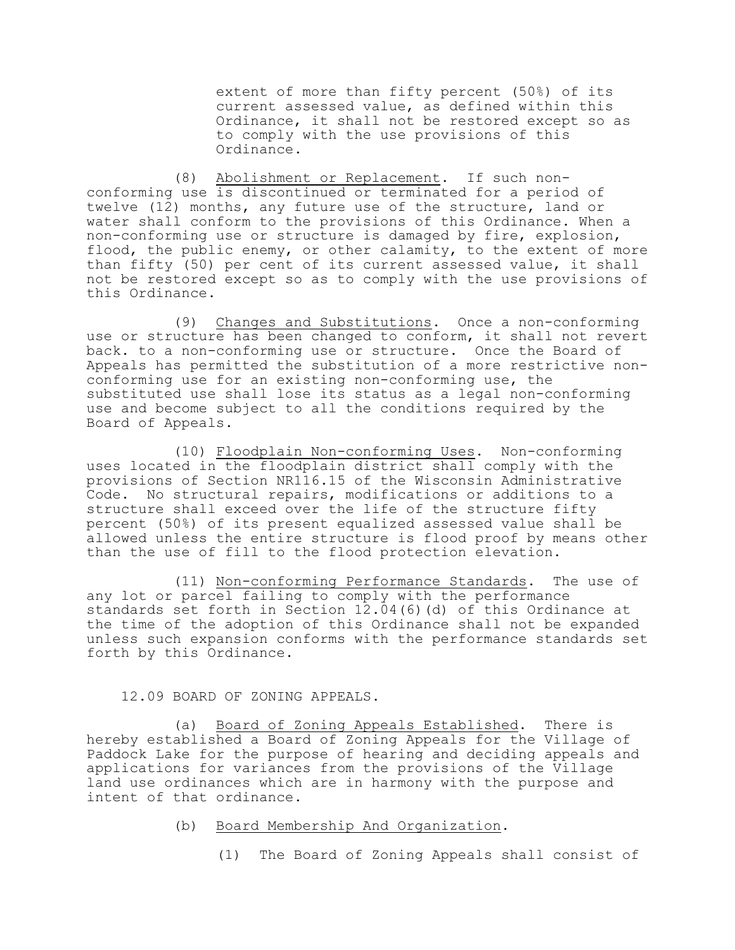extent of more than fifty percent (50%) of its current assessed value, as defined within this Ordinance, it shall not be restored except so as to comply with the use provisions of this Ordinance.

(8) Abolishment or Replacement. If such nonconforming use is discontinued or terminated for a period of twelve (12) months, any future use of the structure, land or water shall conform to the provisions of this Ordinance. When a non-conforming use or structure is damaged by fire, explosion, flood, the public enemy, or other calamity, to the extent of more than fifty (50) per cent of its current assessed value, it shall not be restored except so as to comply with the use provisions of this Ordinance.

(9) Changes and Substitutions. Once a non-conforming use or structure has been changed to conform, it shall not revert back. to a non-conforming use or structure. Once the Board of Appeals has permitted the substitution of a more restrictive nonconforming use for an existing non-conforming use, the substituted use shall lose its status as a legal non-conforming use and become subject to all the conditions required by the Board of Appeals.

(10) Floodplain Non-conforming Uses. Non-conforming uses located in the floodplain district shall comply with the provisions of Section NR116.15 of the Wisconsin Administrative Code. No structural repairs, modifications or additions to a structure shall exceed over the life of the structure fifty percent (50%) of its present equalized assessed value shall be allowed unless the entire structure is flood proof by means other than the use of fill to the flood protection elevation.

(11) Non-conforming Performance Standards. The use of any lot or parcel failing to comply with the performance standards set forth in Section 12.04(6)(d) of this Ordinance at the time of the adoption of this Ordinance shall not be expanded unless such expansion conforms with the performance standards set forth by this Ordinance.

# 12.09 BOARD OF ZONING APPEALS.

(a) Board of Zoning Appeals Established. There is hereby established a Board of Zoning Appeals for the Village of Paddock Lake for the purpose of hearing and deciding appeals and applications for variances from the provisions of the Village land use ordinances which are in harmony with the purpose and intent of that ordinance.

- (b) Board Membership And Organization.
	- (1) The Board of Zoning Appeals shall consist of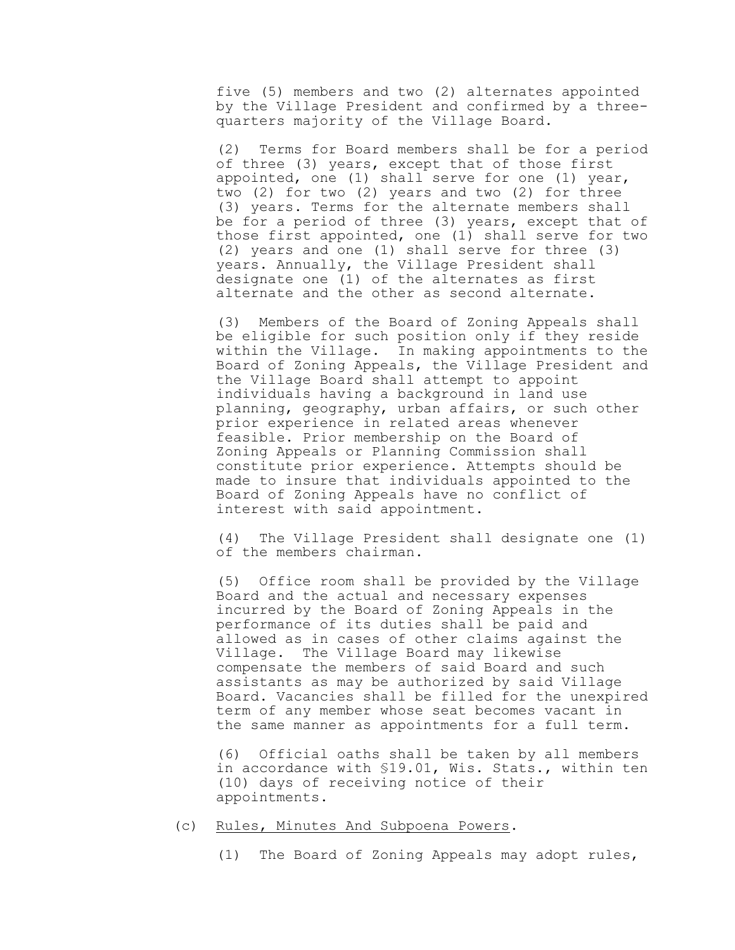five (5) members and two (2) alternates appointed by the Village President and confirmed by a threequarters majority of the Village Board.

(2) Terms for Board members shall be for a period of three (3) years, except that of those first appointed, one (1) shall serve for one (1) year, two (2) for two (2) years and two (2) for three (3) years. Terms for the alternate members shall be for a period of three (3) years, except that of those first appointed, one (1) shall serve for two (2) years and one (1) shall serve for three (3) years. Annually, the Village President shall designate one (1) of the alternates as first alternate and the other as second alternate.

(3) Members of the Board of Zoning Appeals shall be eligible for such position only if they reside within the Village. In making appointments to the Board of Zoning Appeals, the Village President and the Village Board shall attempt to appoint individuals having a background in land use planning, geography, urban affairs, or such other prior experience in related areas whenever feasible. Prior membership on the Board of Zoning Appeals or Planning Commission shall constitute prior experience. Attempts should be made to insure that individuals appointed to the Board of Zoning Appeals have no conflict of interest with said appointment.

(4) The Village President shall designate one (1) of the members chairman.

(5) Office room shall be provided by the Village Board and the actual and necessary expenses incurred by the Board of Zoning Appeals in the performance of its duties shall be paid and allowed as in cases of other claims against the Village. The Village Board may likewise compensate the members of said Board and such assistants as may be authorized by said Village Board. Vacancies shall be filled for the unexpired term of any member whose seat becomes vacant in the same manner as appointments for a full term.

(6) Official oaths shall be taken by all members in accordance with §19.01, Wis. Stats., within ten (10) days of receiving notice of their appointments.

### (c) Rules, Minutes And Subpoena Powers.

(1) The Board of Zoning Appeals may adopt rules,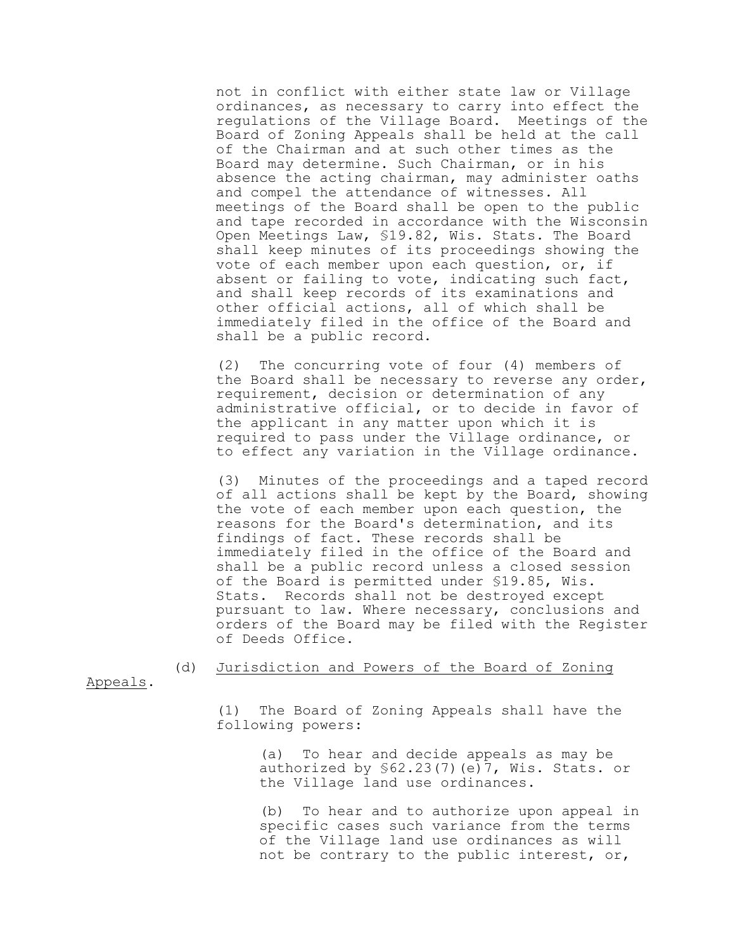not in conflict with either state law or Village ordinances, as necessary to carry into effect the regulations of the Village Board. Meetings of the Board of Zoning Appeals shall be held at the call of the Chairman and at such other times as the Board may determine. Such Chairman, or in his absence the acting chairman, may administer oaths and compel the attendance of witnesses. All meetings of the Board shall be open to the public and tape recorded in accordance with the Wisconsin Open Meetings Law, §19.82, Wis. Stats. The Board shall keep minutes of its proceedings showing the vote of each member upon each question, or, if absent or failing to vote, indicating such fact, and shall keep records of its examinations and other official actions, all of which shall be immediately filed in the office of the Board and shall be a public record.

(2) The concurring vote of four (4) members of the Board shall be necessary to reverse any order, requirement, decision or determination of any administrative official, or to decide in favor of the applicant in any matter upon which it is required to pass under the Village ordinance, or to effect any variation in the Village ordinance.

(3) Minutes of the proceedings and a taped record of all actions shall be kept by the Board, showing the vote of each member upon each question, the reasons for the Board's determination, and its findings of fact. These records shall be immediately filed in the office of the Board and shall be a public record unless a closed session of the Board is permitted under §19.85, Wis. Stats. Records shall not be destroyed except pursuant to law. Where necessary, conclusions and orders of the Board may be filed with the Register of Deeds Office.

# (d) Jurisdiction and Powers of the Board of Zoning

Appeals.

(1) The Board of Zoning Appeals shall have the following powers:

> (a) To hear and decide appeals as may be authorized by §62.23(7)(e)7, Wis. Stats. or the Village land use ordinances.

(b) To hear and to authorize upon appeal in specific cases such variance from the terms of the Village land use ordinances as will not be contrary to the public interest, or,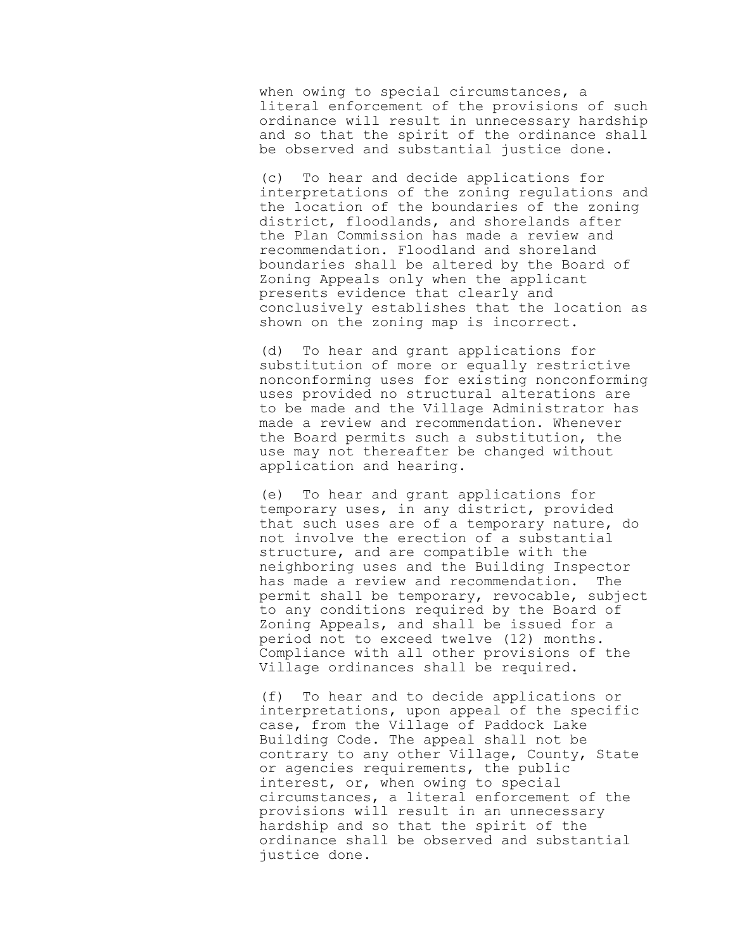when owing to special circumstances, a literal enforcement of the provisions of such ordinance will result in unnecessary hardship and so that the spirit of the ordinance shall be observed and substantial justice done.

(c) To hear and decide applications for interpretations of the zoning regulations and the location of the boundaries of the zoning district, floodlands, and shorelands after the Plan Commission has made a review and recommendation. Floodland and shoreland boundaries shall be altered by the Board of Zoning Appeals only when the applicant presents evidence that clearly and conclusively establishes that the location as shown on the zoning map is incorrect.

(d) To hear and grant applications for substitution of more or equally restrictive nonconforming uses for existing nonconforming uses provided no structural alterations are to be made and the Village Administrator has made a review and recommendation. Whenever the Board permits such a substitution, the use may not thereafter be changed without application and hearing.

(e) To hear and grant applications for temporary uses, in any district, provided that such uses are of a temporary nature, do not involve the erection of a substantial structure, and are compatible with the neighboring uses and the Building Inspector has made a review and recommendation. The permit shall be temporary, revocable, subject to any conditions required by the Board of Zoning Appeals, and shall be issued for a period not to exceed twelve (12) months. Compliance with all other provisions of the Village ordinances shall be required.

(f) To hear and to decide applications or interpretations, upon appeal of the specific case, from the Village of Paddock Lake Building Code. The appeal shall not be contrary to any other Village, County, State or agencies requirements, the public interest, or, when owing to special circumstances, a literal enforcement of the provisions will result in an unnecessary hardship and so that the spirit of the ordinance shall be observed and substantial justice done.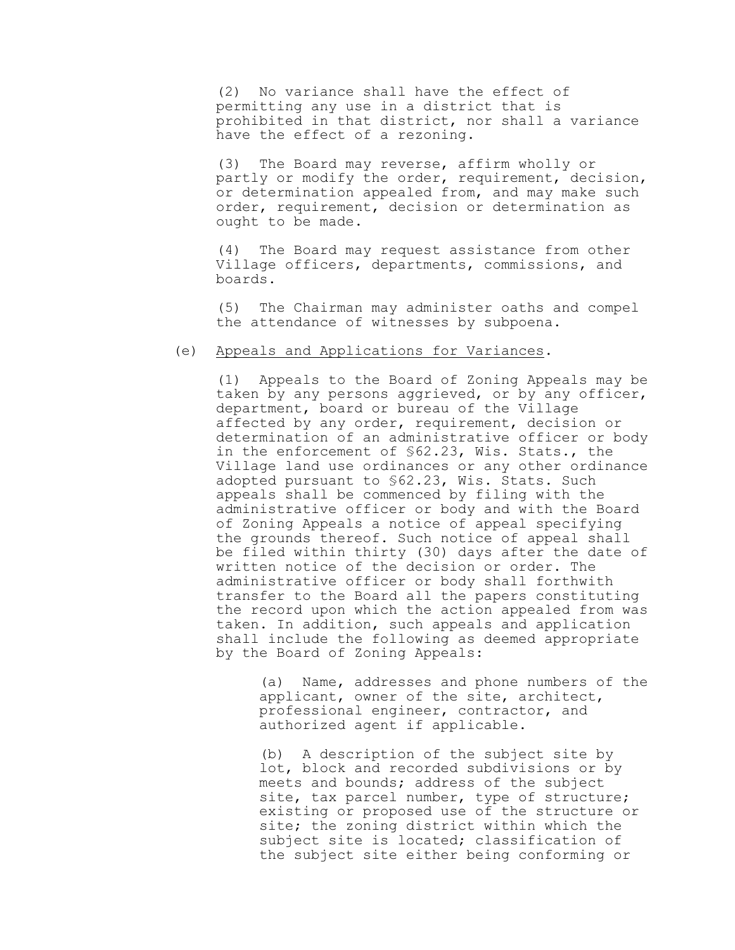(2) No variance shall have the effect of permitting any use in a district that is prohibited in that district, nor shall a variance have the effect of a rezoning.

(3) The Board may reverse, affirm wholly or partly or modify the order, requirement, decision, or determination appealed from, and may make such order, requirement, decision or determination as ought to be made.

(4) The Board may request assistance from other Village officers, departments, commissions, and boards.

(5) The Chairman may administer oaths and compel the attendance of witnesses by subpoena.

# (e) Appeals and Applications for Variances.

(1) Appeals to the Board of Zoning Appeals may be taken by any persons aggrieved, or by any officer, department, board or bureau of the Village affected by any order, requirement, decision or determination of an administrative officer or body in the enforcement of §62.23, Wis. Stats., the Village land use ordinances or any other ordinance adopted pursuant to \$62.23, Wis. Stats. Such appeals shall be commenced by filing with the administrative officer or body and with the Board of Zoning Appeals a notice of appeal specifying the grounds thereof. Such notice of appeal shall be filed within thirty (30) days after the date of written notice of the decision or order. The administrative officer or body shall forthwith transfer to the Board all the papers constituting the record upon which the action appealed from was taken. In addition, such appeals and application shall include the following as deemed appropriate by the Board of Zoning Appeals:

> (a) Name, addresses and phone numbers of the applicant, owner of the site, architect, professional engineer, contractor, and authorized agent if applicable.

(b) A description of the subject site by lot, block and recorded subdivisions or by meets and bounds; address of the subject site, tax parcel number, type of structure; existing or proposed use of the structure or site; the zoning district within which the subject site is located; classification of the subject site either being conforming or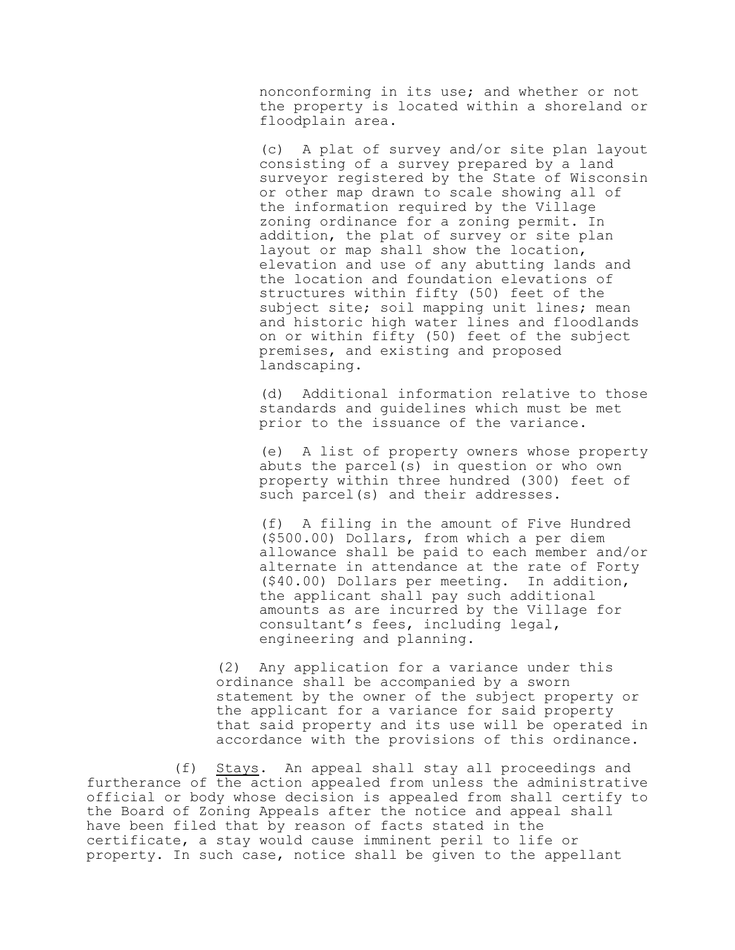nonconforming in its use; and whether or not the property is located within a shoreland or floodplain area.

(c) A plat of survey and/or site plan layout consisting of a survey prepared by a land surveyor registered by the State of Wisconsin or other map drawn to scale showing all of the information required by the Village zoning ordinance for a zoning permit. In addition, the plat of survey or site plan layout or map shall show the location, elevation and use of any abutting lands and the location and foundation elevations of structures within fifty (50) feet of the subject site; soil mapping unit lines; mean and historic high water lines and floodlands on or within fifty (50) feet of the subject premises, and existing and proposed landscaping.

(d) Additional information relative to those standards and guidelines which must be met prior to the issuance of the variance.

(e) A list of property owners whose property abuts the parcel(s) in question or who own property within three hundred (300) feet of such parcel(s) and their addresses.

(f) A filing in the amount of Five Hundred (\$500.00) Dollars, from which a per diem allowance shall be paid to each member and/or alternate in attendance at the rate of Forty (\$40.00) Dollars per meeting. In addition, the applicant shall pay such additional amounts as are incurred by the Village for consultant's fees, including legal, engineering and planning.

(2) Any application for a variance under this ordinance shall be accompanied by a sworn statement by the owner of the subject property or the applicant for a variance for said property that said property and its use will be operated in accordance with the provisions of this ordinance.

(f) Stays. An appeal shall stay all proceedings and furtherance of the action appealed from unless the administrative official or body whose decision is appealed from shall certify to the Board of Zoning Appeals after the notice and appeal shall have been filed that by reason of facts stated in the certificate, a stay would cause imminent peril to life or property. In such case, notice shall be given to the appellant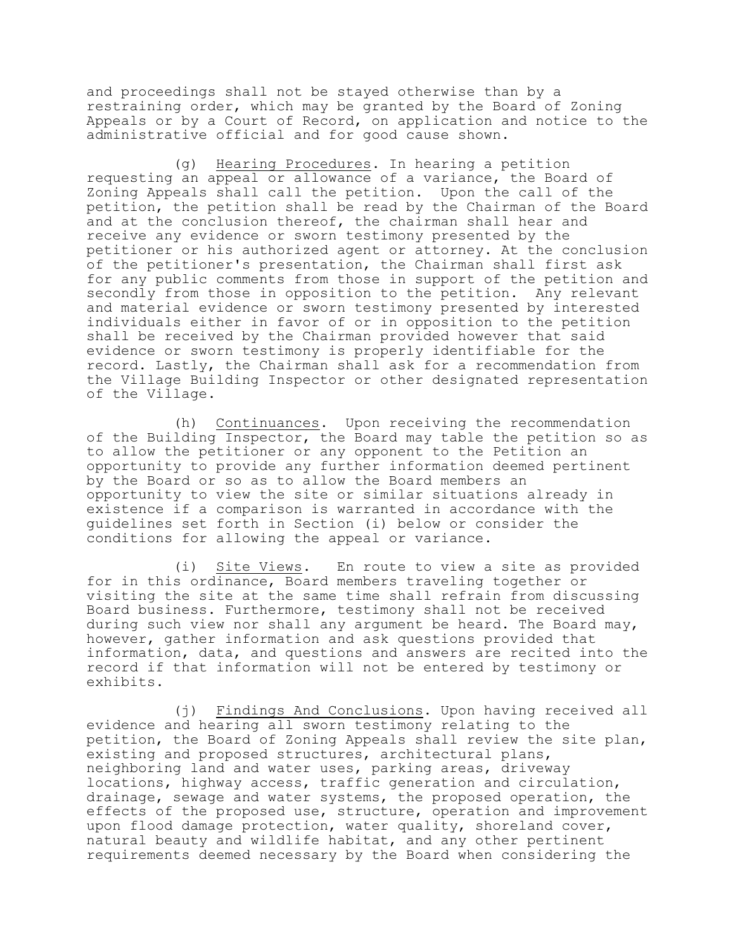and proceedings shall not be stayed otherwise than by a restraining order, which may be granted by the Board of Zoning Appeals or by a Court of Record, on application and notice to the administrative official and for good cause shown.

(g) Hearing Procedures. In hearing a petition requesting an appeal or allowance of a variance, the Board of Zoning Appeals shall call the petition. Upon the call of the petition, the petition shall be read by the Chairman of the Board and at the conclusion thereof, the chairman shall hear and receive any evidence or sworn testimony presented by the petitioner or his authorized agent or attorney. At the conclusion of the petitioner's presentation, the Chairman shall first ask for any public comments from those in support of the petition and secondly from those in opposition to the petition. Any relevant and material evidence or sworn testimony presented by interested individuals either in favor of or in opposition to the petition shall be received by the Chairman provided however that said evidence or sworn testimony is properly identifiable for the record. Lastly, the Chairman shall ask for a recommendation from the Village Building Inspector or other designated representation of the Village.

(h) Continuances. Upon receiving the recommendation of the Building Inspector, the Board may table the petition so as to allow the petitioner or any opponent to the Petition an opportunity to provide any further information deemed pertinent by the Board or so as to allow the Board members an opportunity to view the site or similar situations already in existence if a comparison is warranted in accordance with the guidelines set forth in Section (i) below or consider the conditions for allowing the appeal or variance.

(i) Site Views. En route to view a site as provided for in this ordinance, Board members traveling together or visiting the site at the same time shall refrain from discussing Board business. Furthermore, testimony shall not be received during such view nor shall any argument be heard. The Board may, however, gather information and ask questions provided that information, data, and questions and answers are recited into the record if that information will not be entered by testimony or exhibits.

(j) Findings And Conclusions. Upon having received all evidence and hearing all sworn testimony relating to the petition, the Board of Zoning Appeals shall review the site plan, existing and proposed structures, architectural plans, neighboring land and water uses, parking areas, driveway locations, highway access, traffic generation and circulation, drainage, sewage and water systems, the proposed operation, the effects of the proposed use, structure, operation and improvement upon flood damage protection, water quality, shoreland cover, natural beauty and wildlife habitat, and any other pertinent requirements deemed necessary by the Board when considering the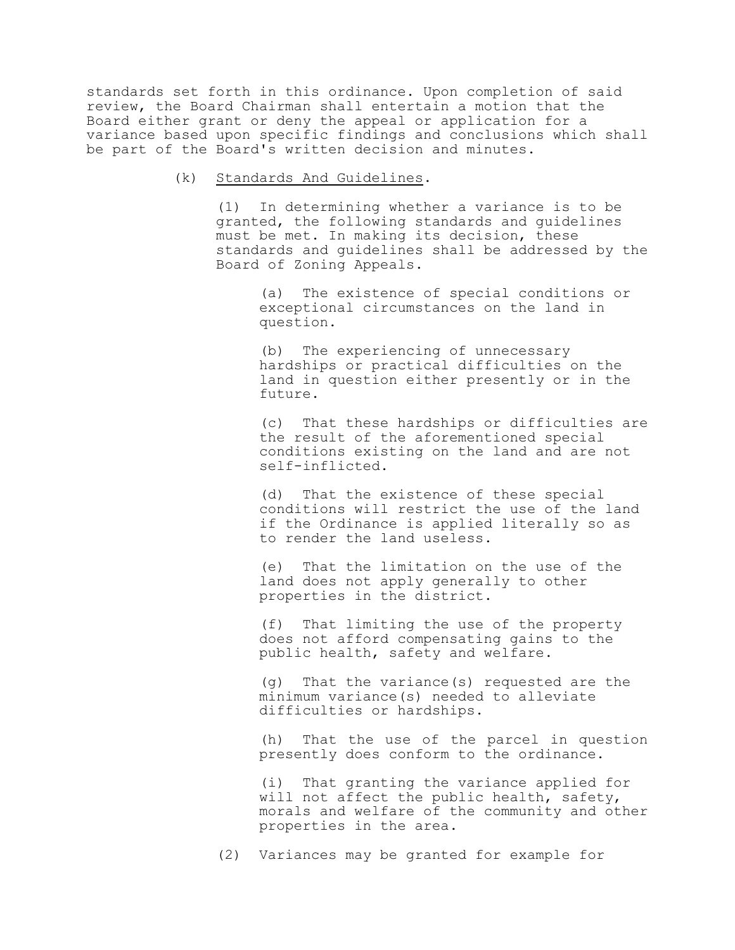standards set forth in this ordinance. Upon completion of said review, the Board Chairman shall entertain a motion that the Board either grant or deny the appeal or application for a variance based upon specific findings and conclusions which shall be part of the Board's written decision and minutes.

(k) Standards And Guidelines.

(1) In determining whether a variance is to be granted, the following standards and guidelines must be met. In making its decision, these standards and guidelines shall be addressed by the Board of Zoning Appeals.

(a) The existence of special conditions or exceptional circumstances on the land in question.

(b) The experiencing of unnecessary hardships or practical difficulties on the land in question either presently or in the future.

(c) That these hardships or difficulties are the result of the aforementioned special conditions existing on the land and are not self-inflicted.

(d) That the existence of these special conditions will restrict the use of the land if the Ordinance is applied literally so as to render the land useless.

(e) That the limitation on the use of the land does not apply generally to other properties in the district.

(f) That limiting the use of the property does not afford compensating gains to the public health, safety and welfare.

(g) That the variance(s) requested are the minimum variance(s) needed to alleviate difficulties or hardships.

(h) That the use of the parcel in question presently does conform to the ordinance.

(i) That granting the variance applied for will not affect the public health, safety, morals and welfare of the community and other properties in the area.

(2) Variances may be granted for example for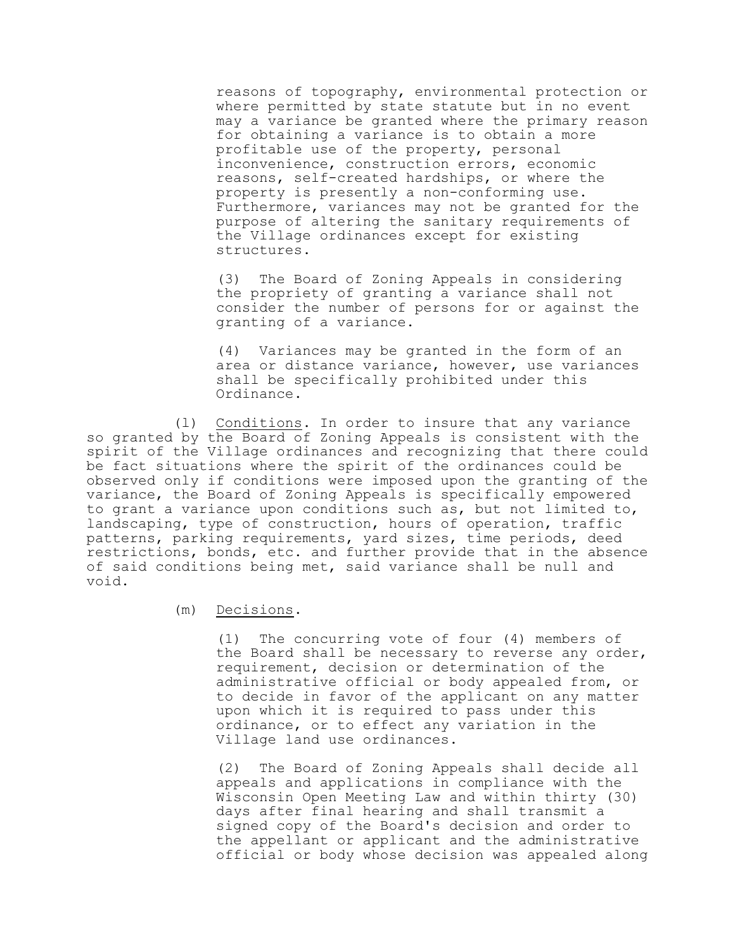reasons of topography, environmental protection or where permitted by state statute but in no event may a variance be granted where the primary reason for obtaining a variance is to obtain a more profitable use of the property, personal inconvenience, construction errors, economic reasons, self-created hardships, or where the property is presently a non-conforming use. Furthermore, variances may not be granted for the purpose of altering the sanitary requirements of the Village ordinances except for existing structures.

(3) The Board of Zoning Appeals in considering the propriety of granting a variance shall not consider the number of persons for or against the granting of a variance.

(4) Variances may be granted in the form of an area or distance variance, however, use variances shall be specifically prohibited under this Ordinance.

(l) Conditions. In order to insure that any variance so granted by the Board of Zoning Appeals is consistent with the spirit of the Village ordinances and recognizing that there could be fact situations where the spirit of the ordinances could be observed only if conditions were imposed upon the granting of the variance, the Board of Zoning Appeals is specifically empowered to grant a variance upon conditions such as, but not limited to, landscaping, type of construction, hours of operation, traffic patterns, parking requirements, yard sizes, time periods, deed restrictions, bonds, etc. and further provide that in the absence of said conditions being met, said variance shall be null and void.

(m) Decisions.

(1) The concurring vote of four (4) members of the Board shall be necessary to reverse any order, requirement, decision or determination of the administrative official or body appealed from, or to decide in favor of the applicant on any matter upon which it is required to pass under this ordinance, or to effect any variation in the Village land use ordinances.

(2) The Board of Zoning Appeals shall decide all appeals and applications in compliance with the Wisconsin Open Meeting Law and within thirty (30) days after final hearing and shall transmit a signed copy of the Board's decision and order to the appellant or applicant and the administrative official or body whose decision was appealed along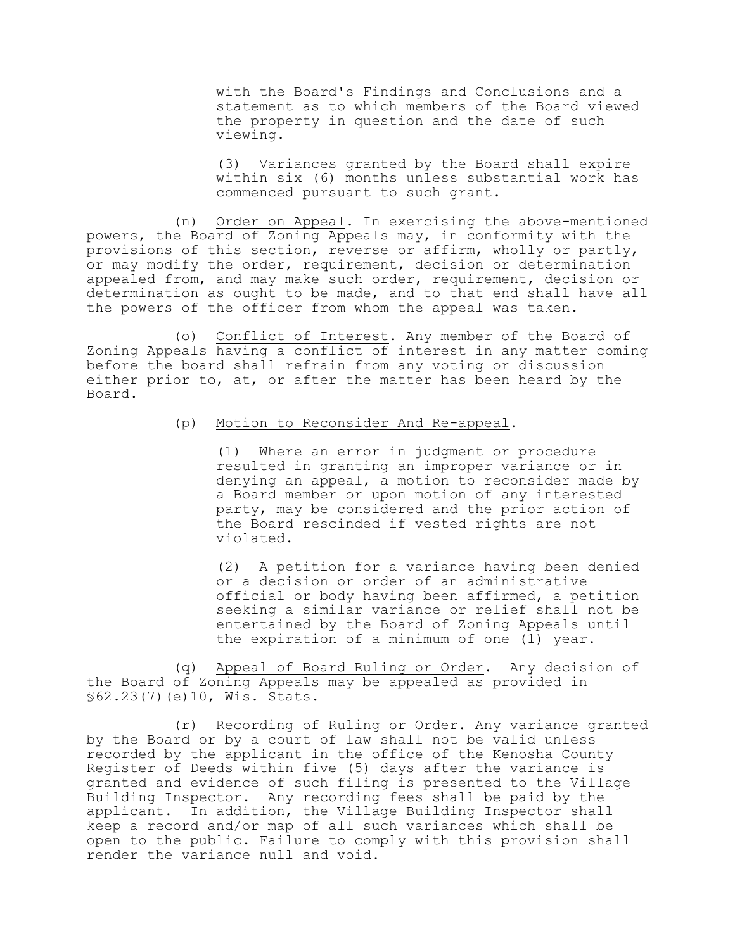with the Board's Findings and Conclusions and a statement as to which members of the Board viewed the property in question and the date of such viewing.

(3) Variances granted by the Board shall expire within six (6) months unless substantial work has commenced pursuant to such grant.

(n) Order on Appeal. In exercising the above-mentioned powers, the Board of Zoning Appeals may, in conformity with the provisions of this section, reverse or affirm, wholly or partly, or may modify the order, requirement, decision or determination appealed from, and may make such order, requirement, decision or determination as ought to be made, and to that end shall have all the powers of the officer from whom the appeal was taken.

(o) Conflict of Interest. Any member of the Board of Zoning Appeals having a conflict of interest in any matter coming before the board shall refrain from any voting or discussion either prior to, at, or after the matter has been heard by the Board.

# (p) Motion to Reconsider And Re-appeal.

(1) Where an error in judgment or procedure resulted in granting an improper variance or in denying an appeal, a motion to reconsider made by a Board member or upon motion of any interested party, may be considered and the prior action of the Board rescinded if vested rights are not violated.

(2) A petition for a variance having been denied or a decision or order of an administrative official or body having been affirmed, a petition seeking a similar variance or relief shall not be entertained by the Board of Zoning Appeals until the expiration of a minimum of one (1) year.

(q) Appeal of Board Ruling or Order. Any decision of the Board of Zoning Appeals may be appealed as provided in §62.23(7)(e)10, Wis. Stats.

(r) Recording of Ruling or Order. Any variance granted by the Board or by a court of law shall not be valid unless recorded by the applicant in the office of the Kenosha County Register of Deeds within five (5) days after the variance is granted and evidence of such filing is presented to the Village Building Inspector. Any recording fees shall be paid by the applicant. In addition, the Village Building Inspector shall keep a record and/or map of all such variances which shall be open to the public. Failure to comply with this provision shall render the variance null and void.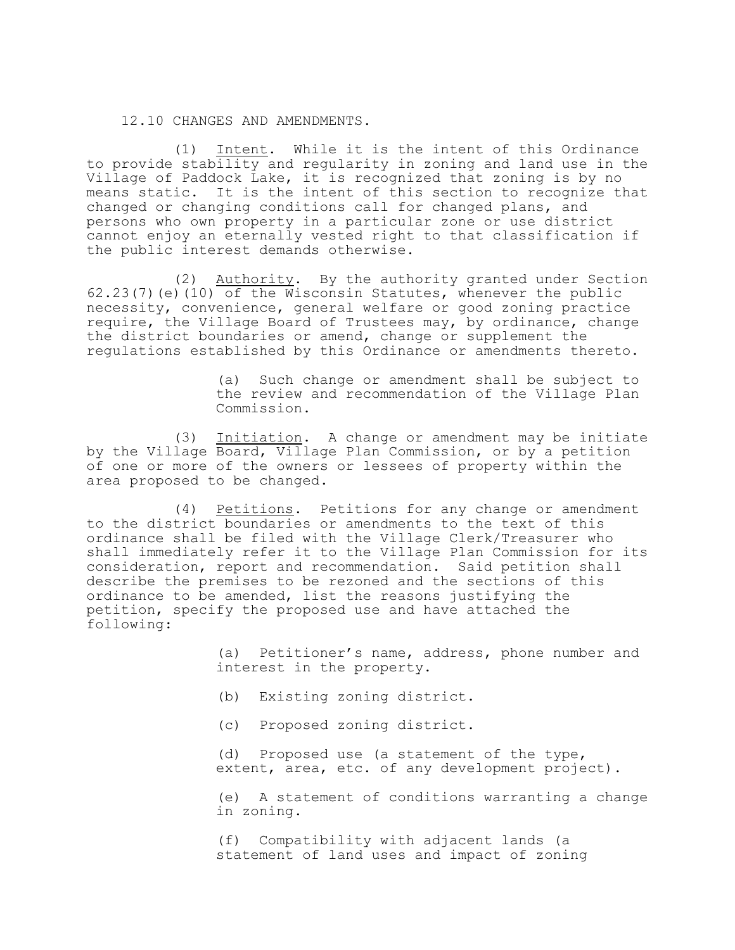#### 12.10 CHANGES AND AMENDMENTS.

(1) Intent. While it is the intent of this Ordinance to provide stability and regularity in zoning and land use in the Village of Paddock Lake, it is recognized that zoning is by no means static. It is the intent of this section to recognize that changed or changing conditions call for changed plans, and persons who own property in a particular zone or use district cannot enjoy an eternally vested right to that classification if the public interest demands otherwise.

(2) Authority. By the authority granted under Section  $62.23(7)$  (e) (10) of the Wisconsin Statutes, whenever the public necessity, convenience, general welfare or good zoning practice require, the Village Board of Trustees may, by ordinance, change the district boundaries or amend, change or supplement the regulations established by this Ordinance or amendments thereto.

> (a) Such change or amendment shall be subject to the review and recommendation of the Village Plan Commission.

(3) Initiation. A change or amendment may be initiate by the Village Board, Village Plan Commission, or by a petition of one or more of the owners or lessees of property within the area proposed to be changed.

(4) Petitions. Petitions for any change or amendment to the district boundaries or amendments to the text of this ordinance shall be filed with the Village Clerk/Treasurer who shall immediately refer it to the Village Plan Commission for its consideration, report and recommendation. Said petition shall describe the premises to be rezoned and the sections of this ordinance to be amended, list the reasons justifying the petition, specify the proposed use and have attached the following:

> (a) Petitioner's name, address, phone number and interest in the property.

- (b) Existing zoning district.
- (c) Proposed zoning district.

(d) Proposed use (a statement of the type, extent, area, etc. of any development project).

(e) A statement of conditions warranting a change in zoning.

(f) Compatibility with adjacent lands (a statement of land uses and impact of zoning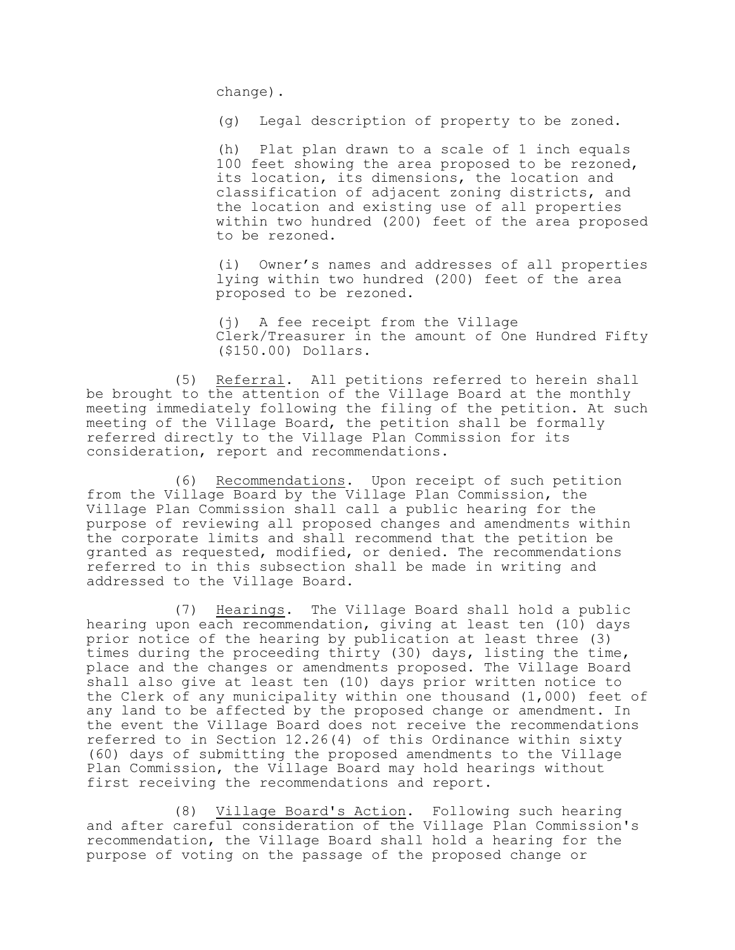change).

(g) Legal description of property to be zoned.

(h) Plat plan drawn to a scale of 1 inch equals 100 feet showing the area proposed to be rezoned, its location, its dimensions, the location and classification of adjacent zoning districts, and the location and existing use of all properties within two hundred (200) feet of the area proposed to be rezoned.

(i) Owner's names and addresses of all properties lying within two hundred (200) feet of the area proposed to be rezoned.

(j) A fee receipt from the Village Clerk/Treasurer in the amount of One Hundred Fifty (\$150.00) Dollars.

(5) Referral. All petitions referred to herein shall be brought to the attention of the Village Board at the monthly meeting immediately following the filing of the petition. At such meeting of the Village Board, the petition shall be formally referred directly to the Village Plan Commission for its consideration, report and recommendations.

(6) Recommendations. Upon receipt of such petition from the Village Board by the Village Plan Commission, the Village Plan Commission shall call a public hearing for the purpose of reviewing all proposed changes and amendments within the corporate limits and shall recommend that the petition be granted as requested, modified, or denied. The recommendations referred to in this subsection shall be made in writing and addressed to the Village Board.

(7) Hearings. The Village Board shall hold a public hearing upon each recommendation, giving at least ten (10) days prior notice of the hearing by publication at least three (3) times during the proceeding thirty (30) days, listing the time, place and the changes or amendments proposed. The Village Board shall also give at least ten (10) days prior written notice to the Clerk of any municipality within one thousand (1,000) feet of any land to be affected by the proposed change or amendment. In the event the Village Board does not receive the recommendations referred to in Section 12.26(4) of this Ordinance within sixty (60) days of submitting the proposed amendments to the Village Plan Commission, the Village Board may hold hearings without first receiving the recommendations and report.

(8) Village Board's Action. Following such hearing and after careful consideration of the Village Plan Commission's recommendation, the Village Board shall hold a hearing for the purpose of voting on the passage of the proposed change or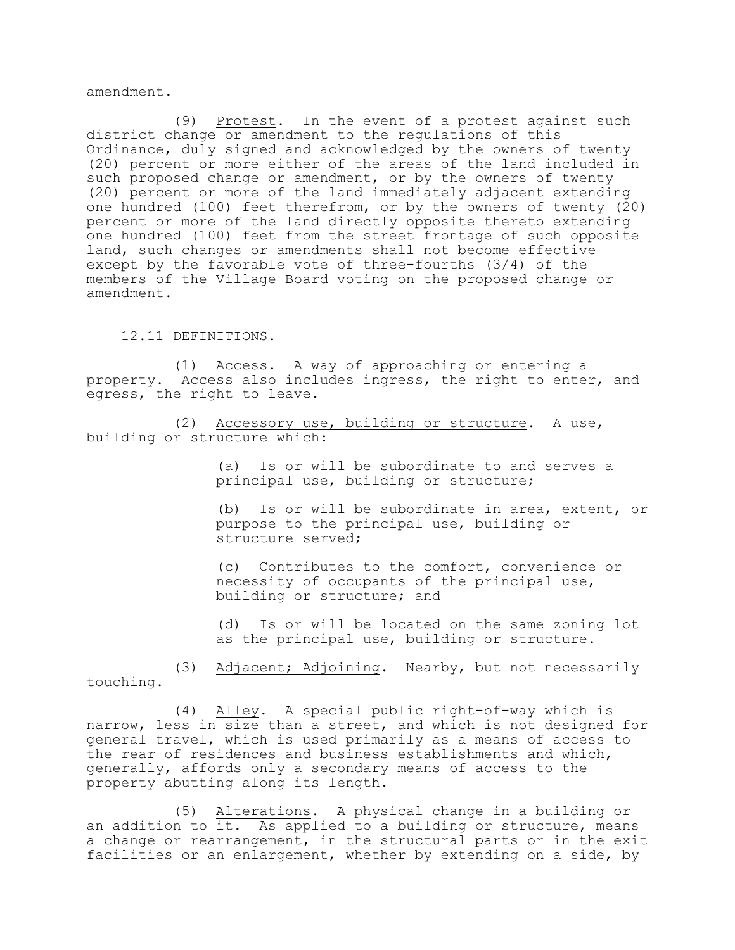amendment.

(9) Protest. In the event of a protest against such district change or amendment to the regulations of this Ordinance, duly signed and acknowledged by the owners of twenty (20) percent or more either of the areas of the land included in such proposed change or amendment, or by the owners of twenty (20) percent or more of the land immediately adjacent extending one hundred (100) feet therefrom, or by the owners of twenty (20) percent or more of the land directly opposite thereto extending one hundred (100) feet from the street frontage of such opposite land, such changes or amendments shall not become effective except by the favorable vote of three-fourths (3/4) of the members of the Village Board voting on the proposed change or amendment.

12.11 DEFINITIONS.

(1) Access. A way of approaching or entering a property. Access also includes ingress, the right to enter, and egress, the right to leave.

(2) Accessory use, building or structure. A use, building or structure which:

> (a) Is or will be subordinate to and serves a principal use, building or structure;

(b) Is or will be subordinate in area, extent, or purpose to the principal use, building or structure served;

(c) Contributes to the comfort, convenience or necessity of occupants of the principal use, building or structure; and

(d) Is or will be located on the same zoning lot as the principal use, building or structure.

(3) Adjacent; Adjoining. Nearby, but not necessarily touching.

(4) Alley. A special public right-of-way which is narrow, less in size than a street, and which is not designed for general travel, which is used primarily as a means of access to the rear of residences and business establishments and which, generally, affords only a secondary means of access to the property abutting along its length.

(5) Alterations. A physical change in a building or an addition to it. As applied to a building or structure, means a change or rearrangement, in the structural parts or in the exit facilities or an enlargement, whether by extending on a side, by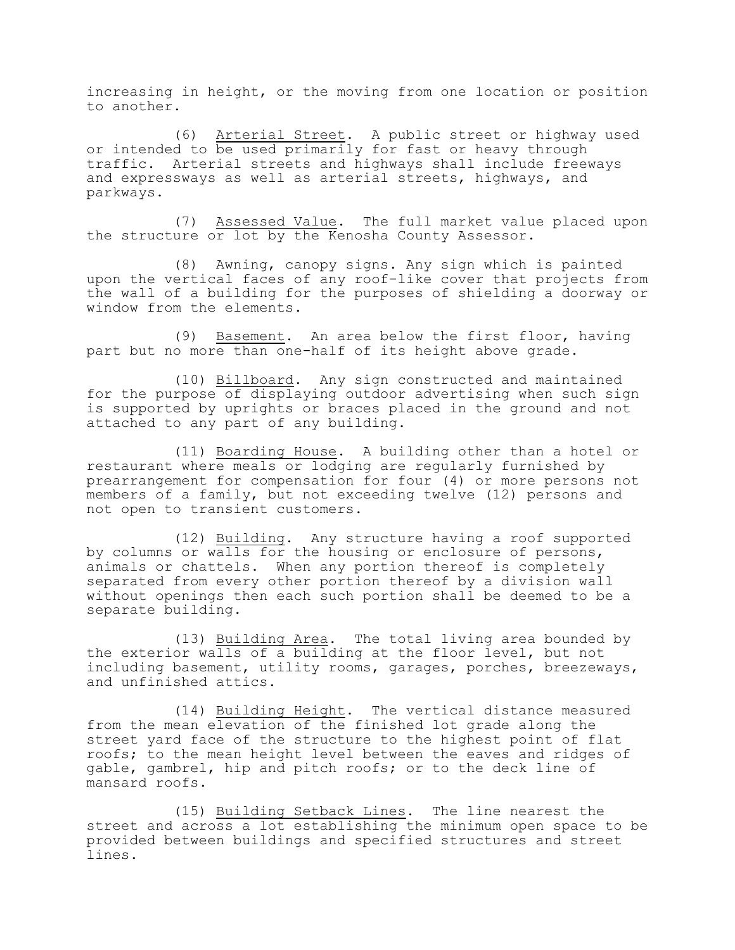increasing in height, or the moving from one location or position to another.

(6) Arterial Street. A public street or highway used or intended to be used primarily for fast or heavy through traffic. Arterial streets and highways shall include freeways and expressways as well as arterial streets, highways, and parkways.

(7) Assessed Value. The full market value placed upon the structure or lot by the Kenosha County Assessor.

(8) Awning, canopy signs. Any sign which is painted upon the vertical faces of any roof-like cover that projects from the wall of a building for the purposes of shielding a doorway or window from the elements.

(9) Basement. An area below the first floor, having part but no more than one-half of its height above grade.

(10) Billboard. Any sign constructed and maintained for the purpose of displaying outdoor advertising when such sign is supported by uprights or braces placed in the ground and not attached to any part of any building.

(11) Boarding House. A building other than a hotel or restaurant where meals or lodging are regularly furnished by prearrangement for compensation for four (4) or more persons not members of a family, but not exceeding twelve (12) persons and not open to transient customers.

(12) Building. Any structure having a roof supported by columns or walls for the housing or enclosure of persons, animals or chattels. When any portion thereof is completely separated from every other portion thereof by a division wall without openings then each such portion shall be deemed to be a separate building.

(13) Building Area. The total living area bounded by the exterior walls of a building at the floor level, but not including basement, utility rooms, garages, porches, breezeways, and unfinished attics.

(14) Building Height. The vertical distance measured from the mean elevation of the finished lot grade along the street yard face of the structure to the highest point of flat roofs; to the mean height level between the eaves and ridges of gable, gambrel, hip and pitch roofs; or to the deck line of mansard roofs.

(15) Building Setback Lines. The line nearest the street and across a lot establishing the minimum open space to be provided between buildings and specified structures and street lines.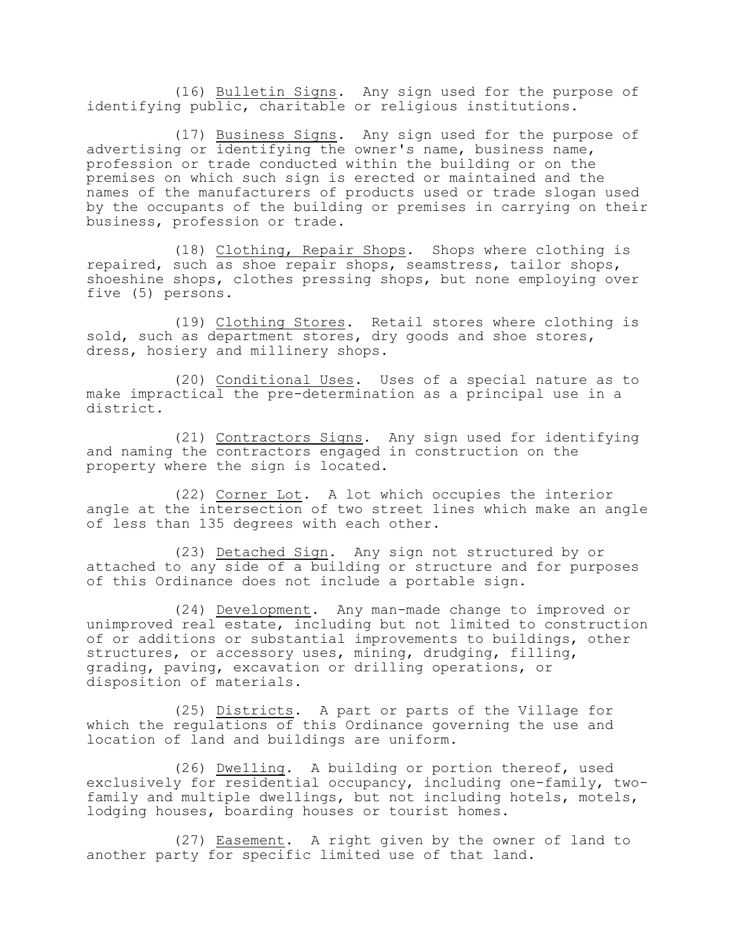(16) Bulletin Signs. Any sign used for the purpose of identifying public, charitable or religious institutions.

(17) Business Signs. Any sign used for the purpose of advertising or identifying the owner's name, business name, profession or trade conducted within the building or on the premises on which such sign is erected or maintained and the names of the manufacturers of products used or trade slogan used by the occupants of the building or premises in carrying on their business, profession or trade.

(18) Clothing, Repair Shops. Shops where clothing is repaired, such as shoe repair shops, seamstress, tailor shops, shoeshine shops, clothes pressing shops, but none employing over five (5) persons.

(19) Clothing Stores. Retail stores where clothing is sold, such as department stores, dry goods and shoe stores, dress, hosiery and millinery shops.

(20) Conditional Uses. Uses of a special nature as to make impractical the pre-determination as a principal use in a district.

(21) Contractors Signs. Any sign used for identifying and naming the contractors engaged in construction on the property where the sign is located.

(22) Corner Lot. A lot which occupies the interior angle at the intersection of two street lines which make an angle of less than 135 degrees with each other.

(23) Detached Sign. Any sign not structured by or attached to any side of a building or structure and for purposes of this Ordinance does not include a portable sign.

(24) Development. Any man-made change to improved or unimproved real estate, including but not limited to construction of or additions or substantial improvements to buildings, other structures, or accessory uses, mining, drudging, filling, grading, paving, excavation or drilling operations, or disposition of materials.

(25) Districts. A part or parts of the Village for which the regulations of this Ordinance governing the use and location of land and buildings are uniform.

(26) Dwe11ing. A building or portion thereof, used exclusively for residential occupancy, including one-family, twofamily and multiple dwellings, but not including hotels, motels, lodging houses, boarding houses or tourist homes.

(27) Easement. A right given by the owner of land to another party for specific limited use of that land.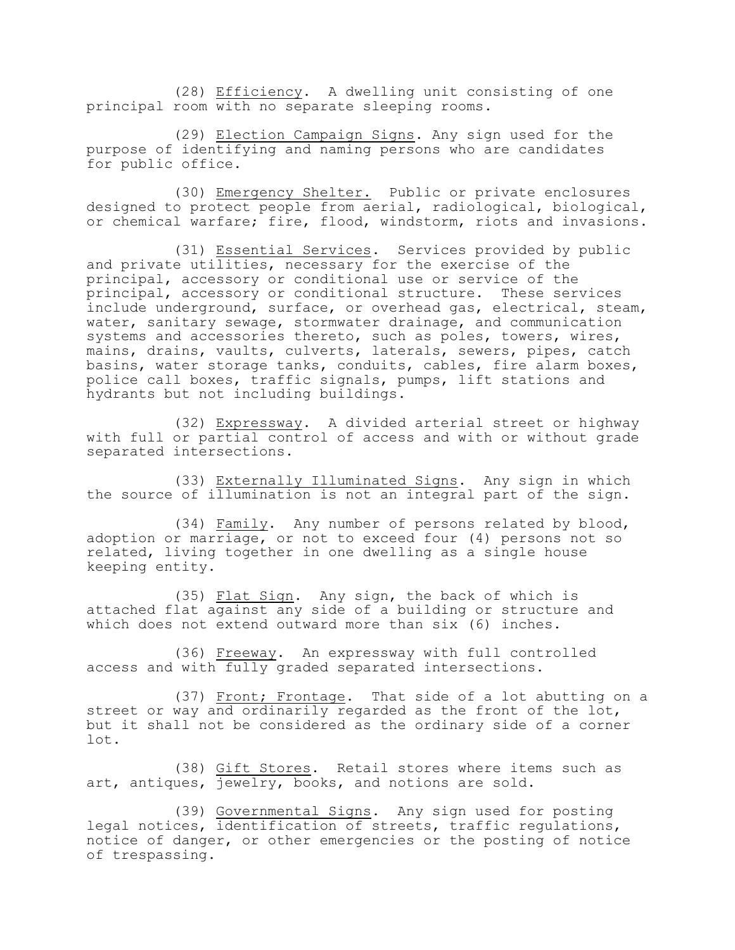(28) Efficiency. A dwelling unit consisting of one principal room with no separate sleeping rooms.

(29) Election Campaign Signs. Any sign used for the purpose of identifying and naming persons who are candidates for public office.

(30) Emergency Shelter. Public or private enclosures designed to protect people from aerial, radiological, biological, or chemical warfare; fire, flood, windstorm, riots and invasions.

(31) Essential Services. Services provided by public and private utilities, necessary for the exercise of the principal, accessory or conditional use or service of the principal, accessory or conditional structure. These services include underground, surface, or overhead gas, electrical, steam, water, sanitary sewage, stormwater drainage, and communication systems and accessories thereto, such as poles, towers, wires, mains, drains, vaults, culverts, laterals, sewers, pipes, catch basins, water storage tanks, conduits, cables, fire alarm boxes, police call boxes, traffic signals, pumps, lift stations and hydrants but not including buildings.

(32) Expressway. A divided arterial street or highway with full or partial control of access and with or without grade separated intersections.

(33) Externally Illuminated Signs. Any sign in which the source of illumination is not an integral part of the sign.

(34) Family. Any number of persons related by blood, adoption or marriage, or not to exceed four (4) persons not so related, living together in one dwelling as a single house keeping entity.

(35) Flat Sign. Any sign, the back of which is attached flat against any side of a building or structure and which does not extend outward more than six (6) inches.

(36) Freeway. An expressway with full controlled access and with fully graded separated intersections.

(37) Front; Frontage. That side of a lot abutting on a street or way and ordinarily regarded as the front of the lot, but it shall not be considered as the ordinary side of a corner lot.

(38) Gift Stores. Retail stores where items such as art, antiques, jewelry, books, and notions are sold.

(39) Governmental Signs. Any sign used for posting legal notices, identification of streets, traffic regulations, notice of danger, or other emergencies or the posting of notice of trespassing.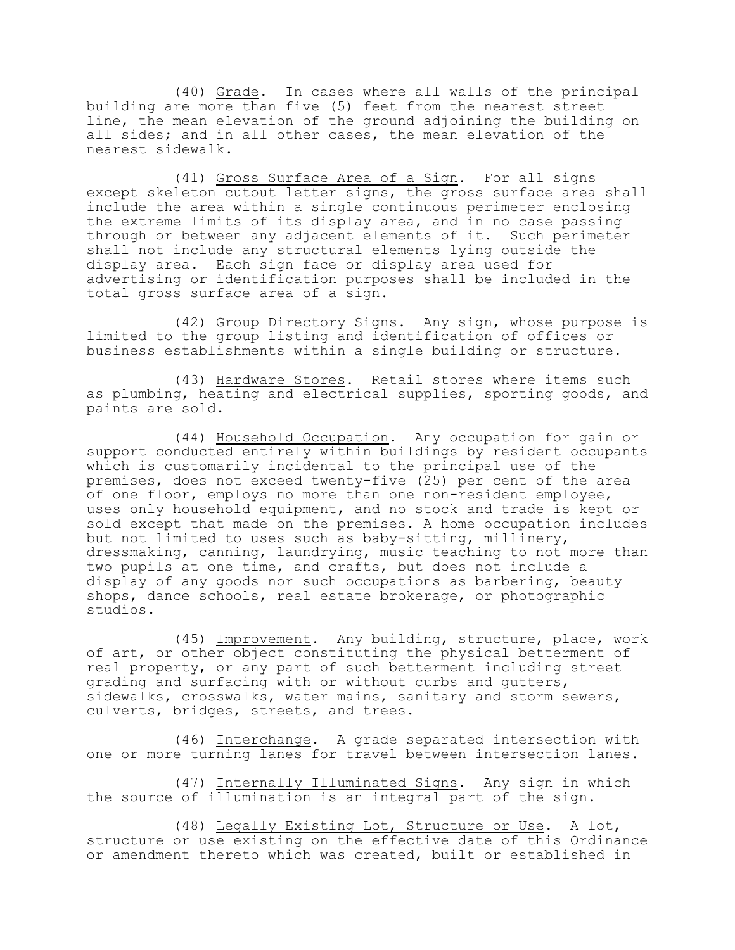(40) Grade. In cases where all walls of the principal building are more than five (5) feet from the nearest street line, the mean elevation of the ground adjoining the building on all sides; and in all other cases, the mean elevation of the nearest sidewalk.

(41) Gross Surface Area of a Sign. For all signs except skeleton cutout letter signs, the gross surface area shall include the area within a single continuous perimeter enclosing the extreme limits of its display area, and in no case passing through or between any adjacent elements of it. Such perimeter shall not include any structural elements lying outside the display area. Each sign face or display area used for advertising or identification purposes shall be included in the total gross surface area of a sign.

(42) Group Directory Signs. Any sign, whose purpose is limited to the group listing and identification of offices or business establishments within a single building or structure.

(43) Hardware Stores. Retail stores where items such as plumbing, heating and electrical supplies, sporting goods, and paints are sold.

(44) Household Occupation. Any occupation for gain or support conducted entirely within buildings by resident occupants which is customarily incidental to the principal use of the premises, does not exceed twenty-five (25) per cent of the area of one floor, employs no more than one non-resident employee, uses only household equipment, and no stock and trade is kept or sold except that made on the premises. A home occupation includes but not limited to uses such as baby-sitting, millinery, dressmaking, canning, laundrying, music teaching to not more than two pupils at one time, and crafts, but does not include a display of any goods nor such occupations as barbering, beauty shops, dance schools, real estate brokerage, or photographic studios.

(45) Improvement. Any building, structure, place, work of art, or other object constituting the physical betterment of real property, or any part of such betterment including street grading and surfacing with or without curbs and gutters, sidewalks, crosswalks, water mains, sanitary and storm sewers, culverts, bridges, streets, and trees.

(46) Interchange. A grade separated intersection with one or more turning lanes for travel between intersection lanes.

(47) Internally Illuminated Signs. Any sign in which the source of illumination is an integral part of the sign.

(48) Legally Existing Lot, Structure or Use. A lot, structure or use existing on the effective date of this Ordinance or amendment thereto which was created, built or established in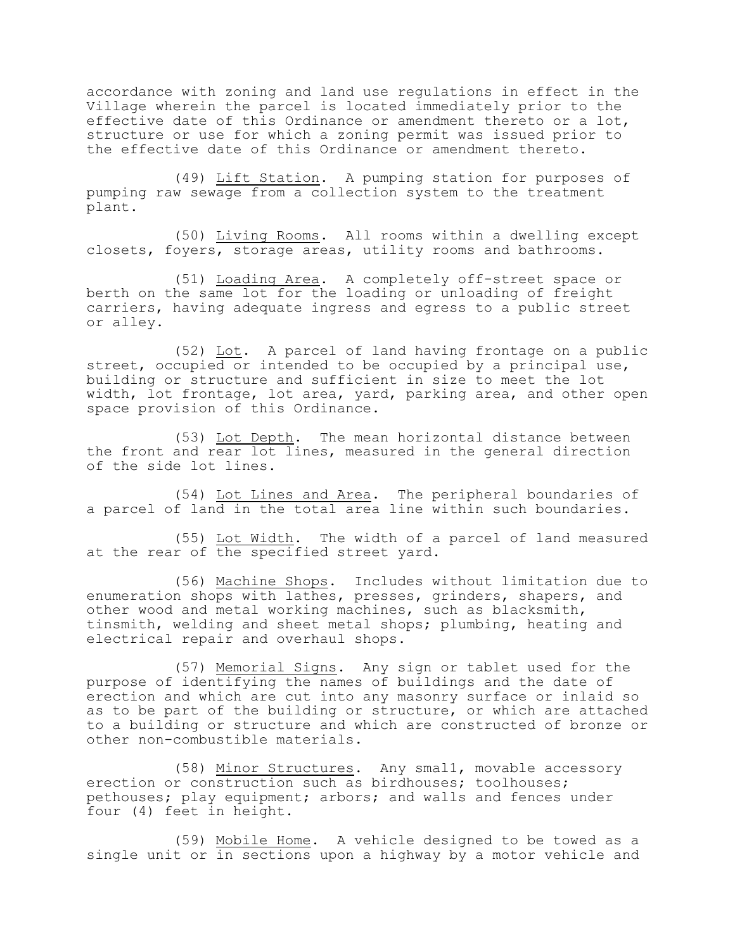accordance with zoning and land use regulations in effect in the Village wherein the parcel is located immediately prior to the effective date of this Ordinance or amendment thereto or a lot, structure or use for which a zoning permit was issued prior to the effective date of this Ordinance or amendment thereto.

(49) Lift Station. A pumping station for purposes of pumping raw sewage from a collection system to the treatment plant.

(50) Living Rooms. All rooms within a dwelling except closets, foyers, storage areas, utility rooms and bathrooms.

(51) Loading Area. A completely off-street space or berth on the same lot for the loading or unloading of freight carriers, having adequate ingress and egress to a public street or alley.

(52) Lot. A parcel of land having frontage on a public street, occupied or intended to be occupied by a principal use, building or structure and sufficient in size to meet the lot width, lot frontage, lot area, yard, parking area, and other open space provision of this Ordinance.

(53) Lot Depth. The mean horizontal distance between the front and rear lot lines, measured in the general direction of the side lot lines.

(54) Lot Lines and Area. The peripheral boundaries of a parcel of land in the total area line within such boundaries.

(55) Lot Width. The width of a parcel of land measured at the rear of the specified street yard.

(56) Machine Shops. Includes without limitation due to enumeration shops with lathes, presses, grinders, shapers, and other wood and metal working machines, such as blacksmith, tinsmith, welding and sheet metal shops; plumbing, heating and electrical repair and overhaul shops.

(57) Memorial Signs. Any sign or tablet used for the purpose of identifying the names of buildings and the date of erection and which are cut into any masonry surface or inlaid so as to be part of the building or structure, or which are attached to a building or structure and which are constructed of bronze or other non-combustible materials.

(58) Minor Structures. Any smal1, movable accessory erection or construction such as birdhouses; toolhouses; pethouses; play equipment; arbors; and walls and fences under four (4) feet in height.

(59) Mobile Home. A vehicle designed to be towed as a single unit or in sections upon a highway by a motor vehicle and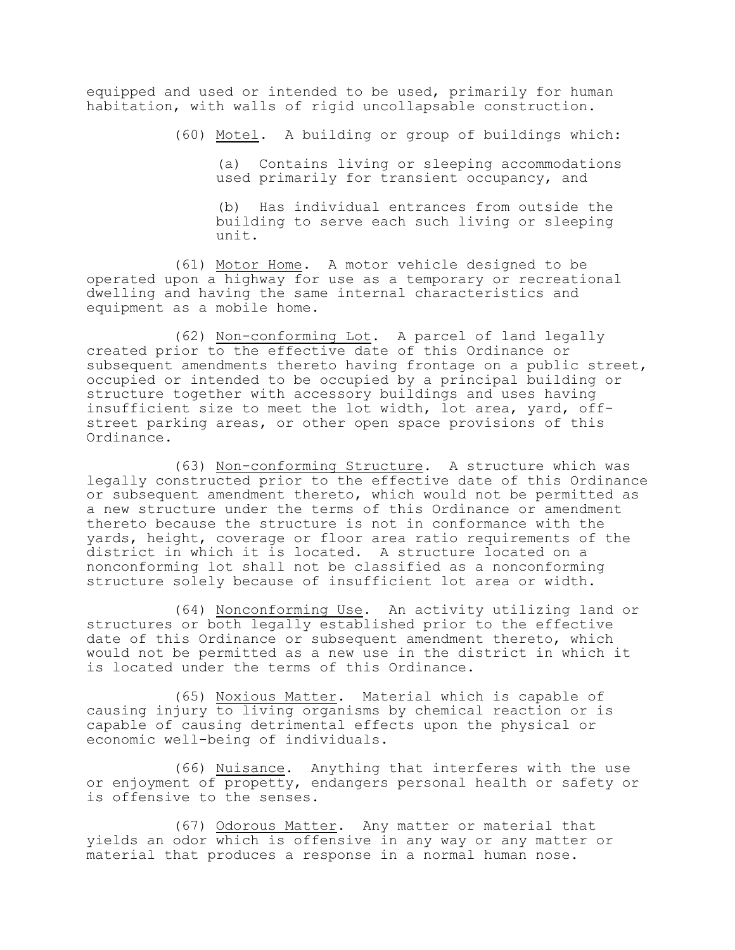equipped and used or intended to be used, primarily for human habitation, with walls of rigid uncollapsable construction.

(60) Motel. A building or group of buildings which:

(a) Contains living or sleeping accommodations used primarily for transient occupancy, and

(b) Has individual entrances from outside the building to serve each such living or sleeping unit.

(61) Motor Home. A motor vehicle designed to be operated upon a highway for use as a temporary or recreational dwelling and having the same internal characteristics and equipment as a mobile home.

(62) Non-conforming Lot. A parcel of land legally created prior to the effective date of this Ordinance or subsequent amendments thereto having frontage on a public street, occupied or intended to be occupied by a principal building or structure together with accessory buildings and uses having insufficient size to meet the lot width, lot area, yard, offstreet parking areas, or other open space provisions of this Ordinance.

(63) Non-conforming Structure. A structure which was legally constructed prior to the effective date of this Ordinance or subsequent amendment thereto, which would not be permitted as a new structure under the terms of this Ordinance or amendment thereto because the structure is not in conformance with the yards, height, coverage or floor area ratio requirements of the district in which it is located. A structure located on a nonconforming lot shall not be classified as a nonconforming structure solely because of insufficient lot area or width.

(64) Nonconforming Use. An activity utilizing land or structures or both legally established prior to the effective date of this Ordinance or subsequent amendment thereto, which would not be permitted as a new use in the district in which it is located under the terms of this Ordinance.

(65) Noxious Matter. Material which is capable of causing injury to living organisms by chemical reaction or is capable of causing detrimental effects upon the physical or economic well-being of individuals.

(66) Nuisance. Anything that interferes with the use or enjoyment of propetty, endangers personal health or safety or is offensive to the senses.

(67) Odorous Matter. Any matter or material that yields an odor which is offensive in any way or any matter or material that produces a response in a normal human nose.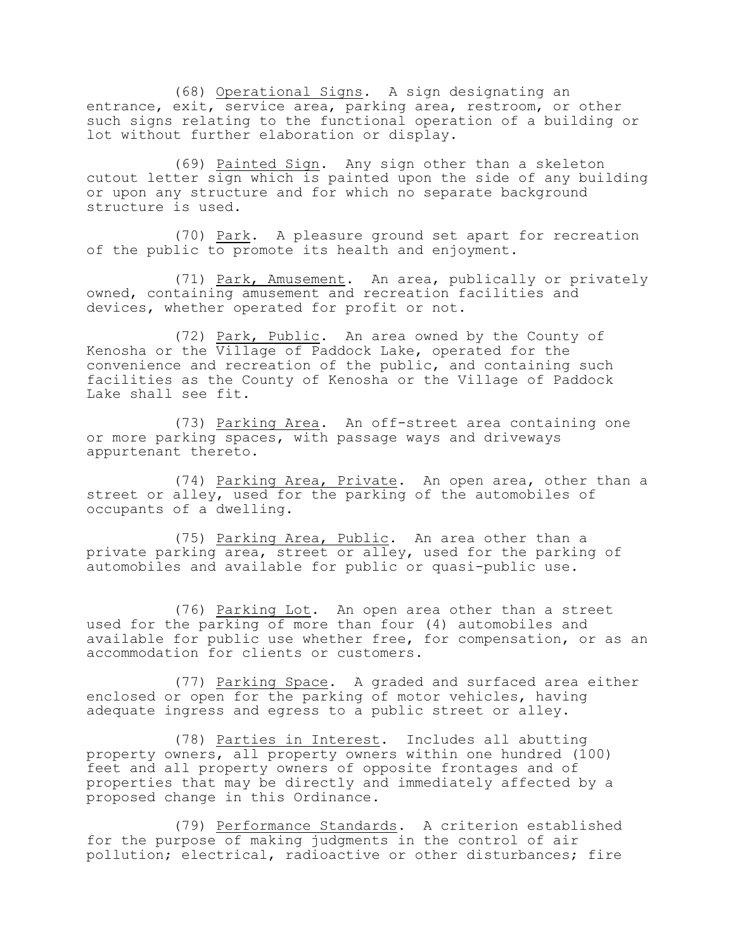(68) Operational Signs. A sign designating an entrance, exit, service area, parking area, restroom, or other such signs relating to the functional operation of a building or lot without further elaboration or display.

(69) Painted Sign. Any sign other than a skeleton cutout letter sign which is painted upon the side of any building or upon any structure and for which no separate background structure is used.

(70) Park. A pleasure ground set apart for recreation of the public to promote its health and enjoyment.

(71) Park, Amusement. An area, publically or privately owned, containing amusement and recreation facilities and devices, whether operated for profit or not.

(72) Park, Public. An area owned by the County of Kenosha or the Village of Paddock Lake, operated for the convenience and recreation of the public, and containing such facilities as the County of Kenosha or the Village of Paddock Lake shall see fit.

(73) Parking Area. An off-street area containing one or more parking spaces, with passage ways and driveways appurtenant thereto.

(74) Parking Area, Private. An open area, other than a street or alley, used for the parking of the automobiles of occupants of a dwelling.

(75) Parking Area, Public. An area other than a private parking area, street or alley, used for the parking of automobiles and available for public or quasi-public use.

(76) Parking Lot. An open area other than a street used for the parking of more than four (4) automobiles and available for public use whether free, for compensation, or as an accommodation for clients or customers.

(77) Parking Space. A graded and surfaced area either enclosed or open for the parking of motor vehicles, having adequate ingress and egress to a public street or alley.

(78) Parties in Interest. Includes all abutting property owners, all property owners within one hundred (100) feet and all property owners of opposite frontages and of properties that may be directly and immediately affected by a proposed change in this Ordinance.

(79) Performance Standards. A criterion established for the purpose of making judgments in the control of air pollution; electrical, radioactive or other disturbances; fire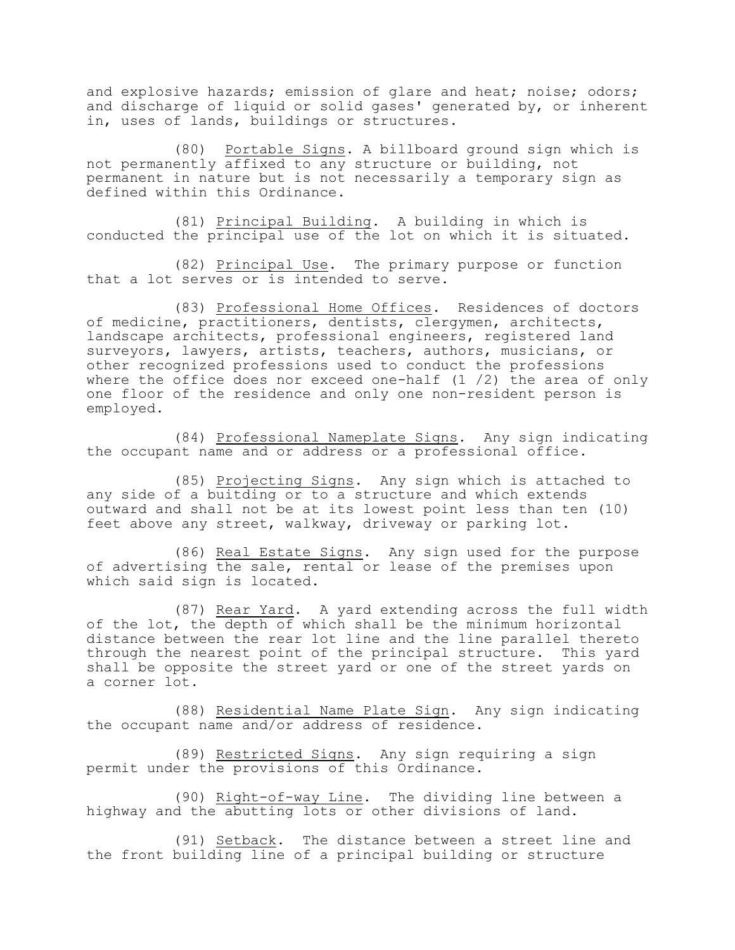and explosive hazards; emission of glare and heat; noise; odors; and discharge of liquid or solid gases' generated by, or inherent in, uses of lands, buildings or structures.

(80) Portable Signs. A billboard ground sign which is not permanently affixed to any structure or building, not permanent in nature but is not necessarily a temporary sign as defined within this Ordinance.

(81) Principal Building. A building in which is conducted the principal use of the lot on which it is situated.

(82) Principal Use. The primary purpose or function that a lot serves or is intended to serve.

(83) Professional Home Offices. Residences of doctors of medicine, practitioners, dentists, clergymen, architects, landscape architects, professional engineers, registered land surveyors, lawyers, artists, teachers, authors, musicians, or other recognized professions used to conduct the professions where the office does nor exceed one-half (1 /2) the area of only one floor of the residence and only one non-resident person is employed.

(84) Professional Nameplate Signs. Any sign indicating the occupant name and or address or a professional office.

(85) Projecting Signs. Any sign which is attached to any side of a buitding or to a structure and which extends outward and shall not be at its lowest point less than ten (10) feet above any street, walkway, driveway or parking lot.

(86) Real Estate Signs. Any sign used for the purpose of advertising the sale, rental or lease of the premises upon which said sign is located.

(87) Rear Yard. A yard extending across the full width of the lot, the depth of which shall be the minimum horizontal distance between the rear lot line and the line parallel thereto through the nearest point of the principal structure. This yard shall be opposite the street yard or one of the street yards on a corner lot.

(88) Residential Name Plate Sign. Any sign indicating the occupant name and/or address of residence.

(89) Restricted Signs. Any sign requiring a sign permit under the provisions of this Ordinance.

(90) Right-of-way Line. The dividing line between a highway and the abutting lots or other divisions of land.

(91) Setback. The distance between a street line and the front building line of a principal building or structure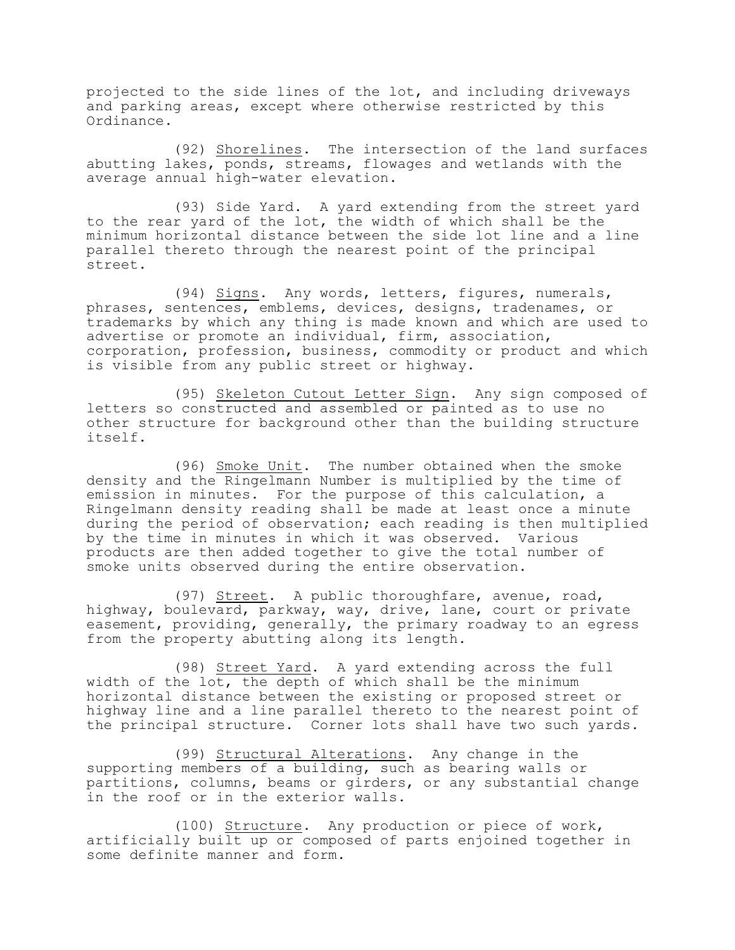projected to the side lines of the lot, and including driveways and parking areas, except where otherwise restricted by this Ordinance.

(92) Shorelines. The intersection of the land surfaces abutting lakes, ponds, streams, flowages and wetlands with the average annual high-water elevation.

(93) Side Yard. A yard extending from the street yard to the rear yard of the lot, the width of which shall be the minimum horizontal distance between the side lot line and a line parallel thereto through the nearest point of the principal street.

(94) Signs. Any words, letters, figures, numerals, phrases, sentences, emblems, devices, designs, tradenames, or trademarks by which any thing is made known and which are used to advertise or promote an individual, firm, association, corporation, profession, business, commodity or product and which is visible from any public street or highway.

(95) Skeleton Cutout Letter Sign. Any sign composed of letters so constructed and assembled or painted as to use no other structure for background other than the building structure itself.

(96) Smoke Unit. The number obtained when the smoke density and the Ringelmann Number is multiplied by the time of emission in minutes. For the purpose of this calculation, a Ringelmann density reading shall be made at least once a minute during the period of observation; each reading is then multiplied by the time in minutes in which it was observed. Various products are then added together to give the total number of smoke units observed during the entire observation.

(97) Street. A public thoroughfare, avenue, road, highway, boulevard, parkway, way, drive, lane, court or private easement, providing, generally, the primary roadway to an egress from the property abutting along its length.

(98) Street Yard. A yard extending across the full width of the lot, the depth of which shall be the minimum horizontal distance between the existing or proposed street or highway line and a line parallel thereto to the nearest point of the principal structure. Corner lots shall have two such yards.

(99) Structural Alterations. Any change in the supporting members of a building, such as bearing walls or partitions, columns, beams or girders, or any substantial change in the roof or in the exterior walls.

(100) Structure. Any production or piece of work, artificially built up or composed of parts enjoined together in some definite manner and form.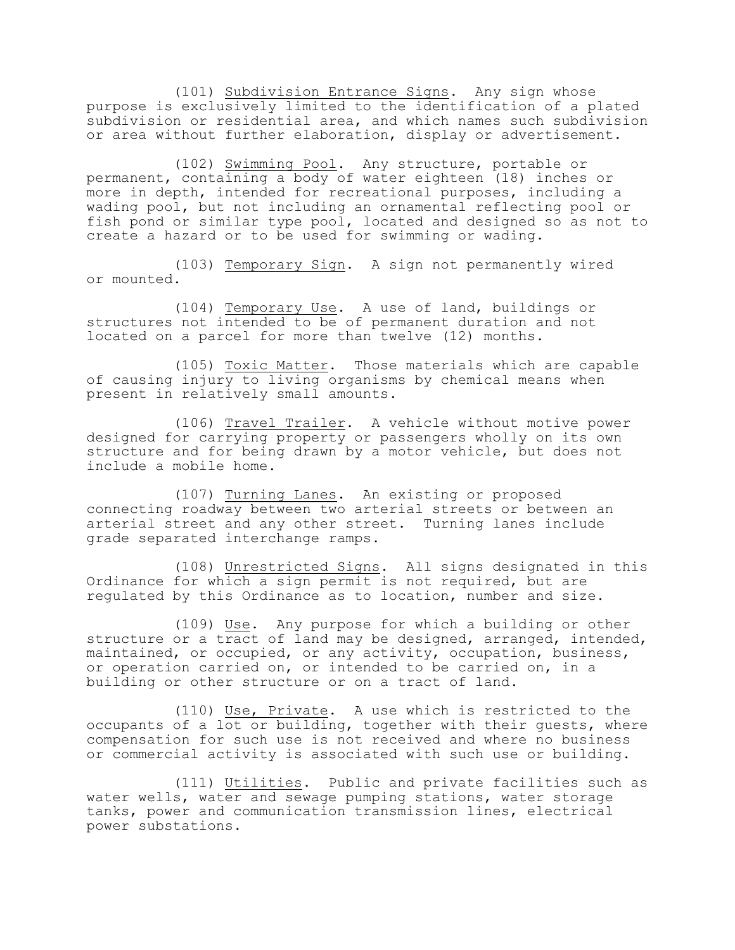(101) Subdivision Entrance Signs. Any sign whose purpose is exclusively limited to the identification of a plated subdivision or residential area, and which names such subdivision or area without further elaboration, display or advertisement.

(102) Swimming Pool. Any structure, portable or permanent, containing a body of water eighteen (18) inches or more in depth, intended for recreational purposes, including a wading pool, but not including an ornamental reflecting pool or fish pond or similar type pool, located and designed so as not to create a hazard or to be used for swimming or wading.

(103) Temporary Sign. A sign not permanently wired or mounted.

(104) Temporary Use. A use of land, buildings or structures not intended to be of permanent duration and not located on a parcel for more than twelve (12) months.

(105) Toxic Matter. Those materials which are capable of causing injury to living organisms by chemical means when present in relatively small amounts.

(106) Travel Trailer. A vehicle without motive power designed for carrying property or passengers wholly on its own structure and for being drawn by a motor vehicle, but does not include a mobile home.

(107) Turning Lanes. An existing or proposed connecting roadway between two arterial streets or between an arterial street and any other street. Turning lanes include grade separated interchange ramps.

(108) Unrestricted Signs. All signs designated in this Ordinance for which a sign permit is not required, but are regulated by this Ordinance as to location, number and size.

(109) Use. Any purpose for which a building or other structure or a tract of land may be designed, arranged, intended, maintained, or occupied, or any activity, occupation, business, or operation carried on, or intended to be carried on, in a building or other structure or on a tract of land.

(110) Use, Private. A use which is restricted to the occupants of a lot or building, together with their guests, where compensation for such use is not received and where no business or commercial activity is associated with such use or building.

(111) Utilities. Public and private facilities such as water wells, water and sewage pumping stations, water storage tanks, power and communication transmission lines, electrical power substations.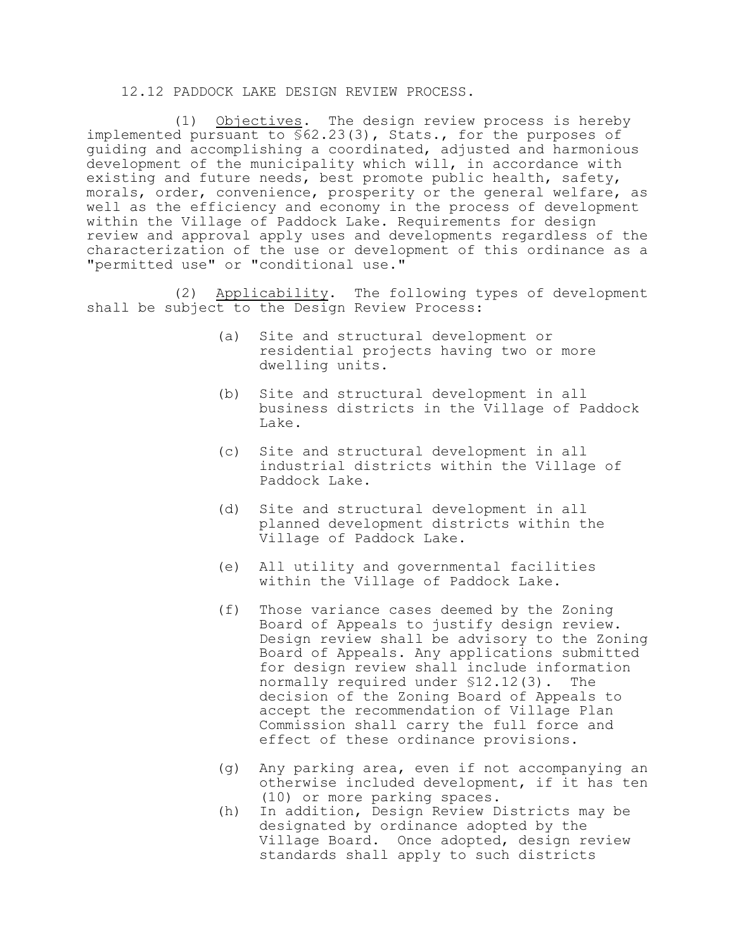### 12.12 PADDOCK LAKE DESIGN REVIEW PROCESS.

(1) Objectives. The design review process is hereby implemented pursuant to §62.23(3), Stats., for the purposes of guiding and accomplishing a coordinated, adjusted and harmonious development of the municipality which will, in accordance with existing and future needs, best promote public health, safety, morals, order, convenience, prosperity or the general welfare, as well as the efficiency and economy in the process of development within the Village of Paddock Lake. Requirements for design review and approval apply uses and developments regardless of the characterization of the use or development of this ordinance as a "permitted use" or "conditional use."

(2) Applicability. The following types of development shall be subject to the Design Review Process:

- (a) Site and structural development or residential projects having two or more dwelling units.
- (b) Site and structural development in all business districts in the Village of Paddock Lake.
- (c) Site and structural development in all industrial districts within the Village of Paddock Lake.
- (d) Site and structural development in all planned development districts within the Village of Paddock Lake.
- (e) All utility and governmental facilities within the Village of Paddock Lake.
- (f) Those variance cases deemed by the Zoning Board of Appeals to justify design review. Design review shall be advisory to the Zoning Board of Appeals. Any applications submitted for design review shall include information normally required under §12.12(3). The decision of the Zoning Board of Appeals to accept the recommendation of Village Plan Commission shall carry the full force and effect of these ordinance provisions.
- (g) Any parking area, even if not accompanying an otherwise included development, if it has ten (10) or more parking spaces.
- (h) In addition, Design Review Districts may be designated by ordinance adopted by the Village Board. Once adopted, design review standards shall apply to such districts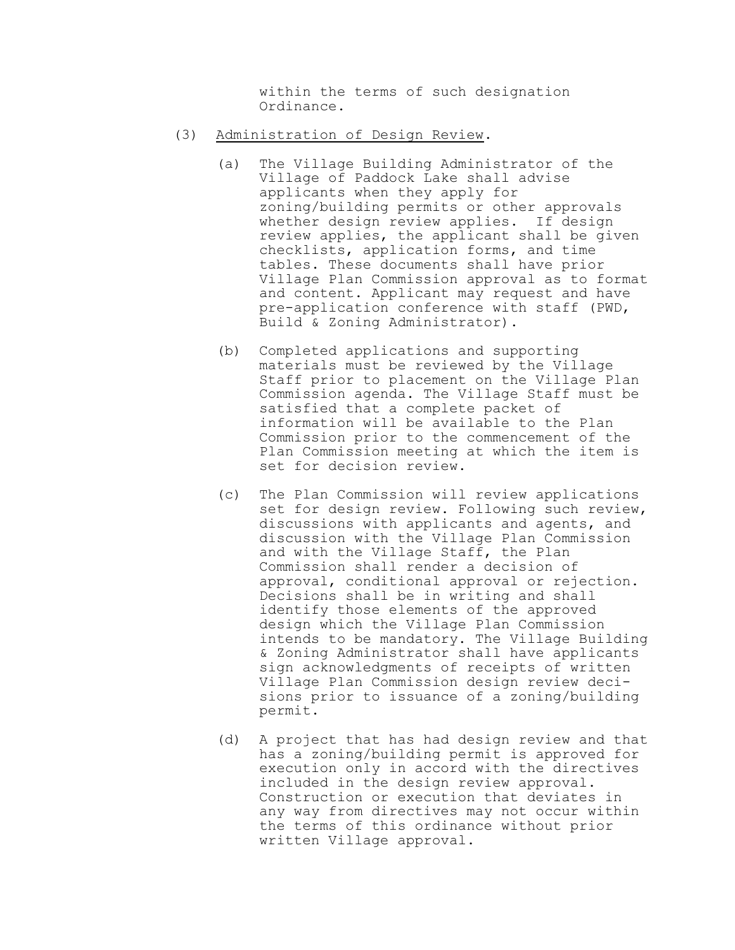within the terms of such designation Ordinance.

- (3) Administration of Design Review.
	- (a) The Village Building Administrator of the Village of Paddock Lake shall advise applicants when they apply for zoning/building permits or other approvals whether design review applies. If design review applies, the applicant shall be given checklists, application forms, and time tables. These documents shall have prior Village Plan Commission approval as to format and content. Applicant may request and have pre-application conference with staff (PWD, Build & Zoning Administrator).
	- (b) Completed applications and supporting materials must be reviewed by the Village Staff prior to placement on the Village Plan Commission agenda. The Village Staff must be satisfied that a complete packet of information will be available to the Plan Commission prior to the commencement of the Plan Commission meeting at which the item is set for decision review.
	- (c) The Plan Commission will review applications set for design review. Following such review, discussions with applicants and agents, and discussion with the Village Plan Commission and with the Village Staff, the Plan Commission shall render a decision of approval, conditional approval or rejection. Decisions shall be in writing and shall identify those elements of the approved design which the Village Plan Commission intends to be mandatory. The Village Building & Zoning Administrator shall have applicants sign acknowledgments of receipts of written Village Plan Commission design review decisions prior to issuance of a zoning/building permit.
	- (d) A project that has had design review and that has a zoning/building permit is approved for execution only in accord with the directives included in the design review approval. Construction or execution that deviates in any way from directives may not occur within the terms of this ordinance without prior written Village approval.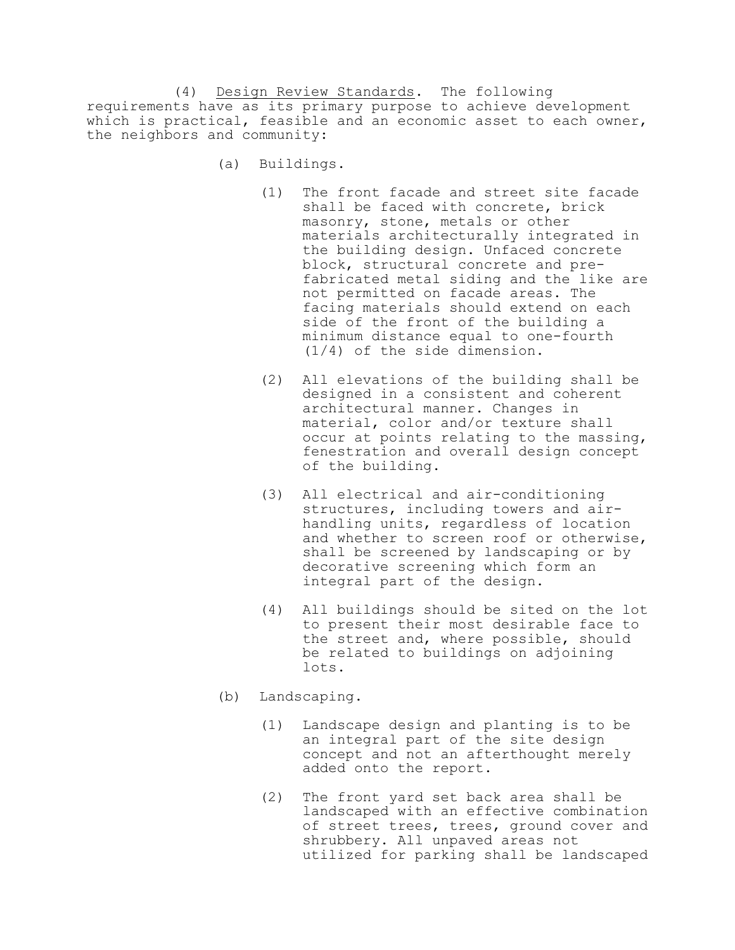(4) Design Review Standards. The following requirements have as its primary purpose to achieve development which is practical, feasible and an economic asset to each owner, the neighbors and community:

- (a) Buildings.
	- (1) The front facade and street site facade shall be faced with concrete, brick masonry, stone, metals or other materials architecturally integrated in the building design. Unfaced concrete block, structural concrete and prefabricated metal siding and the like are not permitted on facade areas. The facing materials should extend on each side of the front of the building a minimum distance equal to one-fourth (1/4) of the side dimension.
	- (2) All elevations of the building shall be designed in a consistent and coherent architectural manner. Changes in material, color and/or texture shall occur at points relating to the massing, fenestration and overall design concept of the building.
	- (3) All electrical and air-conditioning structures, including towers and airhandling units, regardless of location and whether to screen roof or otherwise, shall be screened by landscaping or by decorative screening which form an integral part of the design.
	- (4) All buildings should be sited on the lot to present their most desirable face to the street and, where possible, should be related to buildings on adjoining lots.
- (b) Landscaping.
	- (1) Landscape design and planting is to be an integral part of the site design concept and not an afterthought merely added onto the report.
	- (2) The front yard set back area shall be landscaped with an effective combination of street trees, trees, ground cover and shrubbery. All unpaved areas not utilized for parking shall be landscaped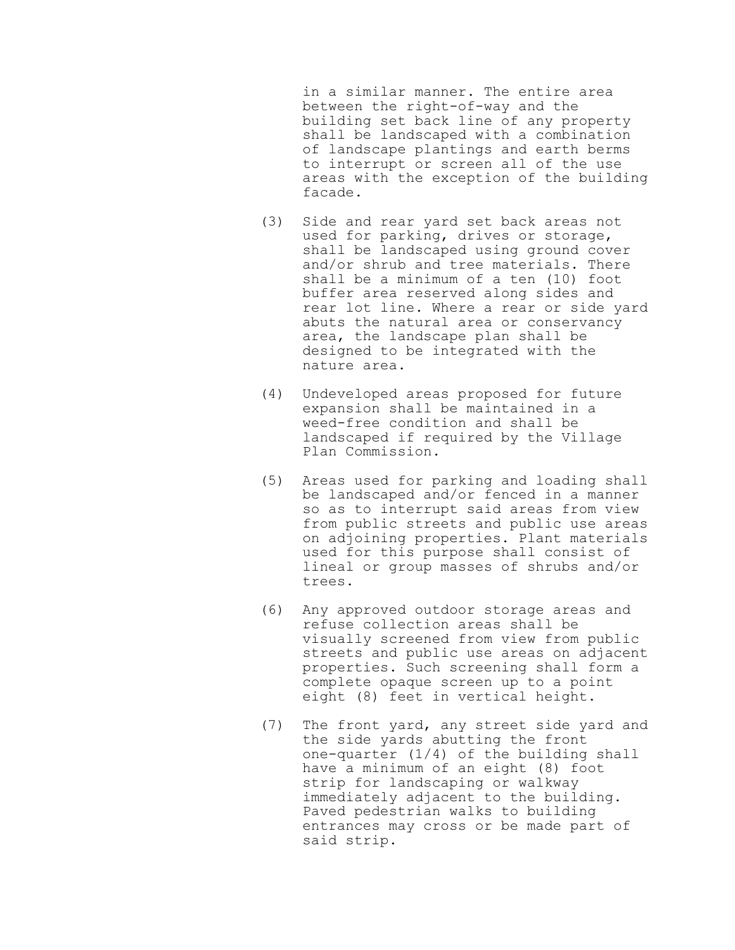in a similar manner. The entire area between the right-of-way and the building set back line of any property shall be landscaped with a combination of landscape plantings and earth berms to interrupt or screen all of the use areas with the exception of the building facade.

- (3) Side and rear yard set back areas not used for parking, drives or storage, shall be landscaped using ground cover and/or shrub and tree materials. There shall be a minimum of a ten (10) foot buffer area reserved along sides and rear lot line. Where a rear or side yard abuts the natural area or conservancy area, the landscape plan shall be designed to be integrated with the nature area.
- (4) Undeveloped areas proposed for future expansion shall be maintained in a weed-free condition and shall be landscaped if required by the Village Plan Commission.
- (5) Areas used for parking and loading shall be landscaped and/or fenced in a manner so as to interrupt said areas from view from public streets and public use areas on adjoining properties. Plant materials used for this purpose shall consist of lineal or group masses of shrubs and/or trees.
- (6) Any approved outdoor storage areas and refuse collection areas shall be visually screened from view from public streets and public use areas on adjacent properties. Such screening shall form a complete opaque screen up to a point eight (8) feet in vertical height.
- (7) The front yard, any street side yard and the side yards abutting the front one-quarter (1/4) of the building shall have a minimum of an eight (8) foot strip for landscaping or walkway immediately adjacent to the building. Paved pedestrian walks to building entrances may cross or be made part of said strip.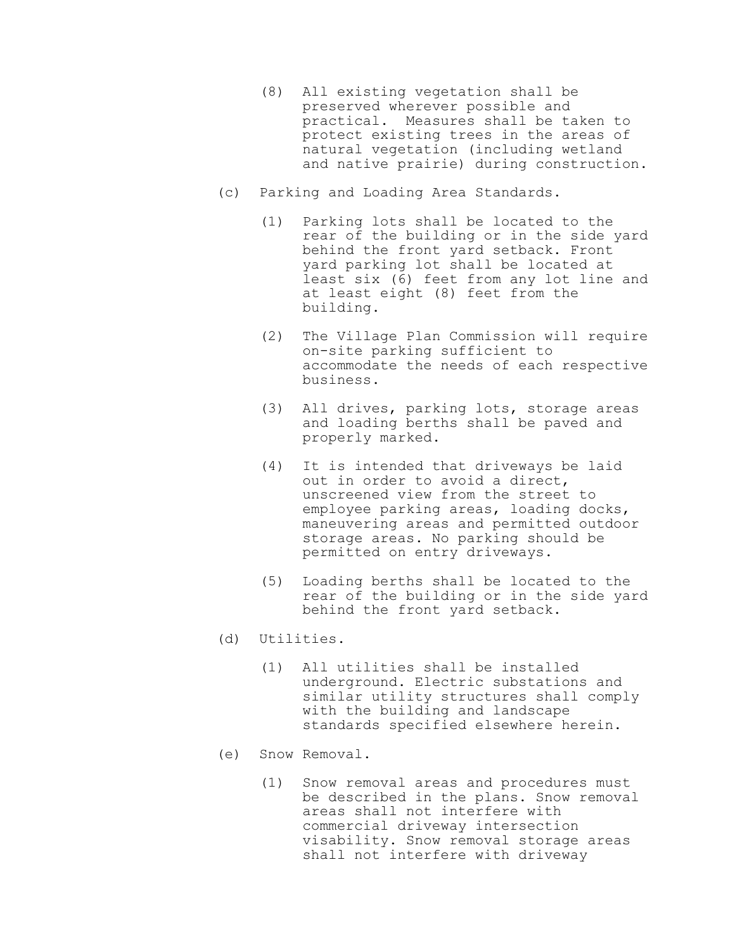- (8) All existing vegetation shall be preserved wherever possible and practical. Measures shall be taken to protect existing trees in the areas of natural vegetation (including wetland and native prairie) during construction.
- (c) Parking and Loading Area Standards.
	- (1) Parking lots shall be located to the rear of the building or in the side yard behind the front yard setback. Front yard parking lot shall be located at least six (6) feet from any lot line and at least eight (8) feet from the building.
	- (2) The Village Plan Commission will require on-site parking sufficient to accommodate the needs of each respective business.
	- (3) All drives, parking lots, storage areas and loading berths shall be paved and properly marked.
	- (4) It is intended that driveways be laid out in order to avoid a direct, unscreened view from the street to employee parking areas, loading docks, maneuvering areas and permitted outdoor storage areas. No parking should be permitted on entry driveways.
	- (5) Loading berths shall be located to the rear of the building or in the side yard behind the front yard setback.
- (d) Utilities.
	- (1) All utilities shall be installed underground. Electric substations and similar utility structures shall comply with the building and landscape standards specified elsewhere herein.
- (e) Snow Removal.
	- (1) Snow removal areas and procedures must be described in the plans. Snow removal areas shall not interfere with commercial driveway intersection visability. Snow removal storage areas shall not interfere with driveway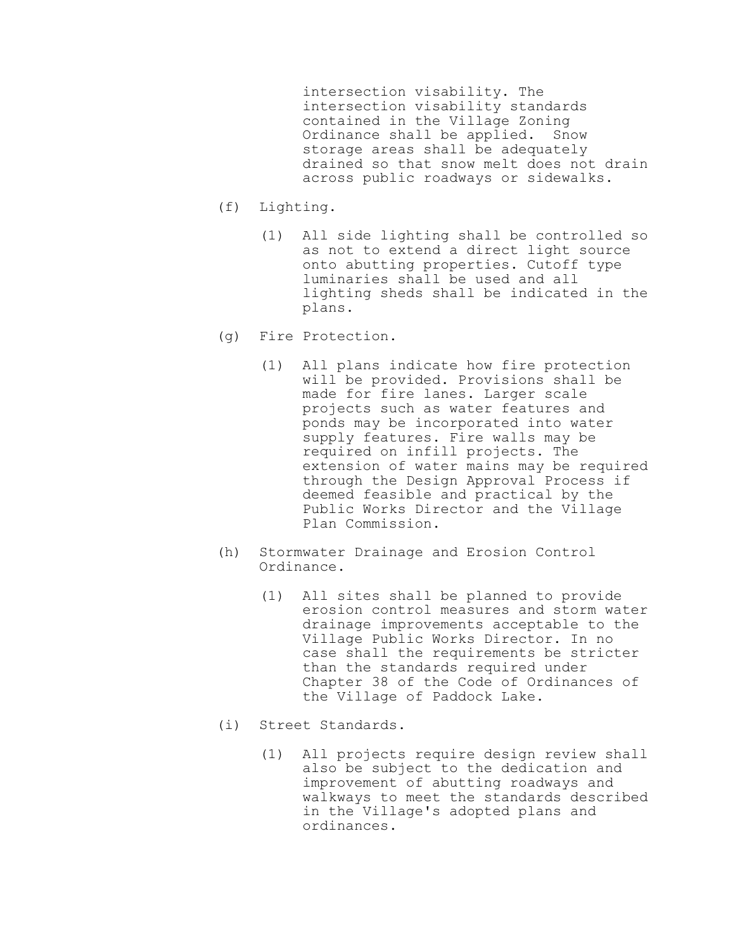intersection visability. The intersection visability standards contained in the Village Zoning Ordinance shall be applied. Snow storage areas shall be adequately drained so that snow melt does not drain across public roadways or sidewalks.

- (f) Lighting.
	- (1) All side lighting shall be controlled so as not to extend a direct light source onto abutting properties. Cutoff type luminaries shall be used and all lighting sheds shall be indicated in the plans.
- (g) Fire Protection.
	- (1) All plans indicate how fire protection will be provided. Provisions shall be made for fire lanes. Larger scale projects such as water features and ponds may be incorporated into water supply features. Fire walls may be required on infill projects. The extension of water mains may be required through the Design Approval Process if deemed feasible and practical by the Public Works Director and the Village Plan Commission.
- (h) Stormwater Drainage and Erosion Control Ordinance.
	- (1) All sites shall be planned to provide erosion control measures and storm water drainage improvements acceptable to the Village Public Works Director. In no case shall the requirements be stricter than the standards required under Chapter 38 of the Code of Ordinances of the Village of Paddock Lake.
- (i) Street Standards.
	- (1) All projects require design review shall also be subject to the dedication and improvement of abutting roadways and walkways to meet the standards described in the Village's adopted plans and ordinances.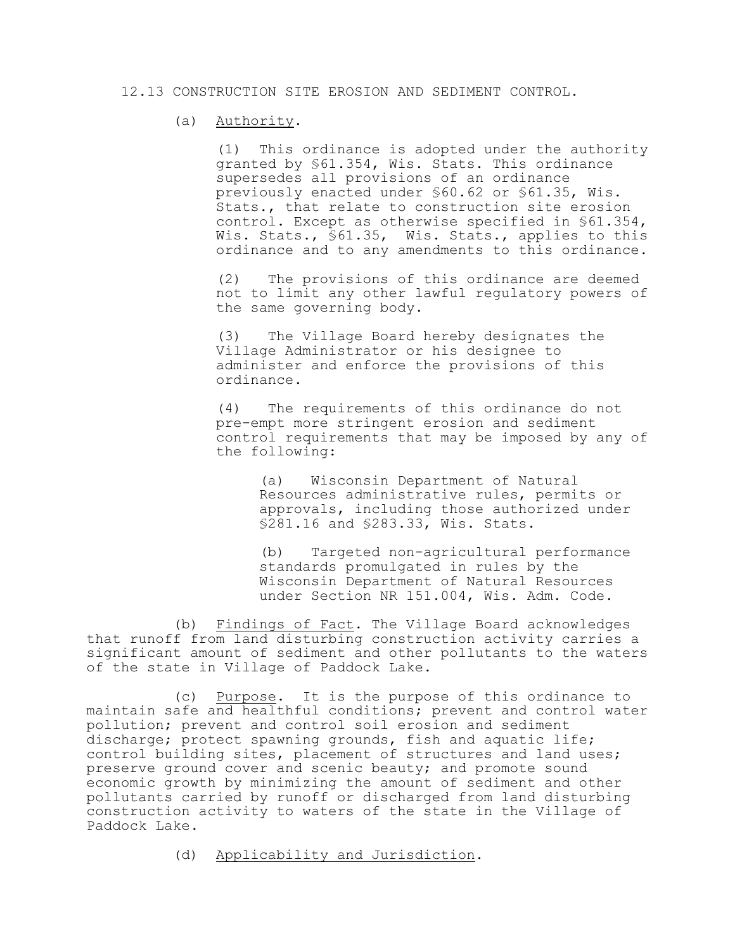### 12.13 CONSTRUCTION SITE EROSION AND SEDIMENT CONTROL.

### (a) Authority.

(1) This ordinance is adopted under the authority granted by §61.354, Wis. Stats. This ordinance supersedes all provisions of an ordinance previously enacted under §60.62 or §61.35, Wis. Stats., that relate to construction site erosion control. Except as otherwise specified in §61.354, Wis. Stats., §61.35, Wis. Stats., applies to this ordinance and to any amendments to this ordinance.

(2) The provisions of this ordinance are deemed not to limit any other lawful regulatory powers of the same governing body.

(3) The Village Board hereby designates the Village Administrator or his designee to administer and enforce the provisions of this ordinance.

(4) The requirements of this ordinance do not pre-empt more stringent erosion and sediment control requirements that may be imposed by any of the following:

(a) Wisconsin Department of Natural Resources administrative rules, permits or approvals, including those authorized under §281.16 and §283.33, Wis. Stats.

(b) Targeted non-agricultural performance standards promulgated in rules by the Wisconsin Department of Natural Resources under Section NR 151.004, Wis. Adm. Code.

(b) Findings of Fact. The Village Board acknowledges that runoff from land disturbing construction activity carries a significant amount of sediment and other pollutants to the waters of the state in Village of Paddock Lake.

(c) Purpose. It is the purpose of this ordinance to maintain safe and healthful conditions; prevent and control water pollution; prevent and control soil erosion and sediment discharge; protect spawning grounds, fish and aquatic life; control building sites, placement of structures and land uses; preserve ground cover and scenic beauty; and promote sound economic growth by minimizing the amount of sediment and other pollutants carried by runoff or discharged from land disturbing construction activity to waters of the state in the Village of Paddock Lake.

(d) Applicability and Jurisdiction.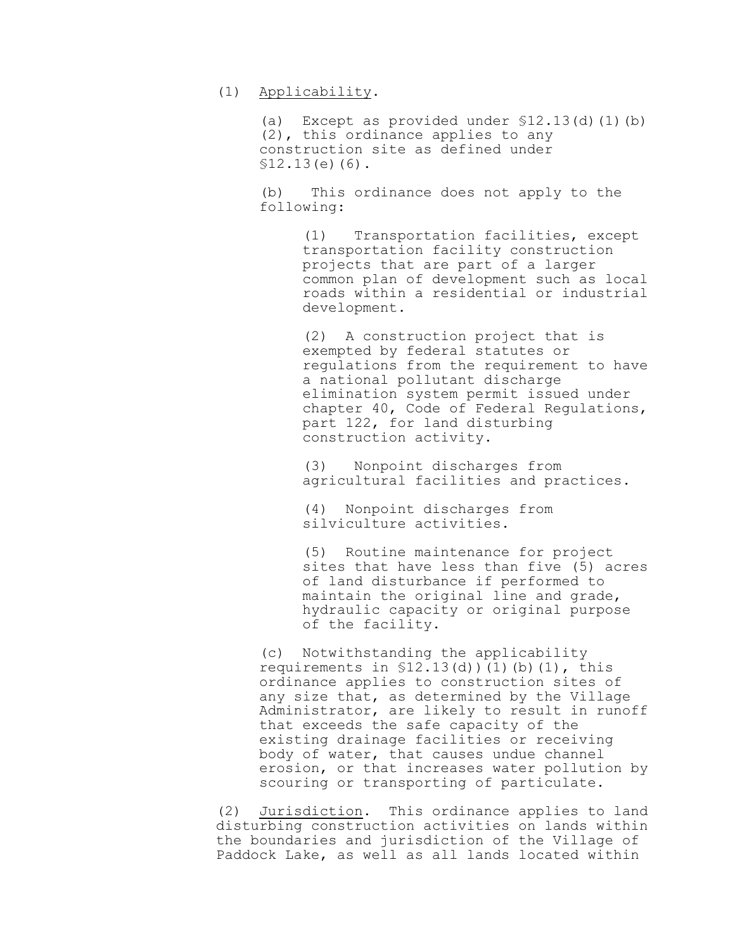(1) Applicability.

(a) Except as provided under §12.13(d)(1)(b) (2), this ordinance applies to any construction site as defined under  $$12.13(e)(6).$ 

(b) This ordinance does not apply to the following:

> (1) Transportation facilities, except transportation facility construction projects that are part of a larger common plan of development such as local roads within a residential or industrial development.

> (2) A construction project that is exempted by federal statutes or regulations from the requirement to have a national pollutant discharge elimination system permit issued under chapter 40, Code of Federal Regulations, part 122, for land disturbing construction activity.

(3) Nonpoint discharges from agricultural facilities and practices.

(4) Nonpoint discharges from silviculture activities.

(5) Routine maintenance for project sites that have less than five (5) acres of land disturbance if performed to maintain the original line and grade, hydraulic capacity or original purpose of the facility.

(c) Notwithstanding the applicability requirements in  $$12.13(d)$   $(1)$   $(b)$   $(1)$ , this ordinance applies to construction sites of any size that, as determined by the Village Administrator, are likely to result in runoff that exceeds the safe capacity of the existing drainage facilities or receiving body of water, that causes undue channel erosion, or that increases water pollution by scouring or transporting of particulate.

(2) Jurisdiction. This ordinance applies to land disturbing construction activities on lands within the boundaries and jurisdiction of the Village of Paddock Lake, as well as all lands located within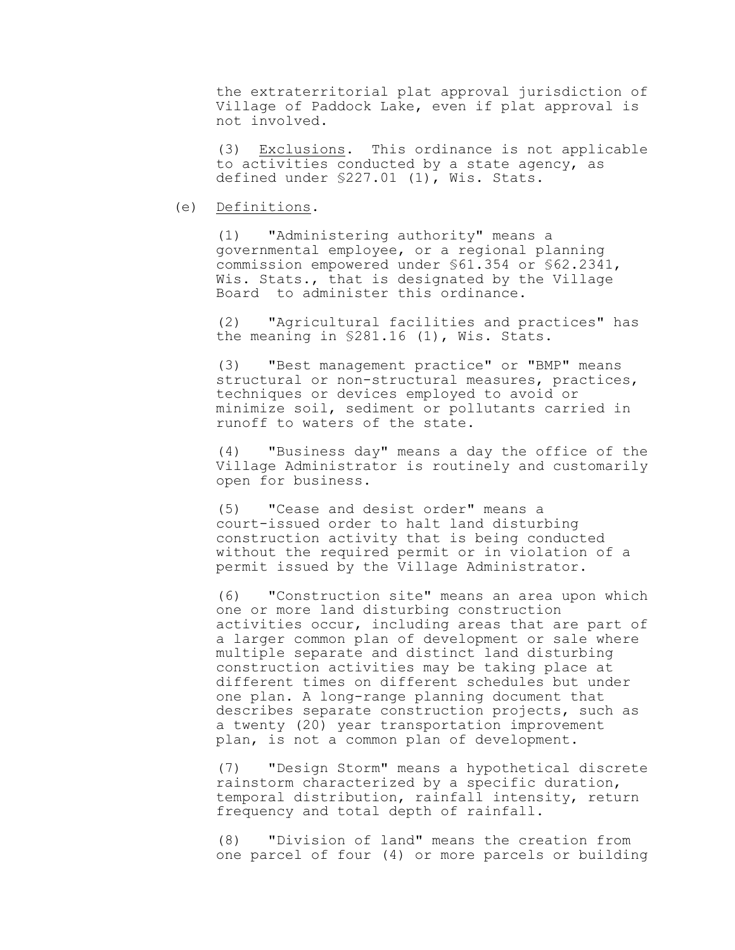the extraterritorial plat approval jurisdiction of Village of Paddock Lake, even if plat approval is not involved.

(3) Exclusions. This ordinance is not applicable to activities conducted by a state agency, as defined under §227.01 (1), Wis. Stats.

### (e) Definitions.

(1) "Administering authority" means a governmental employee, or a regional planning commission empowered under §61.354 or §62.2341, Wis. Stats., that is designated by the Village Board to administer this ordinance.

(2) "Agricultural facilities and practices" has the meaning in §281.16 (1), Wis. Stats.

(3) "Best management practice" or "BMP" means structural or non-structural measures, practices, techniques or devices employed to avoid or minimize soil, sediment or pollutants carried in runoff to waters of the state.

(4) "Business day" means a day the office of the Village Administrator is routinely and customarily open for business.

(5) "Cease and desist order" means a court-issued order to halt land disturbing construction activity that is being conducted without the required permit or in violation of a permit issued by the Village Administrator.

(6) "Construction site" means an area upon which one or more land disturbing construction activities occur, including areas that are part of a larger common plan of development or sale where multiple separate and distinct land disturbing construction activities may be taking place at different times on different schedules but under one plan. A long-range planning document that describes separate construction projects, such as a twenty (20) year transportation improvement plan, is not a common plan of development.

(7) "Design Storm" means a hypothetical discrete rainstorm characterized by a specific duration, temporal distribution, rainfall intensity, return frequency and total depth of rainfall.

(8) "Division of land" means the creation from one parcel of four (4) or more parcels or building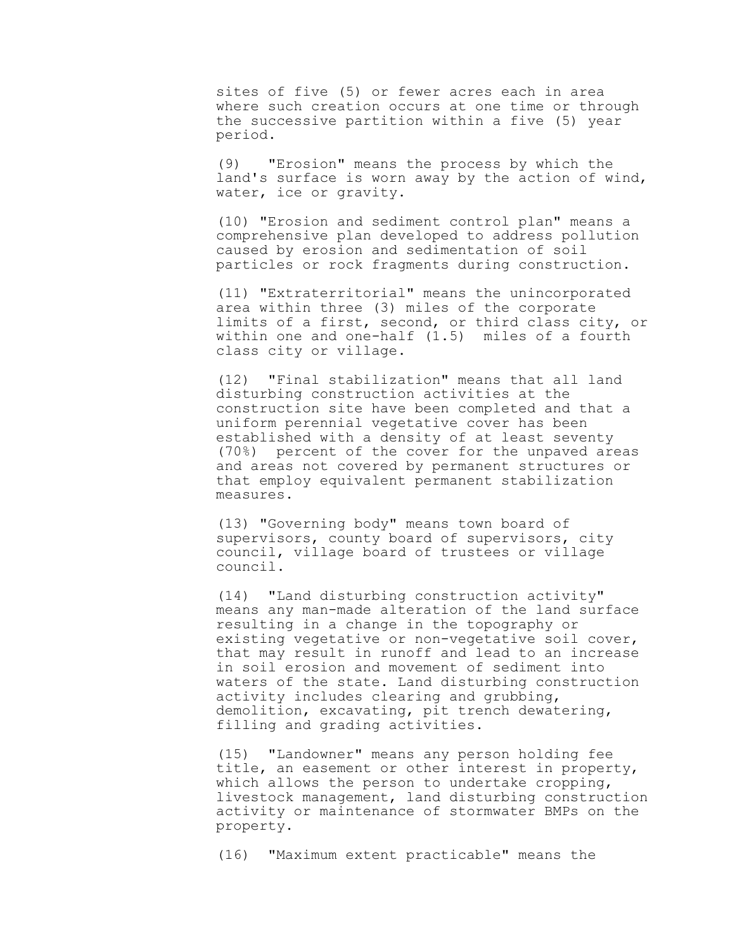sites of five (5) or fewer acres each in area where such creation occurs at one time or through the successive partition within a five (5) year period.

(9) "Erosion" means the process by which the land's surface is worn away by the action of wind, water, ice or gravity.

(10) "Erosion and sediment control plan" means a comprehensive plan developed to address pollution caused by erosion and sedimentation of soil particles or rock fragments during construction.

(11) "Extraterritorial" means the unincorporated area within three (3) miles of the corporate limits of a first, second, or third class city, or within one and one-half (1.5) miles of a fourth class city or village.

(12) "Final stabilization" means that all land disturbing construction activities at the construction site have been completed and that a uniform perennial vegetative cover has been established with a density of at least seventy (70%) percent of the cover for the unpaved areas and areas not covered by permanent structures or that employ equivalent permanent stabilization measures.

(13) "Governing body" means town board of supervisors, county board of supervisors, city council, village board of trustees or village council.

(14) "Land disturbing construction activity" means any man-made alteration of the land surface resulting in a change in the topography or existing vegetative or non-vegetative soil cover, that may result in runoff and lead to an increase in soil erosion and movement of sediment into waters of the state. Land disturbing construction activity includes clearing and grubbing, demolition, excavating, pit trench dewatering, filling and grading activities.

(15) "Landowner" means any person holding fee title, an easement or other interest in property, which allows the person to undertake cropping, livestock management, land disturbing construction activity or maintenance of stormwater BMPs on the property.

(16) "Maximum extent practicable" means the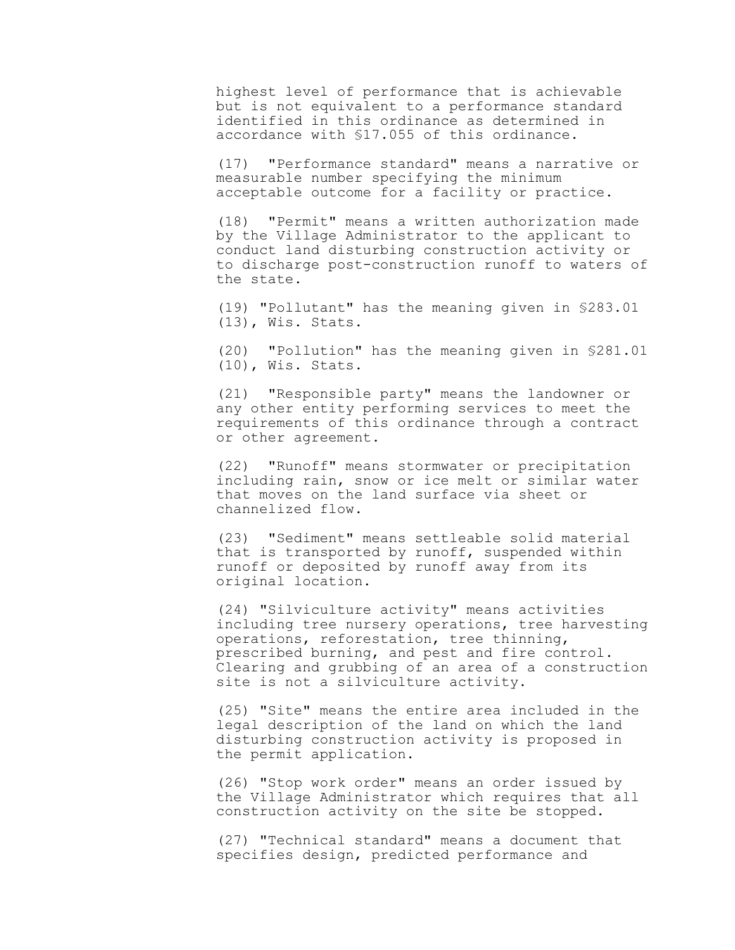highest level of performance that is achievable but is not equivalent to a performance standard identified in this ordinance as determined in accordance with §17.055 of this ordinance.

(17) "Performance standard" means a narrative or measurable number specifying the minimum acceptable outcome for a facility or practice.

(18) "Permit" means a written authorization made by the Village Administrator to the applicant to conduct land disturbing construction activity or to discharge post-construction runoff to waters of the state.

(19) "Pollutant" has the meaning given in §283.01 (13), Wis. Stats.

(20) "Pollution" has the meaning given in §281.01 (10), Wis. Stats.

(21) "Responsible party" means the landowner or any other entity performing services to meet the requirements of this ordinance through a contract or other agreement.

(22) "Runoff" means stormwater or precipitation including rain, snow or ice melt or similar water that moves on the land surface via sheet or channelized flow.

(23) "Sediment" means settleable solid material that is transported by runoff, suspended within runoff or deposited by runoff away from its original location.

(24) "Silviculture activity" means activities including tree nursery operations, tree harvesting operations, reforestation, tree thinning, prescribed burning, and pest and fire control. Clearing and grubbing of an area of a construction site is not a silviculture activity.

(25) "Site" means the entire area included in the legal description of the land on which the land disturbing construction activity is proposed in the permit application.

(26) "Stop work order" means an order issued by the Village Administrator which requires that all construction activity on the site be stopped.

(27) "Technical standard" means a document that specifies design, predicted performance and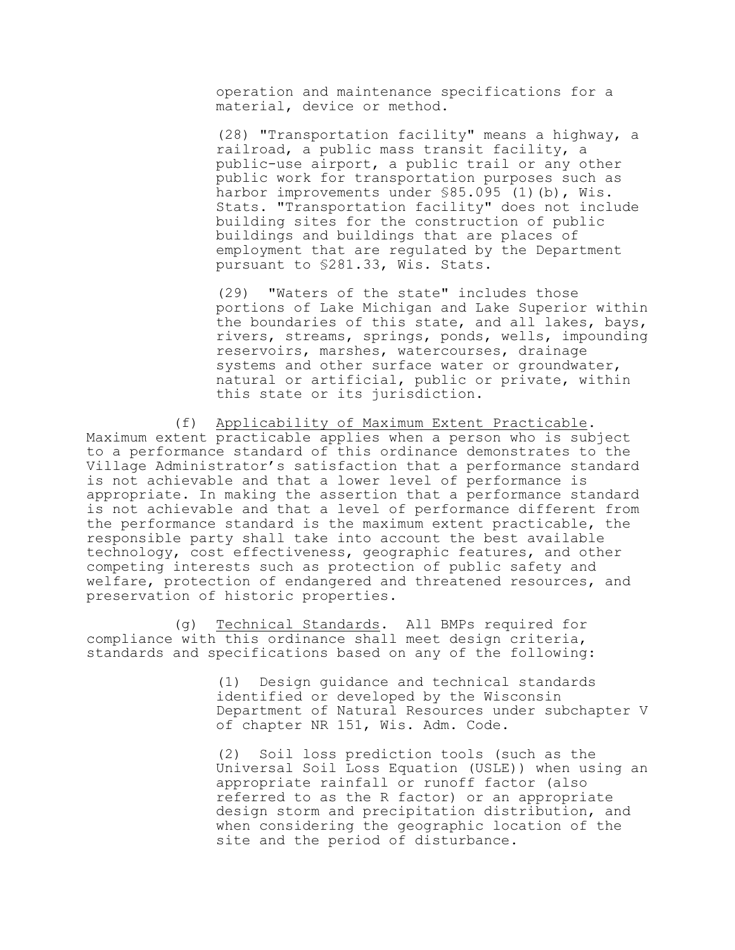operation and maintenance specifications for a material, device or method.

(28) "Transportation facility" means a highway, a railroad, a public mass transit facility, a public-use airport, a public trail or any other public work for transportation purposes such as harbor improvements under \$85.095 (1)(b), Wis. Stats. "Transportation facility" does not include building sites for the construction of public buildings and buildings that are places of employment that are regulated by the Department pursuant to §281.33, Wis. Stats.

(29) "Waters of the state" includes those portions of Lake Michigan and Lake Superior within the boundaries of this state, and all lakes, bays, rivers, streams, springs, ponds, wells, impounding reservoirs, marshes, watercourses, drainage systems and other surface water or groundwater, natural or artificial, public or private, within this state or its jurisdiction.

(f) Applicability of Maximum Extent Practicable. Maximum extent practicable applies when a person who is subject to a performance standard of this ordinance demonstrates to the Village Administrator's satisfaction that a performance standard is not achievable and that a lower level of performance is appropriate. In making the assertion that a performance standard is not achievable and that a level of performance different from the performance standard is the maximum extent practicable, the responsible party shall take into account the best available technology, cost effectiveness, geographic features, and other competing interests such as protection of public safety and welfare, protection of endangered and threatened resources, and preservation of historic properties.

(g) Technical Standards. All BMPs required for compliance with this ordinance shall meet design criteria, standards and specifications based on any of the following:

> (1) Design guidance and technical standards identified or developed by the Wisconsin Department of Natural Resources under subchapter V of chapter NR 151, Wis. Adm. Code.

> (2) Soil loss prediction tools (such as the Universal Soil Loss Equation (USLE)) when using an appropriate rainfall or runoff factor (also referred to as the R factor) or an appropriate design storm and precipitation distribution, and when considering the geographic location of the site and the period of disturbance.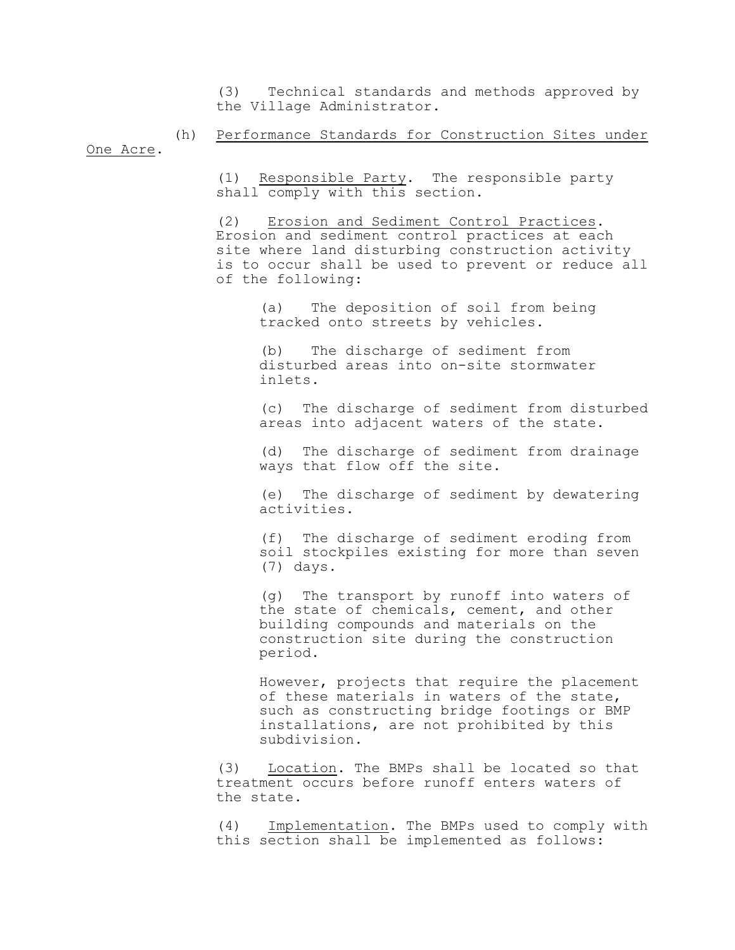(3) Technical standards and methods approved by the Village Administrator.

(h) Performance Standards for Construction Sites under One Acre.

> (1) Responsible Party. The responsible party shall comply with this section.

(2) Erosion and Sediment Control Practices. Erosion and sediment control practices at each site where land disturbing construction activity is to occur shall be used to prevent or reduce all of the following:

(a) The deposition of soil from being tracked onto streets by vehicles.

(b) The discharge of sediment from disturbed areas into on-site stormwater inlets.

(c) The discharge of sediment from disturbed areas into adjacent waters of the state.

(d) The discharge of sediment from drainage ways that flow off the site.

(e) The discharge of sediment by dewatering activities.

(f) The discharge of sediment eroding from soil stockpiles existing for more than seven (7) days.

(g) The transport by runoff into waters of the state of chemicals, cement, and other building compounds and materials on the construction site during the construction period.

However, projects that require the placement of these materials in waters of the state, such as constructing bridge footings or BMP installations, are not prohibited by this subdivision.

(3) Location. The BMPs shall be located so that treatment occurs before runoff enters waters of the state.

(4) Implementation. The BMPs used to comply with this section shall be implemented as follows: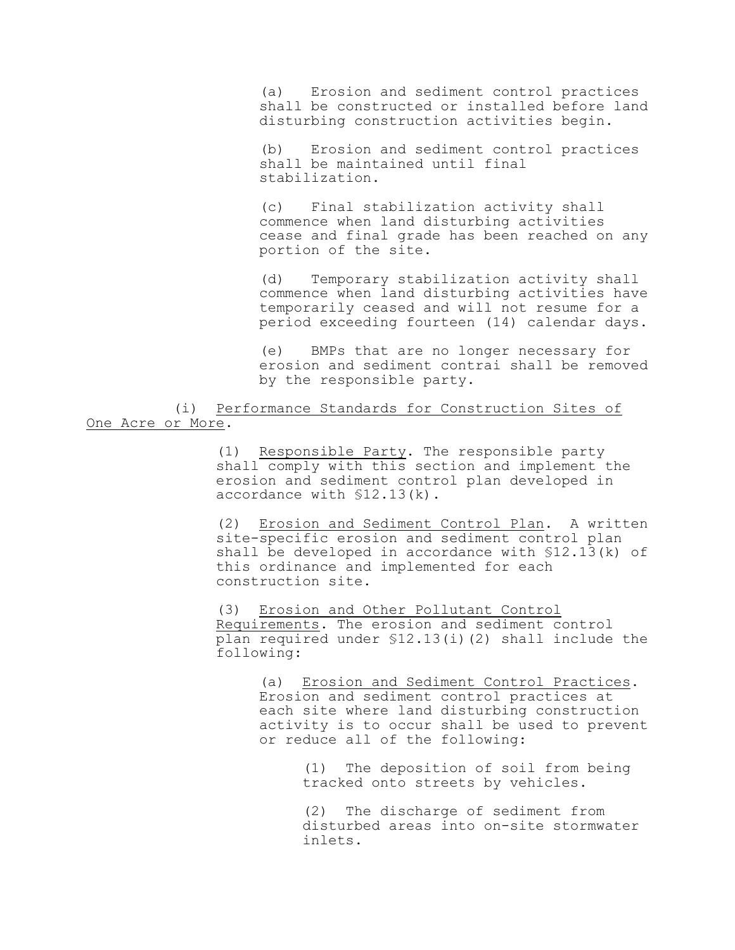(a) Erosion and sediment control practices shall be constructed or installed before land disturbing construction activities begin.

(b) Erosion and sediment control practices shall be maintained until final stabilization.

(c) Final stabilization activity shall commence when land disturbing activities cease and final grade has been reached on any portion of the site.

(d) Temporary stabilization activity shall commence when land disturbing activities have temporarily ceased and will not resume for a period exceeding fourteen (14) calendar days.

BMPs that are no longer necessary for erosion and sediment contrai shall be removed by the responsible party.

(i) Performance Standards for Construction Sites of One Acre or More.

> (1) Responsible Party. The responsible party shall comply with this section and implement the erosion and sediment control plan developed in accordance with §12.13(k).

(2) Erosion and Sediment Control Plan. A written site-specific erosion and sediment control plan shall be developed in accordance with §12.13(k) of this ordinance and implemented for each construction site.

(3) Erosion and Other Pollutant Control Requirements. The erosion and sediment control plan required under §12.13(i)(2) shall include the following:

(a) Erosion and Sediment Control Practices. Erosion and sediment control practices at each site where land disturbing construction activity is to occur shall be used to prevent or reduce all of the following:

> (1) The deposition of soil from being tracked onto streets by vehicles.

(2) The discharge of sediment from disturbed areas into on-site stormwater inlets.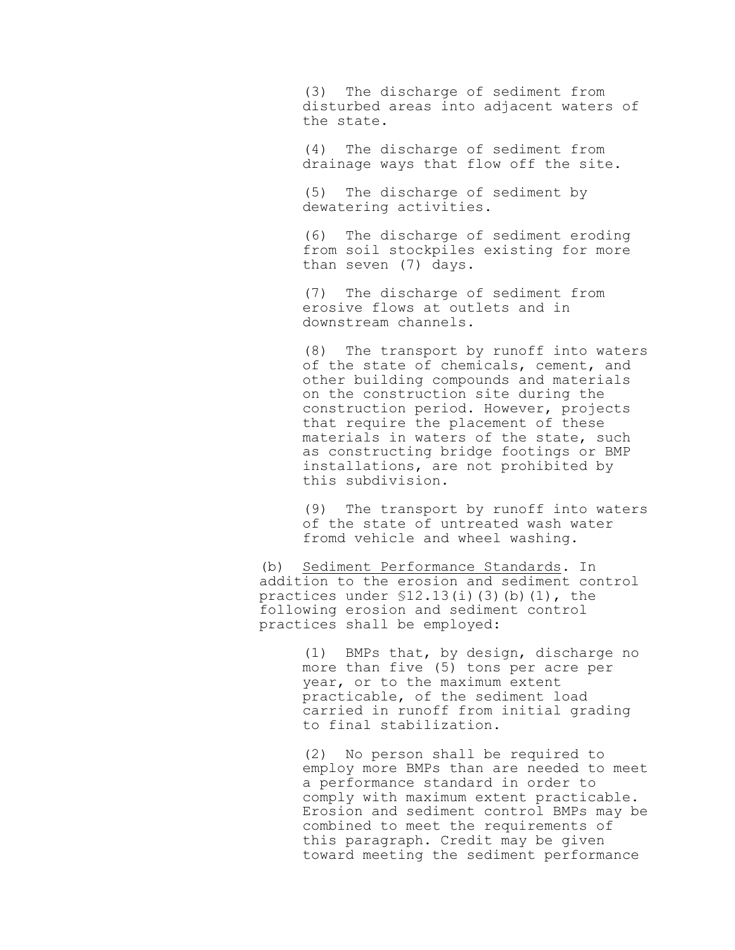(3) The discharge of sediment from disturbed areas into adjacent waters of the state.

(4) The discharge of sediment from drainage ways that flow off the site.

(5) The discharge of sediment by dewatering activities.

(6) The discharge of sediment eroding from soil stockpiles existing for more than seven (7) days.

(7) The discharge of sediment from erosive flows at outlets and in downstream channels.

(8) The transport by runoff into waters of the state of chemicals, cement, and other building compounds and materials on the construction site during the construction period. However, projects that require the placement of these materials in waters of the state, such as constructing bridge footings or BMP installations, are not prohibited by this subdivision.

(9) The transport by runoff into waters of the state of untreated wash water fromd vehicle and wheel washing.

(b) Sediment Performance Standards. In addition to the erosion and sediment control practices under  $$12.13(i)(3)(b)(1)$ , the following erosion and sediment control practices shall be employed:

> (1) BMPs that, by design, discharge no more than five (5) tons per acre per year, or to the maximum extent practicable, of the sediment load carried in runoff from initial grading to final stabilization.

(2) No person shall be required to employ more BMPs than are needed to meet a performance standard in order to comply with maximum extent practicable. Erosion and sediment control BMPs may be combined to meet the requirements of this paragraph. Credit may be given toward meeting the sediment performance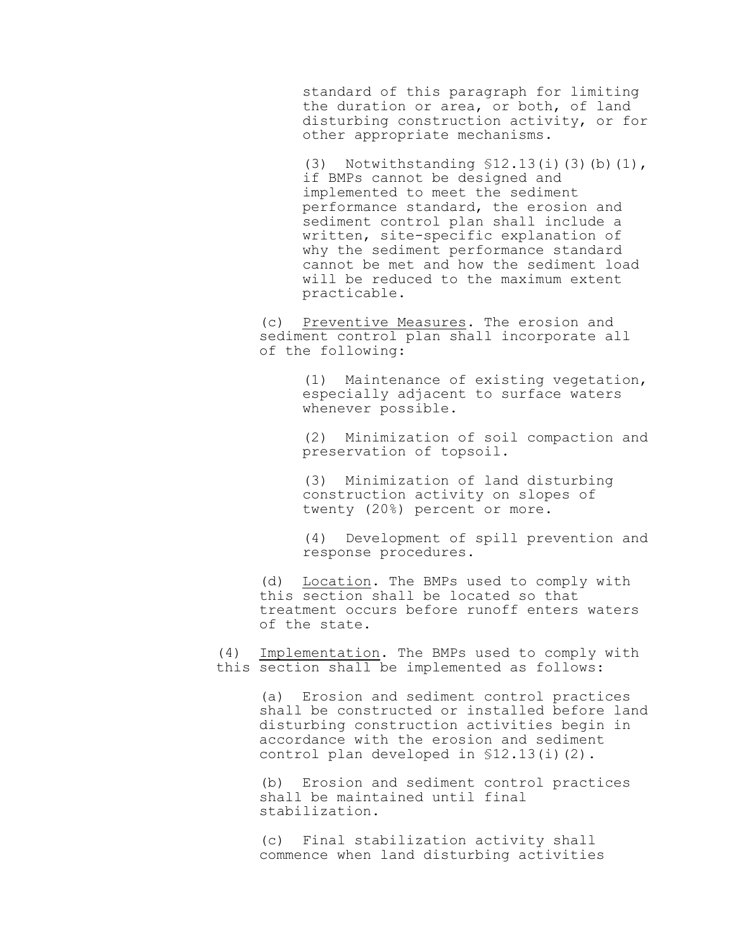standard of this paragraph for limiting the duration or area, or both, of land disturbing construction activity, or for other appropriate mechanisms.

(3) Notwithstanding §12.13(i)(3)(b)(1), if BMPs cannot be designed and implemented to meet the sediment performance standard, the erosion and sediment control plan shall include a written, site-specific explanation of why the sediment performance standard cannot be met and how the sediment load will be reduced to the maximum extent practicable.

(c) Preventive Measures. The erosion and sediment control plan shall incorporate all of the following:

> (1) Maintenance of existing vegetation, especially adjacent to surface waters whenever possible.

> (2) Minimization of soil compaction and preservation of topsoil.

(3) Minimization of land disturbing construction activity on slopes of twenty (20%) percent or more.

(4) Development of spill prevention and response procedures.

(d) Location. The BMPs used to comply with this section shall be located so that treatment occurs before runoff enters waters of the state.

(4) Implementation. The BMPs used to comply with this section shall be implemented as follows:

> (a) Erosion and sediment control practices shall be constructed or installed before land disturbing construction activities begin in accordance with the erosion and sediment control plan developed in §12.13(i)(2).

(b) Erosion and sediment control practices shall be maintained until final stabilization.

(c) Final stabilization activity shall commence when land disturbing activities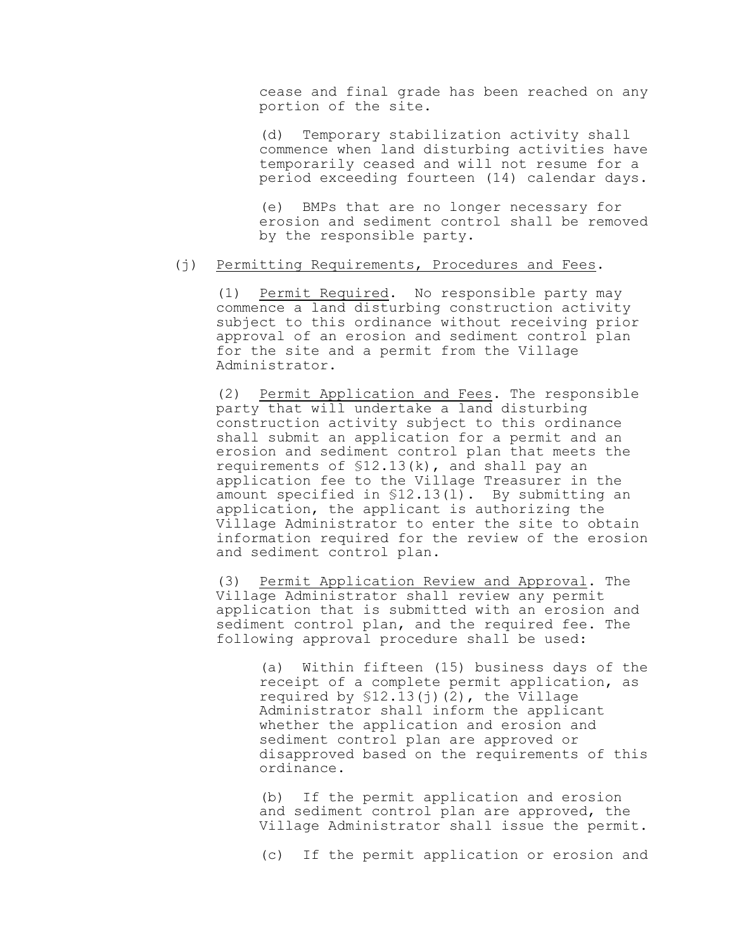cease and final grade has been reached on any portion of the site.

(d) Temporary stabilization activity shall commence when land disturbing activities have temporarily ceased and will not resume for a period exceeding fourteen (14) calendar days.

(e) BMPs that are no longer necessary for erosion and sediment control shall be removed by the responsible party.

# (j) Permitting Requirements, Procedures and Fees.

(1) Permit Required. No responsible party may commence a land disturbing construction activity subject to this ordinance without receiving prior approval of an erosion and sediment control plan for the site and a permit from the Village Administrator.

(2) Permit Application and Fees. The responsible party that will undertake a land disturbing construction activity subject to this ordinance shall submit an application for a permit and an erosion and sediment control plan that meets the requirements of §12.13(k), and shall pay an application fee to the Village Treasurer in the amount specified in §12.13(l). By submitting an application, the applicant is authorizing the Village Administrator to enter the site to obtain information required for the review of the erosion and sediment control plan.

(3) Permit Application Review and Approval. The Village Administrator shall review any permit application that is submitted with an erosion and sediment control plan, and the required fee. The following approval procedure shall be used:

(a) Within fifteen (15) business days of the receipt of a complete permit application, as required by  $$12.13(j)(2)$ , the Village Administrator shall inform the applicant whether the application and erosion and sediment control plan are approved or disapproved based on the requirements of this ordinance.

(b) If the permit application and erosion and sediment control plan are approved, the Village Administrator shall issue the permit.

(c) If the permit application or erosion and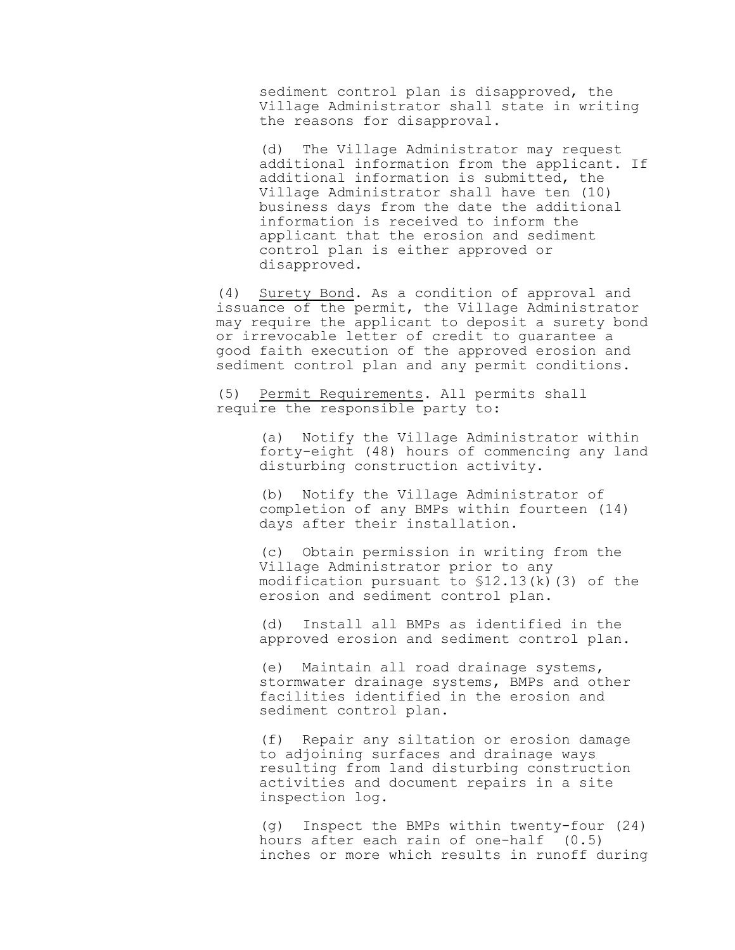sediment control plan is disapproved, the Village Administrator shall state in writing the reasons for disapproval.

(d) The Village Administrator may request additional information from the applicant. If additional information is submitted, the Village Administrator shall have ten (10) business days from the date the additional information is received to inform the applicant that the erosion and sediment control plan is either approved or disapproved.

(4) Surety Bond. As a condition of approval and issuance of the permit, the Village Administrator may require the applicant to deposit a surety bond or irrevocable letter of credit to guarantee a good faith execution of the approved erosion and sediment control plan and any permit conditions.

(5) Permit Requirements. All permits shall require the responsible party to:

> (a) Notify the Village Administrator within forty-eight (48) hours of commencing any land disturbing construction activity.

(b) Notify the Village Administrator of completion of any BMPs within fourteen (14) days after their installation.

(c) Obtain permission in writing from the Village Administrator prior to any modification pursuant to §12.13(k)(3) of the erosion and sediment control plan.

(d) Install all BMPs as identified in the approved erosion and sediment control plan.

(e) Maintain all road drainage systems, stormwater drainage systems, BMPs and other facilities identified in the erosion and sediment control plan.

(f) Repair any siltation or erosion damage to adjoining surfaces and drainage ways resulting from land disturbing construction activities and document repairs in a site inspection log.

(g) Inspect the BMPs within twenty-four (24) hours after each rain of one-half (0.5) inches or more which results in runoff during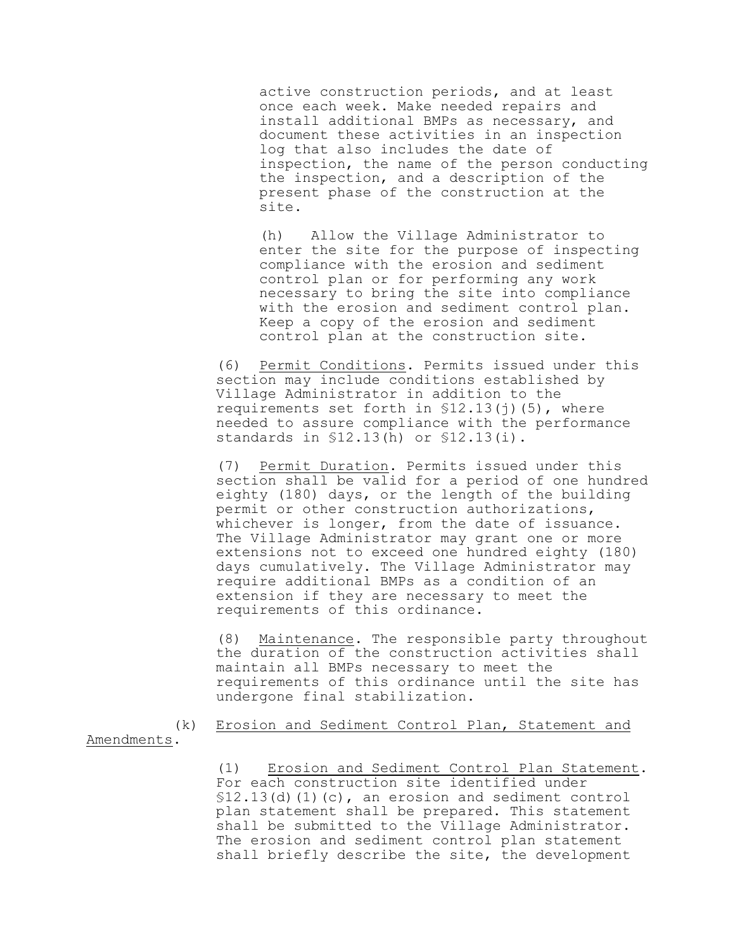active construction periods, and at least once each week. Make needed repairs and install additional BMPs as necessary, and document these activities in an inspection log that also includes the date of inspection, the name of the person conducting the inspection, and a description of the present phase of the construction at the site.

(h) Allow the Village Administrator to enter the site for the purpose of inspecting compliance with the erosion and sediment control plan or for performing any work necessary to bring the site into compliance with the erosion and sediment control plan. Keep a copy of the erosion and sediment control plan at the construction site.

(6) Permit Conditions. Permits issued under this section may include conditions established by Village Administrator in addition to the requirements set forth in  $$12.13(j)$  (5), where needed to assure compliance with the performance standards in §12.13(h) or §12.13(i).

(7) Permit Duration. Permits issued under this section shall be valid for a period of one hundred eighty (180) days, or the length of the building permit or other construction authorizations, whichever is longer, from the date of issuance. The Village Administrator may grant one or more extensions not to exceed one hundred eighty (180) days cumulatively. The Village Administrator may require additional BMPs as a condition of an extension if they are necessary to meet the requirements of this ordinance.

(8) Maintenance. The responsible party throughout the duration of the construction activities shall maintain all BMPs necessary to meet the requirements of this ordinance until the site has undergone final stabilization.

(k) Erosion and Sediment Control Plan, Statement and Amendments.

> (1) Erosion and Sediment Control Plan Statement. For each construction site identified under  $$12.13$ (d)(1)(c), an erosion and sediment control plan statement shall be prepared. This statement shall be submitted to the Village Administrator. The erosion and sediment control plan statement shall briefly describe the site, the development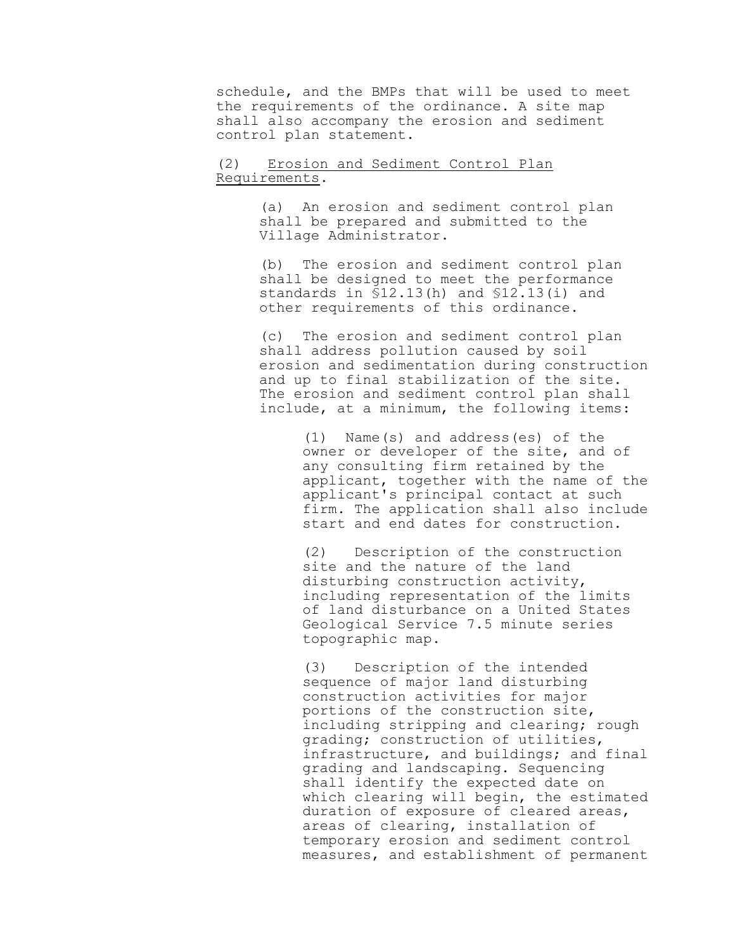schedule, and the BMPs that will be used to meet the requirements of the ordinance. A site map shall also accompany the erosion and sediment control plan statement.

### (2) Erosion and Sediment Control Plan Requirements.

(a) An erosion and sediment control plan shall be prepared and submitted to the Village Administrator.

(b) The erosion and sediment control plan shall be designed to meet the performance standards in §12.13(h) and §12.13(i) and other requirements of this ordinance.

(c) The erosion and sediment control plan shall address pollution caused by soil erosion and sedimentation during construction and up to final stabilization of the site. The erosion and sediment control plan shall include, at a minimum, the following items:

> (1) Name(s) and address(es) of the owner or developer of the site, and of any consulting firm retained by the applicant, together with the name of the applicant's principal contact at such firm. The application shall also include start and end dates for construction.

(2) Description of the construction site and the nature of the land disturbing construction activity, including representation of the limits of land disturbance on a United States Geological Service 7.5 minute series topographic map.

(3) Description of the intended sequence of major land disturbing construction activities for major portions of the construction site, including stripping and clearing; rough grading; construction of utilities, infrastructure, and buildings; and final grading and landscaping. Sequencing shall identify the expected date on which clearing will begin, the estimated duration of exposure of cleared areas, areas of clearing, installation of temporary erosion and sediment control measures, and establishment of permanent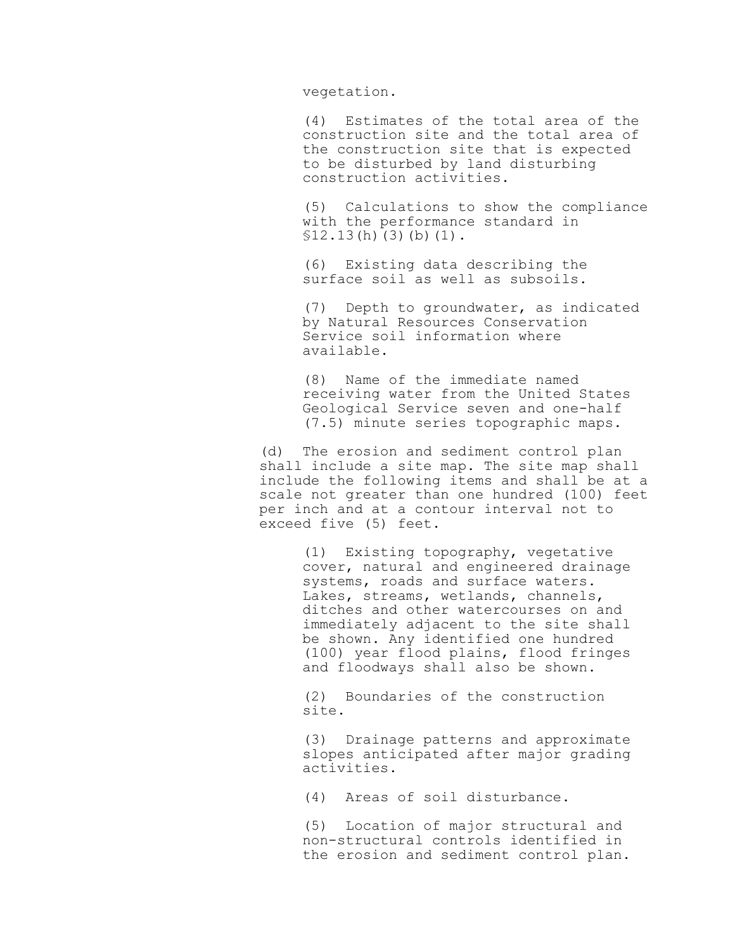vegetation.

(4) Estimates of the total area of the construction site and the total area of the construction site that is expected to be disturbed by land disturbing construction activities.

(5) Calculations to show the compliance with the performance standard in  $$12.13(h)(3)(b)(1)$ .

(6) Existing data describing the surface soil as well as subsoils.

(7) Depth to groundwater, as indicated by Natural Resources Conservation Service soil information where available.

(8) Name of the immediate named receiving water from the United States Geological Service seven and one-half (7.5) minute series topographic maps.

(d) The erosion and sediment control plan shall include a site map. The site map shall include the following items and shall be at a scale not greater than one hundred (100) feet per inch and at a contour interval not to exceed five (5) feet.

> (1) Existing topography, vegetative cover, natural and engineered drainage systems, roads and surface waters. Lakes, streams, wetlands, channels, ditches and other watercourses on and immediately adjacent to the site shall be shown. Any identified one hundred (100) year flood plains, flood fringes and floodways shall also be shown.

(2) Boundaries of the construction site.

(3) Drainage patterns and approximate slopes anticipated after major grading activities.

(4) Areas of soil disturbance.

(5) Location of major structural and non-structural controls identified in the erosion and sediment control plan.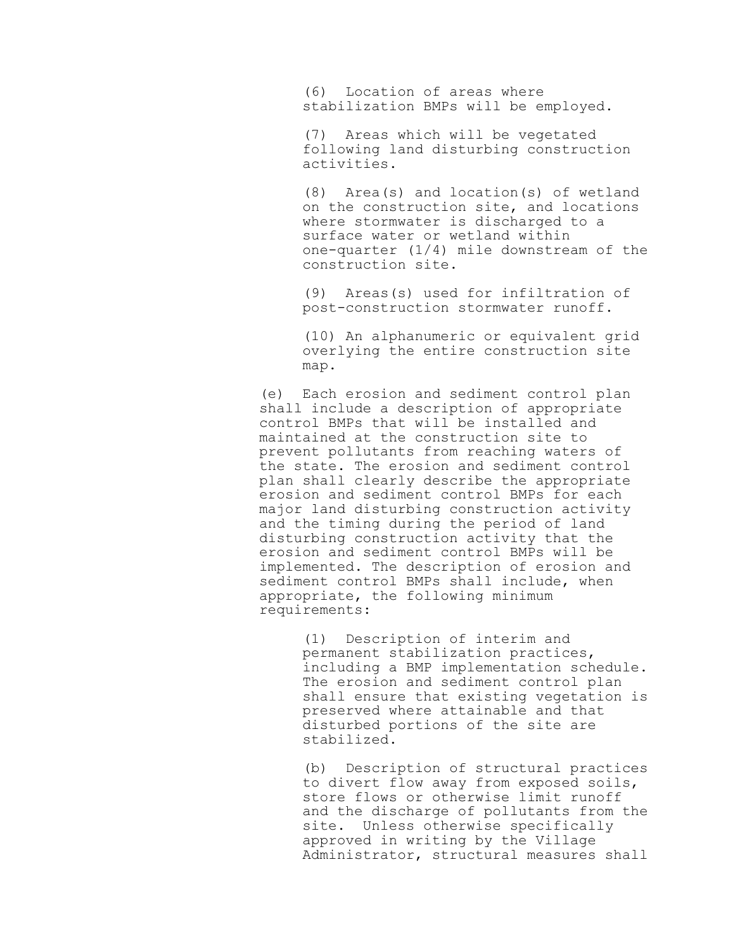(6) Location of areas where stabilization BMPs will be employed.

(7) Areas which will be vegetated following land disturbing construction activities.

(8) Area(s) and location(s) of wetland on the construction site, and locations where stormwater is discharged to a surface water or wetland within one-quarter (1/4) mile downstream of the construction site.

(9) Areas(s) used for infiltration of post-construction stormwater runoff.

(10) An alphanumeric or equivalent grid overlying the entire construction site map.

(e) Each erosion and sediment control plan shall include a description of appropriate control BMPs that will be installed and maintained at the construction site to prevent pollutants from reaching waters of the state. The erosion and sediment control plan shall clearly describe the appropriate erosion and sediment control BMPs for each major land disturbing construction activity and the timing during the period of land disturbing construction activity that the erosion and sediment control BMPs will be implemented. The description of erosion and sediment control BMPs shall include, when appropriate, the following minimum requirements:

> (1) Description of interim and permanent stabilization practices, including a BMP implementation schedule. The erosion and sediment control plan shall ensure that existing vegetation is preserved where attainable and that disturbed portions of the site are stabilized.

> (b) Description of structural practices to divert flow away from exposed soils, store flows or otherwise limit runoff and the discharge of pollutants from the site. Unless otherwise specifically approved in writing by the Village Administrator, structural measures shall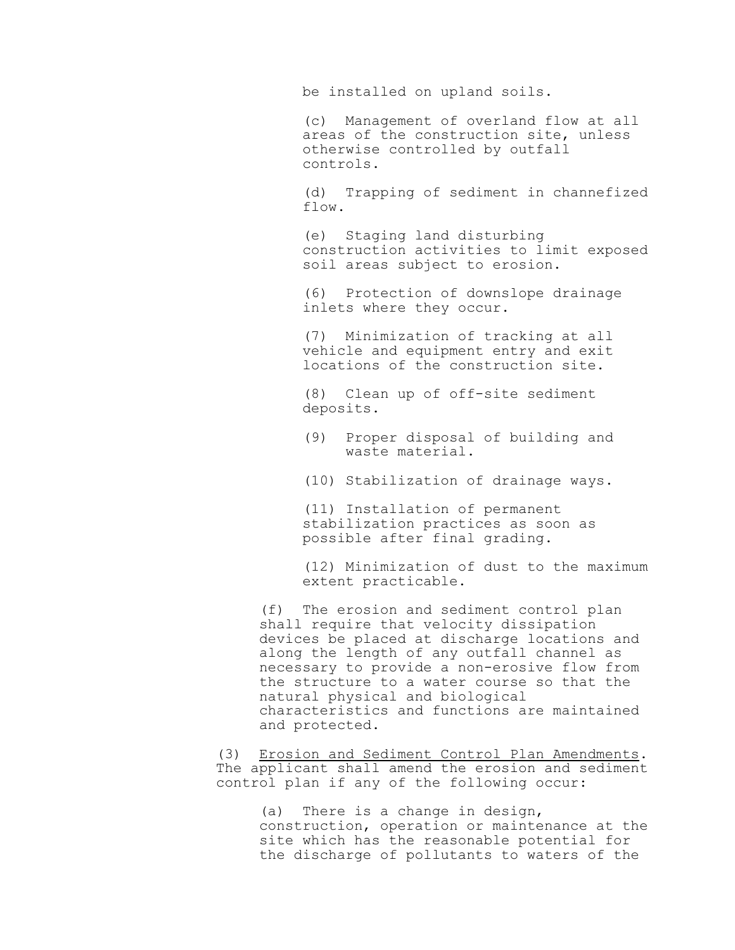be installed on upland soils.

(c) Management of overland flow at all areas of the construction site, unless otherwise controlled by outfall controls.

(d) Trapping of sediment in channefized flow.

(e) Staging land disturbing construction activities to limit exposed soil areas subject to erosion.

(6) Protection of downslope drainage inlets where they occur.

(7) Minimization of tracking at all vehicle and equipment entry and exit locations of the construction site.

(8) Clean up of off-site sediment deposits.

- (9) Proper disposal of building and waste material.
- (10) Stabilization of drainage ways.

(11) Installation of permanent stabilization practices as soon as possible after final grading.

(12) Minimization of dust to the maximum extent practicable.

(f) The erosion and sediment control plan shall require that velocity dissipation devices be placed at discharge locations and along the length of any outfall channel as necessary to provide a non-erosive flow from the structure to a water course so that the natural physical and biological characteristics and functions are maintained and protected.

(3) Erosion and Sediment Control Plan Amendments. The applicant shall amend the erosion and sediment control plan if any of the following occur:

(a) There is a change in design, construction, operation or maintenance at the site which has the reasonable potential for the discharge of pollutants to waters of the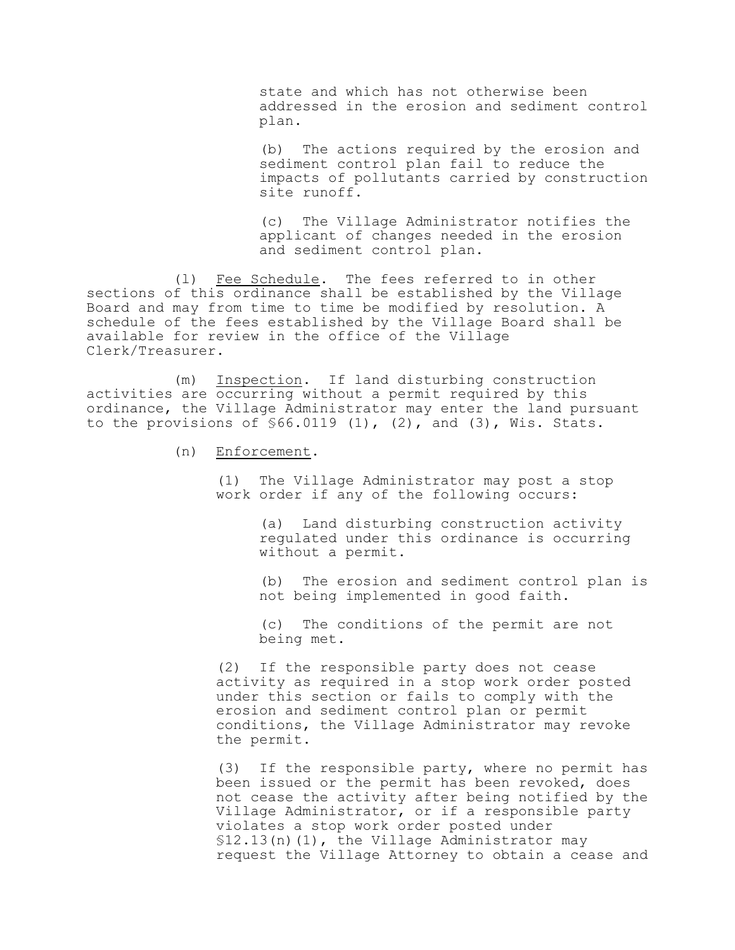state and which has not otherwise been addressed in the erosion and sediment control plan.

(b) The actions required by the erosion and sediment control plan fail to reduce the impacts of pollutants carried by construction site runoff.

(c) The Village Administrator notifies the applicant of changes needed in the erosion and sediment control plan.

(l) Fee Schedule. The fees referred to in other sections of this ordinance shall be established by the Village Board and may from time to time be modified by resolution. A schedule of the fees established by the Village Board shall be available for review in the office of the Village Clerk/Treasurer.

(m) Inspection. If land disturbing construction activities are occurring without a permit required by this ordinance, the Village Administrator may enter the land pursuant to the provisions of  $$66.0119$  (1), (2), and (3), Wis. Stats.

(n) Enforcement.

(1) The Village Administrator may post a stop work order if any of the following occurs:

> (a) Land disturbing construction activity regulated under this ordinance is occurring without a permit.

(b) The erosion and sediment control plan is not being implemented in good faith.

(c) The conditions of the permit are not being met.

(2) If the responsible party does not cease activity as required in a stop work order posted under this section or fails to comply with the erosion and sediment control plan or permit conditions, the Village Administrator may revoke the permit.

(3) If the responsible party, where no permit has been issued or the permit has been revoked, does not cease the activity after being notified by the Village Administrator, or if a responsible party violates a stop work order posted under §12.13(n)(1), the Village Administrator may request the Village Attorney to obtain a cease and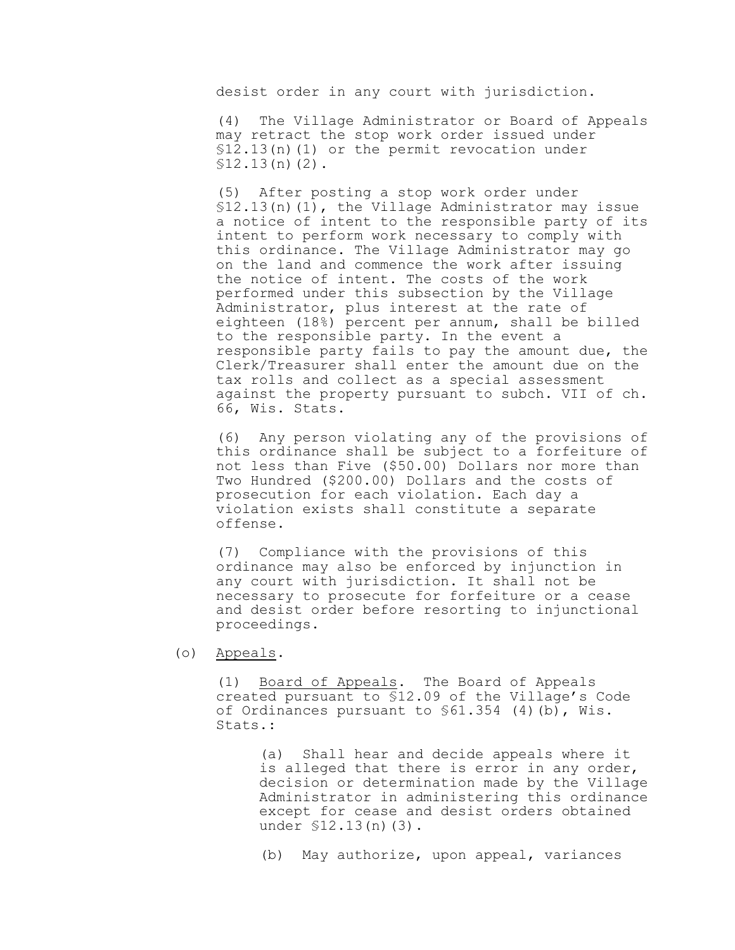desist order in any court with jurisdiction.

(4) The Village Administrator or Board of Appeals may retract the stop work order issued under §12.13(n)(1) or the permit revocation under  $$12.13(n)(2)$ .

(5) After posting a stop work order under  $$12.13(n)(1)$ , the Village Administrator may issue a notice of intent to the responsible party of its intent to perform work necessary to comply with this ordinance. The Village Administrator may go on the land and commence the work after issuing the notice of intent. The costs of the work performed under this subsection by the Village Administrator, plus interest at the rate of eighteen (18%) percent per annum, shall be billed to the responsible party. In the event a responsible party fails to pay the amount due, the Clerk/Treasurer shall enter the amount due on the tax rolls and collect as a special assessment against the property pursuant to subch. VII of ch. 66, Wis. Stats.

(6) Any person violating any of the provisions of this ordinance shall be subject to a forfeiture of not less than Five (\$50.00) Dollars nor more than Two Hundred (\$200.00) Dollars and the costs of prosecution for each violation. Each day a violation exists shall constitute a separate offense.

(7) Compliance with the provisions of this ordinance may also be enforced by injunction in any court with jurisdiction. It shall not be necessary to prosecute for forfeiture or a cease and desist order before resorting to injunctional proceedings.

(o) Appeals.

(1) Board of Appeals. The Board of Appeals created pursuant to §12.09 of the Village's Code of Ordinances pursuant to §61.354 (4)(b), Wis. Stats.:

> (a) Shall hear and decide appeals where it is alleged that there is error in any order, decision or determination made by the Village Administrator in administering this ordinance except for cease and desist orders obtained under §12.13(n)(3).

(b) May authorize, upon appeal, variances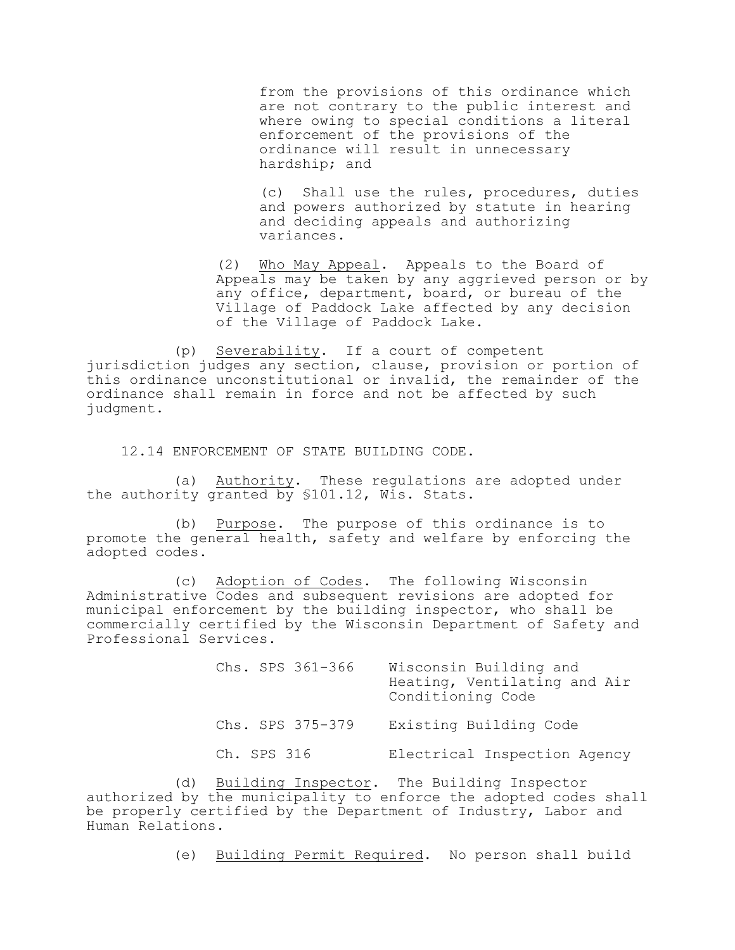from the provisions of this ordinance which are not contrary to the public interest and where owing to special conditions a literal enforcement of the provisions of the ordinance will result in unnecessary hardship; and

(c) Shall use the rules, procedures, duties and powers authorized by statute in hearing and deciding appeals and authorizing variances.

(2) Who May Appeal. Appeals to the Board of Appeals may be taken by any aggrieved person or by any office, department, board, or bureau of the Village of Paddock Lake affected by any decision of the Village of Paddock Lake.

(p) Severability. If a court of competent jurisdiction judges any section, clause, provision or portion of this ordinance unconstitutional or invalid, the remainder of the ordinance shall remain in force and not be affected by such judgment.

12.14 ENFORCEMENT OF STATE BUILDING CODE.

(a) Authority. These regulations are adopted under the authority granted by §101.12, Wis. Stats.

(b) Purpose. The purpose of this ordinance is to promote the general health, safety and welfare by enforcing the adopted codes.

(c) Adoption of Codes. The following Wisconsin Administrative Codes and subsequent revisions are adopted for municipal enforcement by the building inspector, who shall be commercially certified by the Wisconsin Department of Safety and Professional Services.

| Chs. SPS 361-366 | Wisconsin Building and<br>Heating, Ventilating and Air<br>Conditioning Code |  |
|------------------|-----------------------------------------------------------------------------|--|
| Chs. SPS 375-379 | Existing Building Code                                                      |  |
| Ch. SPS 316      | Electrical Inspection Agency                                                |  |

(d) Building Inspector. The Building Inspector authorized by the municipality to enforce the adopted codes shall be properly certified by the Department of Industry, Labor and Human Relations.

(e) Building Permit Required. No person shall build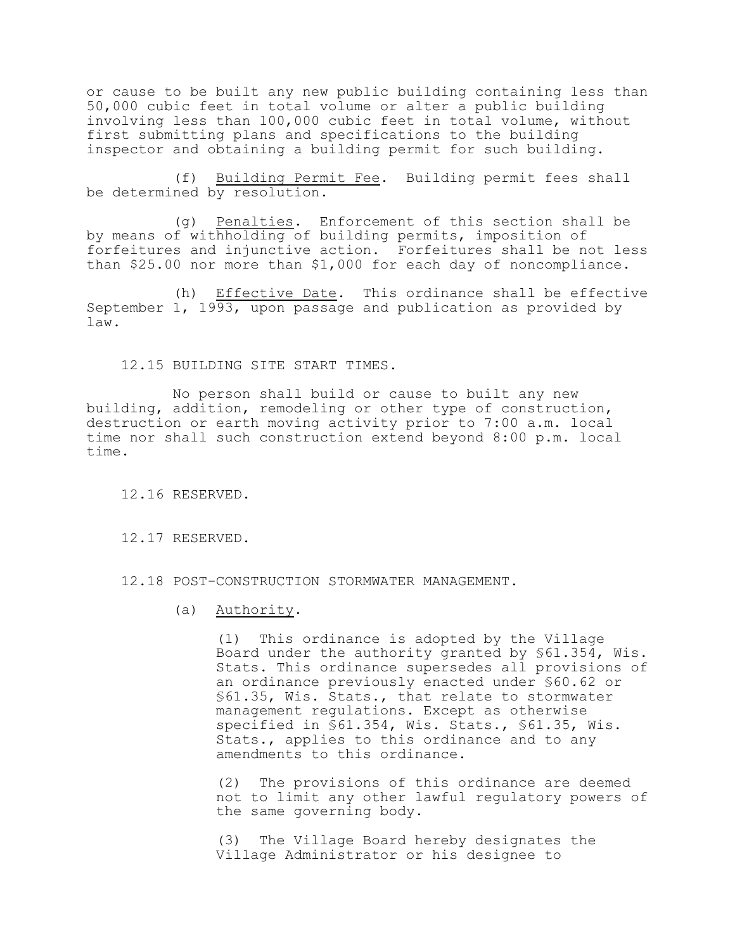or cause to be built any new public building containing less than 50,000 cubic feet in total volume or alter a public building involving less than 100,000 cubic feet in total volume, without first submitting plans and specifications to the building inspector and obtaining a building permit for such building.

(f) Building Permit Fee. Building permit fees shall be determined by resolution.

(g) Penalties. Enforcement of this section shall be by means of withholding of building permits, imposition of forfeitures and injunctive action. Forfeitures shall be not less than \$25.00 nor more than \$1,000 for each day of noncompliance.

(h) Effective Date. This ordinance shall be effective September 1, 1993, upon passage and publication as provided by law.

12.15 BUILDING SITE START TIMES.

No person shall build or cause to built any new building, addition, remodeling or other type of construction, destruction or earth moving activity prior to 7:00 a.m. local time nor shall such construction extend beyond 8:00 p.m. local time.

12.16 RESERVED.

12.17 RESERVED.

12.18 POST-CONSTRUCTION STORMWATER MANAGEMENT.

(a) Authority.

(1) This ordinance is adopted by the Village Board under the authority granted by §61.354, Wis. Stats. This ordinance supersedes all provisions of an ordinance previously enacted under §60.62 or §61.35, Wis. Stats., that relate to stormwater management regulations. Except as otherwise specified in §61.354, Wis. Stats., §61.35, Wis. Stats., applies to this ordinance and to any amendments to this ordinance.

(2) The provisions of this ordinance are deemed not to limit any other lawful regulatory powers of the same governing body.

(3) The Village Board hereby designates the Village Administrator or his designee to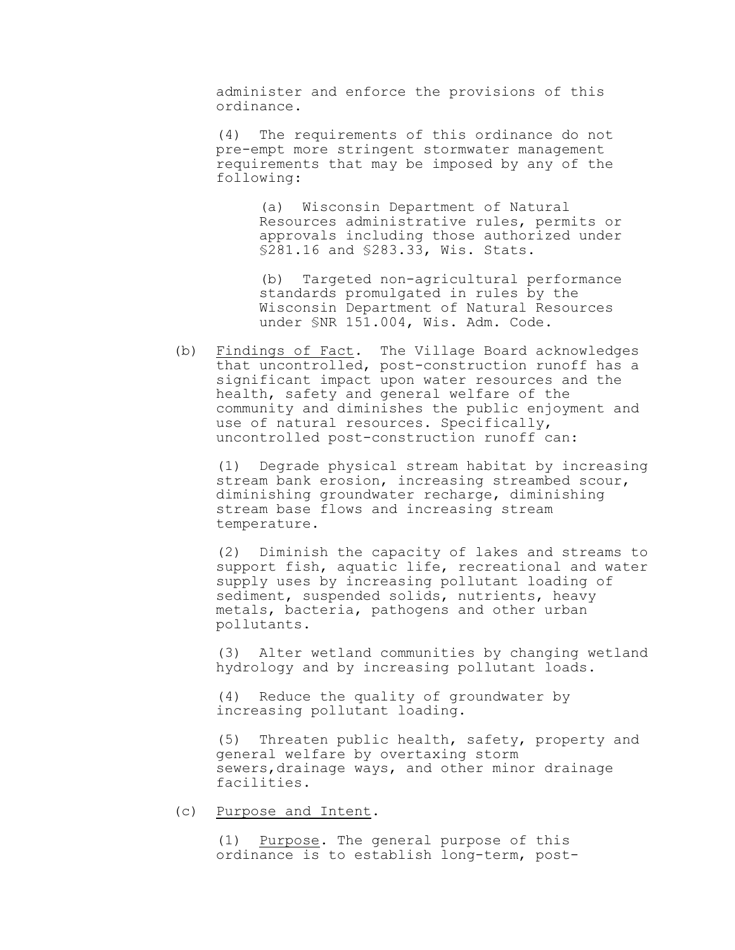administer and enforce the provisions of this ordinance.

(4) The requirements of this ordinance do not pre-empt more stringent stormwater management requirements that may be imposed by any of the following:

> (a) Wisconsin Department of Natural Resources administrative rules, permits or approvals including those authorized under §281.16 and §283.33, Wis. Stats.

> (b) Targeted non-agricultural performance standards promulgated in rules by the Wisconsin Department of Natural Resources under §NR 151.004, Wis. Adm. Code.

(b) Findings of Fact. The Village Board acknowledges that uncontrolled, post-construction runoff has a significant impact upon water resources and the health, safety and general welfare of the community and diminishes the public enjoyment and use of natural resources. Specifically, uncontrolled post-construction runoff can:

(1) Degrade physical stream habitat by increasing stream bank erosion, increasing streambed scour, diminishing groundwater recharge, diminishing stream base flows and increasing stream temperature.

(2) Diminish the capacity of lakes and streams to support fish, aquatic life, recreational and water supply uses by increasing pollutant loading of sediment, suspended solids, nutrients, heavy metals, bacteria, pathogens and other urban pollutants.

(3) Alter wetland communities by changing wetland hydrology and by increasing pollutant loads.

(4) Reduce the quality of groundwater by increasing pollutant loading.

(5) Threaten public health, safety, property and general welfare by overtaxing storm sewers,drainage ways, and other minor drainage facilities.

(c) Purpose and Intent.

(1) Purpose. The general purpose of this ordinance is to establish long-term, post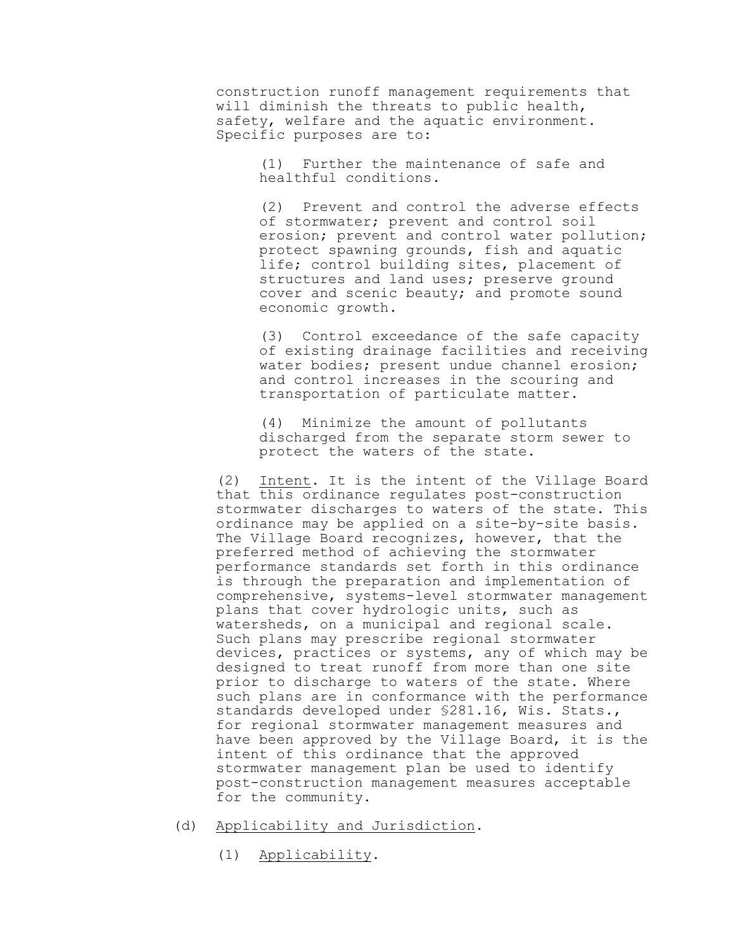construction runoff management requirements that will diminish the threats to public health, safety, welfare and the aquatic environment. Specific purposes are to:

> (1) Further the maintenance of safe and healthful conditions.

(2) Prevent and control the adverse effects of stormwater; prevent and control soil erosion; prevent and control water pollution; protect spawning grounds, fish and aquatic life; control building sites, placement of structures and land uses; preserve ground cover and scenic beauty; and promote sound economic growth.

(3) Control exceedance of the safe capacity of existing drainage facilities and receiving water bodies; present undue channel erosion; and control increases in the scouring and transportation of particulate matter.

(4) Minimize the amount of pollutants discharged from the separate storm sewer to protect the waters of the state.

(2) Intent. It is the intent of the Village Board that this ordinance regulates post-construction stormwater discharges to waters of the state. This ordinance may be applied on a site-by-site basis. The Village Board recognizes, however, that the preferred method of achieving the stormwater performance standards set forth in this ordinance is through the preparation and implementation of comprehensive, systems-level stormwater management plans that cover hydrologic units, such as watersheds, on a municipal and regional scale. Such plans may prescribe regional stormwater devices, practices or systems, any of which may be designed to treat runoff from more than one site prior to discharge to waters of the state. Where such plans are in conformance with the performance standards developed under §281.16, Wis. Stats., for regional stormwater management measures and have been approved by the Village Board, it is the intent of this ordinance that the approved stormwater management plan be used to identify post-construction management measures acceptable for the community.

- (d) Applicability and Jurisdiction.
	- (1) Applicability.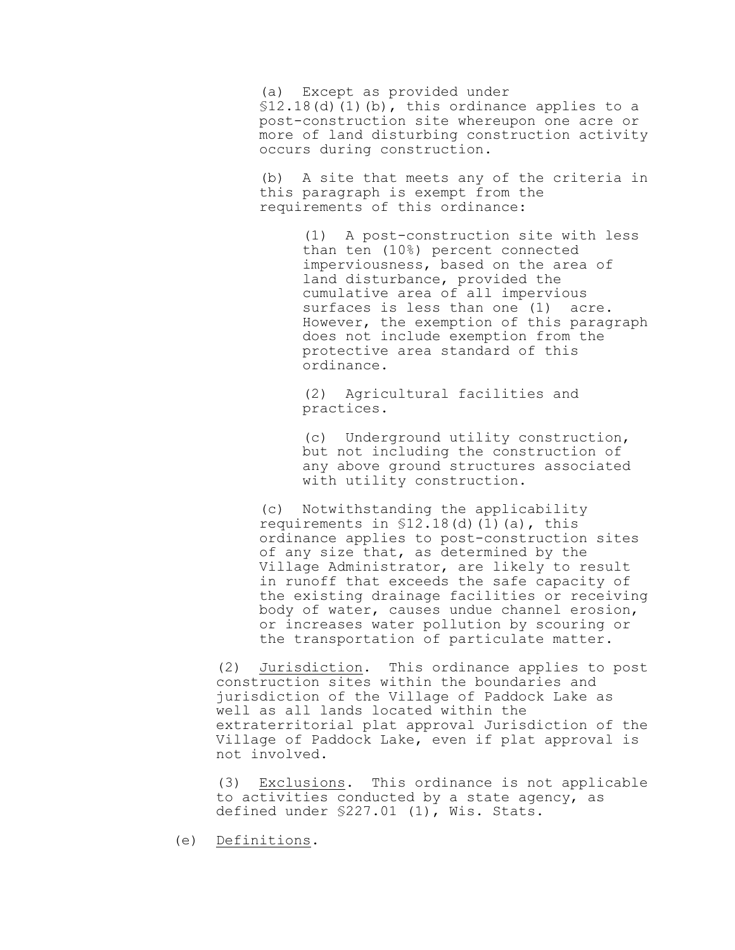(a) Except as provided under  $$12.18(d)$  (1)(b), this ordinance applies to a post-construction site whereupon one acre or more of land disturbing construction activity occurs during construction.

(b) A site that meets any of the criteria in this paragraph is exempt from the requirements of this ordinance:

> (1) A post-construction site with less than ten (10%) percent connected imperviousness, based on the area of land disturbance, provided the cumulative area of all impervious surfaces is less than one (1) acre. However, the exemption of this paragraph does not include exemption from the protective area standard of this ordinance.

(2) Agricultural facilities and practices.

(c) Underground utility construction, but not including the construction of any above ground structures associated with utility construction.

(c) Notwithstanding the applicability requirements in  $$12.18$ (d)(1)(a), this ordinance applies to post-construction sites of any size that, as determined by the Village Administrator, are likely to result in runoff that exceeds the safe capacity of the existing drainage facilities or receiving body of water, causes undue channel erosion, or increases water pollution by scouring or the transportation of particulate matter.

(2) Jurisdiction. This ordinance applies to post construction sites within the boundaries and jurisdiction of the Village of Paddock Lake as well as all lands located within the extraterritorial plat approval Jurisdiction of the Village of Paddock Lake, even if plat approval is not involved.

(3) Exclusions. This ordinance is not applicable to activities conducted by a state agency, as defined under §227.01 (1), Wis. Stats.

(e) Definitions.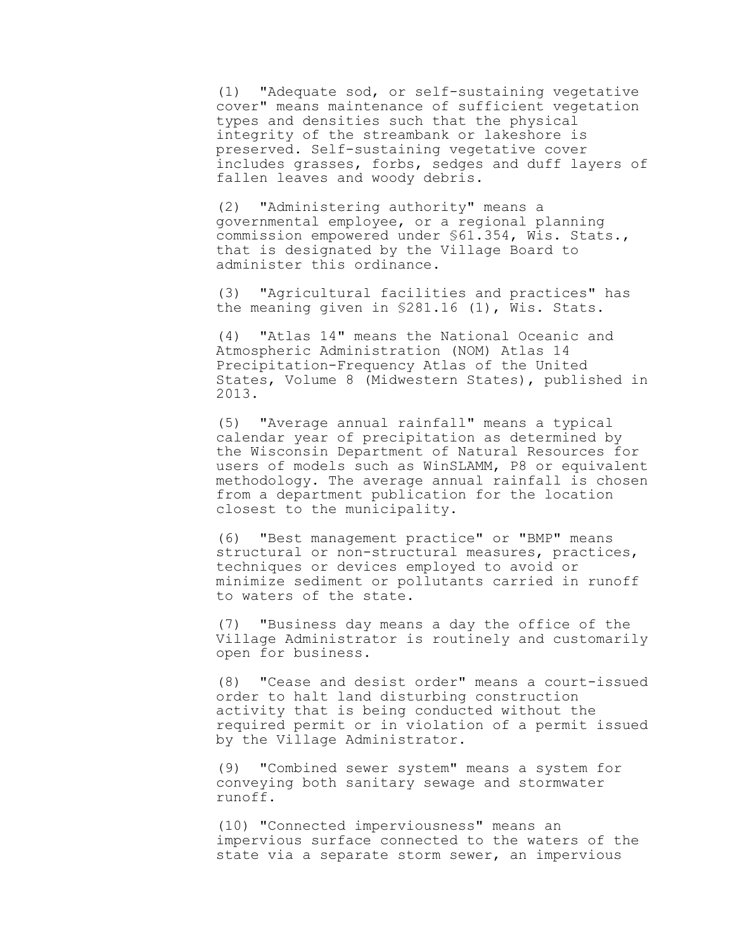(1) "Adequate sod, or self-sustaining vegetative cover" means maintenance of sufficient vegetation types and densities such that the physical integrity of the streambank or lakeshore is preserved. Self-sustaining vegetative cover includes grasses, forbs, sedges and duff layers of fallen leaves and woody debris.

(2) "Administering authority" means a governmental employee, or a regional planning commission empowered under §61.354, Wis. Stats., that is designated by the Village Board to administer this ordinance.

(3) "Agricultural facilities and practices" has the meaning given in §281.16 (1), Wis. Stats.

(4) "Atlas 14" means the National Oceanic and Atmospheric Administration (NOM) Atlas 14 Precipitation-Frequency Atlas of the United States, Volume 8 (Midwestern States), published in 2013.

(5) "Average annual rainfall" means a typical calendar year of precipitation as determined by the Wisconsin Department of Natural Resources for users of models such as WinSLAMM, P8 or equivalent methodology. The average annual rainfall is chosen from a department publication for the location closest to the municipality.

(6) "Best management practice" or "BMP" means structural or non-structural measures, practices, techniques or devices employed to avoid or minimize sediment or pollutants carried in runoff to waters of the state.

(7) "Business day means a day the office of the Village Administrator is routinely and customarily open for business.

(8) "Cease and desist order" means a court-issued order to halt land disturbing construction activity that is being conducted without the required permit or in violation of a permit issued by the Village Administrator.

(9) "Combined sewer system" means a system for conveying both sanitary sewage and stormwater runoff.

(10) "Connected imperviousness" means an impervious surface connected to the waters of the state via a separate storm sewer, an impervious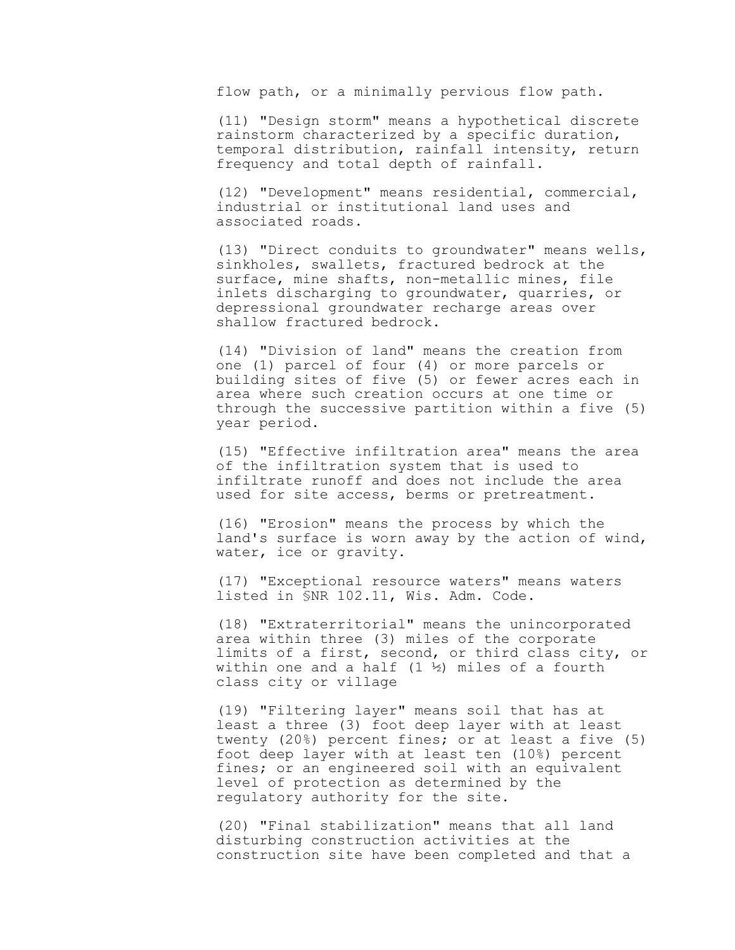flow path, or a minimally pervious flow path.

(11) "Design storm" means a hypothetical discrete rainstorm characterized by a specific duration, temporal distribution, rainfall intensity, return frequency and total depth of rainfall.

(12) "Development" means residential, commercial, industrial or institutional land uses and associated roads.

(13) "Direct conduits to groundwater" means wells, sinkholes, swallets, fractured bedrock at the surface, mine shafts, non-metallic mines, file inlets discharging to groundwater, quarries, or depressional groundwater recharge areas over shallow fractured bedrock.

(14) "Division of land" means the creation from one (1) parcel of four (4) or more parcels or building sites of five (5) or fewer acres each in area where such creation occurs at one time or through the successive partition within a five (5) year period.

(15) "Effective infiltration area" means the area of the infiltration system that is used to infiltrate runoff and does not include the area used for site access, berms or pretreatment.

(16) "Erosion" means the process by which the land's surface is worn away by the action of wind, water, ice or gravity.

(17) "Exceptional resource waters" means waters listed in §NR 102.11, Wis. Adm. Code.

(18) "Extraterritorial" means the unincorporated area within three (3) miles of the corporate limits of a first, second, or third class city, or within one and a half  $(1 \frac{1}{2})$  miles of a fourth class city or village

(19) "Filtering layer" means soil that has at least a three (3) foot deep layer with at least twenty (20%) percent fines; or at least a five (5) foot deep layer with at least ten (10%) percent fines; or an engineered soil with an equivalent level of protection as determined by the regulatory authority for the site.

(20) "Final stabilization" means that all land disturbing construction activities at the construction site have been completed and that a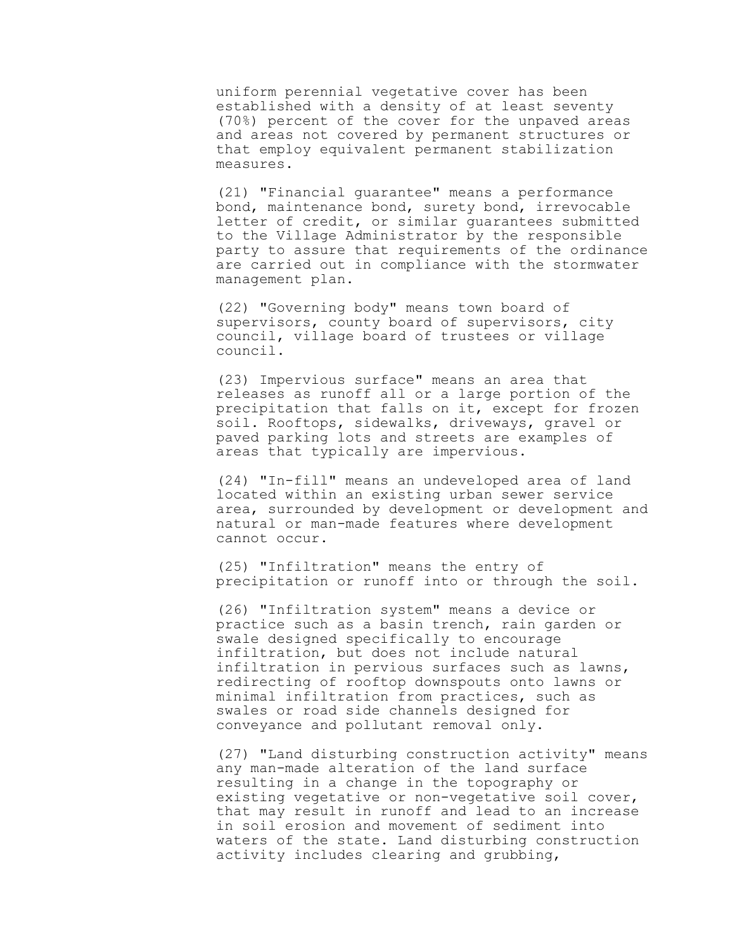uniform perennial vegetative cover has been established with a density of at least seventy (70%) percent of the cover for the unpaved areas and areas not covered by permanent structures or that employ equivalent permanent stabilization measures.

(21) "Financial guarantee" means a performance bond, maintenance bond, surety bond, irrevocable letter of credit, or similar guarantees submitted to the Village Administrator by the responsible party to assure that requirements of the ordinance are carried out in compliance with the stormwater management plan.

(22) "Governing body" means town board of supervisors, county board of supervisors, city council, village board of trustees or village council.

(23) Impervious surface" means an area that releases as runoff all or a large portion of the precipitation that falls on it, except for frozen soil. Rooftops, sidewalks, driveways, gravel or paved parking lots and streets are examples of areas that typically are impervious.

(24) "In-fill" means an undeveloped area of land located within an existing urban sewer service area, surrounded by development or development and natural or man-made features where development cannot occur.

(25) "Infiltration" means the entry of precipitation or runoff into or through the soil.

(26) "Infiltration system" means a device or practice such as a basin trench, rain garden or swale designed specifically to encourage infiltration, but does not include natural infiltration in pervious surfaces such as lawns, redirecting of rooftop downspouts onto lawns or minimal infiltration from practices, such as swales or road side channels designed for conveyance and pollutant removal only.

(27) "Land disturbing construction activity" means any man-made alteration of the land surface resulting in a change in the topography or existing vegetative or non-vegetative soil cover, that may result in runoff and lead to an increase in soil erosion and movement of sediment into waters of the state. Land disturbing construction activity includes clearing and grubbing,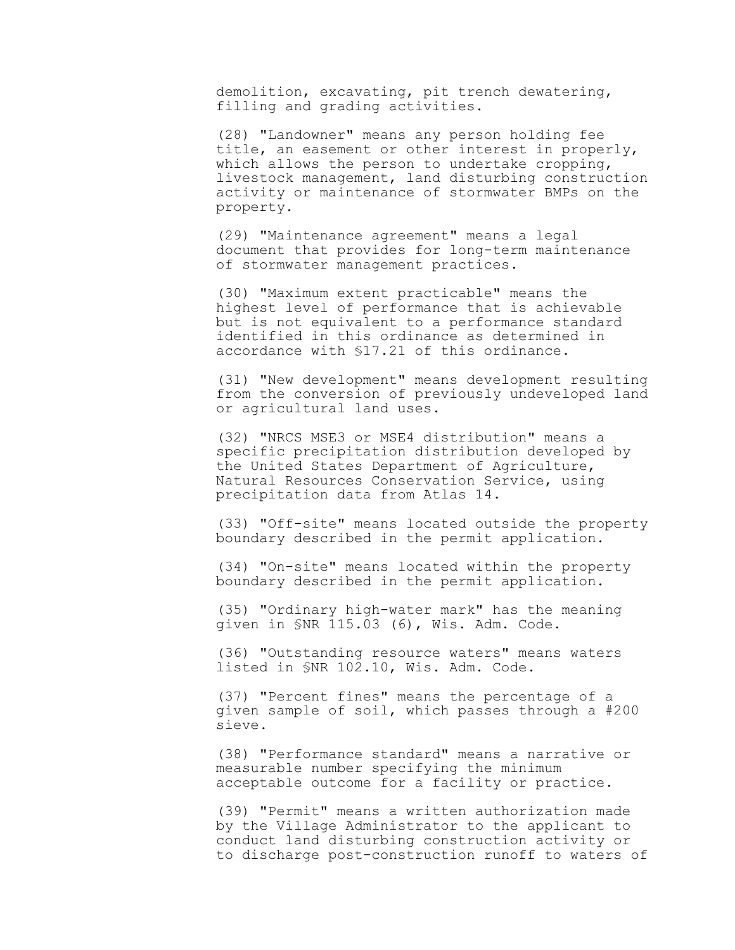demolition, excavating, pit trench dewatering, filling and grading activities.

(28) "Landowner" means any person holding fee title, an easement or other interest in properly, which allows the person to undertake cropping, livestock management, land disturbing construction activity or maintenance of stormwater BMPs on the property.

(29) "Maintenance agreement" means a legal document that provides for long-term maintenance of stormwater management practices.

(30) "Maximum extent practicable" means the highest level of performance that is achievable but is not equivalent to a performance standard identified in this ordinance as determined in accordance with §17.21 of this ordinance.

(31) "New development" means development resulting from the conversion of previously undeveloped land or agricultural land uses.

(32) "NRCS MSE3 or MSE4 distribution" means a specific precipitation distribution developed by the United States Department of Agriculture, Natural Resources Conservation Service, using precipitation data from Atlas 14.

(33) "Off-site" means located outside the property boundary described in the permit application.

(34) "On-site" means located within the property boundary described in the permit application.

(35) "Ordinary high-water mark" has the meaning given in §NR 115.03 (6), Wis. Adm. Code.

(36) "Outstanding resource waters" means waters listed in §NR 102.10, Wis. Adm. Code.

(37) "Percent fines" means the percentage of a given sample of soil, which passes through a #200 sieve.

(38) "Performance standard" means a narrative or measurable number specifying the minimum acceptable outcome for a facility or practice.

(39) "Permit" means a written authorization made by the Village Administrator to the applicant to conduct land disturbing construction activity or to discharge post-construction runoff to waters of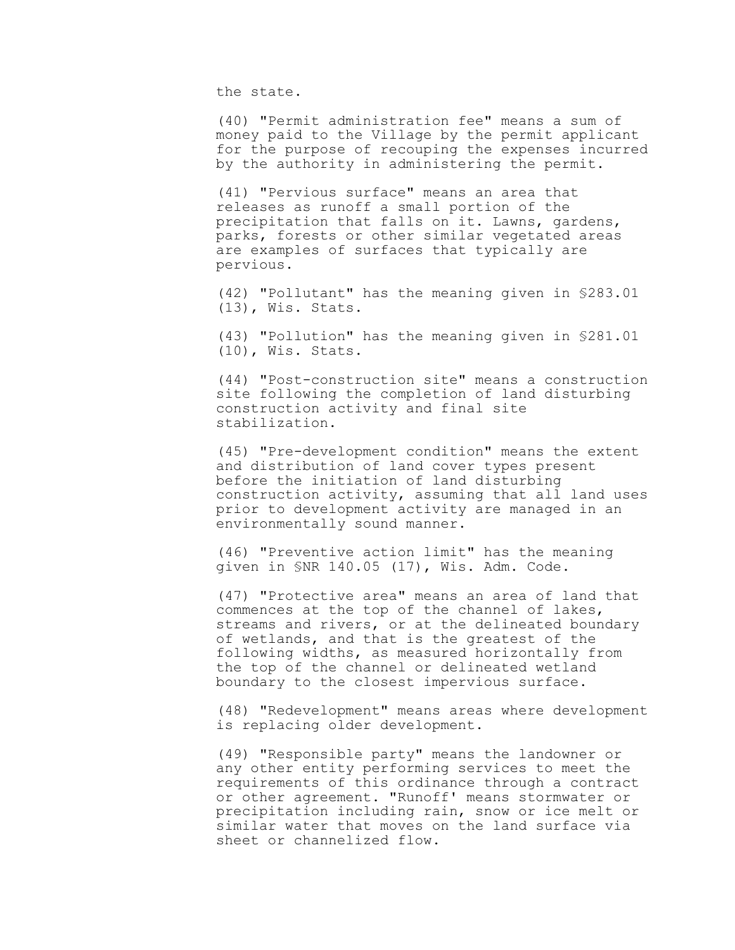the state.

(40) "Permit administration fee" means a sum of money paid to the Village by the permit applicant for the purpose of recouping the expenses incurred by the authority in administering the permit.

(41) "Pervious surface" means an area that releases as runoff a small portion of the precipitation that falls on it. Lawns, gardens, parks, forests or other similar vegetated areas are examples of surfaces that typically are pervious.

(42) "Pollutant" has the meaning given in §283.01 (13), Wis. Stats.

(43) "Pollution" has the meaning given in §281.01 (10), Wis. Stats.

(44) "Post-construction site" means a construction site following the completion of land disturbing construction activity and final site stabilization.

(45) "Pre-development condition" means the extent and distribution of land cover types present before the initiation of land disturbing construction activity, assuming that all land uses prior to development activity are managed in an environmentally sound manner.

(46) "Preventive action limit" has the meaning given in §NR 140.05 (17), Wis. Adm. Code.

(47) "Protective area" means an area of land that commences at the top of the channel of lakes, streams and rivers, or at the delineated boundary of wetlands, and that is the greatest of the following widths, as measured horizontally from the top of the channel or delineated wetland boundary to the closest impervious surface.

(48) "Redevelopment" means areas where development is replacing older development.

(49) "Responsible party" means the landowner or any other entity performing services to meet the requirements of this ordinance through a contract or other agreement. "Runoff' means stormwater or precipitation including rain, snow or ice melt or similar water that moves on the land surface via sheet or channelized flow.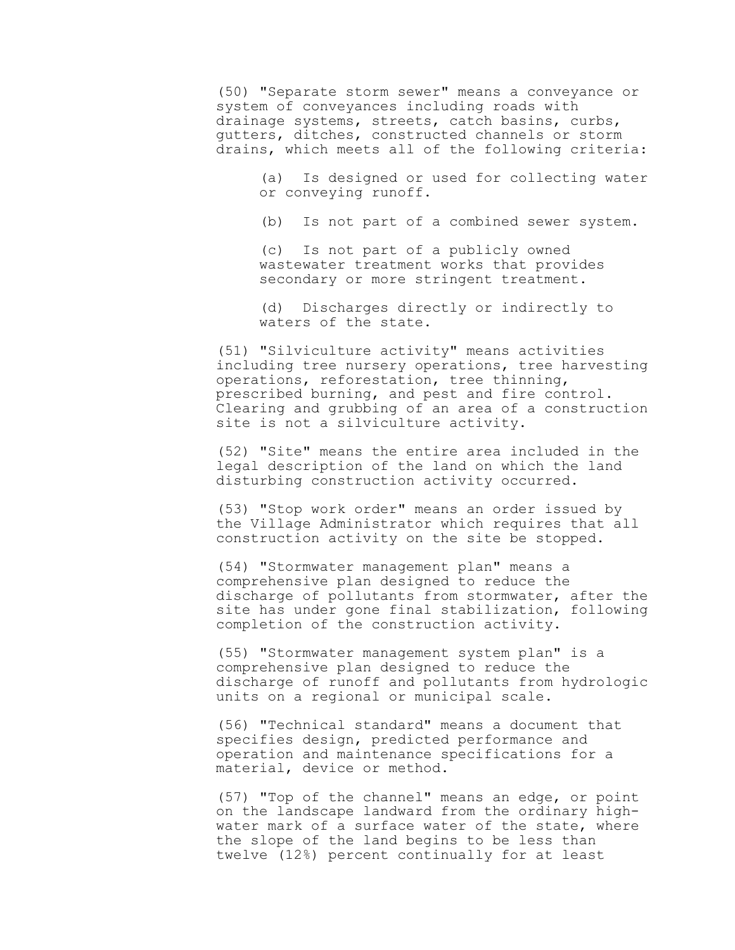(50) "Separate storm sewer" means a conveyance or system of conveyances including roads with drainage systems, streets, catch basins, curbs, gutters, ditches, constructed channels or storm drains, which meets all of the following criteria:

> (a) Is designed or used for collecting water or conveying runoff.

(b) Is not part of a combined sewer system.

(c) Is not part of a publicly owned wastewater treatment works that provides secondary or more stringent treatment.

(d) Discharges directly or indirectly to waters of the state.

(51) "Silviculture activity" means activities including tree nursery operations, tree harvesting operations, reforestation, tree thinning, prescribed burning, and pest and fire control. Clearing and grubbing of an area of a construction site is not a silviculture activity.

(52) "Site" means the entire area included in the legal description of the land on which the land disturbing construction activity occurred.

(53) "Stop work order" means an order issued by the Village Administrator which requires that all construction activity on the site be stopped.

(54) "Stormwater management plan" means a comprehensive plan designed to reduce the discharge of pollutants from stormwater, after the site has under gone final stabilization, following completion of the construction activity.

(55) "Stormwater management system plan" is a comprehensive plan designed to reduce the discharge of runoff and pollutants from hydrologic units on a regional or municipal scale.

(56) "Technical standard" means a document that specifies design, predicted performance and operation and maintenance specifications for a material, device or method.

(57) "Top of the channel" means an edge, or point on the landscape landward from the ordinary highwater mark of a surface water of the state, where the slope of the land begins to be less than twelve (12%) percent continually for at least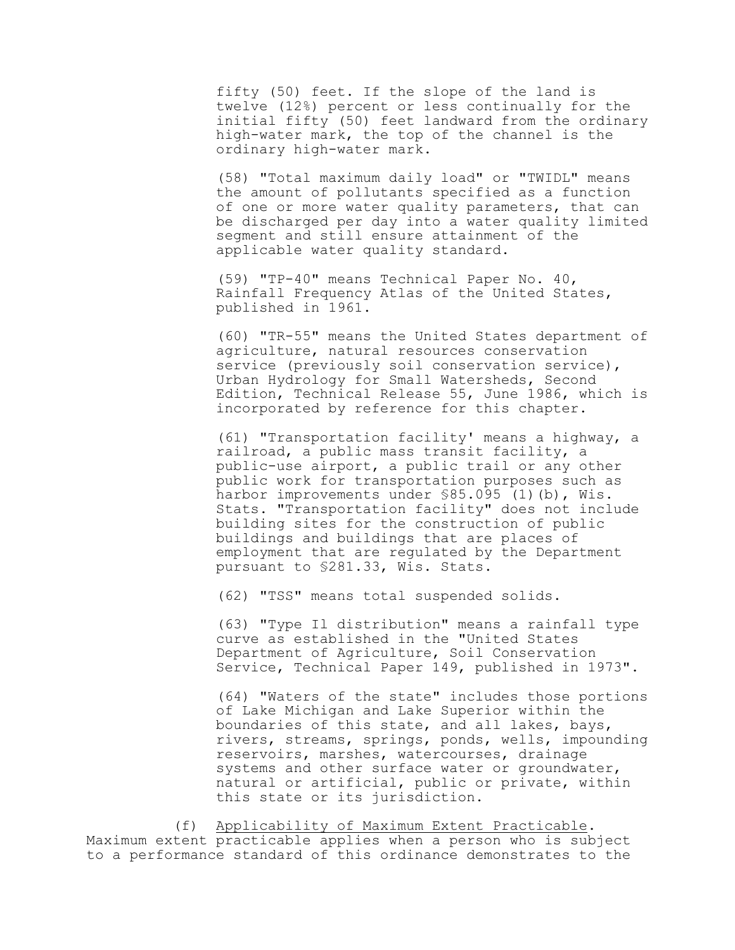fifty (50) feet. If the slope of the land is twelve (12%) percent or less continually for the initial fifty (50) feet landward from the ordinary high-water mark, the top of the channel is the ordinary high-water mark.

(58) "Total maximum daily load" or "TWIDL" means the amount of pollutants specified as a function of one or more water quality parameters, that can be discharged per day into a water quality limited segment and still ensure attainment of the applicable water quality standard.

(59) "TP-40" means Technical Paper No. 40, Rainfall Frequency Atlas of the United States, published in 1961.

(60) "TR-55" means the United States department of agriculture, natural resources conservation service (previously soil conservation service), Urban Hydrology for Small Watersheds, Second Edition, Technical Release 55, June 1986, which is incorporated by reference for this chapter.

(61) "Transportation facility' means a highway, a railroad, a public mass transit facility, a public-use airport, a public trail or any other public work for transportation purposes such as harbor improvements under \$85.095 (1)(b), Wis. Stats. "Transportation facility" does not include building sites for the construction of public buildings and buildings that are places of employment that are regulated by the Department pursuant to §281.33, Wis. Stats.

(62) "TSS" means total suspended solids.

(63) "Type Il distribution" means a rainfall type curve as established in the "United States Department of Agriculture, Soil Conservation Service, Technical Paper 149, published in 1973".

(64) "Waters of the state" includes those portions of Lake Michigan and Lake Superior within the boundaries of this state, and all lakes, bays, rivers, streams, springs, ponds, wells, impounding reservoirs, marshes, watercourses, drainage systems and other surface water or groundwater, natural or artificial, public or private, within this state or its jurisdiction.

(f) Applicability of Maximum Extent Practicable. Maximum extent practicable applies when a person who is subject to a performance standard of this ordinance demonstrates to the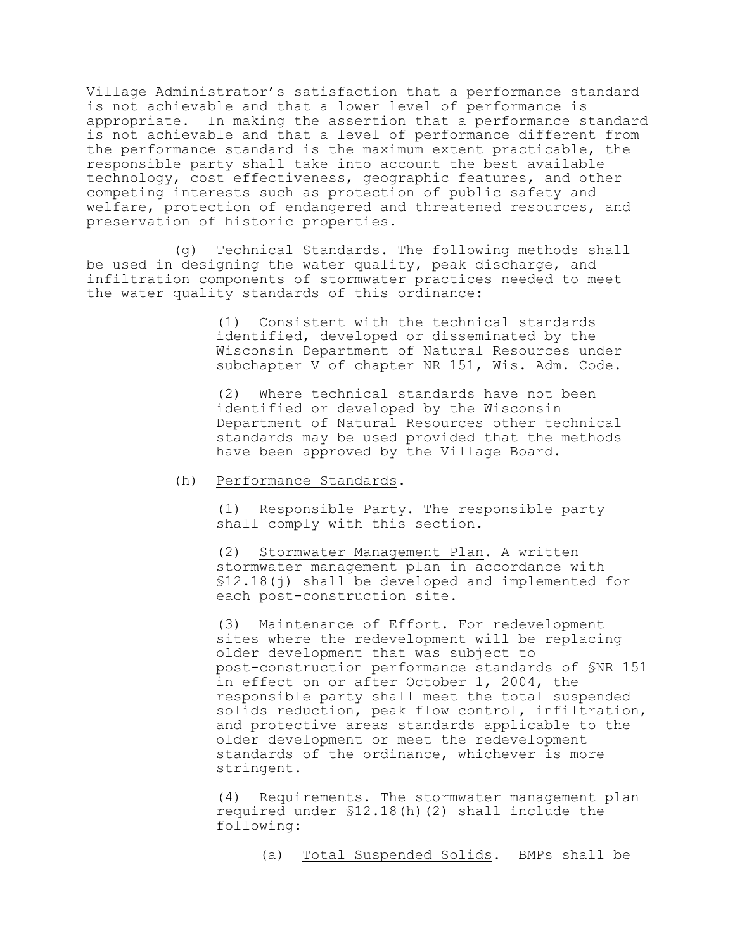Village Administrator's satisfaction that a performance standard is not achievable and that a lower level of performance is appropriate. In making the assertion that a performance standard is not achievable and that a level of performance different from the performance standard is the maximum extent practicable, the responsible party shall take into account the best available technology, cost effectiveness, geographic features, and other competing interests such as protection of public safety and welfare, protection of endangered and threatened resources, and preservation of historic properties.

(g) Technical Standards. The following methods shall be used in designing the water quality, peak discharge, and infiltration components of stormwater practices needed to meet the water quality standards of this ordinance:

> (1) Consistent with the technical standards identified, developed or disseminated by the Wisconsin Department of Natural Resources under subchapter V of chapter NR 151, Wis. Adm. Code.

> (2) Where technical standards have not been identified or developed by the Wisconsin Department of Natural Resources other technical standards may be used provided that the methods have been approved by the Village Board.

(h) Performance Standards.

(1) Responsible Party. The responsible party shall comply with this section.

(2) Stormwater Management Plan. A written stormwater management plan in accordance with §12.18(j) shall be developed and implemented for each post-construction site.

(3) Maintenance of Effort. For redevelopment sites where the redevelopment will be replacing older development that was subject to post-construction performance standards of §NR 151 in effect on or after October 1, 2004, the responsible party shall meet the total suspended solids reduction, peak flow control, infiltration, and protective areas standards applicable to the older development or meet the redevelopment standards of the ordinance, whichever is more stringent.

(4) Requirements. The stormwater management plan required under §12.18(h)(2) shall include the following:

(a) Total Suspended Solids. BMPs shall be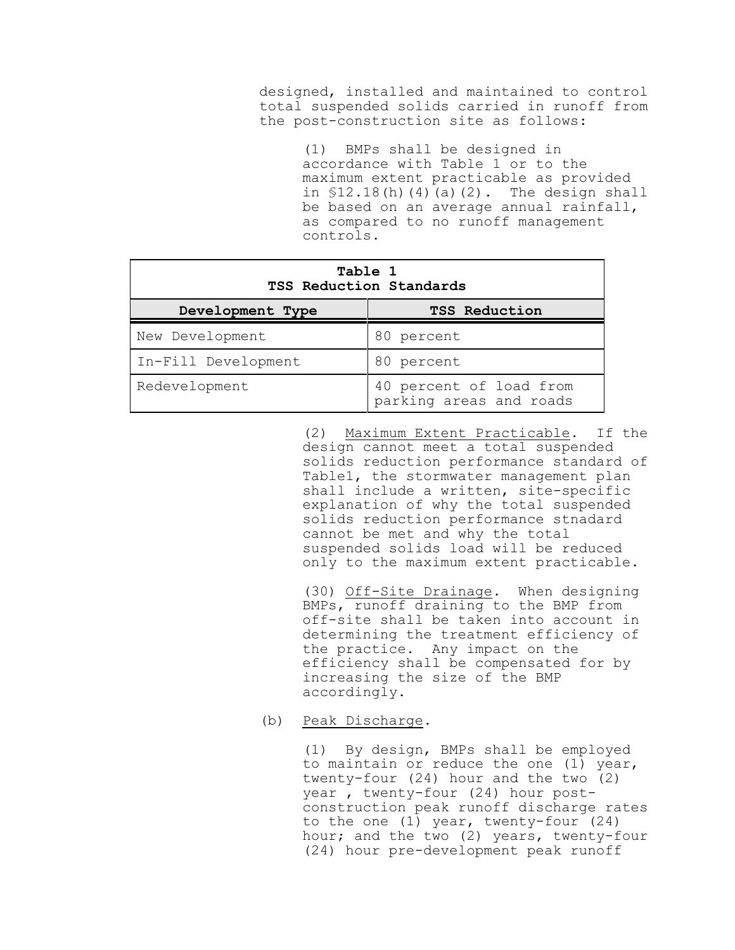designed, installed and maintained to control total suspended solids carried in runoff from the post-construction site as follows:

> (1) BMPs shall be designed in accordance with Table 1 or to the maximum extent practicable as provided in  $$12.18(h)(4)(a)(2)$ . The design shall be based on an average annual rainfall, as compared to no runoff management controls.

| Table 1<br>TSS Reduction Standards |                                                    |  |  |  |
|------------------------------------|----------------------------------------------------|--|--|--|
| Development Type                   | <b>TSS Reduction</b>                               |  |  |  |
| New Development                    | 80 percent                                         |  |  |  |
| In-Fill Development                | 80 percent                                         |  |  |  |
| Redevelopment                      | 40 percent of load from<br>parking areas and roads |  |  |  |

(2) Maximum Extent Practicable. If the design cannot meet a total suspended solids reduction performance standard of Table1, the stormwater management plan shall include a written, site-specific explanation of why the total suspended solids reduction performance stnadard cannot be met and why the total suspended solids load will be reduced only to the maximum extent practicable.

(30) Off-Site Drainage. When designing BMPs, runoff draining to the BMP from off-site shall be taken into account in determining the treatment efficiency of the practice. Any impact on the efficiency shall be compensated for by increasing the size of the BMP accordingly.

(b) Peak Discharge.

(1) By design, BMPs shall be employed to maintain or reduce the one (1) year, twenty-four  $(24)$  hour and the two  $(2)$ year , twenty-four (24) hour postconstruction peak runoff discharge rates to the one (1) year, twenty-four (24) hour; and the two (2) years, twenty-four (24) hour pre-development peak runoff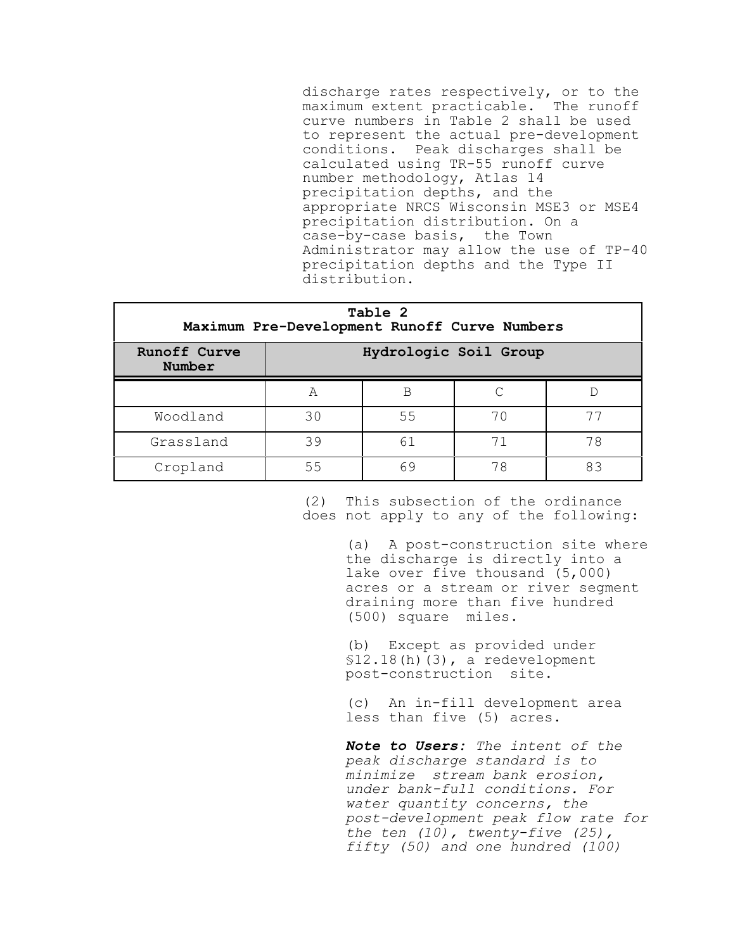discharge rates respectively, or to the maximum extent practicable. The runoff curve numbers in Table 2 shall be used to represent the actual pre-development conditions. Peak discharges shall be calculated using TR-55 runoff curve number methodology, Atlas 14 precipitation depths, and the appropriate NRCS Wisconsin MSE3 or MSE4 precipitation distribution. On a case-by-case basis, the Town Administrator may allow the use of TP-40 precipitation depths and the Type II distribution.

| Table 2<br>Maximum Pre-Development Runoff Curve Numbers |                       |    |    |    |  |  |
|---------------------------------------------------------|-----------------------|----|----|----|--|--|
| <b>Runoff Curve</b><br>Number                           | Hydrologic Soil Group |    |    |    |  |  |
|                                                         | A                     | B  |    |    |  |  |
| Woodland                                                | 30                    | 55 | 70 |    |  |  |
| Grassland                                               | 39                    | 61 | 71 | 78 |  |  |
| Cropland                                                | 55                    | 69 | 78 | 83 |  |  |

(2) This subsection of the ordinance does not apply to any of the following:

> (a) A post-construction site where the discharge is directly into a lake over five thousand (5,000) acres or a stream or river segment draining more than five hundred (500) square miles.

(b) Except as provided under §12.18(h)(3), a redevelopment post-construction site.

(c) An in-fill development area less than five (5) acres.

*Note to Users: The intent of the peak discharge standard is to minimize stream bank erosion, under bank-full conditions. For water quantity concerns, the post-development peak flow rate for the ten (10), twenty-five (25), fifty (50) and one hundred (100)*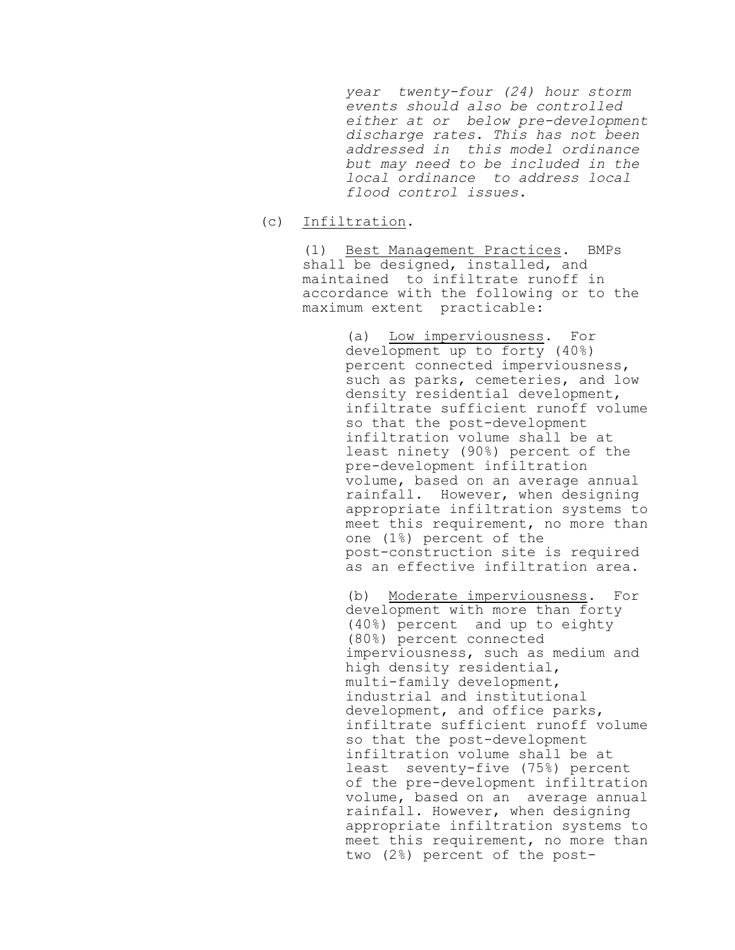*year twenty-four (24) hour storm events should also be controlled either at or below pre-development discharge rates. This has not been addressed in this model ordinance but may need to be included in the local ordinance to address local flood control issues.*

(c) Infiltration.

(1) Best Management Practices. BMPs shall be designed, installed, and maintained to infiltrate runoff in accordance with the following or to the maximum extent practicable:

> (a) Low imperviousness. For development up to forty (40%) percent connected imperviousness, such as parks, cemeteries, and low density residential development, infiltrate sufficient runoff volume so that the post-development infiltration volume shall be at least ninety (90%) percent of the pre-development infiltration volume, based on an average annual rainfall. However, when designing appropriate infiltration systems to meet this requirement, no more than one (1%) percent of the post-construction site is required as an effective infiltration area.

> (b) Moderate imperviousness. For development with more than forty (40%) percent and up to eighty (80%) percent connected imperviousness, such as medium and high density residential, multi-family development, industrial and institutional development, and office parks, infiltrate sufficient runoff volume so that the post-development infiltration volume shall be at least seventy-five (75%) percent of the pre-development infiltration volume, based on an average annual rainfall. However, when designing appropriate infiltration systems to meet this requirement, no more than two (2%) percent of the post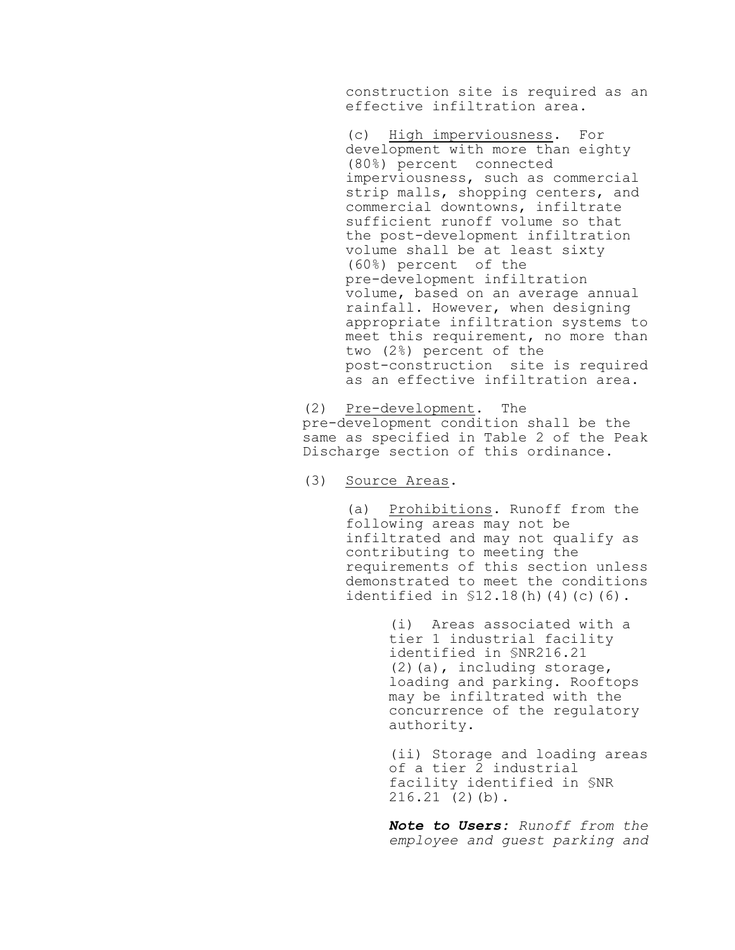construction site is required as an effective infiltration area.

(c) High imperviousness. For development with more than eighty (80%) percent connected imperviousness, such as commercial strip malls, shopping centers, and commercial downtowns, infiltrate sufficient runoff volume so that the post-development infiltration volume shall be at least sixty (60%) percent of the pre-development infiltration volume, based on an average annual rainfall. However, when designing appropriate infiltration systems to meet this requirement, no more than two (2%) percent of the post-construction site is required as an effective infiltration area.

(2) Pre-development. The pre-development condition shall be the same as specified in Table 2 of the Peak Discharge section of this ordinance.

(3) Source Areas.

(a) Prohibitions. Runoff from the following areas may not be infiltrated and may not qualify as contributing to meeting the requirements of this section unless demonstrated to meet the conditions identified in §12.18(h)(4)(c)(6).

> (i) Areas associated with a tier 1 industrial facility identified in §NR216.21 (2)(a), including storage, loading and parking. Rooftops may be infiltrated with the concurrence of the regulatory authority.

(ii) Storage and loading areas of a tier 2 industrial facility identified in §NR 216.21 (2)(b).

*Note to Users: Runoff from the employee and guest parking and*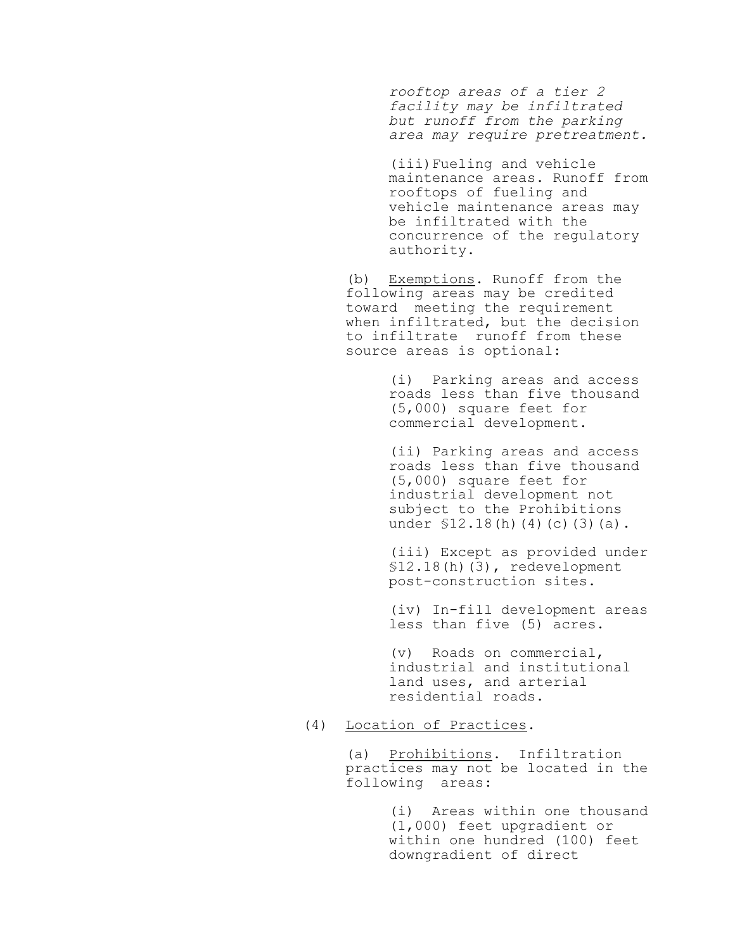*rooftop areas of a tier 2 facility may be infiltrated but runoff from the parking area may require pretreatment.*

(iii)Fueling and vehicle maintenance areas. Runoff from rooftops of fueling and vehicle maintenance areas may be infiltrated with the concurrence of the regulatory authority.

(b) Exemptions. Runoff from the following areas may be credited toward meeting the requirement when infiltrated, but the decision to infiltrate runoff from these source areas is optional:

> (i) Parking areas and access roads less than five thousand (5,000) square feet for commercial development.

> (ii) Parking areas and access roads less than five thousand (5,000) square feet for industrial development not subject to the Prohibitions under \$12.18(h)(4)(c)(3)(a).

(iii) Except as provided under §12.18(h)(3), redevelopment post-construction sites.

(iv) In-fill development areas less than five (5) acres.

(v) Roads on commercial, industrial and institutional land uses, and arterial residential roads.

#### (4) Location of Practices.

(a) Prohibitions. Infiltration practices may not be located in the following areas:

> (i) Areas within one thousand (1,000) feet upgradient or within one hundred (100) feet downgradient of direct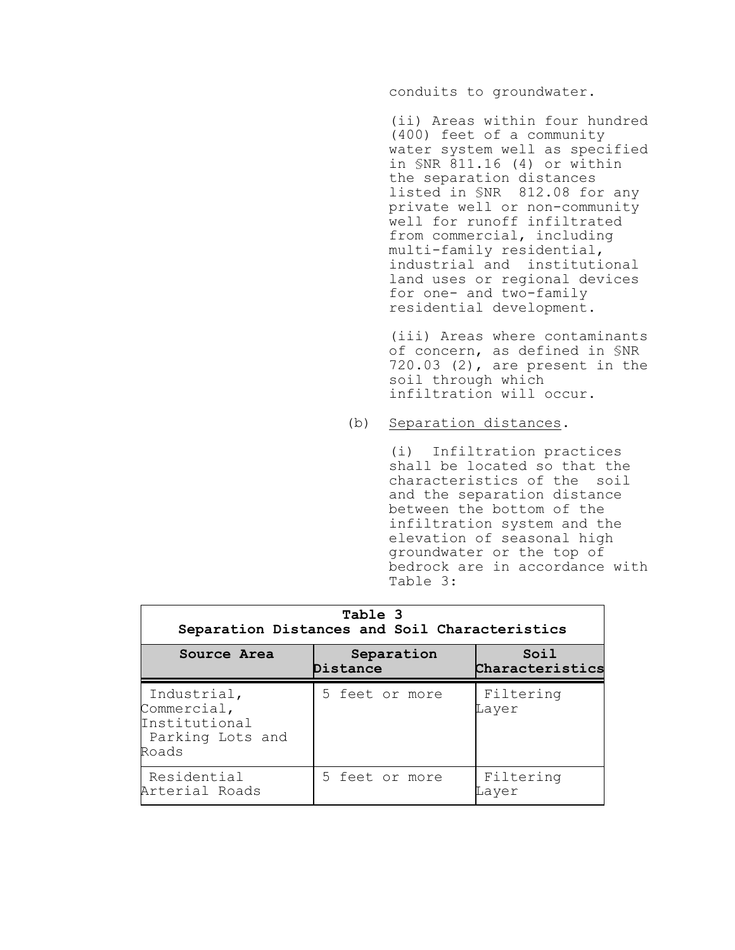conduits to groundwater.

(ii) Areas within four hundred (400) feet of a community water system well as specified in §NR 811.16 (4) or within the separation distances listed in §NR 812.08 for any private well or non-community well for runoff infiltrated from commercial, including multi-family residential, industrial and institutional land uses or regional devices for one- and two-family residential development.

(iii) Areas where contaminants of concern, as defined in §NR 720.03 (2), are present in the soil through which infiltration will occur.

### (b) Separation distances.

(i) Infiltration practices shall be located so that the characteristics of the soil and the separation distance between the bottom of the infiltration system and the elevation of seasonal high groundwater or the top of bedrock are in accordance with Table 3:

| Table 3<br>Separation Distances and Soil Characteristics                 |                        |                         |  |  |  |
|--------------------------------------------------------------------------|------------------------|-------------------------|--|--|--|
| Source Area                                                              | Separation<br>Distance | Soil<br>Characteristics |  |  |  |
| Industrial,<br>Commercial,<br>Institutional<br>Parking Lots and<br>Roads | 5 feet or more         | Filtering<br>Layer      |  |  |  |
| Residential<br>Arterial Roads                                            | 5 feet or more         | Filtering<br>Laver      |  |  |  |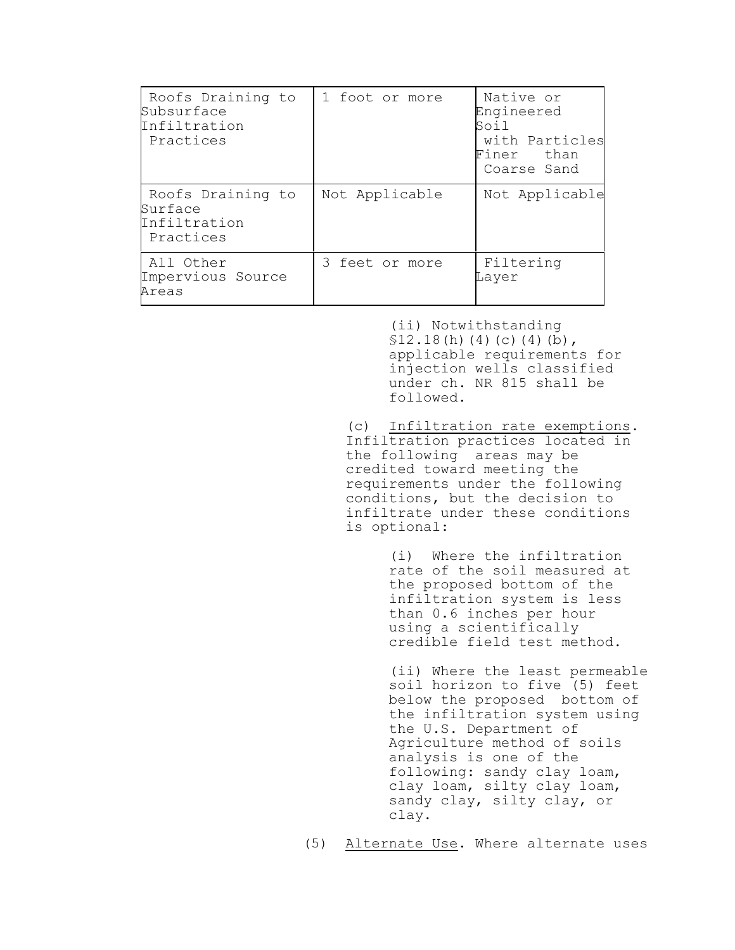| Roofs Draining to<br>Subsurface<br>Infiltration<br>Practices | 1 foot or more | Native or<br>Engineered<br>Soil<br>with Particles<br>Finer than<br>Coarse Sand |
|--------------------------------------------------------------|----------------|--------------------------------------------------------------------------------|
| Roofs Draining to<br>Surface<br>Infiltration<br>Practices    | Not Applicable | Not Applicable                                                                 |
| All Other<br>Impervious Source<br>Areas                      | 3 feet or more | Filtering<br>Layer                                                             |

(ii) Notwithstanding  $$12.18(h)(4)(c)(4)(b),$ applicable requirements for injection wells classified under ch. NR 815 shall be followed.

(c) Infiltration rate exemptions. Infiltration practices located in the following areas may be credited toward meeting the requirements under the following conditions, but the decision to infiltrate under these conditions is optional:

> (i) Where the infiltration rate of the soil measured at the proposed bottom of the infiltration system is less than 0.6 inches per hour using a scientifically credible field test method.

(ii) Where the least permeable soil horizon to five (5) feet below the proposed bottom of the infiltration system using the U.S. Department of Agriculture method of soils analysis is one of the following: sandy clay loam, clay loam, silty clay loam, sandy clay, silty clay, or clay.

(5) Alternate Use. Where alternate uses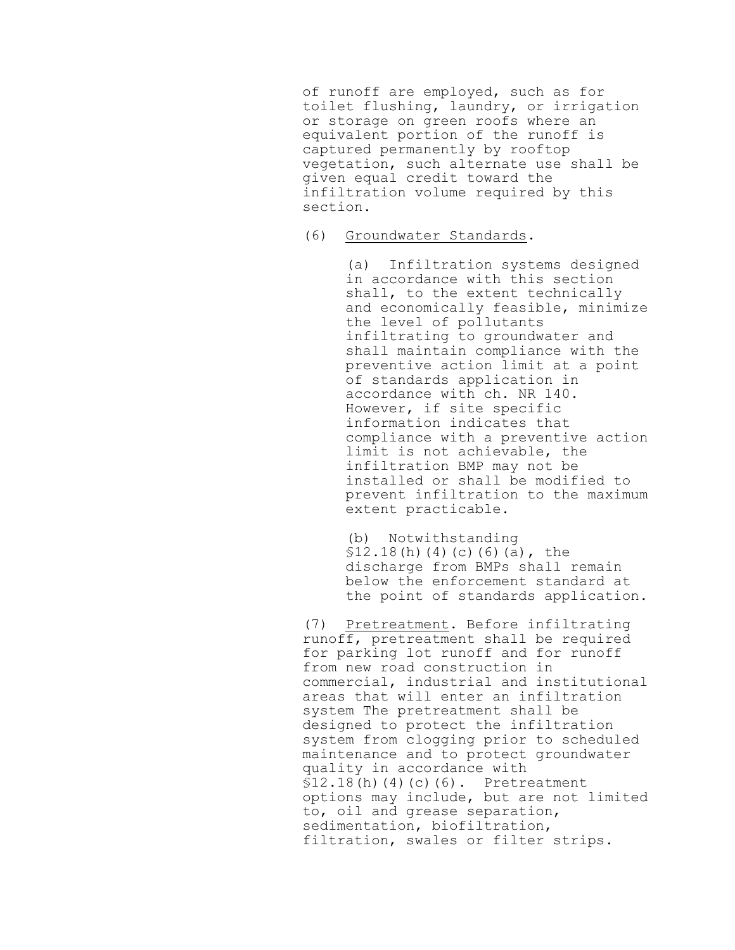of runoff are employed, such as for toilet flushing, laundry, or irrigation or storage on green roofs where an equivalent portion of the runoff is captured permanently by rooftop vegetation, such alternate use shall be given equal credit toward the infiltration volume required by this section.

## (6) Groundwater Standards.

(a) Infiltration systems designed in accordance with this section shall, to the extent technically and economically feasible, minimize the level of pollutants infiltrating to groundwater and shall maintain compliance with the preventive action limit at a point of standards application in accordance with ch. NR 140. However, if site specific information indicates that compliance with a preventive action limit is not achievable, the infiltration BMP may not be installed or shall be modified to prevent infiltration to the maximum extent practicable.

(b) Notwithstanding  $$12.18(h)(4)(c)(6)(a)$ , the discharge from BMPs shall remain below the enforcement standard at the point of standards application.

(7) Pretreatment. Before infiltrating runoff, pretreatment shall be required for parking lot runoff and for runoff from new road construction in commercial, industrial and institutional areas that will enter an infiltration system The pretreatment shall be designed to protect the infiltration system from clogging prior to scheduled maintenance and to protect groundwater quality in accordance with  $$12.18(h)(4)(c)(6)$ . Pretreatment options may include, but are not limited to, oil and grease separation, sedimentation, biofiltration, filtration, swales or filter strips.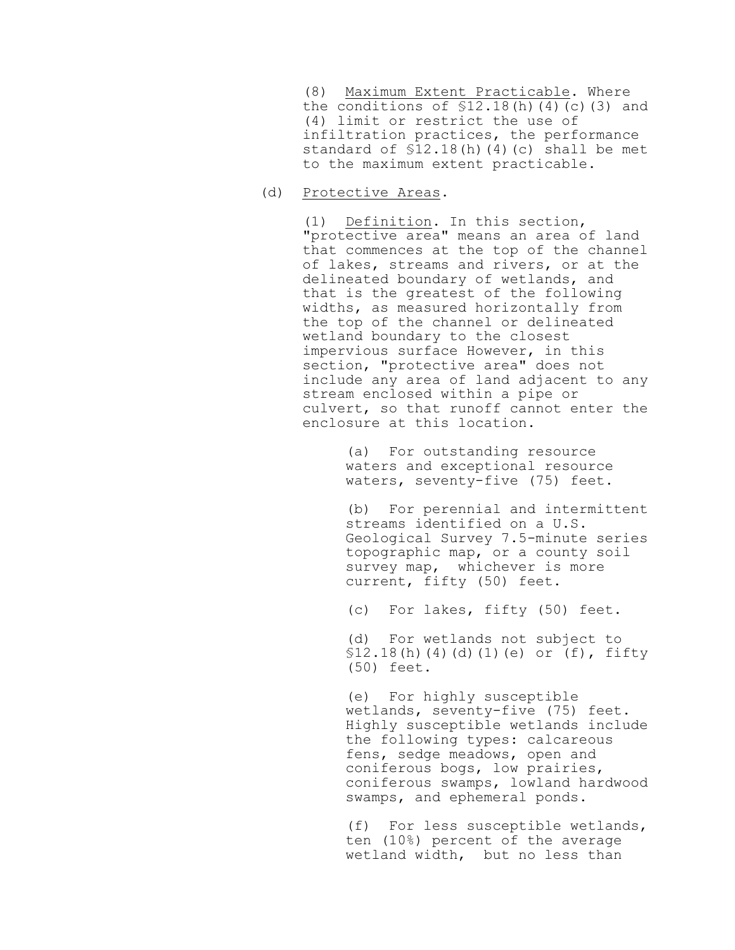(8) Maximum Extent Practicable. Where the conditions of  $$12.18(h)(4)(c)(3)$  and (4) limit or restrict the use of infiltration practices, the performance standard of  $$12.18(h)(4)(c)$  shall be met to the maximum extent practicable.

(d) Protective Areas.

(1) Definition. In this section, "protective area" means an area of land that commences at the top of the channel of lakes, streams and rivers, or at the delineated boundary of wetlands, and that is the greatest of the following widths, as measured horizontally from the top of the channel or delineated wetland boundary to the closest impervious surface However, in this section, "protective area" does not include any area of land adjacent to any stream enclosed within a pipe or culvert, so that runoff cannot enter the enclosure at this location.

> (a) For outstanding resource waters and exceptional resource waters, seventy-five (75) feet.

(b) For perennial and intermittent streams identified on a U.S. Geological Survey 7.5-minute series topographic map, or a county soil survey map, whichever is more current, fifty (50) feet.

(c) For lakes, fifty (50) feet.

(d) For wetlands not subject to §12.18(h)(4)(d)(1)(e) or (f), fifty (50) feet.

(e) For highly susceptible wetlands, seventy-five (75) feet. Highly susceptible wetlands include the following types: calcareous fens, sedge meadows, open and coniferous bogs, low prairies, coniferous swamps, lowland hardwood swamps, and ephemeral ponds.

(f) For less susceptible wetlands, ten (10%) percent of the average wetland width, but no less than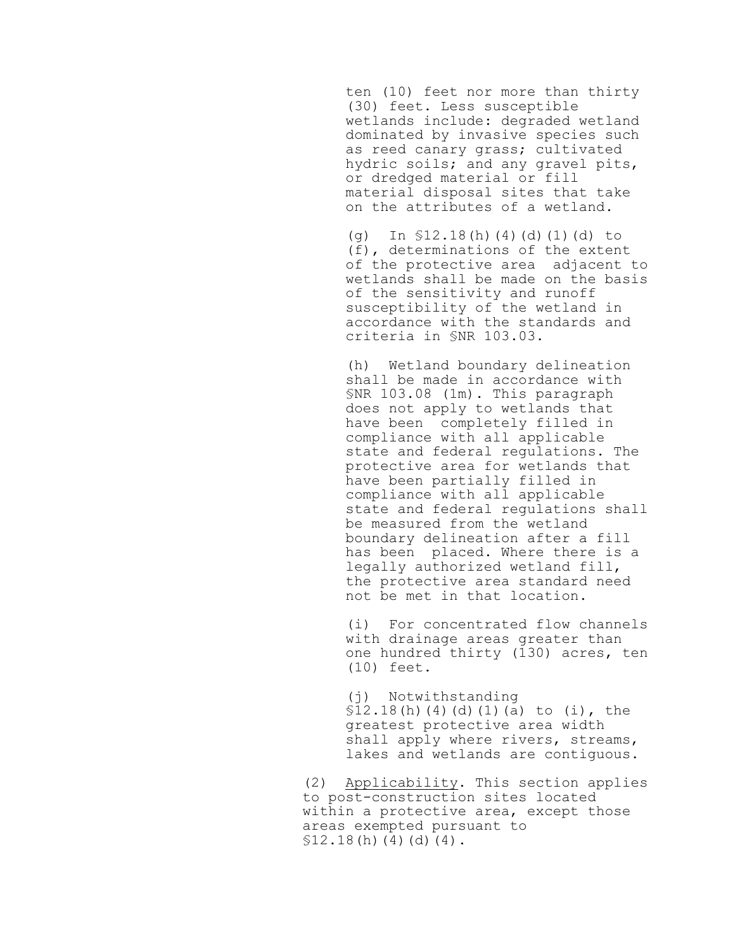ten (10) feet nor more than thirty (30) feet. Less susceptible wetlands include: degraded wetland dominated by invasive species such as reed canary grass; cultivated hydric soils; and any gravel pits, or dredged material or fill material disposal sites that take on the attributes of a wetland.

(g) In §12.18(h)(4)(d)(1)(d) to (f), determinations of the extent of the protective area adjacent to wetlands shall be made on the basis of the sensitivity and runoff susceptibility of the wetland in accordance with the standards and criteria in §NR 103.03.

(h) Wetland boundary delineation shall be made in accordance with §NR 103.08 (1m). This paragraph does not apply to wetlands that have been completely filled in compliance with all applicable state and federal regulations. The protective area for wetlands that have been partially filled in compliance with all applicable state and federal regulations shall be measured from the wetland boundary delineation after a fill has been placed. Where there is a legally authorized wetland fill, the protective area standard need not be met in that location.

(i) For concentrated flow channels with drainage areas greater than one hundred thirty (130) acres, ten (10) feet.

(j) Notwithstanding  $$12.18(h)(4)(d)(1)(a)$  to (i), the greatest protective area width shall apply where rivers, streams, lakes and wetlands are contiguous.

(2) Applicability. This section applies to post-construction sites located within a protective area, except those areas exempted pursuant to  $$12.18(h)(4)(d)(4)$ .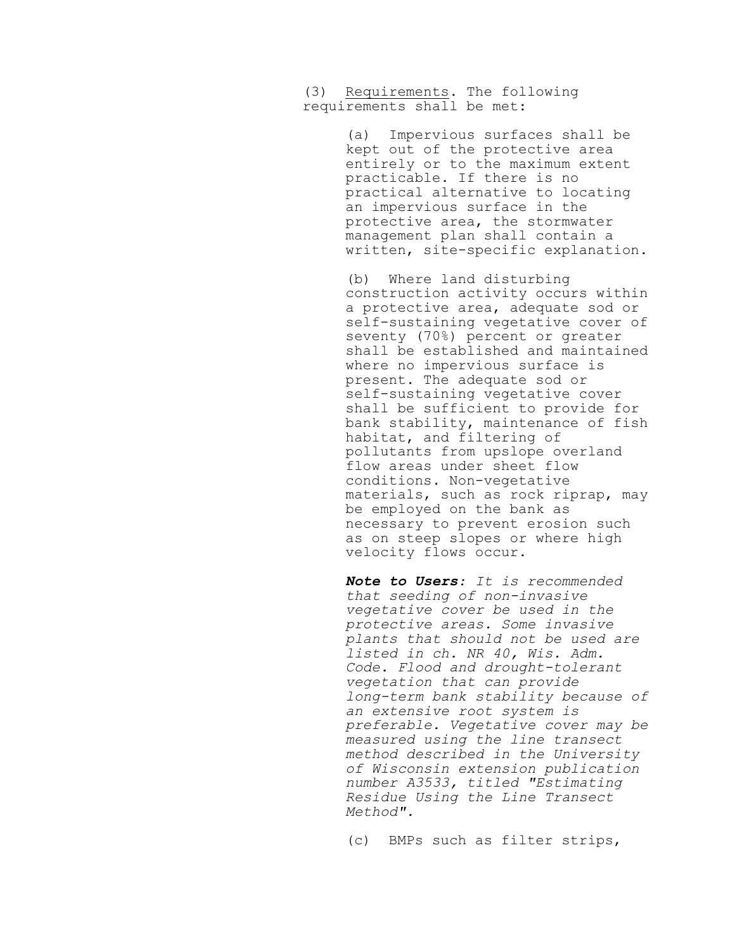(3) Requirements. The following requirements shall be met:

> (a) Impervious surfaces shall be kept out of the protective area entirely or to the maximum extent practicable. If there is no practical alternative to locating an impervious surface in the protective area, the stormwater management plan shall contain a written, site-specific explanation.

(b) Where land disturbing construction activity occurs within a protective area, adequate sod or self-sustaining vegetative cover of seventy (70%) percent or greater shall be established and maintained where no impervious surface is present. The adequate sod or self-sustaining vegetative cover shall be sufficient to provide for bank stability, maintenance of fish habitat, and filtering of pollutants from upslope overland flow areas under sheet flow conditions. Non-vegetative materials, such as rock riprap, may be employed on the bank as necessary to prevent erosion such as on steep slopes or where high velocity flows occur.

*Note to Users: It is recommended that seeding of non-invasive vegetative cover be used in the protective areas. Some invasive plants that should not be used are listed in ch. NR 40, Wis. Adm. Code. Flood and drought-tolerant vegetation that can provide long-term bank stability because of an extensive root system is preferable. Vegetative cover may be measured using the line transect method described in the University of Wisconsin extension publication number A3533, titled "Estimating Residue Using the Line Transect Method".*

(c) BMPs such as filter strips,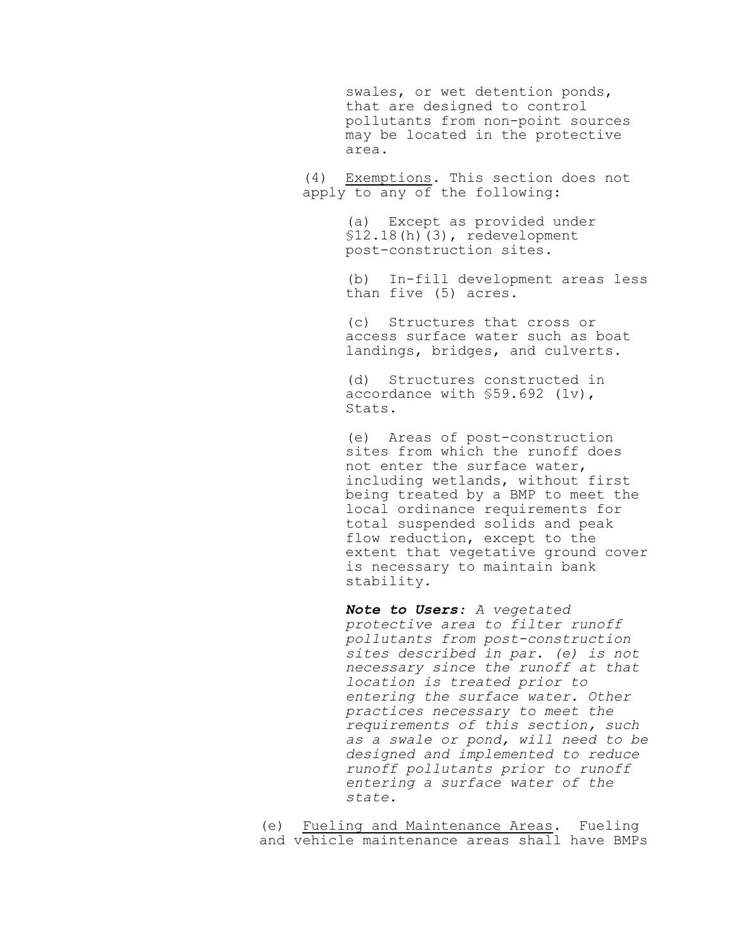swales, or wet detention ponds, that are designed to control pollutants from non-point sources may be located in the protective area.

(4) Exemptions. This section does not apply to any of the following:

> (a) Except as provided under §12.18(h)(3), redevelopment post-construction sites.

(b) In-fill development areas less than five (5) acres.

(c) Structures that cross or access surface water such as boat landings, bridges, and culverts.

(d) Structures constructed in accordance with §59.692 (1v), Stats.

(e) Areas of post-construction sites from which the runoff does not enter the surface water, including wetlands, without first being treated by a BMP to meet the local ordinance requirements for total suspended solids and peak flow reduction, except to the extent that vegetative ground cover is necessary to maintain bank stability.

*Note to Users: A vegetated protective area to filter runoff pollutants from post-construction sites described in par. (e) is not necessary since the runoff at that location is treated prior to entering the surface water. Other practices necessary to meet the requirements of this section, such as a swale or pond, will need to be designed and implemented to reduce runoff pollutants prior to runoff entering a surface water of the state.*

(e) Fueling and Maintenance Areas. Fueling and vehicle maintenance areas shall have BMPs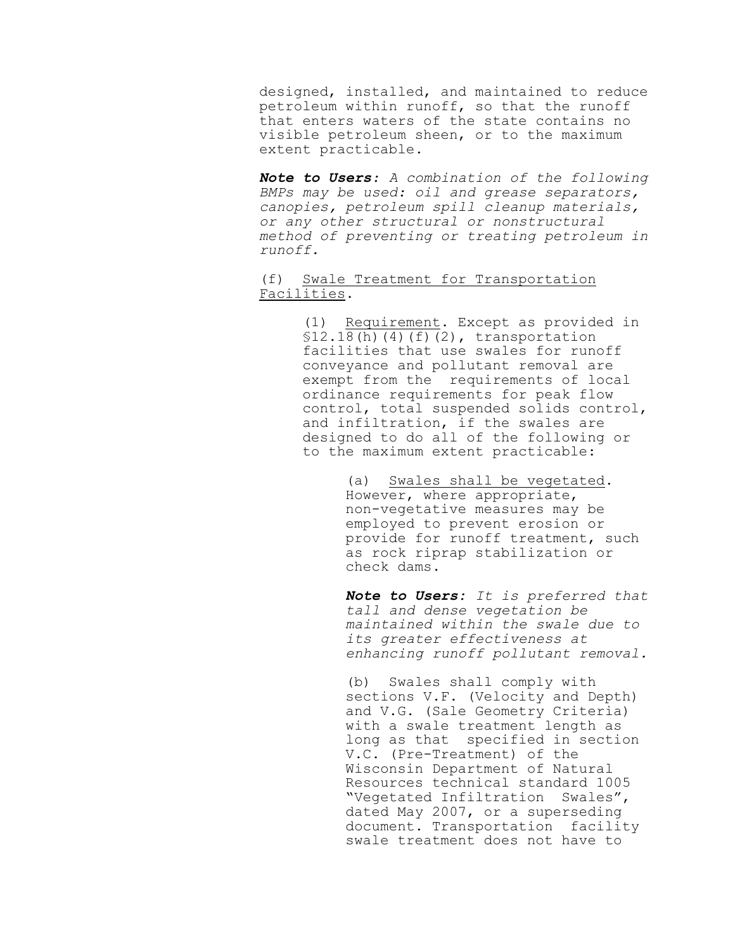designed, installed, and maintained to reduce petroleum within runoff, so that the runoff that enters waters of the state contains no visible petroleum sheen, or to the maximum extent practicable.

*Note to Users: A combination of the following BMPs may be used: oil and grease separators, canopies, petroleum spill cleanup materials, or any other structural or nonstructural method of preventing or treating petroleum in runoff.*

(f) Swale Treatment for Transportation Facilities.

> (1) Requirement. Except as provided in  $$12.18(h)(4)(f)(2)$ , transportation facilities that use swales for runoff conveyance and pollutant removal are exempt from the requirements of local ordinance requirements for peak flow control, total suspended solids control, and infiltration, if the swales are designed to do all of the following or to the maximum extent practicable:

> > (a) Swales shall be vegetated. However, where appropriate, non-vegetative measures may be employed to prevent erosion or provide for runoff treatment, such as rock riprap stabilization or check dams.

*Note to Users: It is preferred that tall and dense vegetation be maintained within the swale due to its greater effectiveness at enhancing runoff pollutant removal.*

(b) Swales shall comply with sections V.F. (Velocity and Depth) and V.G. (Sale Geometry Criteria) with a swale treatment length as long as that specified in section V.C. (Pre-Treatment) of the Wisconsin Department of Natural Resources technical standard 1005 "Vegetated Infiltration Swales", dated May 2007, or a superseding document. Transportation facility swale treatment does not have to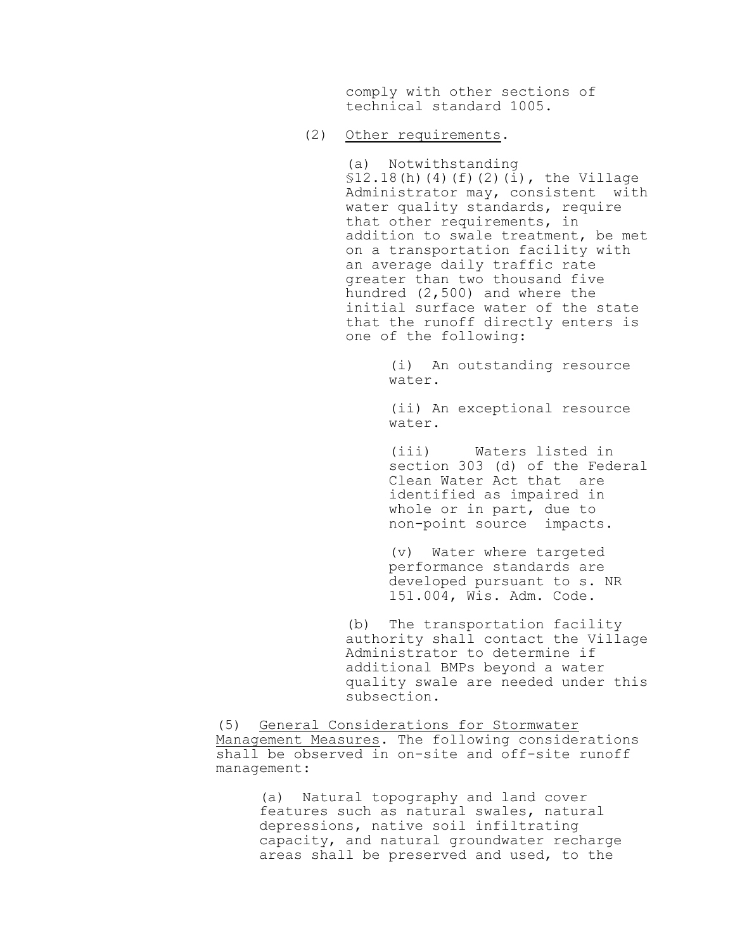comply with other sections of technical standard 1005.

# (2) Other requirements.

(a) Notwithstanding §12.18(h)(4)(f)(2)(i), the Village Administrator may, consistent with water quality standards, require that other requirements, in addition to swale treatment, be met on a transportation facility with an average daily traffic rate greater than two thousand five hundred (2,500) and where the initial surface water of the state that the runoff directly enters is one of the following:

> (i) An outstanding resource water.

> (ii) An exceptional resource water.

(iii) Waters listed in section 303 (d) of the Federal Clean Water Act that are identified as impaired in whole or in part, due to non-point source impacts.

(v) Water where targeted performance standards are developed pursuant to s. NR 151.004, Wis. Adm. Code.

(b) The transportation facility authority shall contact the Village Administrator to determine if additional BMPs beyond a water quality swale are needed under this subsection.

(5) General Considerations for Stormwater Management Measures. The following considerations shall be observed in on-site and off-site runoff management:

> (a) Natural topography and land cover features such as natural swales, natural depressions, native soil infiltrating capacity, and natural groundwater recharge areas shall be preserved and used, to the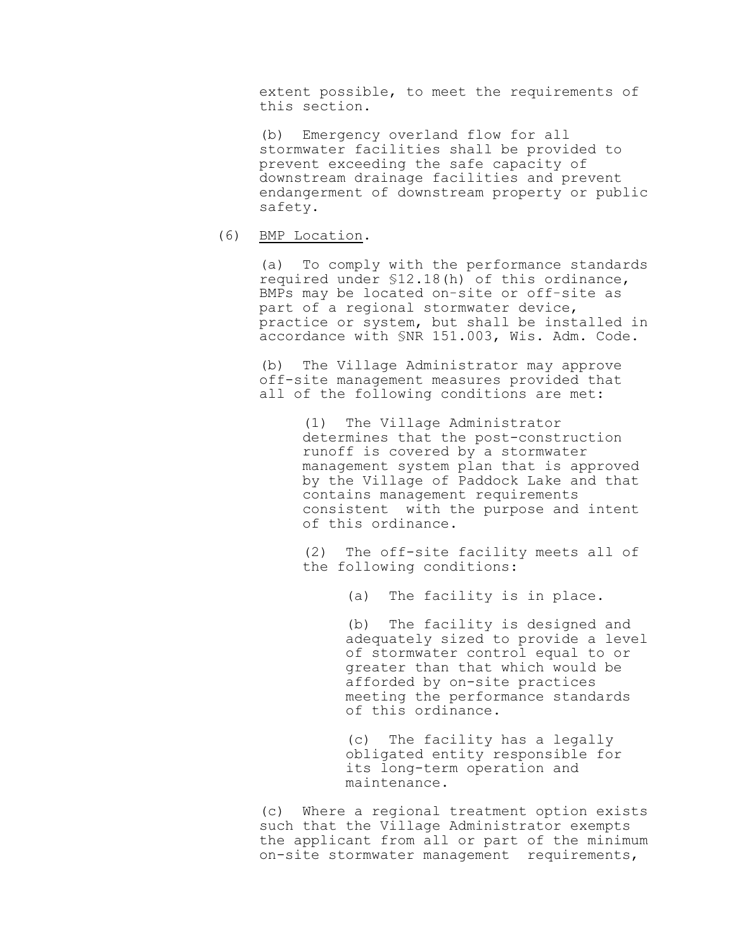extent possible, to meet the requirements of this section.

(b) Emergency overland flow for all stormwater facilities shall be provided to prevent exceeding the safe capacity of downstream drainage facilities and prevent endangerment of downstream property or public safety.

# (6) BMP Location.

(a) To comply with the performance standards required under §12.18(h) of this ordinance, BMPs may be located on-site or off-site as part of a regional stormwater device, practice or system, but shall be installed in accordance with §NR 151.003, Wis. Adm. Code.

(b) The Village Administrator may approve off-site management measures provided that all of the following conditions are met:

> (1) The Village Administrator determines that the post-construction runoff is covered by a stormwater management system plan that is approved by the Village of Paddock Lake and that contains management requirements consistent with the purpose and intent of this ordinance.

> (2) The off-site facility meets all of the following conditions:

> > (a) The facility is in place.

(b) The facility is designed and adequately sized to provide a level of stormwater control equal to or greater than that which would be afforded by on-site practices meeting the performance standards of this ordinance.

(c) The facility has a legally obligated entity responsible for its long-term operation and maintenance.

(c) Where a regional treatment option exists such that the Village Administrator exempts the applicant from all or part of the minimum on-site stormwater management requirements,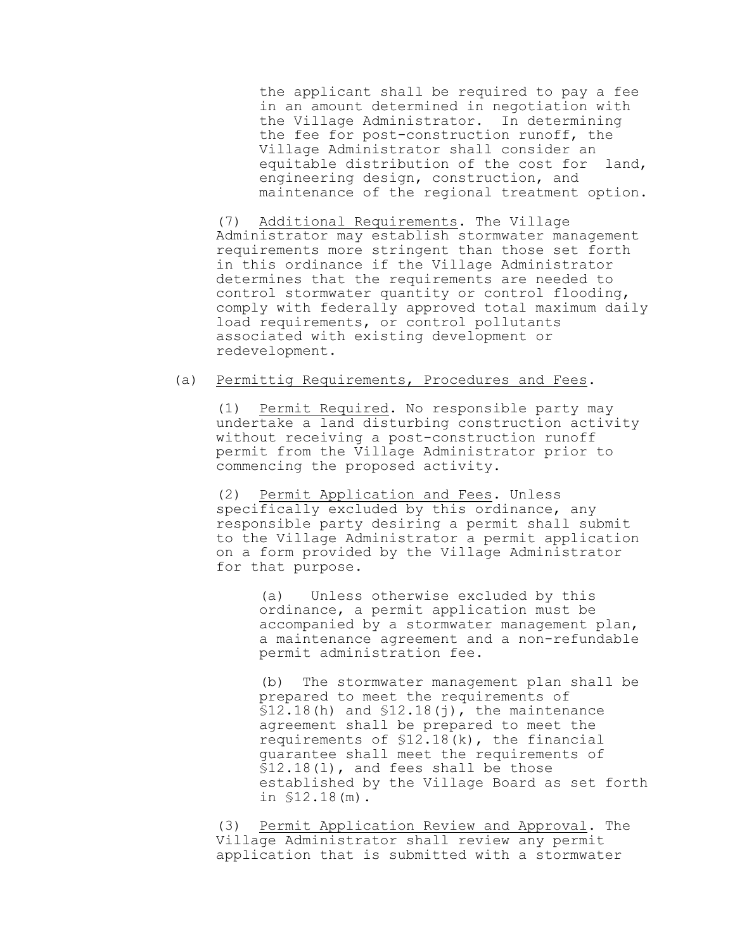the applicant shall be required to pay a fee in an amount determined in negotiation with the Village Administrator. In determining the fee for post-construction runoff, the Village Administrator shall consider an equitable distribution of the cost for land, engineering design, construction, and maintenance of the regional treatment option.

(7) Additional Requirements. The Village Administrator may establish stormwater management requirements more stringent than those set forth in this ordinance if the Village Administrator determines that the requirements are needed to control stormwater quantity or control flooding, comply with federally approved total maximum daily load requirements, or control pollutants associated with existing development or redevelopment.

# (a) Permittig Requirements, Procedures and Fees.

(1) Permit Required. No responsible party may undertake a land disturbing construction activity without receiving a post-construction runoff permit from the Village Administrator prior to commencing the proposed activity.

(2) Permit Application and Fees. Unless specifically excluded by this ordinance, any responsible party desiring a permit shall submit to the Village Administrator a permit application on a form provided by the Village Administrator for that purpose.

(a) Unless otherwise excluded by this ordinance, a permit application must be accompanied by a stormwater management plan, a maintenance agreement and a non-refundable permit administration fee.

(b) The stormwater management plan shall be prepared to meet the requirements of  $$12.18(h)$  and  $$12.18(j)$ , the maintenance agreement shall be prepared to meet the requirements of §12.18(k), the financial guarantee shall meet the requirements of §12.18(l), and fees shall be those established by the Village Board as set forth in §12.18(m).

(3) Permit Application Review and Approval. The Village Administrator shall review any permit application that is submitted with a stormwater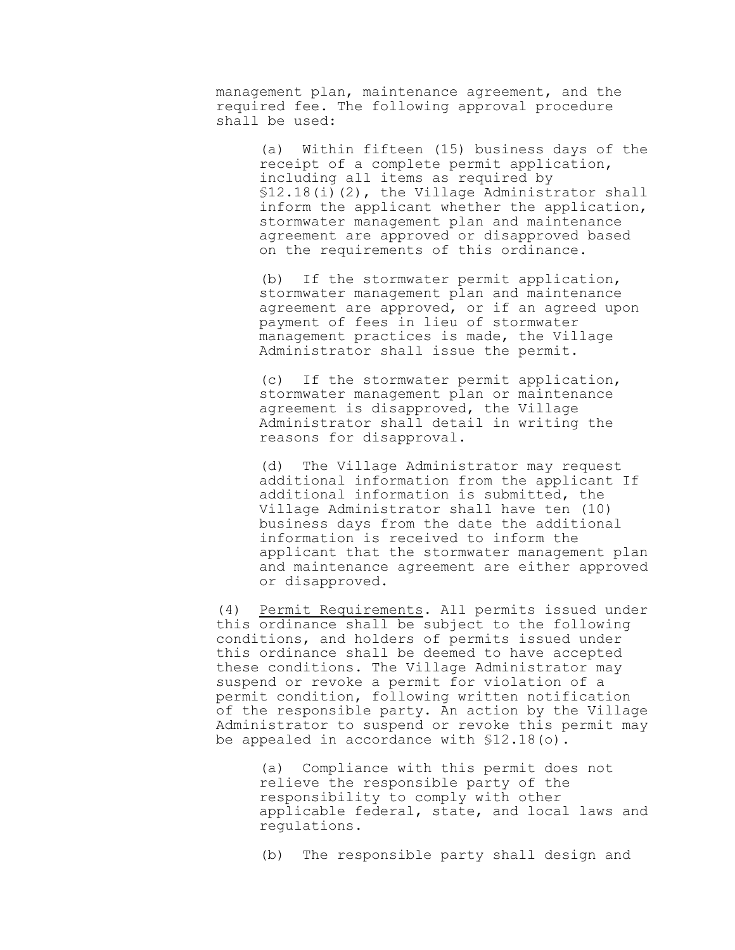management plan, maintenance agreement, and the required fee. The following approval procedure shall be used:

> (a) Within fifteen (15) business days of the receipt of a complete permit application, including all items as required by §12.18(i)(2), the Village Administrator shall inform the applicant whether the application, stormwater management plan and maintenance agreement are approved or disapproved based on the requirements of this ordinance.

(b) If the stormwater permit application, stormwater management plan and maintenance agreement are approved, or if an agreed upon payment of fees in lieu of stormwater management practices is made, the Village Administrator shall issue the permit.

(c) If the stormwater permit application, stormwater management plan or maintenance agreement is disapproved, the Village Administrator shall detail in writing the reasons for disapproval.

(d) The Village Administrator may request additional information from the applicant If additional information is submitted, the Village Administrator shall have ten (10) business days from the date the additional information is received to inform the applicant that the stormwater management plan and maintenance agreement are either approved or disapproved.

(4) Permit Requirements. All permits issued under this ordinance shall be subject to the following conditions, and holders of permits issued under this ordinance shall be deemed to have accepted these conditions. The Village Administrator may suspend or revoke a permit for violation of a permit condition, following written notification of the responsible party. An action by the Village Administrator to suspend or revoke this permit may be appealed in accordance with §12.18(o).

> (a) Compliance with this permit does not relieve the responsible party of the responsibility to comply with other applicable federal, state, and local laws and regulations.

(b) The responsible party shall design and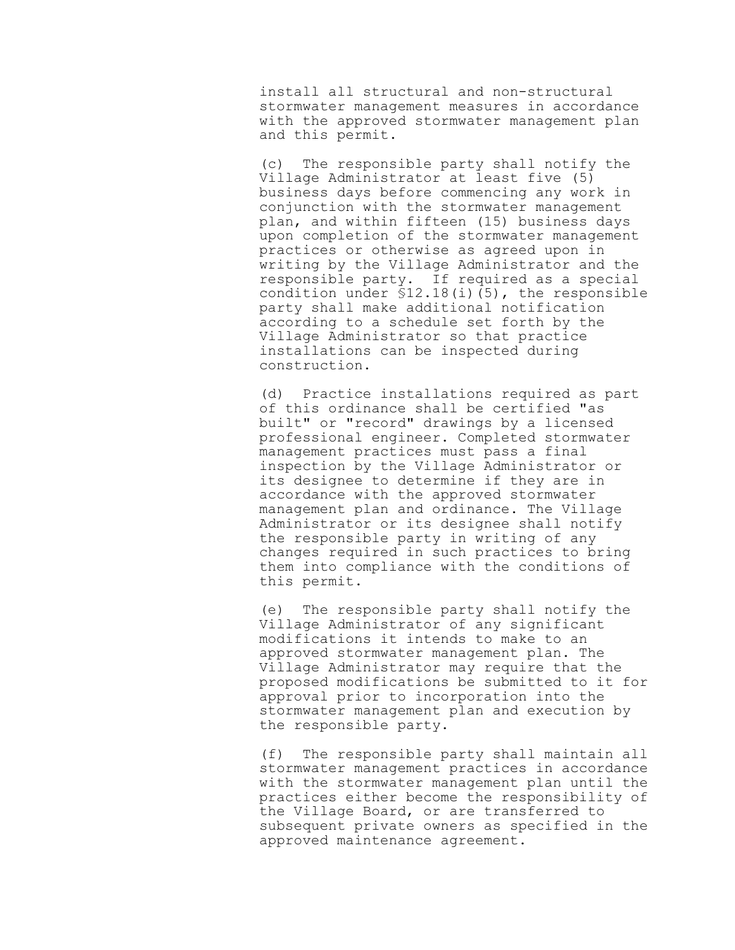install all structural and non-structural stormwater management measures in accordance with the approved stormwater management plan and this permit.

(c) The responsible party shall notify the Village Administrator at least five (5) business days before commencing any work in conjunction with the stormwater management plan, and within fifteen (15) business days upon completion of the stormwater management practices or otherwise as agreed upon in writing by the Village Administrator and the responsible party. If required as a special condition under §12.18(i)(5), the responsible party shall make additional notification according to a schedule set forth by the Village Administrator so that practice installations can be inspected during construction.

(d) Practice installations required as part of this ordinance shall be certified "as built" or "record" drawings by a licensed professional engineer. Completed stormwater management practices must pass a final inspection by the Village Administrator or its designee to determine if they are in accordance with the approved stormwater management plan and ordinance. The Village Administrator or its designee shall notify the responsible party in writing of any changes required in such practices to bring them into compliance with the conditions of this permit.

(e) The responsible party shall notify the Village Administrator of any significant modifications it intends to make to an approved stormwater management plan. The Village Administrator may require that the proposed modifications be submitted to it for approval prior to incorporation into the stormwater management plan and execution by the responsible party.

(f) The responsible party shall maintain all stormwater management practices in accordance with the stormwater management plan until the practices either become the responsibility of the Village Board, or are transferred to subsequent private owners as specified in the approved maintenance agreement.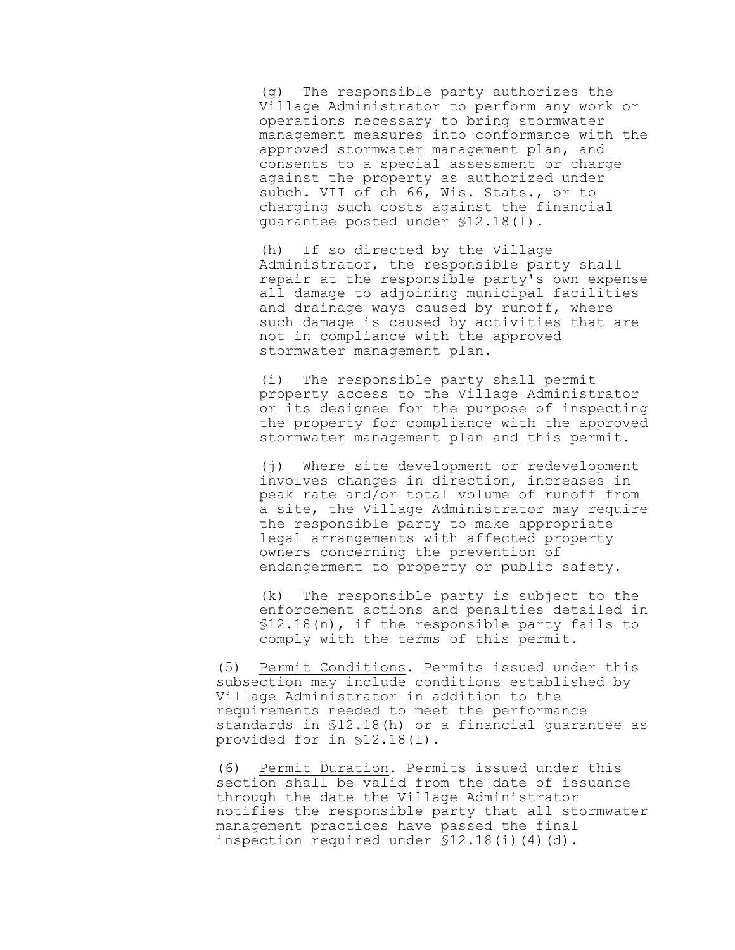(g) The responsible party authorizes the Village Administrator to perform any work or operations necessary to bring stormwater management measures into conformance with the approved stormwater management plan, and consents to a special assessment or charge against the property as authorized under subch. VII of ch 66, Wis. Stats., or to charging such costs against the financial guarantee posted under §12.18(l).

(h) If so directed by the Village Administrator, the responsible party shall repair at the responsible party's own expense all damage to adjoining municipal facilities and drainage ways caused by runoff, where such damage is caused by activities that are not in compliance with the approved stormwater management plan.

(i) The responsible party shall permit property access to the Village Administrator or its designee for the purpose of inspecting the property for compliance with the approved stormwater management plan and this permit.

(j) Where site development or redevelopment involves changes in direction, increases in peak rate and/or total volume of runoff from a site, the Village Administrator may require the responsible party to make appropriate legal arrangements with affected property owners concerning the prevention of endangerment to property or public safety.

(k) The responsible party is subject to the enforcement actions and penalties detailed in §12.18(n), if the responsible party fails to comply with the terms of this permit.

(5) Permit Conditions. Permits issued under this subsection may include conditions established by Village Administrator in addition to the requirements needed to meet the performance standards in §12.18(h) or a financial guarantee as provided for in §12.18(l).

(6) Permit Duration. Permits issued under this section shall be valid from the date of issuance through the date the Village Administrator notifies the responsible party that all stormwater management practices have passed the final inspection required under \$12.18(i)(4)(d).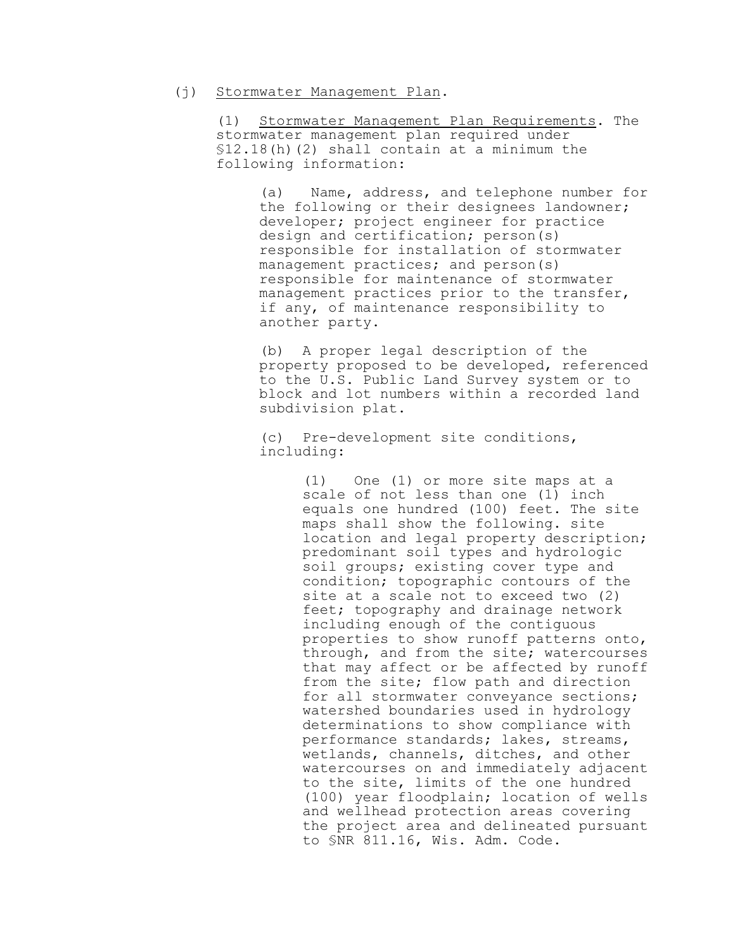#### (j) Stormwater Management Plan.

(1) Stormwater Management Plan Requirements. The stormwater management plan required under §12.18(h)(2) shall contain at a minimum the following information:

(a) Name, address, and telephone number for the following or their designees landowner; developer; project engineer for practice design and certification; person(s) responsible for installation of stormwater management practices; and person(s) responsible for maintenance of stormwater management practices prior to the transfer, if any, of maintenance responsibility to another party.

(b) A proper legal description of the property proposed to be developed, referenced to the U.S. Public Land Survey system or to block and lot numbers within a recorded land subdivision plat.

(c) Pre-development site conditions, including:

> (1) One (1) or more site maps at a scale of not less than one (1) inch equals one hundred (100) feet. The site maps shall show the following. site location and legal property description; predominant soil types and hydrologic soil groups; existing cover type and condition; topographic contours of the site at a scale not to exceed two (2) feet; topography and drainage network including enough of the contiguous properties to show runoff patterns onto, through, and from the site; watercourses that may affect or be affected by runoff from the site; flow path and direction for all stormwater conveyance sections; watershed boundaries used in hydrology determinations to show compliance with performance standards; lakes, streams, wetlands, channels, ditches, and other watercourses on and immediately adjacent to the site, limits of the one hundred (100) year floodplain; location of wells and wellhead protection areas covering the project area and delineated pursuant to §NR 811.16, Wis. Adm. Code.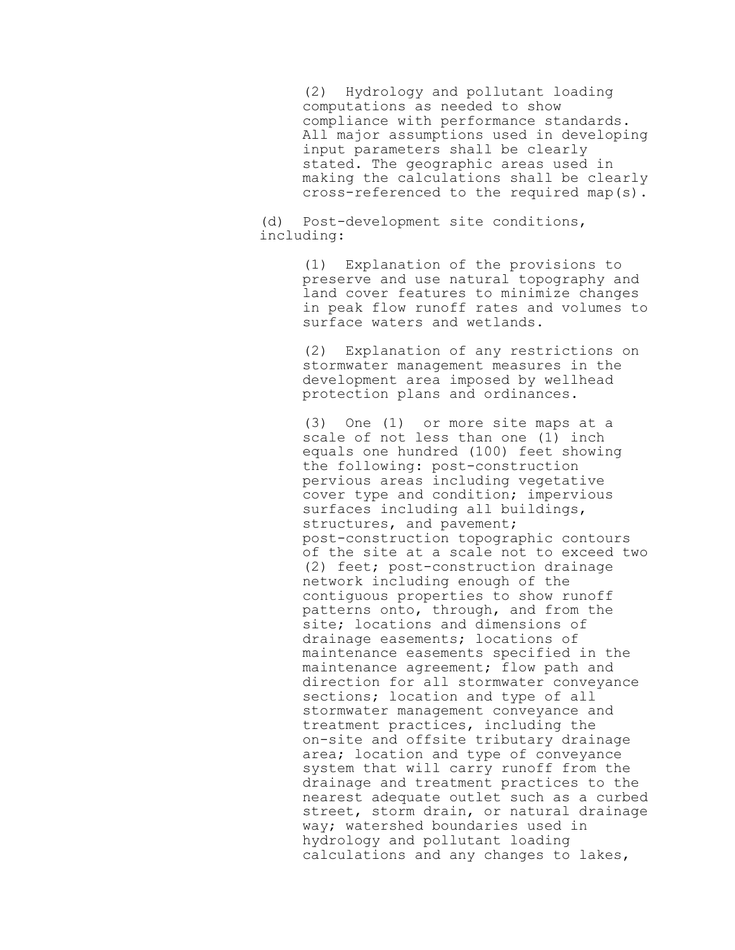(2) Hydrology and pollutant loading computations as needed to show compliance with performance standards. All major assumptions used in developing input parameters shall be clearly stated. The geographic areas used in making the calculations shall be clearly cross-referenced to the required map(s).

(d) Post-development site conditions, including:

> (1) Explanation of the provisions to preserve and use natural topography and land cover features to minimize changes in peak flow runoff rates and volumes to surface waters and wetlands.

(2) Explanation of any restrictions on stormwater management measures in the development area imposed by wellhead protection plans and ordinances.

(3) One (1) or more site maps at a scale of not less than one (1) inch equals one hundred (100) feet showing the following: post-construction pervious areas including vegetative cover type and condition; impervious surfaces including all buildings, structures, and pavement; post-construction topographic contours of the site at a scale not to exceed two (2) feet; post-construction drainage network including enough of the contiguous properties to show runoff patterns onto, through, and from the site; locations and dimensions of drainage easements; locations of maintenance easements specified in the maintenance agreement; flow path and direction for all stormwater conveyance sections; location and type of all stormwater management conveyance and treatment practices, including the on-site and offsite tributary drainage area; location and type of conveyance system that will carry runoff from the drainage and treatment practices to the nearest adequate outlet such as a curbed street, storm drain, or natural drainage way; watershed boundaries used in hydrology and pollutant loading calculations and any changes to lakes,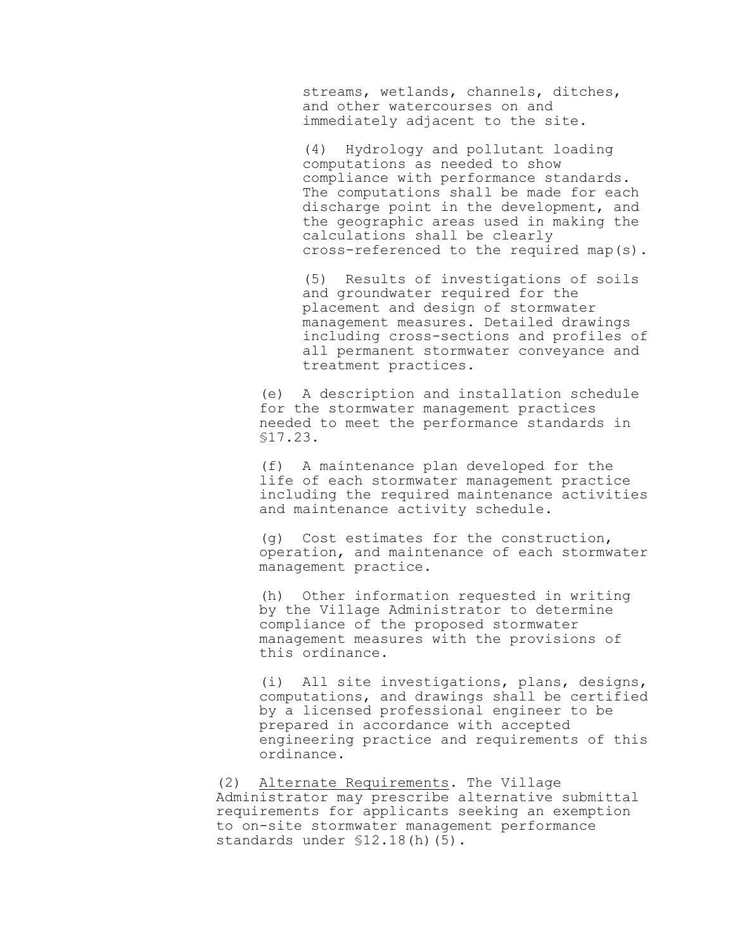streams, wetlands, channels, ditches, and other watercourses on and immediately adjacent to the site.

(4) Hydrology and pollutant loading computations as needed to show compliance with performance standards. The computations shall be made for each discharge point in the development, and the geographic areas used in making the calculations shall be clearly cross-referenced to the required map(s).

(5) Results of investigations of soils and groundwater required for the placement and design of stormwater management measures. Detailed drawings including cross-sections and profiles of all permanent stormwater conveyance and treatment practices.

(e) A description and installation schedule for the stormwater management practices needed to meet the performance standards in §17.23.

(f) A maintenance plan developed for the life of each stormwater management practice including the required maintenance activities and maintenance activity schedule.

(g) Cost estimates for the construction, operation, and maintenance of each stormwater management practice.

(h) Other information requested in writing by the Village Administrator to determine compliance of the proposed stormwater management measures with the provisions of this ordinance.

(i) All site investigations, plans, designs, computations, and drawings shall be certified by a licensed professional engineer to be prepared in accordance with accepted engineering practice and requirements of this ordinance.

(2) Alternate Requirements. The Village Administrator may prescribe alternative submittal requirements for applicants seeking an exemption to on-site stormwater management performance standards under §12.18(h)(5).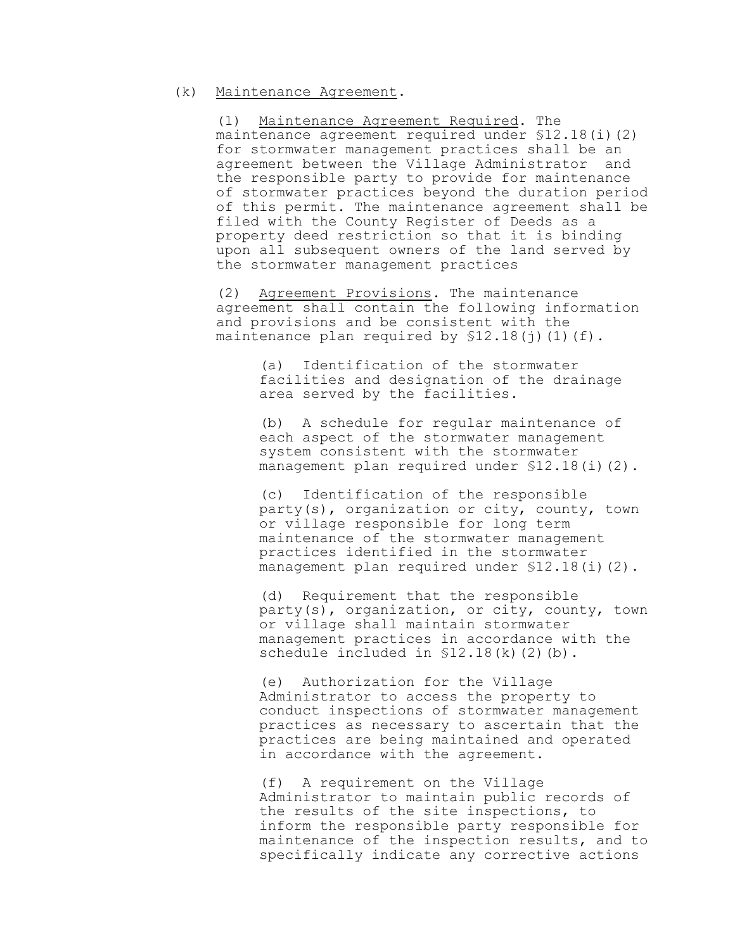# (k) Maintenance Agreement.

(1) Maintenance Agreement Required. The maintenance agreement required under  $$12.18(i)(2)$ for stormwater management practices shall be an agreement between the Village Administrator and the responsible party to provide for maintenance of stormwater practices beyond the duration period of this permit. The maintenance agreement shall be filed with the County Register of Deeds as a property deed restriction so that it is binding upon all subsequent owners of the land served by the stormwater management practices

(2) Agreement Provisions. The maintenance agreement shall contain the following information and provisions and be consistent with the maintenance plan required by  $$12.18(j)(1)(f)$ .

> (a) Identification of the stormwater facilities and designation of the drainage area served by the facilities.

(b) A schedule for regular maintenance of each aspect of the stormwater management system consistent with the stormwater management plan required under \$12.18(i)(2).

(c) Identification of the responsible party(s), organization or city, county, town or village responsible for long term maintenance of the stormwater management practices identified in the stormwater management plan required under \$12.18(i)(2).

(d) Requirement that the responsible party(s), organization, or city, county, town or village shall maintain stormwater management practices in accordance with the schedule included in \$12.18(k)(2)(b).

(e) Authorization for the Village Administrator to access the property to conduct inspections of stormwater management practices as necessary to ascertain that the practices are being maintained and operated in accordance with the agreement.

(f) A requirement on the Village Administrator to maintain public records of the results of the site inspections, to inform the responsible party responsible for maintenance of the inspection results, and to specifically indicate any corrective actions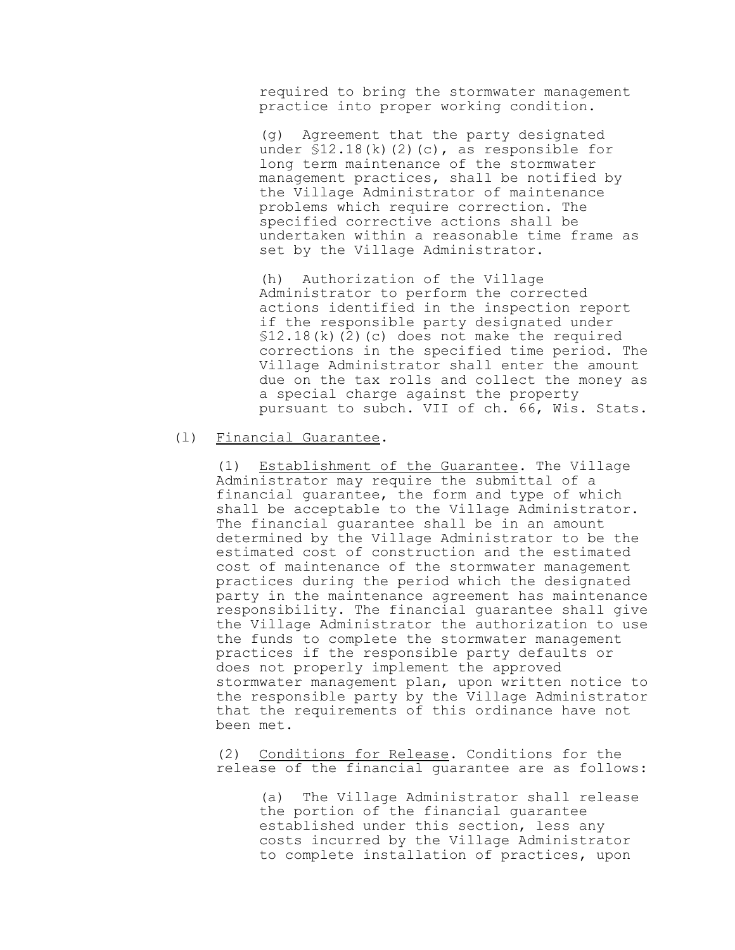required to bring the stormwater management practice into proper working condition.

(g) Agreement that the party designated under  $$12.18(k)(2)(c)$ , as responsible for long term maintenance of the stormwater management practices, shall be notified by the Village Administrator of maintenance problems which require correction. The specified corrective actions shall be undertaken within a reasonable time frame as set by the Village Administrator.

(h) Authorization of the Village Administrator to perform the corrected actions identified in the inspection report if the responsible party designated under §12.18(k)(2)(c) does not make the required corrections in the specified time period. The Village Administrator shall enter the amount due on the tax rolls and collect the money as a special charge against the property pursuant to subch. VII of ch. 66, Wis. Stats.

# (l) Financial Guarantee.

(1) Establishment of the Guarantee. The Village Administrator may require the submittal of a financial guarantee, the form and type of which shall be acceptable to the Village Administrator. The financial guarantee shall be in an amount determined by the Village Administrator to be the estimated cost of construction and the estimated cost of maintenance of the stormwater management practices during the period which the designated party in the maintenance agreement has maintenance responsibility. The financial guarantee shall give the Village Administrator the authorization to use the funds to complete the stormwater management practices if the responsible party defaults or does not properly implement the approved stormwater management plan, upon written notice to the responsible party by the Village Administrator that the requirements of this ordinance have not been met.

(2) Conditions for Release. Conditions for the release of the financial guarantee are as follows:

(a) The Village Administrator shall release the portion of the financial guarantee established under this section, less any costs incurred by the Village Administrator to complete installation of practices, upon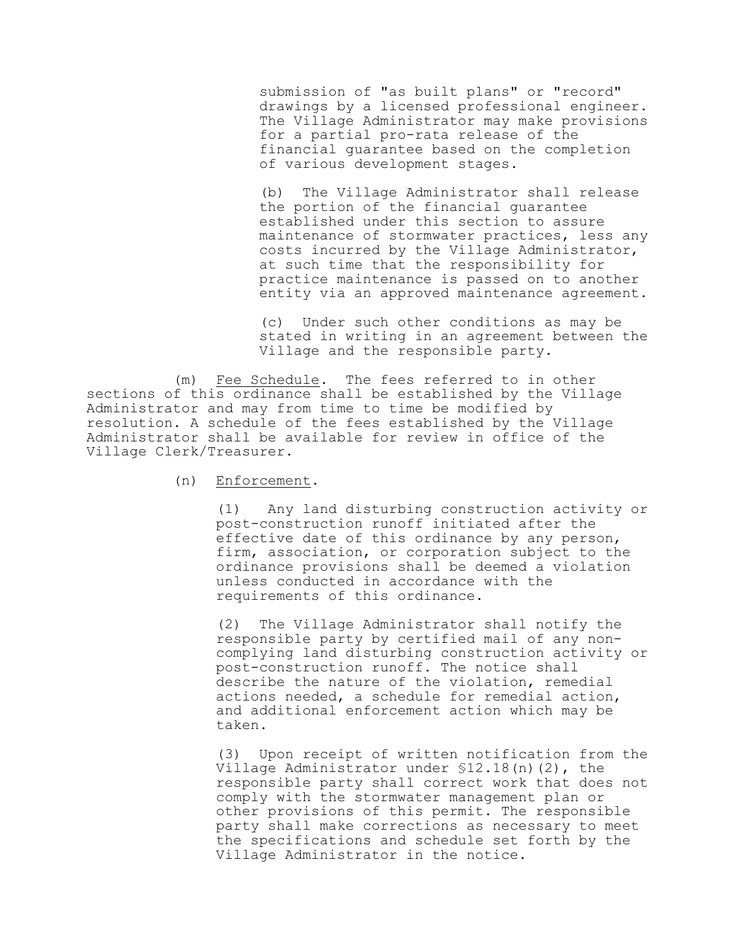submission of "as built plans" or "record" drawings by a licensed professional engineer. The Village Administrator may make provisions for a partial pro-rata release of the financial guarantee based on the completion of various development stages.

(b) The Village Administrator shall release the portion of the financial guarantee established under this section to assure maintenance of stormwater practices, less any costs incurred by the Village Administrator, at such time that the responsibility for practice maintenance is passed on to another entity via an approved maintenance agreement.

(c) Under such other conditions as may be stated in writing in an agreement between the Village and the responsible party.

(m) Fee Schedule. The fees referred to in other sections of this ordinance shall be established by the Village Administrator and may from time to time be modified by resolution. A schedule of the fees established by the Village Administrator shall be available for review in office of the Village Clerk/Treasurer.

(n) Enforcement.

(1) Any land disturbing construction activity or post-construction runoff initiated after the effective date of this ordinance by any person, firm, association, or corporation subject to the ordinance provisions shall be deemed a violation unless conducted in accordance with the requirements of this ordinance.

(2) The Village Administrator shall notify the responsible party by certified mail of any noncomplying land disturbing construction activity or post-construction runoff. The notice shall describe the nature of the violation, remedial actions needed, a schedule for remedial action, and additional enforcement action which may be taken.

(3) Upon receipt of written notification from the Village Administrator under §12.18(n)(2), the responsible party shall correct work that does not comply with the stormwater management plan or other provisions of this permit. The responsible party shall make corrections as necessary to meet the specifications and schedule set forth by the Village Administrator in the notice.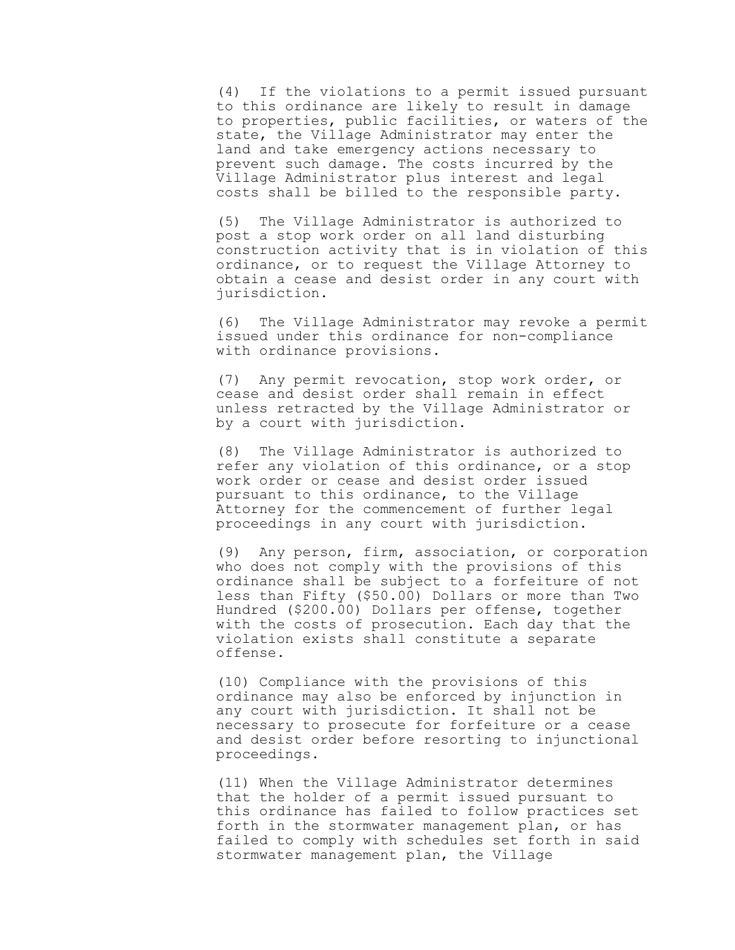(4) If the violations to a permit issued pursuant to this ordinance are likely to result in damage to properties, public facilities, or waters of the state, the Village Administrator may enter the land and take emergency actions necessary to prevent such damage. The costs incurred by the Village Administrator plus interest and legal costs shall be billed to the responsible party.

(5) The Village Administrator is authorized to post a stop work order on all land disturbing construction activity that is in violation of this ordinance, or to request the Village Attorney to obtain a cease and desist order in any court with jurisdiction.

(6) The Village Administrator may revoke a permit issued under this ordinance for non-compliance with ordinance provisions.

(7) Any permit revocation, stop work order, or cease and desist order shall remain in effect unless retracted by the Village Administrator or by a court with jurisdiction.

(8) The Village Administrator is authorized to refer any violation of this ordinance, or a stop work order or cease and desist order issued pursuant to this ordinance, to the Village Attorney for the commencement of further legal proceedings in any court with jurisdiction.

(9) Any person, firm, association, or corporation who does not comply with the provisions of this ordinance shall be subject to a forfeiture of not less than Fifty (\$50.00) Dollars or more than Two Hundred (\$200.00) Dollars per offense, together with the costs of prosecution. Each day that the violation exists shall constitute a separate offense.

(10) Compliance with the provisions of this ordinance may also be enforced by injunction in any court with jurisdiction. It shall not be necessary to prosecute for forfeiture or a cease and desist order before resorting to injunctional proceedings.

(11) When the Village Administrator determines that the holder of a permit issued pursuant to this ordinance has failed to follow practices set forth in the stormwater management plan, or has failed to comply with schedules set forth in said stormwater management plan, the Village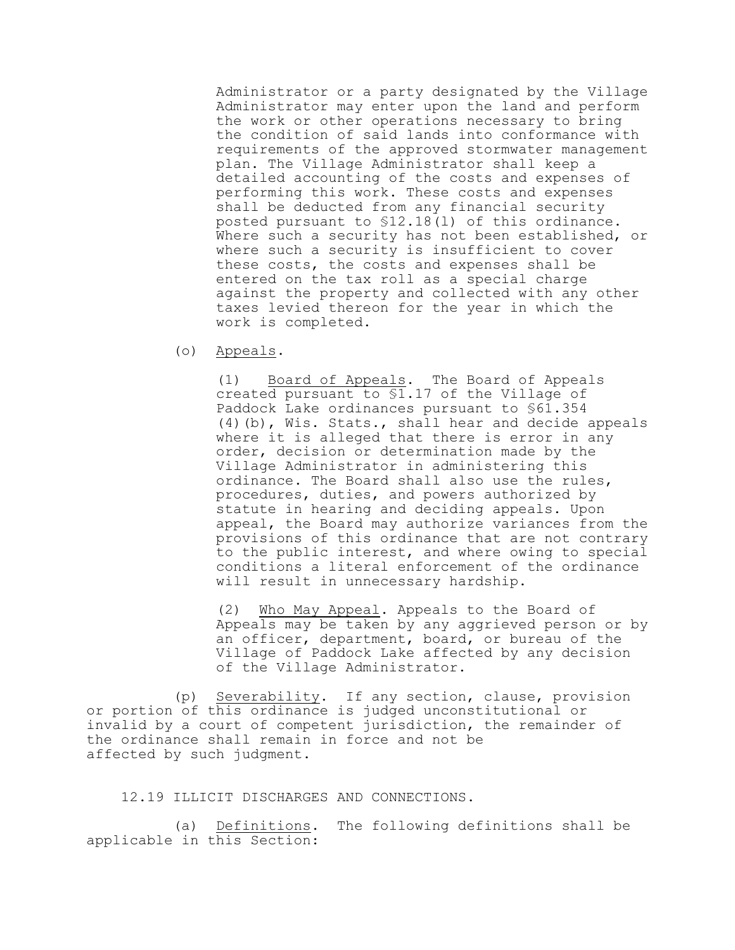Administrator or a party designated by the Village Administrator may enter upon the land and perform the work or other operations necessary to bring the condition of said lands into conformance with requirements of the approved stormwater management plan. The Village Administrator shall keep a detailed accounting of the costs and expenses of performing this work. These costs and expenses shall be deducted from any financial security posted pursuant to §12.18(l) of this ordinance. Where such a security has not been established, or where such a security is insufficient to cover these costs, the costs and expenses shall be entered on the tax roll as a special charge against the property and collected with any other taxes levied thereon for the year in which the work is completed.

(o) Appeals.

(1) Board of Appeals. The Board of Appeals created pursuant to §1.17 of the Village of Paddock Lake ordinances pursuant to §61.354 (4)(b), Wis. Stats., shall hear and decide appeals where it is alleged that there is error in any order, decision or determination made by the Village Administrator in administering this ordinance. The Board shall also use the rules, procedures, duties, and powers authorized by statute in hearing and deciding appeals. Upon appeal, the Board may authorize variances from the provisions of this ordinance that are not contrary to the public interest, and where owing to special conditions a literal enforcement of the ordinance will result in unnecessary hardship.

(2) Who May Appeal. Appeals to the Board of Appeals may be taken by any aggrieved person or by an officer, department, board, or bureau of the Village of Paddock Lake affected by any decision of the Village Administrator.

(p) Severability. If any section, clause, provision or portion of this ordinance is judged unconstitutional or invalid by a court of competent jurisdiction, the remainder of the ordinance shall remain in force and not be affected by such judgment.

12.19 ILLICIT DISCHARGES AND CONNECTIONS.

(a) Definitions. The following definitions shall be applicable in this Section: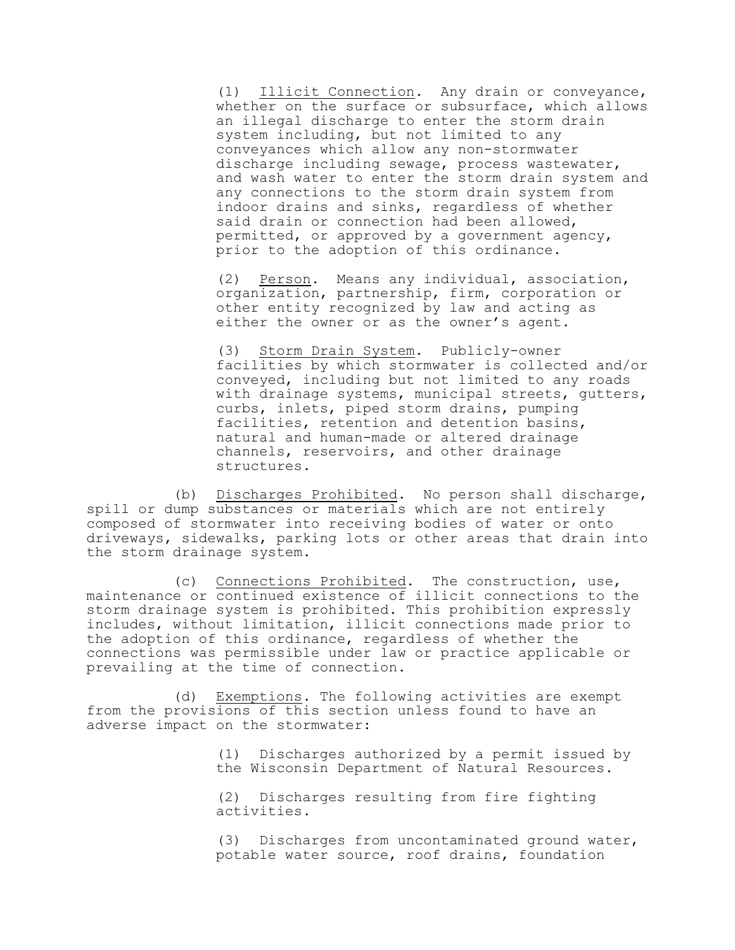(1) Illicit Connection. Any drain or conveyance, whether on the surface or subsurface, which allows an illegal discharge to enter the storm drain system including, but not limited to any conveyances which allow any non-stormwater discharge including sewage, process wastewater, and wash water to enter the storm drain system and any connections to the storm drain system from indoor drains and sinks, regardless of whether said drain or connection had been allowed, permitted, or approved by a government agency, prior to the adoption of this ordinance.

(2) Person. Means any individual, association, organization, partnership, firm, corporation or other entity recognized by law and acting as either the owner or as the owner's agent.

(3) Storm Drain System. Publicly-owner facilities by which stormwater is collected and/or conveyed, including but not limited to any roads with drainage systems, municipal streets, gutters, curbs, inlets, piped storm drains, pumping facilities, retention and detention basins, natural and human-made or altered drainage channels, reservoirs, and other drainage structures.

(b) Discharges Prohibited. No person shall discharge, spill or dump substances or materials which are not entirely composed of stormwater into receiving bodies of water or onto driveways, sidewalks, parking lots or other areas that drain into the storm drainage system.

(c) Connections Prohibited. The construction, use, maintenance or continued existence of illicit connections to the storm drainage system is prohibited. This prohibition expressly includes, without limitation, illicit connections made prior to the adoption of this ordinance, regardless of whether the connections was permissible under law or practice applicable or prevailing at the time of connection.

(d) Exemptions. The following activities are exempt from the provisions of this section unless found to have an adverse impact on the stormwater:

> (1) Discharges authorized by a permit issued by the Wisconsin Department of Natural Resources.

(2) Discharges resulting from fire fighting activities.

(3) Discharges from uncontaminated ground water, potable water source, roof drains, foundation